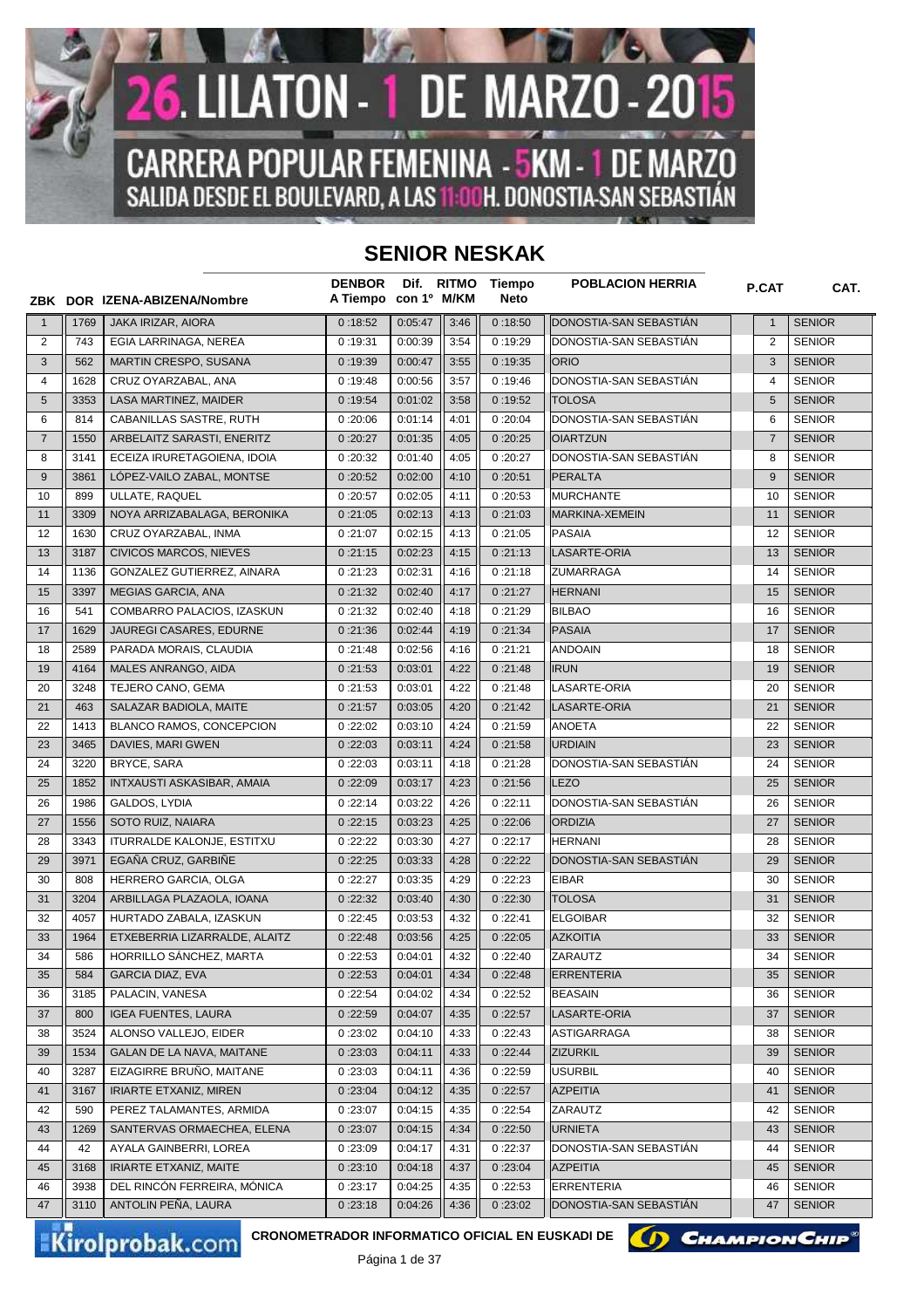

## **SENIOR NESKAK**

|                |      | ZBK DOR IZENA-ABIZENA/Nombre      | <b>DENBOR</b><br>A Tiempo con 1º M/KM |         | Dif. RITMO | Tiempo<br><b>Neto</b> | <b>POBLACION HERRIA</b> | <b>P.CAT</b>   | CAT.          |
|----------------|------|-----------------------------------|---------------------------------------|---------|------------|-----------------------|-------------------------|----------------|---------------|
| $\mathbf{1}$   | 1769 | JAKA IRIZAR, AIORA                | 0:18:52                               | 0:05:47 | 3:46       | 0:18:50               | DONOSTIA-SAN SEBASTIAN  | $\mathbf{1}$   | <b>SENIOR</b> |
| 2              | 743  | EGIA LARRINAGA, NEREA             | 0:19:31                               | 0:00:39 | 3:54       | 0:19:29               | DONOSTIA-SAN SEBASTIAN  | $\overline{2}$ | <b>SENIOR</b> |
| 3              | 562  | MARTIN CRESPO, SUSANA             | 0:19:39                               | 0:00:47 | 3:55       | 0:19:35               | <b>ORIO</b>             | 3              | <b>SENIOR</b> |
| 4              | 1628 | CRUZ OYARZABAL, ANA               | 0:19:48                               | 0:00:56 | 3:57       | 0:19:46               | DONOSTIA-SAN SEBASTIAN  | 4              | <b>SENIOR</b> |
| 5              | 3353 | LASA MARTINEZ, MAIDER             | 0:19:54                               | 0:01:02 | 3:58       | 0:19:52               | <b>TOLOSA</b>           | 5              | <b>SENIOR</b> |
| 6              | 814  | CABANILLAS SASTRE, RUTH           | 0:20:06                               | 0:01:14 | 4:01       | 0:20:04               | DONOSTIA-SAN SEBASTIAN  | 6              | <b>SENIOR</b> |
| $\overline{7}$ | 1550 | ARBELAITZ SARASTI, ENERITZ        | 0:20:27                               | 0:01:35 | 4:05       | 0:20:25               | <b>OIARTZUN</b>         | $\overline{7}$ | <b>SENIOR</b> |
| 8              | 3141 | ECEIZA IRURETAGOIENA, IDOIA       | 0:20:32                               | 0:01:40 | 4:05       | 0:20:27               | DONOSTIA-SAN SEBASTIAN  | 8              | <b>SENIOR</b> |
| 9              | 3861 | LÓPEZ-VAILO ZABAL, MONTSE         | 0:20:52                               | 0:02:00 | 4:10       | 0:20:51               | <b>PERALTA</b>          | 9              | <b>SENIOR</b> |
| 10             | 899  | ULLATE, RAQUEL                    | 0:20:57                               | 0:02:05 | 4:11       | 0:20:53               | <b>MURCHANTE</b>        | 10             | <b>SENIOR</b> |
| 11             | 3309 | NOYA ARRIZABALAGA, BERONIKA       | 0:21:05                               | 0:02:13 | 4:13       | 0:21:03               | MARKINA-XEMEIN          | 11             | <b>SENIOR</b> |
| 12             | 1630 | CRUZ OYARZABAL, INMA              | 0:21:07                               | 0:02:15 | 4:13       | 0:21:05               | <b>PASAIA</b>           | 12             | <b>SENIOR</b> |
| 13             | 3187 | <b>CIVICOS MARCOS, NIEVES</b>     | 0:21:15                               | 0:02:23 | 4:15       | 0:21:13               | LASARTE-ORIA            | 13             | <b>SENIOR</b> |
| 14             | 1136 | GONZALEZ GUTIERREZ, AINARA        | 0:21:23                               | 0:02:31 | 4:16       | 0:21:18               | <b>ZUMARRAGA</b>        | 14             | <b>SENIOR</b> |
| 15             | 3397 | MEGIAS GARCIA, ANA                | 0:21:32                               | 0:02:40 | 4:17       | 0:21:27               | <b>HERNANI</b>          | 15             | <b>SENIOR</b> |
| 16             | 541  | COMBARRO PALACIOS, IZASKUN        | 0:21:32                               | 0:02:40 | 4:18       | 0:21:29               | <b>BILBAO</b>           | 16             | <b>SENIOR</b> |
| 17             | 1629 | JAUREGI CASARES, EDURNE           | 0:21:36                               | 0:02:44 | 4:19       | 0:21:34               | <b>PASAIA</b>           | 17             | <b>SENIOR</b> |
| 18             | 2589 | PARADA MORAIS, CLAUDIA            | 0:21:48                               | 0:02:56 | 4:16       | 0:21:21               | <b>ANDOAIN</b>          | 18             | <b>SENIOR</b> |
| 19             | 4164 | MALES ANRANGO, AIDA               | 0:21:53                               | 0:03:01 | 4:22       | 0:21:48               | <b>IRUN</b>             | 19             | <b>SENIOR</b> |
| 20             | 3248 | TEJERO CANO, GEMA                 | 0:21:53                               | 0:03:01 | 4:22       | 0:21:48               | LASARTE-ORIA            | 20             | <b>SENIOR</b> |
| 21             | 463  | SALAZAR BADIOLA, MAITE            | 0:21:57                               | 0:03:05 | 4:20       | 0:21:42               | LASARTE-ORIA            | 21             | <b>SENIOR</b> |
| 22             | 1413 | BLANCO RAMOS, CONCEPCION          | 0:22:02                               | 0:03:10 | 4:24       | 0:21:59               | <b>ANOETA</b>           | 22             | <b>SENIOR</b> |
| 23             | 3465 | DAVIES, MARI GWEN                 | 0:22:03                               | 0:03:11 | 4:24       | 0:21:58               | <b>URDIAIN</b>          | 23             | <b>SENIOR</b> |
| 24             | 3220 | <b>BRYCE, SARA</b>                | 0:22:03                               | 0:03:11 | 4:18       | 0:21:28               | DONOSTIA-SAN SEBASTIAN  | 24             | <b>SENIOR</b> |
| 25             | 1852 | <b>INTXAUSTI ASKASIBAR, AMAIA</b> | 0:22:09                               | 0:03:17 | 4:23       | 0:21:56               | <b>LEZO</b>             | 25             | <b>SENIOR</b> |
| 26             | 1986 | GALDOS, LYDIA                     | 0:22:14                               | 0:03:22 | 4:26       | 0:22:11               | DONOSTIA-SAN SEBASTIAN  | 26             | <b>SENIOR</b> |
| 27             | 1556 | SOTO RUIZ, NAIARA                 | 0:22:15                               | 0:03:23 | 4:25       | 0:22:06               | <b>ORDIZIA</b>          | 27             | <b>SENIOR</b> |
| 28             | 3343 | <b>ITURRALDE KALONJE, ESTITXU</b> | 0:22:22                               | 0:03:30 | 4:27       | 0:22:17               | <b>HERNANI</b>          | 28             | <b>SENIOR</b> |
| 29             | 3971 | EGAÑA CRUZ, GARBIÑE               | 0:22:25                               | 0:03:33 | 4:28       | 0:22:22               | DONOSTIA-SAN SEBASTIAN  | 29             | <b>SENIOR</b> |
| 30             | 808  | HERRERO GARCIA, OLGA              | 0:22:27                               | 0:03:35 | 4:29       | 0:22:23               | <b>EIBAR</b>            | 30             | <b>SENIOR</b> |
| 31             | 3204 | ARBILLAGA PLAZAOLA, IOANA         | 0:22:32                               | 0:03:40 | 4:30       | 0:22:30               | <b>TOLOSA</b>           | 31             | <b>SENIOR</b> |
| 32             | 4057 | HURTADO ZABALA, IZASKUN           | 0:22:45                               | 0:03:53 | 4:32       | 0:22:41               | <b>ELGOIBAR</b>         | 32             | <b>SENIOR</b> |
| 33             | 1964 | ETXEBERRIA LIZARRALDE, ALAITZ     | 0:22:48                               | 0:03:56 | 4:25       | 0:22:05               | <b>AZKOITIA</b>         | 33             | <b>SENIOR</b> |
| 34             | 586  | HORRILLO SÁNCHEZ, MARTA           | 0:22:53                               | 0:04:01 | 4:32       | 0:22:40               | ZARAUTZ                 | 34             | <b>SENIOR</b> |
| 35             | 584  | <b>GARCIA DIAZ, EVA</b>           | 0:22:53                               | 0:04:01 | 4:34       | 0:22:48               | <b>ERRENTERIA</b>       | 35             | <b>SENIOR</b> |
| 36             | 3185 | PALACIN, VANESA                   | 0:22:54                               | 0:04:02 | 4:34       | 0:22:52               | <b>BEASAIN</b>          | 36             | <b>SENIOR</b> |
| 37             | 800  | <b>IGEA FUENTES, LAURA</b>        | 0:22:59                               | 0:04:07 | 4:35       | 0:22:57               | LASARTE-ORIA            | 37             | <b>SENIOR</b> |
| 38             | 3524 | ALONSO VALLEJO, EIDER             | 0:23:02                               | 0:04:10 | 4:33       | 0:22:43               | ASTIGARRAGA             | 38             | <b>SENIOR</b> |
| 39             | 1534 | GALAN DE LA NAVA, MAITANE         | 0:23:03                               | 0:04:11 | 4:33       | 0:22:44               | <b>ZIZURKIL</b>         | 39             | <b>SENIOR</b> |
| 40             | 3287 | EIZAGIRRE BRUÑO, MAITANE          | 0:23:03                               | 0:04:11 | 4:36       | 0:22:59               | <b>USURBIL</b>          | 40             | <b>SENIOR</b> |
| 41             | 3167 | <b>IRIARTE ETXANIZ, MIREN</b>     | 0:23:04                               | 0:04:12 | 4:35       | 0:22:57               | <b>AZPEITIA</b>         | 41             | <b>SENIOR</b> |
| 42             | 590  | PEREZ TALAMANTES, ARMIDA          | 0:23:07                               | 0:04:15 | 4:35       | 0:22:54               | ZARAUTZ                 | 42             | <b>SENIOR</b> |
| 43             | 1269 | SANTERVAS ORMAECHEA, ELENA        | 0:23:07                               | 0:04:15 | 4:34       | 0:22:50               | <b>URNIETA</b>          | 43             | <b>SENIOR</b> |
| 44             | 42   | AYALA GAINBERRI, LOREA            | 0:23:09                               | 0:04:17 | 4:31       | 0:22:37               | DONOSTIA-SAN SEBASTIAN  | 44             | <b>SENIOR</b> |
| 45             | 3168 | IRIARTE ETXANIZ, MAITE            | 0:23:10                               | 0:04:18 | 4:37       | 0:23:04               | <b>AZPEITIA</b>         | 45             | <b>SENIOR</b> |
| 46             | 3938 | DEL RINCÓN FERREIRA, MÓNICA       | 0:23:17                               | 0:04:25 | 4:35       | 0:22:53               | <b>ERRENTERIA</b>       | 46             | <b>SENIOR</b> |
| 47             | 3110 | ANTOLIN PEÑA, LAURA               | 0:23:18                               | 0:04:26 | 4:36       | 0:23:02               | DONOSTIA-SAN SEBASTIAN  | 47             | <b>SENIOR</b> |

Kirolprobak.com

CRONOMETRADOR INFORMATICO OFICIAL EN EUSKADI DE **CHAMPION CHIP** 

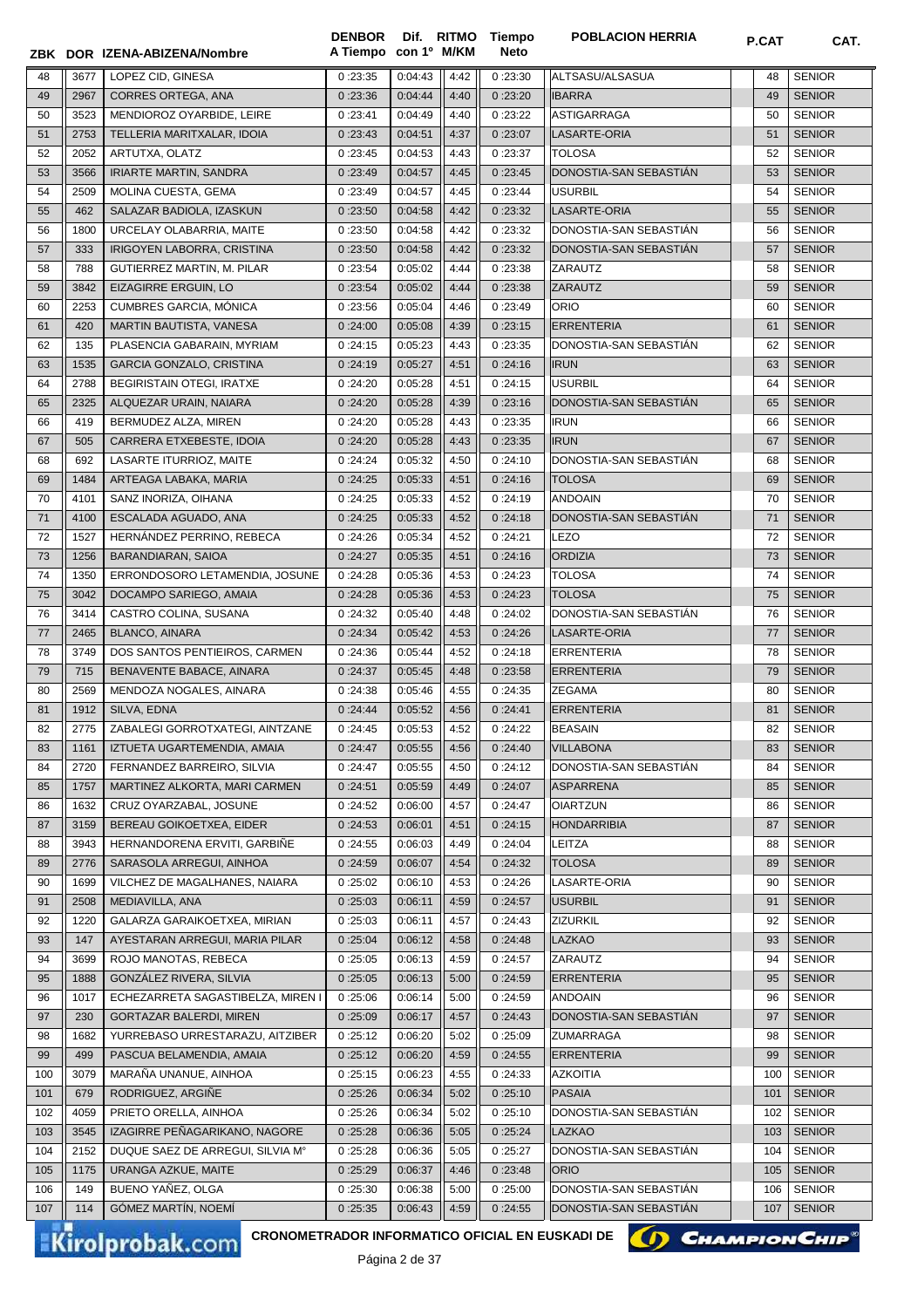| 3677<br>2967<br>3523<br>2753<br>2052<br>3566<br>2509<br>462<br>1800<br>333<br>788<br>3842<br>2253<br>420<br>135<br>1535<br>2788<br>2325<br>419<br>505 | ZBK DOR IZENA-ABIZENA/Nombre<br>LOPEZ CID, GINESA<br>CORRES ORTEGA, ANA<br>MENDIOROZ OYARBIDE, LEIRE<br>TELLERIA MARITXALAR, IDOIA<br>ARTUTXA, OLATZ<br><b>IRIARTE MARTIN, SANDRA</b><br>MOLINA CUESTA, GEMA<br>SALAZAR BADIOLA, IZASKUN<br>URCELAY OLABARRIA, MAITE<br>IRIGOYEN LABORRA, CRISTINA<br>GUTIERREZ MARTIN, M. PILAR<br>EIZAGIRRE ERGUIN, LO<br>CUMBRES GARCIA, MÓNICA<br>MARTIN BAUTISTA, VANESA<br>PLASENCIA GABARAIN, MYRIAM<br><b>GARCIA GONZALO, CRISTINA</b> | 0:23:35<br>0:23:36<br>0:23:41<br>0:23:43<br>0:23:45<br>0:23:49<br>0:23:49<br>0:23:50<br>0:23:50<br>0:23:50<br>0:23:54<br>0:23:54<br>0:23:56<br>0:24:00                                                                                                                                                                                                                                                                                                                                           | 0:04:43<br>0:04:44<br>0:04:49<br>0:04:51<br>0:04:53<br>0:04:57<br>0:04:57<br>0:04:58<br>0:04:58<br>0:04:58<br>0:05:02<br>0:05:02                                  | 4:42<br>4:40<br>4:40<br>4:37<br>4:43<br>4:45<br>4:45<br>4:42<br>4:42<br>4:42<br>4:44                                                                              | 0:23:30<br>0:23:20<br>0:23:22<br>0:23:07<br>0:23:37<br>0:23:45<br>0:23:44<br>0:23:32<br>0:23:32<br>0:23:32   | ALTSASU/ALSASUA<br><b>IBARRA</b><br><b>ASTIGARRAGA</b><br>LASARTE-ORIA<br><b>TOLOSA</b><br>DONOSTIA-SAN SEBASTIAN<br><b>USURBIL</b><br><b>LASARTE-ORIA</b><br>DONOSTIA-SAN SEBASTIAN | 48<br>49<br>50<br>51<br>52<br>53<br>54<br>55<br>56                                                                                                                                                                                                                                                     | <b>SENIOR</b><br><b>SENIOR</b><br><b>SENIOR</b><br><b>SENIOR</b><br><b>SENIOR</b><br><b>SENIOR</b><br><b>SENIOR</b><br><b>SENIOR</b><br><b>SENIOR</b> |
|-------------------------------------------------------------------------------------------------------------------------------------------------------|--------------------------------------------------------------------------------------------------------------------------------------------------------------------------------------------------------------------------------------------------------------------------------------------------------------------------------------------------------------------------------------------------------------------------------------------------------------------------------|--------------------------------------------------------------------------------------------------------------------------------------------------------------------------------------------------------------------------------------------------------------------------------------------------------------------------------------------------------------------------------------------------------------------------------------------------------------------------------------------------|-------------------------------------------------------------------------------------------------------------------------------------------------------------------|-------------------------------------------------------------------------------------------------------------------------------------------------------------------|--------------------------------------------------------------------------------------------------------------|--------------------------------------------------------------------------------------------------------------------------------------------------------------------------------------|--------------------------------------------------------------------------------------------------------------------------------------------------------------------------------------------------------------------------------------------------------------------------------------------------------|-------------------------------------------------------------------------------------------------------------------------------------------------------|
|                                                                                                                                                       |                                                                                                                                                                                                                                                                                                                                                                                                                                                                                |                                                                                                                                                                                                                                                                                                                                                                                                                                                                                                  |                                                                                                                                                                   |                                                                                                                                                                   |                                                                                                              |                                                                                                                                                                                      |                                                                                                                                                                                                                                                                                                        |                                                                                                                                                       |
|                                                                                                                                                       |                                                                                                                                                                                                                                                                                                                                                                                                                                                                                |                                                                                                                                                                                                                                                                                                                                                                                                                                                                                                  |                                                                                                                                                                   |                                                                                                                                                                   |                                                                                                              |                                                                                                                                                                                      |                                                                                                                                                                                                                                                                                                        |                                                                                                                                                       |
|                                                                                                                                                       |                                                                                                                                                                                                                                                                                                                                                                                                                                                                                |                                                                                                                                                                                                                                                                                                                                                                                                                                                                                                  |                                                                                                                                                                   |                                                                                                                                                                   |                                                                                                              |                                                                                                                                                                                      |                                                                                                                                                                                                                                                                                                        |                                                                                                                                                       |
|                                                                                                                                                       |                                                                                                                                                                                                                                                                                                                                                                                                                                                                                |                                                                                                                                                                                                                                                                                                                                                                                                                                                                                                  |                                                                                                                                                                   |                                                                                                                                                                   |                                                                                                              |                                                                                                                                                                                      |                                                                                                                                                                                                                                                                                                        |                                                                                                                                                       |
|                                                                                                                                                       |                                                                                                                                                                                                                                                                                                                                                                                                                                                                                |                                                                                                                                                                                                                                                                                                                                                                                                                                                                                                  |                                                                                                                                                                   |                                                                                                                                                                   |                                                                                                              |                                                                                                                                                                                      |                                                                                                                                                                                                                                                                                                        |                                                                                                                                                       |
|                                                                                                                                                       |                                                                                                                                                                                                                                                                                                                                                                                                                                                                                |                                                                                                                                                                                                                                                                                                                                                                                                                                                                                                  |                                                                                                                                                                   |                                                                                                                                                                   |                                                                                                              |                                                                                                                                                                                      |                                                                                                                                                                                                                                                                                                        |                                                                                                                                                       |
|                                                                                                                                                       |                                                                                                                                                                                                                                                                                                                                                                                                                                                                                |                                                                                                                                                                                                                                                                                                                                                                                                                                                                                                  |                                                                                                                                                                   |                                                                                                                                                                   |                                                                                                              |                                                                                                                                                                                      |                                                                                                                                                                                                                                                                                                        |                                                                                                                                                       |
|                                                                                                                                                       |                                                                                                                                                                                                                                                                                                                                                                                                                                                                                |                                                                                                                                                                                                                                                                                                                                                                                                                                                                                                  |                                                                                                                                                                   |                                                                                                                                                                   |                                                                                                              |                                                                                                                                                                                      |                                                                                                                                                                                                                                                                                                        |                                                                                                                                                       |
|                                                                                                                                                       |                                                                                                                                                                                                                                                                                                                                                                                                                                                                                |                                                                                                                                                                                                                                                                                                                                                                                                                                                                                                  |                                                                                                                                                                   |                                                                                                                                                                   |                                                                                                              |                                                                                                                                                                                      |                                                                                                                                                                                                                                                                                                        |                                                                                                                                                       |
|                                                                                                                                                       |                                                                                                                                                                                                                                                                                                                                                                                                                                                                                |                                                                                                                                                                                                                                                                                                                                                                                                                                                                                                  |                                                                                                                                                                   |                                                                                                                                                                   |                                                                                                              | DONOSTIA-SAN SEBASTIAN                                                                                                                                                               | 57                                                                                                                                                                                                                                                                                                     | <b>SENIOR</b>                                                                                                                                         |
|                                                                                                                                                       |                                                                                                                                                                                                                                                                                                                                                                                                                                                                                |                                                                                                                                                                                                                                                                                                                                                                                                                                                                                                  |                                                                                                                                                                   |                                                                                                                                                                   | 0:23:38                                                                                                      | <b>ZARAUTZ</b>                                                                                                                                                                       | 58                                                                                                                                                                                                                                                                                                     | <b>SENIOR</b>                                                                                                                                         |
|                                                                                                                                                       |                                                                                                                                                                                                                                                                                                                                                                                                                                                                                |                                                                                                                                                                                                                                                                                                                                                                                                                                                                                                  |                                                                                                                                                                   | 4:44                                                                                                                                                              | 0:23:38                                                                                                      | <b>ZARAUTZ</b>                                                                                                                                                                       | 59                                                                                                                                                                                                                                                                                                     | <b>SENIOR</b>                                                                                                                                         |
|                                                                                                                                                       |                                                                                                                                                                                                                                                                                                                                                                                                                                                                                |                                                                                                                                                                                                                                                                                                                                                                                                                                                                                                  | 0:05:04                                                                                                                                                           | 4:46                                                                                                                                                              | 0:23:49                                                                                                      | <b>ORIO</b>                                                                                                                                                                          | 60                                                                                                                                                                                                                                                                                                     | <b>SENIOR</b>                                                                                                                                         |
|                                                                                                                                                       |                                                                                                                                                                                                                                                                                                                                                                                                                                                                                |                                                                                                                                                                                                                                                                                                                                                                                                                                                                                                  | 0:05:08                                                                                                                                                           | 4:39                                                                                                                                                              | 0:23:15                                                                                                      | <b>ERRENTERIA</b>                                                                                                                                                                    | 61                                                                                                                                                                                                                                                                                                     | <b>SENIOR</b>                                                                                                                                         |
|                                                                                                                                                       |                                                                                                                                                                                                                                                                                                                                                                                                                                                                                | 0:24:15                                                                                                                                                                                                                                                                                                                                                                                                                                                                                          | 0:05:23                                                                                                                                                           | 4:43                                                                                                                                                              | 0:23:35                                                                                                      | DONOSTIA-SAN SEBASTIAN                                                                                                                                                               | 62                                                                                                                                                                                                                                                                                                     | <b>SENIOR</b>                                                                                                                                         |
|                                                                                                                                                       |                                                                                                                                                                                                                                                                                                                                                                                                                                                                                | 0:24:19                                                                                                                                                                                                                                                                                                                                                                                                                                                                                          |                                                                                                                                                                   |                                                                                                                                                                   | 0:24:16                                                                                                      |                                                                                                                                                                                      |                                                                                                                                                                                                                                                                                                        |                                                                                                                                                       |
|                                                                                                                                                       |                                                                                                                                                                                                                                                                                                                                                                                                                                                                                |                                                                                                                                                                                                                                                                                                                                                                                                                                                                                                  | 0:05:27                                                                                                                                                           | 4:51                                                                                                                                                              |                                                                                                              | <b>IRUN</b><br><b>USURBIL</b>                                                                                                                                                        | 63                                                                                                                                                                                                                                                                                                     | <b>SENIOR</b>                                                                                                                                         |
|                                                                                                                                                       | BEGIRISTAIN OTEGI, IRATXE                                                                                                                                                                                                                                                                                                                                                                                                                                                      | 0:24:20                                                                                                                                                                                                                                                                                                                                                                                                                                                                                          | 0:05:28                                                                                                                                                           | 4:51                                                                                                                                                              | 0:24:15                                                                                                      |                                                                                                                                                                                      | 64                                                                                                                                                                                                                                                                                                     | <b>SENIOR</b>                                                                                                                                         |
|                                                                                                                                                       | ALQUEZAR URAIN, NAIARA                                                                                                                                                                                                                                                                                                                                                                                                                                                         | 0:24:20                                                                                                                                                                                                                                                                                                                                                                                                                                                                                          | 0:05:28                                                                                                                                                           | 4:39                                                                                                                                                              | 0:23:16                                                                                                      | DONOSTIA-SAN SEBASTIAN                                                                                                                                                               | 65                                                                                                                                                                                                                                                                                                     | <b>SENIOR</b>                                                                                                                                         |
|                                                                                                                                                       | BERMUDEZ ALZA, MIREN                                                                                                                                                                                                                                                                                                                                                                                                                                                           | 0:24:20                                                                                                                                                                                                                                                                                                                                                                                                                                                                                          | 0:05:28                                                                                                                                                           | 4:43                                                                                                                                                              | 0:23:35                                                                                                      | <b>IRUN</b>                                                                                                                                                                          | 66                                                                                                                                                                                                                                                                                                     | <b>SENIOR</b>                                                                                                                                         |
|                                                                                                                                                       | CARRERA ETXEBESTE, IDOIA                                                                                                                                                                                                                                                                                                                                                                                                                                                       | 0:24:20                                                                                                                                                                                                                                                                                                                                                                                                                                                                                          | 0:05:28                                                                                                                                                           | 4:43                                                                                                                                                              | 0:23:35                                                                                                      | <b>IRUN</b>                                                                                                                                                                          | 67                                                                                                                                                                                                                                                                                                     | <b>SENIOR</b>                                                                                                                                         |
| 692                                                                                                                                                   | LASARTE ITURRIOZ, MAITE                                                                                                                                                                                                                                                                                                                                                                                                                                                        | 0:24:24                                                                                                                                                                                                                                                                                                                                                                                                                                                                                          | 0:05:32                                                                                                                                                           | 4:50                                                                                                                                                              | 0:24:10                                                                                                      | DONOSTIA-SAN SEBASTIAN                                                                                                                                                               | 68                                                                                                                                                                                                                                                                                                     | <b>SENIOR</b>                                                                                                                                         |
| 1484                                                                                                                                                  | ARTEAGA LABAKA, MARIA                                                                                                                                                                                                                                                                                                                                                                                                                                                          | 0:24:25                                                                                                                                                                                                                                                                                                                                                                                                                                                                                          | 0:05:33                                                                                                                                                           | 4:51                                                                                                                                                              | 0:24:16                                                                                                      | <b>TOLOSA</b>                                                                                                                                                                        | 69                                                                                                                                                                                                                                                                                                     | <b>SENIOR</b>                                                                                                                                         |
| 4101                                                                                                                                                  | SANZ INORIZA, OIHANA                                                                                                                                                                                                                                                                                                                                                                                                                                                           | 0:24:25                                                                                                                                                                                                                                                                                                                                                                                                                                                                                          | 0:05:33                                                                                                                                                           | 4:52                                                                                                                                                              | 0:24:19                                                                                                      | <b>ANDOAIN</b>                                                                                                                                                                       | 70                                                                                                                                                                                                                                                                                                     | <b>SENIOR</b>                                                                                                                                         |
| 4100                                                                                                                                                  | ESCALADA AGUADO, ANA                                                                                                                                                                                                                                                                                                                                                                                                                                                           | 0:24:25                                                                                                                                                                                                                                                                                                                                                                                                                                                                                          | 0:05:33                                                                                                                                                           | 4:52                                                                                                                                                              | 0:24:18                                                                                                      | DONOSTIA-SAN SEBASTIAN                                                                                                                                                               | 71                                                                                                                                                                                                                                                                                                     | <b>SENIOR</b>                                                                                                                                         |
| 1527                                                                                                                                                  | HERNÁNDEZ PERRINO, REBECA                                                                                                                                                                                                                                                                                                                                                                                                                                                      | 0:24:26                                                                                                                                                                                                                                                                                                                                                                                                                                                                                          | 0:05:34                                                                                                                                                           | 4:52                                                                                                                                                              | 0:24:21                                                                                                      | <b>LEZO</b>                                                                                                                                                                          | 72                                                                                                                                                                                                                                                                                                     | <b>SENIOR</b>                                                                                                                                         |
| 1256                                                                                                                                                  | <b>BARANDIARAN, SAIOA</b>                                                                                                                                                                                                                                                                                                                                                                                                                                                      | 0:24:27                                                                                                                                                                                                                                                                                                                                                                                                                                                                                          | 0:05:35                                                                                                                                                           | 4:51                                                                                                                                                              | 0:24:16                                                                                                      | <b>ORDIZIA</b>                                                                                                                                                                       | 73                                                                                                                                                                                                                                                                                                     | <b>SENIOR</b>                                                                                                                                         |
| 1350                                                                                                                                                  | ERRONDOSORO LETAMENDIA, JOSUNE                                                                                                                                                                                                                                                                                                                                                                                                                                                 | 0:24:28                                                                                                                                                                                                                                                                                                                                                                                                                                                                                          | 0:05:36                                                                                                                                                           | 4:53                                                                                                                                                              | 0:24:23                                                                                                      | <b>TOLOSA</b>                                                                                                                                                                        | 74                                                                                                                                                                                                                                                                                                     | <b>SENIOR</b>                                                                                                                                         |
| 3042                                                                                                                                                  | DOCAMPO SARIEGO, AMAIA                                                                                                                                                                                                                                                                                                                                                                                                                                                         | 0:24:28                                                                                                                                                                                                                                                                                                                                                                                                                                                                                          | 0:05:36                                                                                                                                                           | 4:53                                                                                                                                                              | 0:24:23                                                                                                      | <b>TOLOSA</b>                                                                                                                                                                        | 75                                                                                                                                                                                                                                                                                                     | <b>SENIOR</b>                                                                                                                                         |
| 3414                                                                                                                                                  | CASTRO COLINA, SUSANA                                                                                                                                                                                                                                                                                                                                                                                                                                                          | 0:24:32                                                                                                                                                                                                                                                                                                                                                                                                                                                                                          | 0:05:40                                                                                                                                                           | 4:48                                                                                                                                                              | 0:24:02                                                                                                      | DONOSTIA-SAN SEBASTIAN                                                                                                                                                               | 76                                                                                                                                                                                                                                                                                                     | <b>SENIOR</b>                                                                                                                                         |
| 2465                                                                                                                                                  | <b>BLANCO, AINARA</b>                                                                                                                                                                                                                                                                                                                                                                                                                                                          | 0:24:34                                                                                                                                                                                                                                                                                                                                                                                                                                                                                          | 0:05:42                                                                                                                                                           | 4:53                                                                                                                                                              | 0:24:26                                                                                                      | LASARTE-ORIA                                                                                                                                                                         | 77                                                                                                                                                                                                                                                                                                     | <b>SENIOR</b>                                                                                                                                         |
| 3749                                                                                                                                                  | DOS SANTOS PENTIEIROS, CARMEN                                                                                                                                                                                                                                                                                                                                                                                                                                                  | 0:24:36                                                                                                                                                                                                                                                                                                                                                                                                                                                                                          | 0:05:44                                                                                                                                                           | 4:52                                                                                                                                                              | 0:24:18                                                                                                      | <b>ERRENTERIA</b>                                                                                                                                                                    | 78                                                                                                                                                                                                                                                                                                     | <b>SENIOR</b>                                                                                                                                         |
| 715                                                                                                                                                   | BENAVENTE BABACE, AINARA                                                                                                                                                                                                                                                                                                                                                                                                                                                       | 0:24:37                                                                                                                                                                                                                                                                                                                                                                                                                                                                                          | 0:05:45                                                                                                                                                           | 4:48                                                                                                                                                              | 0:23:58                                                                                                      | <b>ERRENTERIA</b>                                                                                                                                                                    | 79                                                                                                                                                                                                                                                                                                     | <b>SENIOR</b>                                                                                                                                         |
| 2569                                                                                                                                                  | MENDOZA NOGALES, AINARA                                                                                                                                                                                                                                                                                                                                                                                                                                                        | 0:24:38                                                                                                                                                                                                                                                                                                                                                                                                                                                                                          | 0:05:46                                                                                                                                                           | 4:55                                                                                                                                                              | 0:24:35                                                                                                      | <b>ZEGAMA</b>                                                                                                                                                                        | 80                                                                                                                                                                                                                                                                                                     | <b>SENIOR</b>                                                                                                                                         |
| 1912                                                                                                                                                  | SILVA, EDNA                                                                                                                                                                                                                                                                                                                                                                                                                                                                    | 0:24:44                                                                                                                                                                                                                                                                                                                                                                                                                                                                                          | 0:05:52                                                                                                                                                           | 4:56                                                                                                                                                              | 0:24:41                                                                                                      | <b>ERRENTERIA</b>                                                                                                                                                                    | 81                                                                                                                                                                                                                                                                                                     | <b>SENIOR</b>                                                                                                                                         |
| 2775                                                                                                                                                  |                                                                                                                                                                                                                                                                                                                                                                                                                                                                                |                                                                                                                                                                                                                                                                                                                                                                                                                                                                                                  |                                                                                                                                                                   |                                                                                                                                                                   |                                                                                                              |                                                                                                                                                                                      |                                                                                                                                                                                                                                                                                                        | <b>SENIOR</b>                                                                                                                                         |
| 1161                                                                                                                                                  |                                                                                                                                                                                                                                                                                                                                                                                                                                                                                |                                                                                                                                                                                                                                                                                                                                                                                                                                                                                                  |                                                                                                                                                                   |                                                                                                                                                                   |                                                                                                              |                                                                                                                                                                                      |                                                                                                                                                                                                                                                                                                        | <b>SENIOR</b>                                                                                                                                         |
| 2720                                                                                                                                                  |                                                                                                                                                                                                                                                                                                                                                                                                                                                                                |                                                                                                                                                                                                                                                                                                                                                                                                                                                                                                  |                                                                                                                                                                   |                                                                                                                                                                   |                                                                                                              |                                                                                                                                                                                      |                                                                                                                                                                                                                                                                                                        | <b>SENIOR</b>                                                                                                                                         |
|                                                                                                                                                       |                                                                                                                                                                                                                                                                                                                                                                                                                                                                                |                                                                                                                                                                                                                                                                                                                                                                                                                                                                                                  |                                                                                                                                                                   |                                                                                                                                                                   |                                                                                                              |                                                                                                                                                                                      |                                                                                                                                                                                                                                                                                                        | <b>SENIOR</b>                                                                                                                                         |
|                                                                                                                                                       |                                                                                                                                                                                                                                                                                                                                                                                                                                                                                |                                                                                                                                                                                                                                                                                                                                                                                                                                                                                                  |                                                                                                                                                                   |                                                                                                                                                                   |                                                                                                              |                                                                                                                                                                                      |                                                                                                                                                                                                                                                                                                        | <b>SENIOR</b>                                                                                                                                         |
|                                                                                                                                                       |                                                                                                                                                                                                                                                                                                                                                                                                                                                                                |                                                                                                                                                                                                                                                                                                                                                                                                                                                                                                  |                                                                                                                                                                   |                                                                                                                                                                   |                                                                                                              |                                                                                                                                                                                      |                                                                                                                                                                                                                                                                                                        | <b>SENIOR</b>                                                                                                                                         |
|                                                                                                                                                       |                                                                                                                                                                                                                                                                                                                                                                                                                                                                                |                                                                                                                                                                                                                                                                                                                                                                                                                                                                                                  |                                                                                                                                                                   |                                                                                                                                                                   |                                                                                                              |                                                                                                                                                                                      |                                                                                                                                                                                                                                                                                                        | <b>SENIOR</b>                                                                                                                                         |
|                                                                                                                                                       |                                                                                                                                                                                                                                                                                                                                                                                                                                                                                |                                                                                                                                                                                                                                                                                                                                                                                                                                                                                                  |                                                                                                                                                                   |                                                                                                                                                                   |                                                                                                              |                                                                                                                                                                                      |                                                                                                                                                                                                                                                                                                        | <b>SENIOR</b>                                                                                                                                         |
|                                                                                                                                                       |                                                                                                                                                                                                                                                                                                                                                                                                                                                                                |                                                                                                                                                                                                                                                                                                                                                                                                                                                                                                  |                                                                                                                                                                   |                                                                                                                                                                   |                                                                                                              |                                                                                                                                                                                      |                                                                                                                                                                                                                                                                                                        |                                                                                                                                                       |
|                                                                                                                                                       |                                                                                                                                                                                                                                                                                                                                                                                                                                                                                |                                                                                                                                                                                                                                                                                                                                                                                                                                                                                                  |                                                                                                                                                                   |                                                                                                                                                                   |                                                                                                              |                                                                                                                                                                                      |                                                                                                                                                                                                                                                                                                        | <b>SENIOR</b><br><b>SENIOR</b>                                                                                                                        |
|                                                                                                                                                       |                                                                                                                                                                                                                                                                                                                                                                                                                                                                                |                                                                                                                                                                                                                                                                                                                                                                                                                                                                                                  |                                                                                                                                                                   |                                                                                                                                                                   |                                                                                                              |                                                                                                                                                                                      |                                                                                                                                                                                                                                                                                                        |                                                                                                                                                       |
|                                                                                                                                                       |                                                                                                                                                                                                                                                                                                                                                                                                                                                                                |                                                                                                                                                                                                                                                                                                                                                                                                                                                                                                  |                                                                                                                                                                   |                                                                                                                                                                   |                                                                                                              |                                                                                                                                                                                      |                                                                                                                                                                                                                                                                                                        | <b>SENIOR</b>                                                                                                                                         |
|                                                                                                                                                       |                                                                                                                                                                                                                                                                                                                                                                                                                                                                                |                                                                                                                                                                                                                                                                                                                                                                                                                                                                                                  |                                                                                                                                                                   |                                                                                                                                                                   |                                                                                                              |                                                                                                                                                                                      |                                                                                                                                                                                                                                                                                                        | <b>SENIOR</b>                                                                                                                                         |
| 3699                                                                                                                                                  |                                                                                                                                                                                                                                                                                                                                                                                                                                                                                |                                                                                                                                                                                                                                                                                                                                                                                                                                                                                                  |                                                                                                                                                                   |                                                                                                                                                                   |                                                                                                              |                                                                                                                                                                                      |                                                                                                                                                                                                                                                                                                        | <b>SENIOR</b>                                                                                                                                         |
| 1888                                                                                                                                                  |                                                                                                                                                                                                                                                                                                                                                                                                                                                                                |                                                                                                                                                                                                                                                                                                                                                                                                                                                                                                  |                                                                                                                                                                   |                                                                                                                                                                   |                                                                                                              |                                                                                                                                                                                      | 95                                                                                                                                                                                                                                                                                                     | <b>SENIOR</b>                                                                                                                                         |
| 1017                                                                                                                                                  |                                                                                                                                                                                                                                                                                                                                                                                                                                                                                |                                                                                                                                                                                                                                                                                                                                                                                                                                                                                                  |                                                                                                                                                                   | 5:00                                                                                                                                                              | 0:24:59                                                                                                      |                                                                                                                                                                                      | 96                                                                                                                                                                                                                                                                                                     | <b>SENIOR</b>                                                                                                                                         |
| 230                                                                                                                                                   | <b>GORTAZAR BALERDI, MIREN</b>                                                                                                                                                                                                                                                                                                                                                                                                                                                 | 0:25:09                                                                                                                                                                                                                                                                                                                                                                                                                                                                                          | 0:06:17                                                                                                                                                           | 4:57                                                                                                                                                              | 0:24:43                                                                                                      |                                                                                                                                                                                      | 97                                                                                                                                                                                                                                                                                                     | <b>SENIOR</b>                                                                                                                                         |
| 1682                                                                                                                                                  |                                                                                                                                                                                                                                                                                                                                                                                                                                                                                | 0:25:12                                                                                                                                                                                                                                                                                                                                                                                                                                                                                          | 0:06:20                                                                                                                                                           | 5:02                                                                                                                                                              | 0:25:09                                                                                                      | <b>ZUMARRAGA</b>                                                                                                                                                                     | 98                                                                                                                                                                                                                                                                                                     | <b>SENIOR</b>                                                                                                                                         |
| 499                                                                                                                                                   | PASCUA BELAMENDIA, AMAIA                                                                                                                                                                                                                                                                                                                                                                                                                                                       | 0:25:12                                                                                                                                                                                                                                                                                                                                                                                                                                                                                          | 0:06:20                                                                                                                                                           | 4:59                                                                                                                                                              | 0:24:55                                                                                                      | <b>ERRENTERIA</b>                                                                                                                                                                    | 99                                                                                                                                                                                                                                                                                                     | <b>SENIOR</b>                                                                                                                                         |
| 3079                                                                                                                                                  | MARAÑA UNANUE, AINHOA                                                                                                                                                                                                                                                                                                                                                                                                                                                          | 0:25:15                                                                                                                                                                                                                                                                                                                                                                                                                                                                                          | 0:06:23                                                                                                                                                           | 4:55                                                                                                                                                              | 0:24:33                                                                                                      | <b>AZKOITIA</b>                                                                                                                                                                      | 100                                                                                                                                                                                                                                                                                                    | <b>SENIOR</b>                                                                                                                                         |
| 679                                                                                                                                                   | RODRIGUEZ, ARGIÑE                                                                                                                                                                                                                                                                                                                                                                                                                                                              | 0:25:26                                                                                                                                                                                                                                                                                                                                                                                                                                                                                          | 0:06:34                                                                                                                                                           | 5:02                                                                                                                                                              | 0:25:10                                                                                                      | PASAIA                                                                                                                                                                               | 101                                                                                                                                                                                                                                                                                                    | <b>SENIOR</b>                                                                                                                                         |
| 4059                                                                                                                                                  | PRIETO ORELLA, AINHOA                                                                                                                                                                                                                                                                                                                                                                                                                                                          | 0:25:26                                                                                                                                                                                                                                                                                                                                                                                                                                                                                          | 0:06:34                                                                                                                                                           | 5:02                                                                                                                                                              | 0:25:10                                                                                                      | DONOSTIA-SAN SEBASTIAN                                                                                                                                                               | 102                                                                                                                                                                                                                                                                                                    | <b>SENIOR</b>                                                                                                                                         |
| 3545                                                                                                                                                  | IZAGIRRE PEÑAGARIKANO, NAGORE                                                                                                                                                                                                                                                                                                                                                                                                                                                  | 0:25:28                                                                                                                                                                                                                                                                                                                                                                                                                                                                                          | 0:06:36                                                                                                                                                           | 5:05                                                                                                                                                              | 0:25:24                                                                                                      | <b>LAZKAO</b>                                                                                                                                                                        | 103                                                                                                                                                                                                                                                                                                    | <b>SENIOR</b>                                                                                                                                         |
| 2152                                                                                                                                                  | DUQUE SAEZ DE ARREGUI, SILVIA M°                                                                                                                                                                                                                                                                                                                                                                                                                                               | 0:25:28                                                                                                                                                                                                                                                                                                                                                                                                                                                                                          | 0:06:36                                                                                                                                                           | 5:05                                                                                                                                                              | 0:25:27                                                                                                      | DONOSTIA-SAN SEBASTIAN                                                                                                                                                               | 104                                                                                                                                                                                                                                                                                                    | <b>SENIOR</b>                                                                                                                                         |
| 1175                                                                                                                                                  | URANGA AZKUE, MAITE                                                                                                                                                                                                                                                                                                                                                                                                                                                            | 0:25:29                                                                                                                                                                                                                                                                                                                                                                                                                                                                                          | 0:06:37                                                                                                                                                           | 4:46                                                                                                                                                              | 0:23:48                                                                                                      | <b>ORIO</b>                                                                                                                                                                          | 105                                                                                                                                                                                                                                                                                                    | <b>SENIOR</b>                                                                                                                                         |
| 149                                                                                                                                                   | BUENO YANEZ, OLGA                                                                                                                                                                                                                                                                                                                                                                                                                                                              | 0:25:30                                                                                                                                                                                                                                                                                                                                                                                                                                                                                          | 0:06:38                                                                                                                                                           | 5:00                                                                                                                                                              | 0:25:00                                                                                                      | DONOSTIA-SAN SEBASTIAN                                                                                                                                                               | 106                                                                                                                                                                                                                                                                                                    | <b>SENIOR</b>                                                                                                                                         |
| 114                                                                                                                                                   | GÓMEZ MARTÍN, NOEMÍ                                                                                                                                                                                                                                                                                                                                                                                                                                                            | 0:25:35                                                                                                                                                                                                                                                                                                                                                                                                                                                                                          | 0:06:43                                                                                                                                                           | 4:59                                                                                                                                                              | 0:24:55                                                                                                      | DONOSTIA-SAN SEBASTIAN                                                                                                                                                               | 107                                                                                                                                                                                                                                                                                                    | <b>SENIOR</b>                                                                                                                                         |
|                                                                                                                                                       | 1757<br>1632<br>3159<br>3943<br>2776<br>1699<br>2508<br>1220<br>147<br><b>Kirolprobak.com</b>                                                                                                                                                                                                                                                                                                                                                                                  | ZABALEGI GORROTXATEGI, AINTZANE<br>IZTUETA UGARTEMENDIA, AMAIA<br>FERNANDEZ BARREIRO, SILVIA<br>MARTINEZ ALKORTA, MARI CARMEN<br>CRUZ OYARZABAL, JOSUNE<br>BEREAU GOIKOETXEA, EIDER<br>HERNANDORENA ERVITI, GARBIÑE<br>SARASOLA ARREGUI, AINHOA<br>VILCHEZ DE MAGALHANES, NAIARA<br>MEDIAVILLA, ANA<br>GALARZA GARAIKOETXEA, MIRIAN<br>AYESTARAN ARREGUI, MARIA PILAR<br>ROJO MANOTAS, REBECA<br>GONZÁLEZ RIVERA, SILVIA<br>ECHEZARRETA SAGASTIBELZA, MIREN I<br>YURREBASO URRESTARAZU, AITZIBER | 0:24:45<br>0:24:47<br>0:24:47<br>0:24:51<br>0:24:52<br>0:24:53<br>0:24:55<br>0:24:59<br>0:25:02<br>0:25:03<br>0:25:03<br>0:25:04<br>0:25:05<br>0:25:05<br>0:25:06 | 0:05:53<br>0:05:55<br>0:05:55<br>0:05:59<br>0:06:00<br>0:06:01<br>0:06:03<br>0:06:07<br>0:06:10<br>0:06:11<br>0:06:11<br>0:06:12<br>0:06:13<br>0:06:13<br>0:06:14 | 4:52<br>4:56<br>4:50<br>4:49<br>4:57<br>4:51<br>4:49<br>4:54<br>4:53<br>4:59<br>4:57<br>4:58<br>4:59<br>5:00 | 0:24:22<br>0:24:40<br>0:24:12<br>0:24:07<br>0:24:47<br>0:24:15<br>0:24:04<br>0:24:32<br>0:24:26<br>0:24:57<br>0:24:43<br>0:24:48<br>0:24:57<br>0:24:59                               | <b>BEASAIN</b><br><b>VILLABONA</b><br>DONOSTIA-SAN SEBASTIAN<br><b>ASPARRENA</b><br><b>OIARTZUN</b><br><b>HONDARRIBIA</b><br>LEITZA<br><b>TOLOSA</b><br>LASARTE-ORIA<br><b>USURBIL</b><br><b>ZIZURKIL</b><br><b>LAZKAO</b><br>ZARAUTZ<br><b>ERRENTERIA</b><br><b>ANDOAIN</b><br>DONOSTIA-SAN SEBASTIÁN | 82<br>83<br>84<br>85<br>86<br>87<br>88<br>89<br>90<br>91<br>92<br>93<br>94                                                                            |

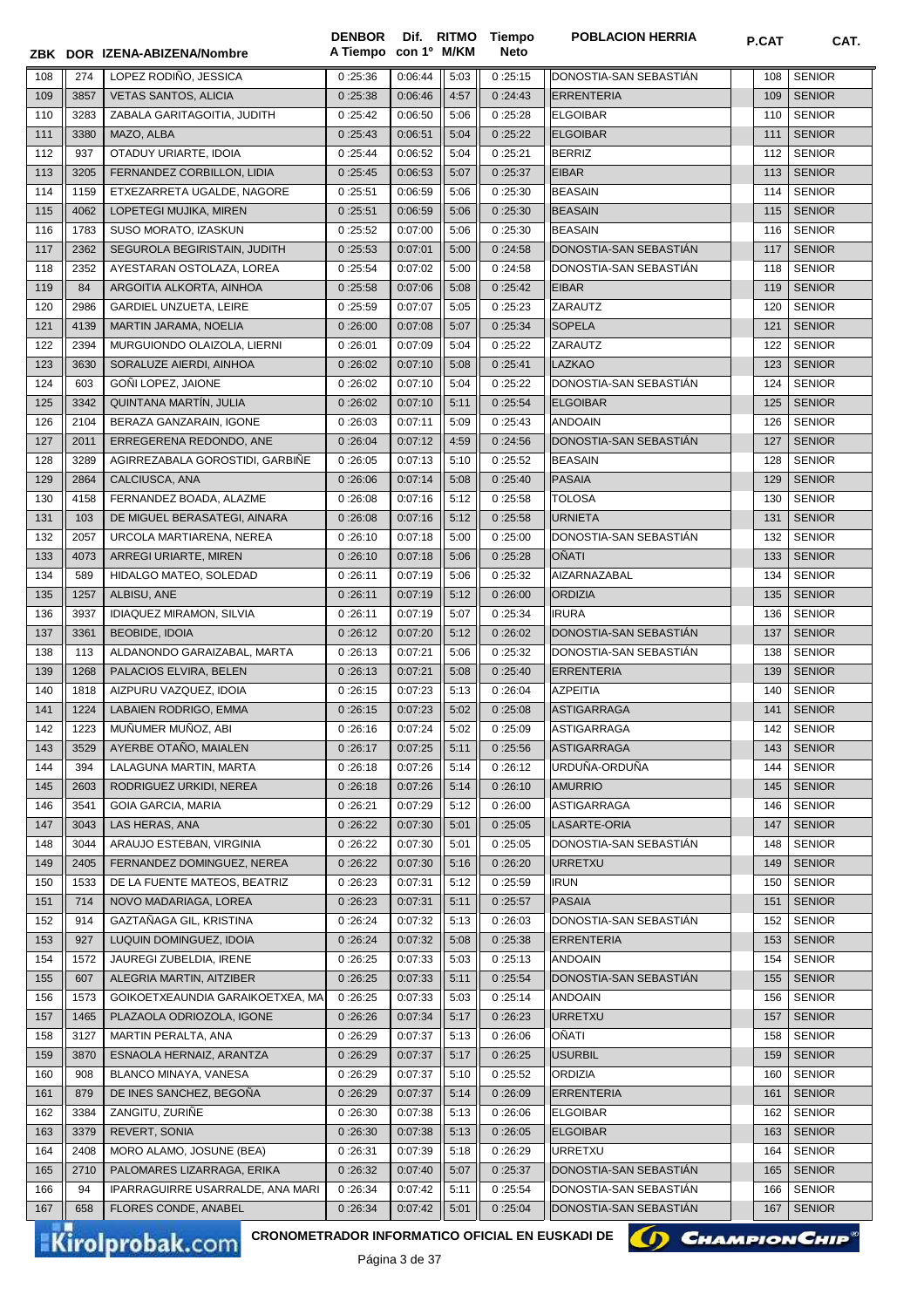|            |              | ZBK DOR IZENA-ABIZENA/Nombre                                              | <b>DENBOR</b><br>A Tiempo con 1º M/KM | Dif. RITMO           |              | Tiempo<br>Neto     | <b>POBLACION HERRIA</b>                  | P.CAT      | CAT.                           |
|------------|--------------|---------------------------------------------------------------------------|---------------------------------------|----------------------|--------------|--------------------|------------------------------------------|------------|--------------------------------|
| 108        | 274          | LOPEZ RODIÑO, JESSICA                                                     | 0:25:36                               | 0:06:44              | 5:03         | 0:25:15            | DONOSTIA-SAN SEBASTIAN                   | 108        | <b>SENIOR</b>                  |
| 109        | 3857         | <b>VETAS SANTOS, ALICIA</b>                                               | 0:25:38                               | 0:06:46              | 4:57         | 0:24:43            | <b>ERRENTERIA</b>                        | 109        | <b>SENIOR</b>                  |
| 110        | 3283         | ZABALA GARITAGOITIA, JUDITH                                               | 0:25:42                               | 0:06:50              | 5:06         | 0:25:28            | <b>ELGOIBAR</b>                          | 110        | <b>SENIOR</b>                  |
| 111        | 3380         | MAZO, ALBA                                                                | 0:25:43                               | 0:06:51              | 5:04         | 0:25:22            | <b>ELGOIBAR</b>                          | 111        | <b>SENIOR</b>                  |
| 112        | 937          | OTADUY URIARTE, IDOIA                                                     | 0:25:44                               | 0:06:52              | 5:04         | 0:25:21            | <b>BERRIZ</b>                            | 112        | <b>SENIOR</b>                  |
| 113        | 3205         | FERNANDEZ CORBILLON, LIDIA                                                | 0:25:45                               | 0:06:53              | 5:07         | 0:25:37            | <b>EIBAR</b>                             | 113        | <b>SENIOR</b>                  |
| 114        | 1159         | ETXEZARRETA UGALDE, NAGORE                                                | 0:25:51                               | 0:06:59              | 5:06         | 0:25:30            | <b>BEASAIN</b>                           | 114        | <b>SENIOR</b>                  |
| 115        | 4062         | LOPETEGI MUJIKA, MIREN                                                    | 0:25:51                               | 0:06:59              | 5:06         | 0:25:30            | <b>BEASAIN</b>                           | 115        | <b>SENIOR</b>                  |
| 116        | 1783         | SUSO MORATO, IZASKUN                                                      | 0:25:52                               | 0:07:00              | 5:06         | 0:25:30            | <b>BEASAIN</b>                           | 116        | <b>SENIOR</b>                  |
| 117        | 2362         | SEGUROLA BEGIRISTAIN, JUDITH                                              | 0:25:53                               | 0:07:01              | 5:00         | 0:24:58            | DONOSTIA-SAN SEBASTIAN                   | 117        | <b>SENIOR</b>                  |
| 118        | 2352         | AYESTARAN OSTOLAZA, LOREA                                                 | 0:25:54                               | 0:07:02              | 5:00         | 0:24:58            | DONOSTIA-SAN SEBASTIAN                   | 118        | <b>SENIOR</b>                  |
| 119        | 84           | ARGOITIA ALKORTA, AINHOA                                                  | 0:25:58                               | 0:07:06              | 5:08         | 0:25:42            | <b>EIBAR</b>                             | 119        | <b>SENIOR</b>                  |
| 120        | 2986         | GARDIEL UNZUETA, LEIRE                                                    | 0:25:59                               | 0:07:07              | 5:05         | 0:25:23            | ZARAUTZ                                  | 120        | <b>SENIOR</b>                  |
| 121        | 4139         | MARTIN JARAMA, NOELIA                                                     | 0:26:00                               | 0:07:08              | 5:07         | 0:25:34            | <b>SOPELA</b>                            | 121        | <b>SENIOR</b>                  |
| 122        | 2394         | MURGUIONDO OLAIZOLA, LIERNI                                               | 0:26:01                               | 0:07:09              | 5:04         | 0:25:22            | ZARAUTZ                                  | 122        | <b>SENIOR</b>                  |
| 123        | 3630         | SORALUZE AIERDI, AINHOA                                                   | 0:26:02                               | 0:07:10              | 5:08         | 0:25:41            | <b>LAZKAO</b>                            | 123        | <b>SENIOR</b>                  |
| 124        | 603          | GOÑI LOPEZ, JAIONE                                                        | 0:26:02                               | 0:07:10              | 5:04         | 0:25:22            | DONOSTIA-SAN SEBASTIAN                   | 124        | <b>SENIOR</b>                  |
| 125        | 3342         | QUINTANA MARTÍN, JULIA                                                    | 0:26:02                               | 0:07:10              | 5:11         | 0:25:54            | <b>ELGOIBAR</b>                          | 125        | <b>SENIOR</b>                  |
| 126        | 2104         | BERAZA GANZARAIN, IGONE                                                   | 0:26:03                               | 0:07:11              | 5:09         | 0:25:43            | <b>ANDOAIN</b>                           | 126        | <b>SENIOR</b>                  |
| 127        | 2011         | ERREGERENA REDONDO, ANE                                                   | 0:26:04                               | 0:07:12              | 4:59         | 0:24:56            | DONOSTIA-SAN SEBASTIAN                   | 127        | <b>SENIOR</b>                  |
| 128        | 3289         | AGIRREZABALA GOROSTIDI, GARBIÑE                                           | 0:26:05                               | 0:07:13              | 5:10         | 0:25:52            | <b>BEASAIN</b>                           | 128        | <b>SENIOR</b>                  |
| 129        | 2864         | CALCIUSCA, ANA                                                            | 0:26:06                               | 0:07:14              | 5:08         | 0:25:40            | <b>PASAIA</b>                            | 129        | <b>SENIOR</b>                  |
| 130        | 4158         | FERNANDEZ BOADA, ALAZME                                                   | 0:26:08                               | 0:07:16              | 5:12         | 0:25:58            | <b>TOLOSA</b>                            | 130        | <b>SENIOR</b>                  |
| 131        | 103          | DE MIGUEL BERASATEGI, AINARA                                              | 0:26:08                               | 0:07:16              | 5:12         | 0:25:58            | <b>URNIETA</b>                           | 131        | <b>SENIOR</b>                  |
| 132        | 2057         | URCOLA MARTIARENA, NEREA                                                  | 0:26:10                               | 0:07:18              | 5:00         | 0:25:00            | DONOSTIA-SAN SEBASTIAN                   | 132        | <b>SENIOR</b>                  |
| 133        | 4073         | ARREGI URIARTE, MIREN                                                     | 0:26:10                               | 0:07:18              | 5:06         | 0:25:28            | <b>OÑATI</b>                             | 133        | <b>SENIOR</b>                  |
| 134        | 589          | HIDALGO MATEO, SOLEDAD                                                    | 0:26:11                               | 0:07:19              | 5:06         | 0:25:32            | AIZARNAZABAL                             | 134        | <b>SENIOR</b>                  |
| 135        | 1257         | ALBISU, ANE<br><b>IDIAQUEZ MIRAMON, SILVIA</b>                            | 0:26:11                               | 0:07:19              | 5:12         | 0:26:00            | <b>ORDIZIA</b><br><b>IRURA</b>           | 135        | <b>SENIOR</b>                  |
| 136<br>137 | 3937<br>3361 | <b>BEOBIDE, IDOIA</b>                                                     | 0:26:11<br>0:26:12                    | 0:07:19<br>0:07:20   | 5:07<br>5:12 | 0:25:34<br>0:26:02 | DONOSTIA-SAN SEBASTIÁN                   | 136<br>137 | <b>SENIOR</b><br><b>SENIOR</b> |
| 138        | 113          | ALDANONDO GARAIZABAL, MARTA                                               | 0:26:13                               | 0:07:21              | 5:06         | 0:25:32            | DONOSTIA-SAN SEBASTIÁN                   | 138        | <b>SENIOR</b>                  |
| 139        | 1268         | PALACIOS ELVIRA, BELEN                                                    | 0:26:13                               | 0:07:21              | 5:08         | 0:25:40            | <b>ERRENTERIA</b>                        | 139        | <b>SENIOR</b>                  |
| 140        | 1818         | AIZPURU VAZQUEZ, IDOIA                                                    | 0:26:15                               | 0:07:23              | 5:13         | 0:26:04            | <b>AZPEITIA</b>                          | 140        | <b>SENIOR</b>                  |
| 141        | 1224         | LABAIEN RODRIGO, EMMA                                                     | 0:26:15                               | 0:07:23              | 5:02         | 0:25:08            | <b>ASTIGARRAGA</b>                       | 141        | <b>SENIOR</b>                  |
| 142        | 1223         | MUÑUMER MUÑOZ, ABI                                                        | 0:26:16                               | 0:07:24              | 5:02         | 0:25:09            | ASTIGARRAGA                              | 142        | <b>SENIOR</b>                  |
| 143        | 3529         | AYERBE OTANO, MAIALEN                                                     | 0:26:17                               | 0:07:25              | 5:11         | 0:25:56            | ASTIGARRAGA                              | 143        | <b>SENIOR</b>                  |
| 144        | 394          | LALAGUNA MARTIN, MARTA                                                    | 0:26:18                               | 0:07:26              | 5:14         | 0:26:12            | URDUÑA-ORDUÑA                            | 144        | <b>SENIOR</b>                  |
| 145        | 2603         | RODRIGUEZ URKIDI, NEREA                                                   | 0:26:18                               | 0:07:26              | 5:14         | 0:26:10            | <b>AMURRIO</b>                           | 145        | <b>SENIOR</b>                  |
| 146        | 3541         | <b>GOIA GARCIA, MARIA</b>                                                 | 0:26:21                               | 0:07:29              | 5:12         | 0:26:00            | ASTIGARRAGA                              | 146        | <b>SENIOR</b>                  |
| 147        | 3043         | LAS HERAS, ANA                                                            | 0:26:22                               | 0:07:30              | 5:01         | 0:25:05            | LASARTE-ORIA                             | 147        | <b>SENIOR</b>                  |
| 148        | 3044         | ARAUJO ESTEBAN, VIRGINIA                                                  | 0:26:22                               | 0:07:30              | 5:01         | 0:25:05            | DONOSTIA-SAN SEBASTIÁN                   | 148        | <b>SENIOR</b>                  |
| 149        | 2405         | FERNANDEZ DOMINGUEZ, NEREA                                                | 0:26:22                               | 0:07:30              | 5:16         | 0:26:20            | <b>URRETXU</b>                           | 149        | <b>SENIOR</b>                  |
| 150        | 1533         | DE LA FUENTE MATEOS, BEATRIZ                                              | 0:26:23                               | 0:07:31              | 5:12         | 0:25:59            | <b>IRUN</b>                              | 150        | <b>SENIOR</b>                  |
| 151        | 714          | NOVO MADARIAGA, LOREA                                                     | 0:26:23                               | 0:07:31              | 5:11         | 0:25:57            | <b>PASAIA</b>                            | 151        | <b>SENIOR</b>                  |
| 152        | 914          | GAZTAÑAGA GIL, KRISTINA                                                   | 0:26:24                               | 0:07:32              | 5:13         | 0:26:03            | DONOSTIA-SAN SEBASTIAN                   | 152        | <b>SENIOR</b>                  |
| 153        | 927          | LUQUIN DOMINGUEZ, IDOIA                                                   | 0:26:24                               | 0:07:32              | 5:08         | 0:25:38            | <b>ERRENTERIA</b>                        | 153        | <b>SENIOR</b>                  |
| 154        | 1572         | JAUREGI ZUBELDIA, IRENE                                                   | 0:26:25                               | 0:07:33              | 5:03         | 0:25:13            | <b>ANDOAIN</b>                           | 154        | <b>SENIOR</b>                  |
| 155        | 607          | ALEGRIA MARTIN, AITZIBER                                                  | 0:26:25                               | 0:07:33              | 5:11         | 0:25:54            | DONOSTIA-SAN SEBASTIÁN                   | 155        | <b>SENIOR</b>                  |
| 156        | 1573         | GOIKOETXEAUNDIA GARAIKOETXEA, MA                                          | 0:26:25                               | 0:07:33              | 5:03         | 0:25:14            | <b>ANDOAIN</b>                           | 156        | <b>SENIOR</b>                  |
| 157        | 1465         | PLAZAOLA ODRIOZOLA, IGONE                                                 | 0:26:26                               | 0:07:34              | 5:17         | 0:26:23            | <b>URRETXU</b>                           | 157        | <b>SENIOR</b>                  |
| 158        | 3127         | MARTIN PERALTA, ANA                                                       | 0:26:29                               | 0:07:37              | 5:13         | 0:26:06            | OÑATI                                    | 158        | <b>SENIOR</b>                  |
| 159        | 3870         | ESNAOLA HERNAIZ, ARANTZA                                                  | 0:26:29                               | 0:07:37              | 5:17         | 0:26:25            | <b>USURBIL</b>                           | 159        | <b>SENIOR</b>                  |
| 160        | 908          | BLANCO MINAYA, VANESA                                                     | 0:26:29                               | 0:07:37              | 5:10         | 0:25:52            | <b>ORDIZIA</b>                           | 160        | <b>SENIOR</b>                  |
| 161        | 879          | DE INES SANCHEZ, BEGOÑA                                                   | 0:26:29                               | 0:07:37              | 5:14         | 0:26:09            | <b>ERRENTERIA</b>                        | 161        | <b>SENIOR</b>                  |
| 162        | 3384         | ZANGITU, ZURIÑE                                                           | 0:26:30                               | 0:07:38              | 5:13         | 0:26:06            | <b>ELGOIBAR</b>                          | 162        | <b>SENIOR</b>                  |
| 163        | 3379         | REVERT, SONIA                                                             | 0:26:30                               | 0:07:38              | 5:13         | 0:26:05            | <b>ELGOIBAR</b>                          | 163        | <b>SENIOR</b>                  |
| 164        | 2408<br>2710 | MORO ALAMO, JOSUNE (BEA)<br>PALOMARES LIZARRAGA, ERIKA                    | 0:26:31<br>0:26:32                    | 0:07:39<br>0:07:40   | 5:18<br>5:07 | 0:26:29<br>0:25:37 | <b>URRETXU</b><br>DONOSTIA-SAN SEBASTIAN | 164<br>165 | <b>SENIOR</b><br><b>SENIOR</b> |
| 165<br>166 | 94           | IPARRAGUIRRE USARRALDE, ANA MARI                                          | 0:26:34                               | 0:07:42              | 5:11         | 0:25:54            | DONOSTIA-SAN SEBASTIAN                   | 166        | <b>SENIOR</b>                  |
| 167        | 658          | FLORES CONDE, ANABEL                                                      | 0:26:34                               | 0:07:42              | 5:01         | 0:25:04            | DONOSTIA-SAN SEBASTIAN                   | 167        | <b>SENIOR</b>                  |
|            |              |                                                                           |                                       |                      |              |                    |                                          |            |                                |
|            |              | CRONOMETRADOR INFORMATICO OFICIAL EN EUSKADI DE<br><b>Kirolprobak.com</b> |                                       | $D2$ ainn $22$ de 27 |              |                    |                                          |            | <b>CHAMPION CHIP®</b>          |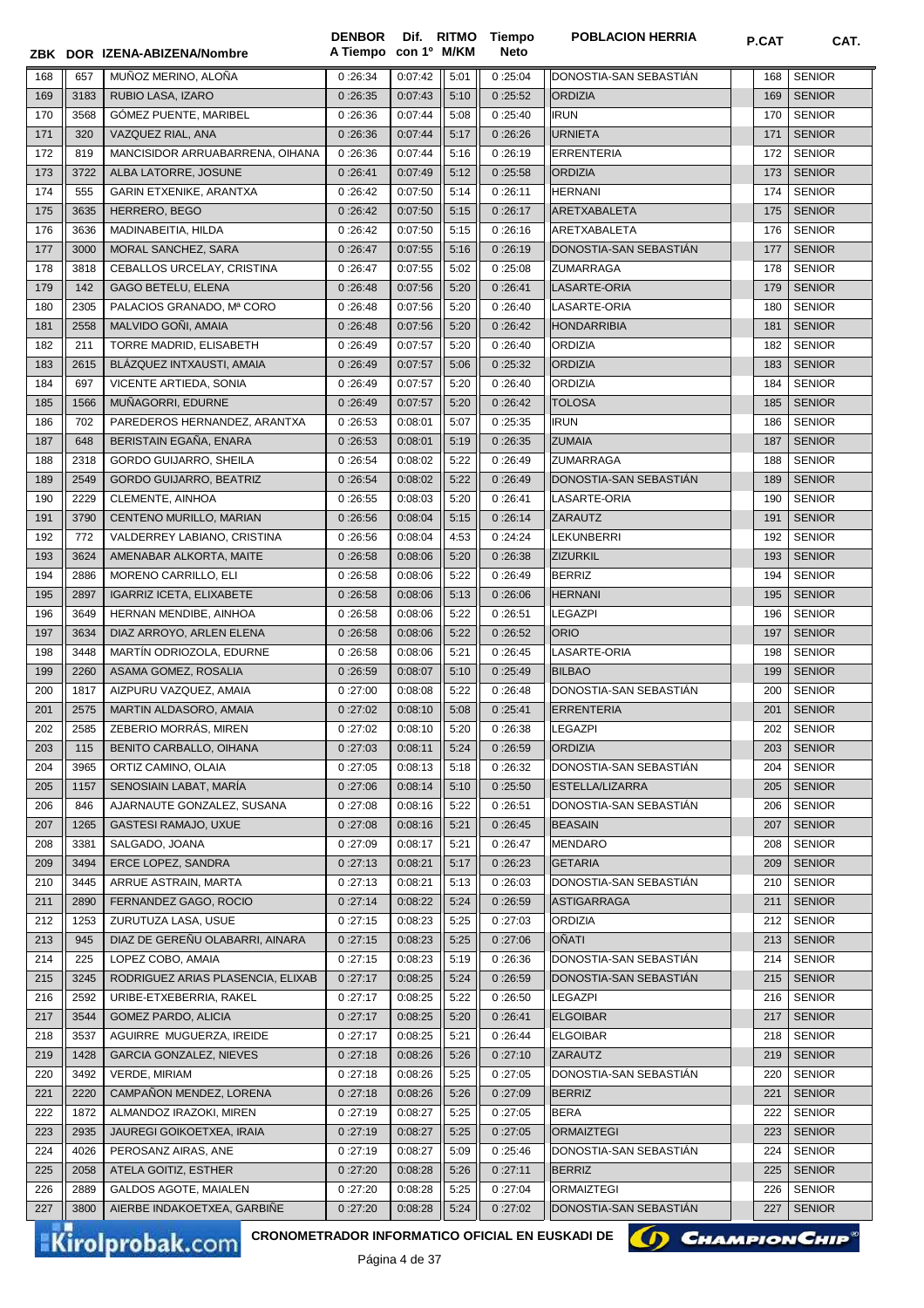|            |              | ZBK DOR IZENA-ABIZENA/Nombre                                              | A Tiempo con 1º M/KM |                    |              | Neto               |                                            |            |                                |
|------------|--------------|---------------------------------------------------------------------------|----------------------|--------------------|--------------|--------------------|--------------------------------------------|------------|--------------------------------|
| 168        | 657          | MUÑOZ MERINO, ALOÑA                                                       | 0:26:34              | 0:07:42            | 5:01         | 0:25:04            | DONOSTIA-SAN SEBASTIAN                     | 168        | <b>SENIOR</b>                  |
| 169        | 3183         | RUBIO LASA, IZARO                                                         | 0:26:35              | 0:07:43            | 5:10         | 0:25:52            | <b>ORDIZIA</b>                             | 169        | <b>SENIOR</b>                  |
| 170        | 3568         | GÓMEZ PUENTE, MARIBEL                                                     | 0:26:36              | 0:07:44            | 5:08         | 0:25:40            | <b>IRUN</b>                                | 170        | <b>SENIOR</b>                  |
| 171        | 320          | VAZQUEZ RIAL, ANA                                                         | 0:26:36              | 0:07:44            | 5:17         | 0:26:26            | <b>URNIETA</b>                             | 171        | <b>SENIOR</b>                  |
| 172        | 819          | MANCISIDOR ARRUABARRENA, OIHANA                                           | 0:26:36              | 0:07:44            | 5:16         | 0:26:19            | <b>ERRENTERIA</b>                          | 172        | <b>SENIOR</b>                  |
| 173        | 3722         | ALBA LATORRE, JOSUNE                                                      | 0:26:41              | 0:07:49            | 5:12         | 0:25:58            | <b>ORDIZIA</b>                             | 173        | <b>SENIOR</b>                  |
| 174        | 555          | GARIN ETXENIKE, ARANTXA                                                   | 0:26:42              | 0:07:50            | 5:14         | 0:26:11            | <b>HERNANI</b>                             | 174        | <b>SENIOR</b>                  |
| 175        | 3635         | HERRERO, BEGO                                                             | 0:26:42              | 0:07:50            | 5:15         | 0:26:17            | ARETXABALETA                               | 175        | <b>SENIOR</b>                  |
| 176        | 3636         | MADINABEITIA, HILDA                                                       | 0:26:42              | 0:07:50            | 5:15         | 0:26:16            | ARETXABALETA                               | 176        | <b>SENIOR</b>                  |
| 177        | 3000         | MORAL SANCHEZ, SARA                                                       | 0:26:47              | 0:07:55            | 5:16         | 0:26:19            | DONOSTIA-SAN SEBASTIÁN                     | 177        | <b>SENIOR</b>                  |
| 178        | 3818         | CEBALLOS URCELAY, CRISTINA                                                | 0:26:47              | 0:07:55            | 5:02         | 0:25:08            | <b>ZUMARRAGA</b>                           | 178        | <b>SENIOR</b>                  |
| 179        | 142          | <b>GAGO BETELU, ELENA</b>                                                 | 0:26:48              | 0:07:56            | 5:20         | 0:26:41            | LASARTE-ORIA                               | 179        | <b>SENIOR</b>                  |
| 180        | 2305         | PALACIOS GRANADO, Mª CORO                                                 | 0:26:48              | 0:07:56            | 5:20         | 0:26:40            | LASARTE-ORIA                               | 180        | <b>SENIOR</b>                  |
| 181        | 2558         | MALVIDO GOÑI, AMAIA                                                       | 0:26:48              | 0:07:56            | 5:20         | 0:26:42            | <b>HONDARRIBIA</b>                         | 181        | <b>SENIOR</b>                  |
| 182        | 211          | TORRE MADRID, ELISABETH                                                   | 0:26:49              | 0:07:57            | 5:20         | 0:26:40            | <b>ORDIZIA</b>                             | 182        | <b>SENIOR</b>                  |
| 183        | 2615         | BLÁZQUEZ INTXAUSTI, AMAIA                                                 | 0:26:49              | 0:07:57            | 5:06         | 0:25:32            | <b>ORDIZIA</b>                             | 183        | <b>SENIOR</b>                  |
| 184        | 697          | VICENTE ARTIEDA, SONIA                                                    | 0:26:49              | 0:07:57            | 5:20         | 0:26:40            | <b>ORDIZIA</b>                             | 184        | <b>SENIOR</b>                  |
| 185        | 1566         | MUÑAGORRI, EDURNE                                                         | 0:26:49              | 0:07:57            | 5:20         | 0:26:42            | <b>TOLOSA</b>                              | 185        | <b>SENIOR</b>                  |
| 186        | 702          | PAREDEROS HERNANDEZ, ARANTXA                                              | 0:26:53              | 0:08:01            | 5:07         | 0:25:35            | <b>IRUN</b><br><b>ZUMAIA</b>               | 186        | <b>SENIOR</b>                  |
| 187        | 648          | BERISTAIN EGAÑA, ENARA<br><b>GORDO GUIJARRO, SHEILA</b>                   | 0:26:53              | 0:08:01            | 5:19         | 0:26:35            |                                            | 187        | <b>SENIOR</b>                  |
| 188<br>189 | 2318<br>2549 | <b>GORDO GUIJARRO, BEATRIZ</b>                                            | 0:26:54              | 0:08:02<br>0:08:02 | 5:22<br>5:22 | 0:26:49<br>0:26:49 | <b>ZUMARRAGA</b><br>DONOSTIA-SAN SEBASTIÁN | 188<br>189 | <b>SENIOR</b><br><b>SENIOR</b> |
| 190        | 2229         | CLEMENTE, AINHOA                                                          | 0:26:54<br>0:26:55   | 0:08:03            | 5:20         | 0:26:41            | LASARTE-ORIA                               | 190        | <b>SENIOR</b>                  |
| 191        | 3790         | CENTENO MURILLO, MARIAN                                                   | 0:26:56              | 0:08:04            | 5:15         | 0:26:14            | ZARAUTZ                                    | 191        | <b>SENIOR</b>                  |
| 192        | 772          | VALDERREY LABIANO, CRISTINA                                               | 0:26:56              | 0:08:04            | 4:53         | 0:24:24            | <b>LEKUNBERRI</b>                          | 192        | <b>SENIOR</b>                  |
| 193        | 3624         | AMENABAR ALKORTA, MAITE                                                   | 0:26:58              | 0:08:06            | 5:20         | 0:26:38            | <b>ZIZURKIL</b>                            | 193        | <b>SENIOR</b>                  |
| 194        | 2886         | MORENO CARRILLO, ELI                                                      | 0:26:58              | 0:08:06            | 5:22         | 0:26:49            | <b>BERRIZ</b>                              | 194        | <b>SENIOR</b>                  |
| 195        | 2897         | <b>IGARRIZ ICETA, ELIXABETE</b>                                           | 0:26:58              | 0:08:06            | 5:13         | 0:26:06            | <b>HERNANI</b>                             | 195        | <b>SENIOR</b>                  |
| 196        | 3649         | HERNAN MENDIBE, AINHOA                                                    | 0:26:58              | 0:08:06            | 5:22         | 0:26:51            | <b>LEGAZPI</b>                             | 196        | <b>SENIOR</b>                  |
| 197        | 3634         | DIAZ ARROYO, ARLEN ELENA                                                  | 0:26:58              | 0:08:06            | 5:22         | 0:26:52            | <b>ORIO</b>                                | 197        | <b>SENIOR</b>                  |
| 198        | 3448         | MARTÍN ODRIOZOLA, EDURNE                                                  | 0:26:58              | 0:08:06            | 5:21         | 0:26:45            | LASARTE-ORIA                               | 198        | <b>SENIOR</b>                  |
| 199        | 2260         | ASAMA GOMEZ, ROSALIA                                                      | 0:26:59              | 0:08:07            | 5:10         | 0:25:49            | <b>BILBAO</b>                              | 199        | <b>SENIOR</b>                  |
| 200        | 1817         | AIZPURU VAZQUEZ, AMAIA                                                    | 0:27:00              | 0:08:08            | 5:22         | 0:26:48            | DONOSTIA-SAN SEBASTIAN                     | 200        | <b>SENIOR</b>                  |
| 201        | 2575         | MARTIN ALDASORO, AMAIA                                                    | 0:27:02              | 0:08:10            | 5:08         | 0:25:41            | <b>ERRENTERIA</b>                          | 201        | <b>SENIOR</b>                  |
| 202        | 2585         | ZEBERIO MORRÁS, MIREN                                                     | 0:27:02              | 0:08:10            | 5:20         | 0:26:38            | <b>LEGAZPI</b>                             | 202        | <b>SENIOR</b>                  |
| 203        | 115          | BENITO CARBALLO, OIHANA                                                   | 0:27:03              | 0:08:11            | 5:24         | 0:26:59            | <b>ORDIZIA</b>                             | 203        | <b>SENIOR</b>                  |
| 204        | 3965         | ORTIZ CAMINO, OLAIA                                                       | 0:27:05              | 0:08:13            | 5:18         | 0:26:32            | DONOSTIA-SAN SEBASTIAN                     | 204        | <b>SENIOR</b>                  |
| 205        | 1157         | SENOSIAIN LABAT, MARÍA                                                    | 0:27:06              | 0:08:14            | 5:10         | 0:25:50            | ESTELLA/LIZARRA                            | 205        | <b>SENIOR</b>                  |
| 206        | 846          | AJARNAUTE GONZALEZ, SUSANA                                                | 0:27:08              | 0:08:16            | 5:22         | 0:26:51            | DONOSTIA-SAN SEBASTIAN                     | 206        | <b>SENIOR</b>                  |
| 207        | 1265         | <b>GASTESI RAMAJO, UXUE</b>                                               | 0:27:08              | 0:08:16            | 5:21         | 0:26:45            | <b>BEASAIN</b>                             | 207        | <b>SENIOR</b>                  |
| 208        | 3381         | SALGADO, JOANA                                                            | 0:27:09              | 0:08:17            | 5:21         | 0:26:47            | <b>MENDARO</b>                             | 208        | <b>SENIOR</b>                  |
| 209        | 3494         | ERCE LOPEZ, SANDRA                                                        | 0:27:13              | 0:08:21            | 5:17         | 0:26:23            | <b>GETARIA</b>                             | 209        | <b>SENIOR</b>                  |
| 210        | 3445         | ARRUE ASTRAIN, MARTA                                                      | 0:27:13              | 0:08:21            | 5:13         | 0:26:03            | DONOSTIA-SAN SEBASTIAN                     | 210        | <b>SENIOR</b>                  |
| 211        | 2890         | FERNANDEZ GAGO, ROCIO                                                     | 0:27:14              | 0:08:22            | 5:24         | 0:26:59            | <b>ASTIGARRAGA</b>                         | 211        | <b>SENIOR</b>                  |
| 212        | 1253         | ZURUTUZA LASA, USUE                                                       | 0:27:15              | 0:08:23            | 5:25         | 0:27:03            | <b>ORDIZIA</b>                             | 212        | <b>SENIOR</b>                  |
| 213        | 945          | DIAZ DE GEREÑU OLABARRI, AINARA                                           | 0:27:15              | 0:08:23            | 5:25         | 0:27:06            | <b>OÑATI</b>                               | 213        | <b>SENIOR</b>                  |
| 214        | 225          | LOPEZ COBO, AMAIA                                                         | 0:27:15              | 0:08:23            | 5:19         | 0:26:36            | DONOSTIA-SAN SEBASTIAN                     | 214        | <b>SENIOR</b>                  |
| 215        | 3245         | RODRIGUEZ ARIAS PLASENCIA, ELIXAB                                         | 0:27:17              | 0:08:25            | 5:24         | 0:26:59            | DONOSTIA-SAN SEBASTIAN                     | 215        | <b>SENIOR</b>                  |
| 216        | 2592         | URIBE-ETXEBERRIA, RAKEL                                                   | 0:27:17              | 0:08:25            | 5:22         | 0:26:50            | <b>LEGAZPI</b>                             | 216        | <b>SENIOR</b>                  |
| 217        | 3544         | <b>GOMEZ PARDO, ALICIA</b>                                                | 0:27:17              | 0:08:25            | 5:20         | 0:26:41            | <b>ELGOIBAR</b>                            | 217        | <b>SENIOR</b>                  |
| 218        | 3537         | AGUIRRE MUGUERZA, IREIDE                                                  | 0:27:17              | 0:08:25            | 5:21         | 0:26:44            | <b>ELGOIBAR</b>                            | 218        | <b>SENIOR</b>                  |
| 219        | 1428         | GARCIA GONZALEZ, NIEVES                                                   | 0:27:18              | 0:08:26            | 5:26         | 0:27:10            | ZARAUTZ                                    | 219        | <b>SENIOR</b>                  |
| 220        | 3492         | <b>VERDE, MIRIAM</b>                                                      | 0:27:18              | 0:08:26            | 5:25         | 0:27:05            | DONOSTIA-SAN SEBASTIAN                     | 220        | <b>SENIOR</b>                  |
| 221        | 2220         | CAMPAÑON MENDEZ, LORENA                                                   | 0:27:18              | 0:08:26            | 5:26         | 0:27:09            | <b>BERRIZ</b>                              | 221        | <b>SENIOR</b>                  |
| 222        | 1872         | ALMANDOZ IRAZOKI, MIREN                                                   | 0:27:19              | 0:08:27            | 5:25         | 0:27:05            | <b>BERA</b>                                | 222        | <b>SENIOR</b>                  |
| 223        | 2935         | <b>JAUREGI GOIKOETXEA, IRAIA</b>                                          | 0:27:19              | 0:08:27            | 5:25         | 0:27:05            | <b>ORMAIZTEGI</b>                          | 223        | <b>SENIOR</b>                  |
| 224        | 4026         | PEROSANZ AIRAS, ANE                                                       | 0:27:19              | 0:08:27            | 5:09         | 0:25:46            | DONOSTIA-SAN SEBASTIAN                     | 224        | <b>SENIOR</b>                  |
| 225        | 2058         | ATELA GOITIZ, ESTHER                                                      | 0:27:20              | 0:08:28            | 5:26         | 0:27:11            | <b>BERRIZ</b>                              | 225        | <b>SENIOR</b>                  |
| 226        | 2889<br>3800 | GALDOS AGOTE, MAIALEN                                                     | 0:27:20              | 0:08:28            | 5:25         | 0:27:04            | ORMAIZTEGI<br>DONOSTIA-SAN SEBASTIAN       | 226        | <b>SENIOR</b>                  |
| 227        |              | AIERBE INDAKOETXEA, GARBINE                                               | 0:27:20              | 0:08:28            | 5:24         | 0:27:02            |                                            | 227        | <b>SENIOR</b>                  |
|            |              | CRONOMETRADOR INFORMATICO OFICIAL EN EUSKADI DE<br><b>Kirolprobak.com</b> |                      | Dáoine 4 de 27     |              |                    | $\boldsymbol{\omega}$                      |            | <b>CHAMPION CHIP®</b>          |



**Dif. DENBOR POBLACION HERRIA P.CAT CAT. RITMO Tiempo**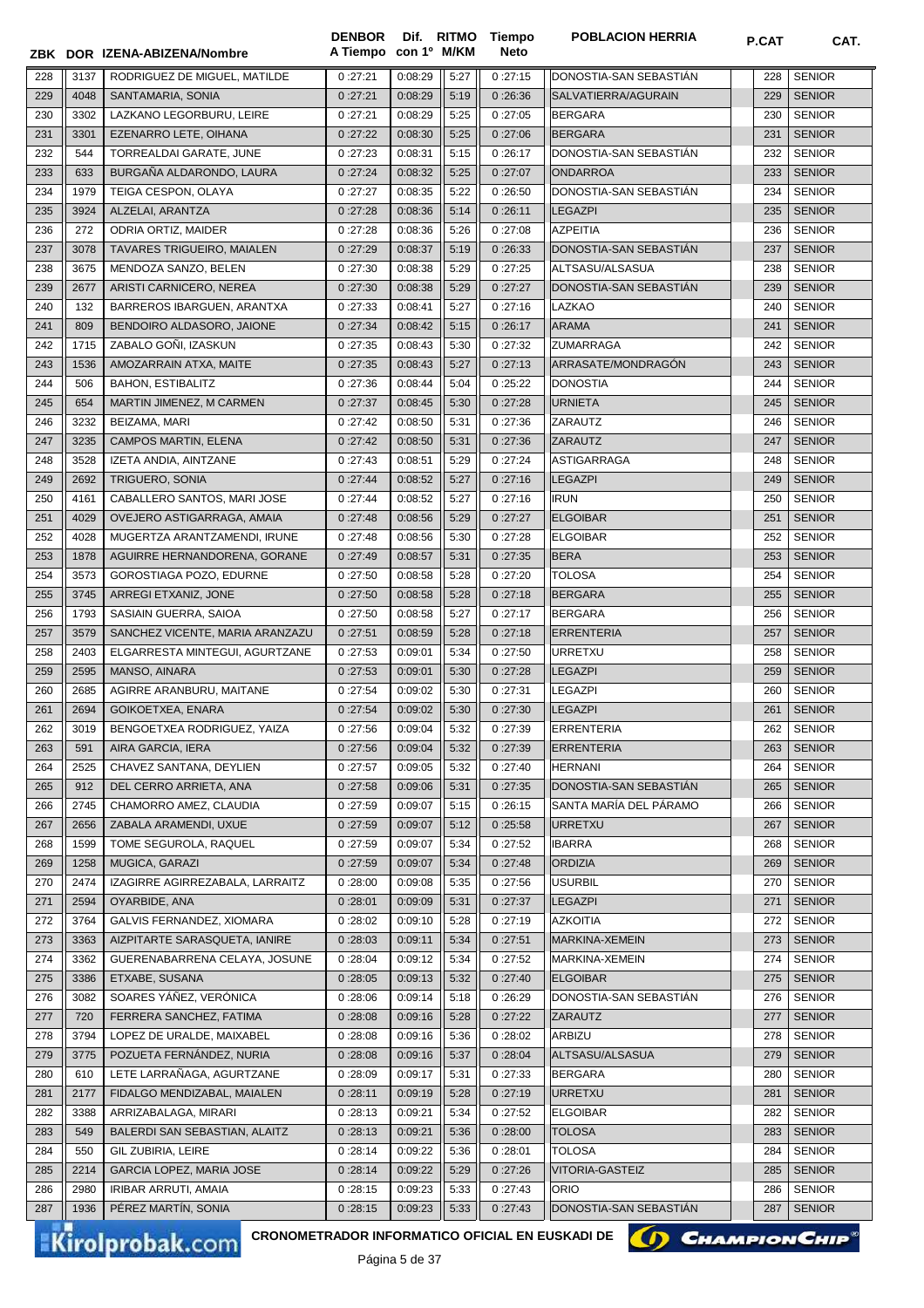|     |      | ZBK DOR IZENA-ABIZENA/Nombre                    | <b>DENBOR</b><br>A Tiempo con 1º M/KM |              |      | Dif. RITMO Tiempo<br>Neto | <b>POBLACION HERRIA</b> | P.CAT | CAT.                  |
|-----|------|-------------------------------------------------|---------------------------------------|--------------|------|---------------------------|-------------------------|-------|-----------------------|
| 228 | 3137 | RODRIGUEZ DE MIGUEL, MATILDE                    | 0:27:21                               | 0:08:29      | 5:27 | 0:27:15                   | DONOSTIA-SAN SEBASTIAN  | 228   | <b>SENIOR</b>         |
| 229 | 4048 | SANTAMARIA, SONIA                               | 0:27:21                               | 0:08:29      | 5:19 | 0:26:36                   | SALVATIERRA/AGURAIN     | 229   | <b>SENIOR</b>         |
| 230 | 3302 | LAZKANO LEGORBURU, LEIRE                        | 0:27:21                               | 0:08:29      | 5:25 | 0:27:05                   | <b>BERGARA</b>          | 230   | <b>SENIOR</b>         |
| 231 | 3301 | EZENARRO LETE, OIHANA                           | 0:27:22                               | 0:08:30      | 5:25 | 0:27:06                   | <b>BERGARA</b>          | 231   | <b>SENIOR</b>         |
| 232 | 544  | TORREALDAI GARATE, JUNE                         | 0:27:23                               | 0:08:31      | 5:15 | 0:26:17                   | DONOSTIA-SAN SEBASTIAN  | 232   | <b>SENIOR</b>         |
| 233 | 633  | BURGAÑA ALDARONDO, LAURA                        | 0:27:24                               | 0:08:32      | 5:25 | 0:27:07                   | <b>ONDARROA</b>         | 233   | <b>SENIOR</b>         |
| 234 | 1979 | TEIGA CESPON, OLAYA                             | 0:27:27                               | 0:08:35      | 5:22 | 0:26:50                   | DONOSTIA-SAN SEBASTIÁN  | 234   | <b>SENIOR</b>         |
| 235 | 3924 | ALZELAI, ARANTZA                                | 0:27:28                               | 0:08:36      | 5:14 | 0:26:11                   | <b>LEGAZPI</b>          | 235   | <b>SENIOR</b>         |
| 236 | 272  | <b>ODRIA ORTIZ. MAIDER</b>                      | 0:27:28                               | 0:08:36      | 5:26 | 0:27:08                   | <b>AZPEITIA</b>         | 236   | <b>SENIOR</b>         |
| 237 | 3078 | TAVARES TRIGUEIRO, MAIALEN                      | 0:27:29                               | 0:08:37      | 5:19 | 0:26:33                   | DONOSTIA-SAN SEBASTIÁN  | 237   | <b>SENIOR</b>         |
| 238 | 3675 | MENDOZA SANZO, BELEN                            | 0:27:30                               | 0:08:38      | 5:29 | 0:27:25                   | ALTSASU/ALSASUA         | 238   | <b>SENIOR</b>         |
| 239 | 2677 | ARISTI CARNICERO, NEREA                         | 0:27:30                               | 0:08:38      | 5:29 | 0:27:27                   | DONOSTIA-SAN SEBASTIAN  | 239   | <b>SENIOR</b>         |
| 240 | 132  | BARREROS IBARGUEN, ARANTXA                      | 0:27:33                               | 0:08:41      | 5:27 | 0:27:16                   | LAZKAO                  | 240   | <b>SENIOR</b>         |
| 241 | 809  | BENDOIRO ALDASORO, JAIONE                       | 0:27:34                               | 0:08:42      | 5:15 | 0:26:17                   | <b>ARAMA</b>            | 241   | <b>SENIOR</b>         |
| 242 | 1715 | ZABALO GOÑI, IZASKUN                            | 0:27:35                               | 0:08:43      | 5:30 | 0:27:32                   | <b>ZUMARRAGA</b>        | 242   | <b>SENIOR</b>         |
| 243 | 1536 | AMOZARRAIN ATXA, MAITE                          | 0:27:35                               | 0:08:43      | 5:27 | 0:27:13                   | ARRASATE/MONDRAGÓN      | 243   | <b>SENIOR</b>         |
| 244 | 506  | <b>BAHON, ESTIBALITZ</b>                        | 0:27:36                               | 0:08:44      | 5:04 | 0:25:22                   | <b>DONOSTIA</b>         | 244   | <b>SENIOR</b>         |
| 245 | 654  | MARTIN JIMENEZ, M CARMEN                        | 0:27:37                               | 0:08:45      | 5:30 | 0:27:28                   | <b>URNIETA</b>          | 245   | <b>SENIOR</b>         |
| 246 | 3232 | BEIZAMA, MARI                                   | 0:27:42                               | 0:08:50      | 5:31 | 0:27:36                   | ZARAUTZ                 | 246   | <b>SENIOR</b>         |
| 247 | 3235 | CAMPOS MARTIN, ELENA                            | 0:27:42                               | 0:08:50      | 5:31 | 0:27:36                   | ZARAUTZ                 | 247   | <b>SENIOR</b>         |
| 248 | 3528 | IZETA ANDIA, AINTZANE                           | 0:27:43                               | 0:08:51      | 5:29 | 0:27:24                   | <b>ASTIGARRAGA</b>      | 248   | <b>SENIOR</b>         |
| 249 | 2692 | <b>TRIGUERO, SONIA</b>                          | 0:27:44                               | 0:08:52      | 5:27 | 0:27:16                   | <b>LEGAZPI</b>          | 249   | <b>SENIOR</b>         |
| 250 | 4161 | CABALLERO SANTOS, MARI JOSE                     | 0:27:44                               | 0:08:52      | 5:27 | 0:27:16                   | <b>IRUN</b>             | 250   | <b>SENIOR</b>         |
| 251 | 4029 | OVEJERO ASTIGARRAGA, AMAIA                      | 0:27:48                               | 0:08:56      | 5:29 | 0:27:27                   | <b>ELGOIBAR</b>         | 251   | <b>SENIOR</b>         |
| 252 | 4028 | MUGERTZA ARANTZAMENDI, IRUNE                    | 0:27:48                               | 0:08:56      | 5:30 | 0:27:28                   | <b>ELGOIBAR</b>         | 252   | <b>SENIOR</b>         |
| 253 | 1878 | AGUIRRE HERNANDORENA, GORANE                    | 0:27:49                               | 0:08:57      | 5:31 | 0:27:35                   | <b>BERA</b>             | 253   | <b>SENIOR</b>         |
| 254 | 3573 | GOROSTIAGA POZO, EDURNE                         | 0:27:50                               | 0:08:58      | 5:28 | 0:27:20                   | <b>TOLOSA</b>           | 254   | <b>SENIOR</b>         |
| 255 | 3745 | ARREGI ETXANIZ, JONE                            | 0:27:50                               | 0:08:58      | 5:28 | 0:27:18                   | BERGARA                 | 255   | <b>SENIOR</b>         |
| 256 | 1793 | SASIAIN GUERRA, SAIOA                           | 0:27:50                               | 0:08:58      | 5:27 | 0:27:17                   | BERGARA                 | 256   | <b>SENIOR</b>         |
| 257 | 3579 | SANCHEZ VICENTE, MARIA ARANZAZU                 | 0:27:51                               | 0:08:59      | 5:28 | 0:27:18                   | <b>ERRENTERIA</b>       | 257   | <b>SENIOR</b>         |
| 258 | 2403 | ELGARRESTA MINTEGUI, AGURTZANE                  | 0:27:53                               | 0:09:01      | 5:34 | 0:27:50                   | <b>URRETXU</b>          | 258   | <b>SENIOR</b>         |
| 259 | 2595 | MANSO, AINARA                                   | 0:27:53                               | 0:09:01      | 5:30 | 0:27:28                   | <b>LEGAZPI</b>          | 259   | <b>SENIOR</b>         |
| 260 | 2685 | AGIRRE ARANBURU, MAITANE                        | 0:27:54                               | 0:09:02      | 5:30 | 0:27:31                   | <b>LEGAZPI</b>          | 260   | <b>SENIOR</b>         |
| 261 | 2694 | GOIKOETXEA, ENARA                               | 0:27:54                               | 0:09:02      | 5:30 | 0:27:30                   | <b>LEGAZPI</b>          | 261   | <b>SENIOR</b>         |
| 262 | 3019 | BENGOETXEA RODRIGUEZ, YAIZA                     | 0:27:56                               | 0:09:04      | 5:32 | 0:27:39                   | ERRENTERIA              | 262   | <b>SENIOR</b>         |
| 263 | 591  | AIRA GARCIA, IERA                               | 0:27:56                               | 0:09:04      | 5:32 | 0:27:39                   | <b>ERRENTERIA</b>       | 263   | <b>SENIOR</b>         |
| 264 | 2525 | CHAVEZ SANTANA, DEYLIEN                         | 0:27:57                               | 0:09:05      | 5:32 | 0:27:40                   | <b>HERNANI</b>          | 264   | <b>SENIOR</b>         |
| 265 | 912  | DEL CERRO ARRIETA, ANA                          | 0:27:58                               | 0:09:06      | 5:31 | 0:27:35                   | DONOSTIA-SAN SEBASTIAN  | 265   | <b>SENIOR</b>         |
| 266 | 2745 | CHAMORRO AMEZ, CLAUDIA                          | 0:27:59                               | 0:09:07      | 5:15 | 0:26:15                   | SANTA MARÍA DEL PÁRAMO  | 266   | <b>SENIOR</b>         |
| 267 | 2656 | ZABALA ARAMENDI, UXUE                           | 0:27:59                               | 0:09:07      | 5:12 | 0:25:58                   | <b>URRETXU</b>          | 267   | <b>SENIOR</b>         |
| 268 | 1599 | TOME SEGUROLA, RAQUEL                           | 0:27:59                               | 0:09:07      | 5:34 | 0:27:52                   | <b>IBARRA</b>           | 268   | <b>SENIOR</b>         |
| 269 | 1258 | MUGICA, GARAZI                                  | 0:27:59                               | 0:09:07      | 5:34 | 0:27:48                   | <b>ORDIZIA</b>          | 269   | <b>SENIOR</b>         |
| 270 | 2474 | IZAGIRRE AGIRREZABALA, LARRAITZ                 | 0:28:00                               | 0:09:08      | 5:35 | 0:27:56                   | <b>USURBIL</b>          | 270   | <b>SENIOR</b>         |
| 271 | 2594 | OYARBIDE, ANA                                   | 0:28:01                               | 0:09:09      | 5:31 | 0:27:37                   | <b>LEGAZPI</b>          | 271   | <b>SENIOR</b>         |
| 272 | 3764 | GALVIS FERNANDEZ, XIOMARA                       | 0:28:02                               | 0:09:10      | 5:28 | 0:27:19                   | <b>AZKOITIA</b>         | 272   | <b>SENIOR</b>         |
| 273 | 3363 | AIZPITARTE SARASQUETA, IANIRE                   | 0:28:03                               | 0:09:11      | 5:34 | 0:27:51                   | MARKINA-XEMEIN          | 273   | <b>SENIOR</b>         |
| 274 | 3362 | GUERENABARRENA CELAYA, JOSUNE                   | 0:28:04                               | 0:09:12      | 5:34 | 0:27:52                   | MARKINA-XEMEIN          | 274   | <b>SENIOR</b>         |
| 275 | 3386 | ETXABE, SUSANA                                  | 0:28:05                               | 0:09:13      | 5:32 | 0:27:40                   | <b>ELGOIBAR</b>         | 275   | <b>SENIOR</b>         |
| 276 | 3082 | SOARES YANEZ, VERONICA                          | 0:28:06                               | 0:09:14      | 5:18 | 0:26:29                   | DONOSTIA-SAN SEBASTIAN  | 276   | <b>SENIOR</b>         |
| 277 | 720  | FERRERA SANCHEZ, FATIMA                         | 0:28:08                               | 0:09:16      | 5:28 | 0:27:22                   | ZARAUTZ                 | 277   | <b>SENIOR</b>         |
| 278 | 3794 | LOPEZ DE URALDE, MAIXABEL                       | 0:28:08                               | 0:09:16      | 5:36 | 0:28:02                   | ARBIZU                  | 278   | <b>SENIOR</b>         |
| 279 | 3775 | POZUETA FERNÁNDEZ, NURIA                        | 0:28:08                               | 0:09:16      | 5:37 | 0:28:04                   | ALTSASU/ALSASUA         | 279   | <b>SENIOR</b>         |
| 280 | 610  | LETE LARRAÑAGA, AGURTZANE                       | 0:28:09                               | 0:09:17      | 5:31 | 0:27:33                   | <b>BERGARA</b>          | 280   | <b>SENIOR</b>         |
| 281 | 2177 | FIDALGO MENDIZABAL, MAIALEN                     | 0:28:11                               | 0:09:19      | 5:28 | 0:27:19                   | <b>URRETXU</b>          | 281   | <b>SENIOR</b>         |
| 282 | 3388 | ARRIZABALAGA, MIRARI                            | 0:28:13                               | 0:09:21      | 5:34 | 0:27:52                   | <b>ELGOIBAR</b>         | 282   | <b>SENIOR</b>         |
| 283 | 549  | BALERDI SAN SEBASTIAN, ALAITZ                   | 0:28:13                               | 0:09:21      | 5:36 | 0:28:00                   | <b>TOLOSA</b>           | 283   | <b>SENIOR</b>         |
| 284 | 550  | GIL ZUBIRIA, LEIRE                              | 0:28:14                               | 0:09:22      | 5:36 | 0:28:01                   | <b>TOLOSA</b>           | 284   | <b>SENIOR</b>         |
| 285 | 2214 | GARCIA LOPEZ, MARIA JOSE                        | 0:28:14                               | 0:09:22      | 5:29 | 0:27:26                   | VITORIA-GASTEIZ         | 285   | <b>SENIOR</b>         |
| 286 | 2980 | IRIBAR ARRUTI, AMAIA                            | 0:28:15                               | 0:09:23      | 5:33 | 0:27:43                   | <b>ORIO</b>             | 286   | <b>SENIOR</b>         |
| 287 | 1936 | PÉREZ MARTÍN, SONIA                             | 0:28:15                               | 0:09:23      | 5:33 | 0:27:43                   | DONOSTIA-SAN SEBASTIAN  | 287   | <b>SENIOR</b>         |
|     |      | CRONOMETRADOR INFORMATICO OFICIAL EN EUSKADI DE |                                       |              |      |                           | $\boldsymbol{\omega}$   |       | <b>CHAMPION CHIP®</b> |
|     |      | <b>Kirolprobak.com</b>                          |                                       | $D2 = 5 + 7$ |      |                           |                         |       |                       |

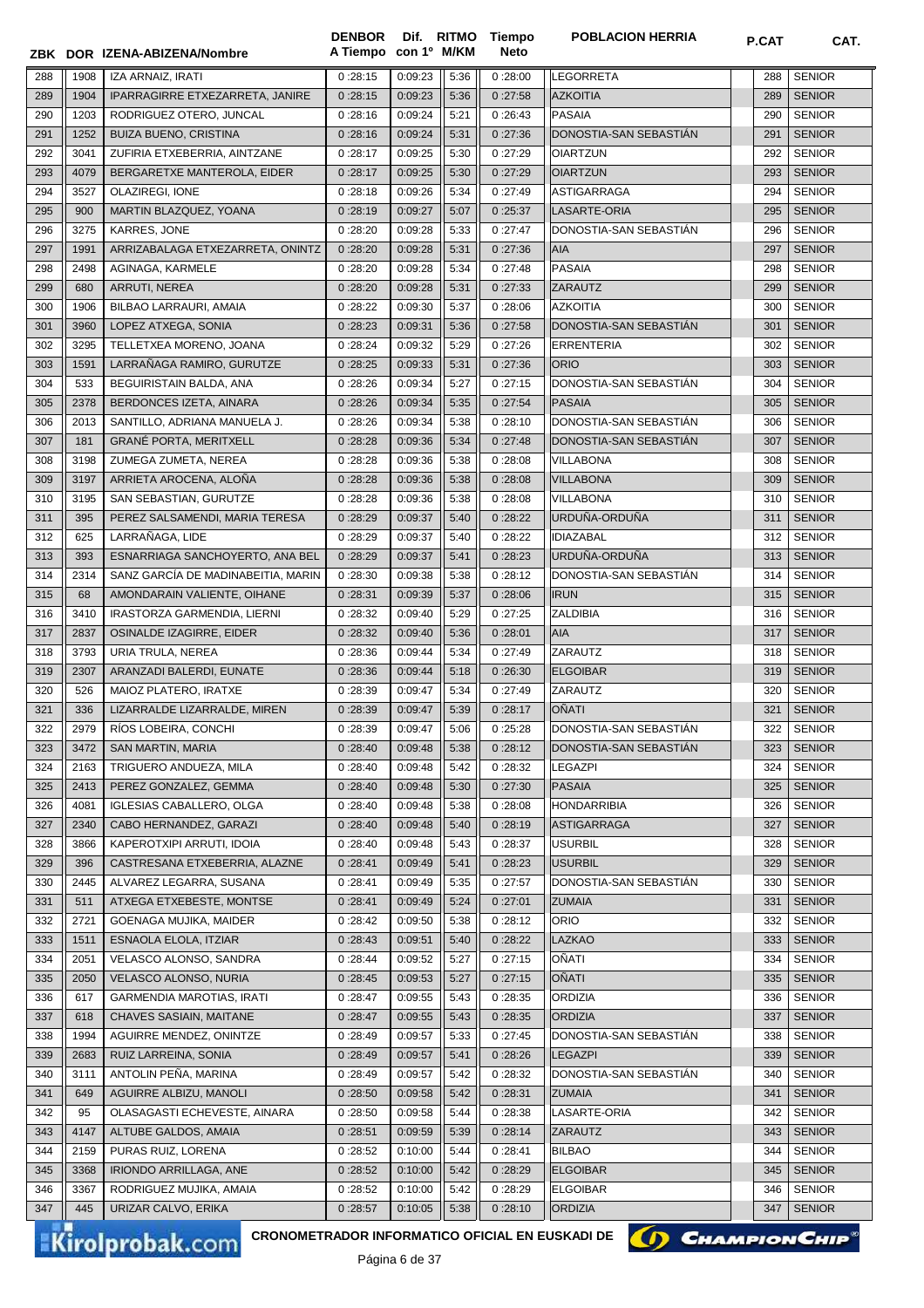|            |             | ZBK DOR IZENA-ABIZENA/Nombre                       | A Tiempo con 1º M/KM |                    |              | Neto               |                                          |            |                                |
|------------|-------------|----------------------------------------------------|----------------------|--------------------|--------------|--------------------|------------------------------------------|------------|--------------------------------|
| 288        | 1908        | IZA ARNAIZ, IRATI                                  | 0:28:15              | 0:09:23            | 5:36         | 0:28:00            | <b>LEGORRETA</b>                         | 288        | <b>SENIOR</b>                  |
| 289        | 1904        | IPARRAGIRRE ETXEZARRETA, JANIRE                    | 0:28:15              | 0:09:23            | 5:36         | 0:27:58            | <b>AZKOITIA</b>                          | 289        | <b>SENIOR</b>                  |
| 290        | 1203        | RODRIGUEZ OTERO, JUNCAL                            | 0:28:16              | 0:09:24            | 5:21         | 0:26:43            | <b>PASAIA</b>                            | 290        | <b>SENIOR</b>                  |
| 291        | 1252        | <b>BUIZA BUENO, CRISTINA</b>                       | 0:28:16              | 0:09:24            | 5:31         | 0:27:36            | DONOSTIA-SAN SEBASTIAN                   | 291        | <b>SENIOR</b>                  |
| 292        | 3041        | ZUFIRIA ETXEBERRIA, AINTZANE                       | 0:28:17              | 0:09:25            | 5:30         | 0:27:29            | <b>OIARTZUN</b>                          | 292        | <b>SENIOR</b>                  |
| 293        | 4079        | BERGARETXE MANTEROLA, EIDER                        | 0:28:17              | 0:09:25            | 5:30         | 0:27:29            | <b>OIARTZUN</b>                          | 293        | <b>SENIOR</b>                  |
| 294        | 3527        | OLAZIREGI, IONE                                    | 0:28:18              | 0:09:26            | 5:34         | 0:27:49            | ASTIGARRAGA                              | 294        | <b>SENIOR</b>                  |
| 295        | 900         | MARTIN BLAZQUEZ, YOANA                             | 0:28:19              | 0:09:27            | 5:07         | 0:25:37            | LASARTE-ORIA                             | 295        | <b>SENIOR</b>                  |
| 296        | 3275        | KARRES, JONE                                       | 0:28:20              | 0:09:28            | 5:33         | 0:27:47            | DONOSTIA-SAN SEBASTIAN                   | 296        | <b>SENIOR</b>                  |
| 297        | 1991        | ARRIZABALAGA ETXEZARRETA, ONINTZ                   | 0:28:20              | 0:09:28            | 5:31         | 0:27:36            | <b>AIA</b>                               | 297        | <b>SENIOR</b>                  |
| 298        | 2498        | AGINAGA, KARMELE                                   | 0:28:20              | 0:09:28            | 5:34         | 0:27:48            | <b>PASAIA</b>                            | 298        | <b>SENIOR</b>                  |
| 299        | 680         | ARRUTI, NEREA                                      | 0:28:20              | 0:09:28            | 5:31         | 0:27:33            | <b>ZARAUTZ</b>                           | 299        | <b>SENIOR</b>                  |
| 300        | 1906        | BILBAO LARRAURI, AMAIA                             | 0:28:22              | 0:09:30            | 5:37         | 0:28:06            | <b>AZKOITIA</b>                          | 300        | <b>SENIOR</b>                  |
| 301        | 3960        | LOPEZ ATXEGA, SONIA                                | 0:28:23              | 0:09:31            | 5:36         | 0:27:58            | DONOSTIA-SAN SEBASTIAN                   | 301        | <b>SENIOR</b>                  |
| 302        | 3295        | TELLETXEA MORENO, JOANA                            | 0:28:24              | 0:09:32            | 5:29         | 0:27:26            | <b>ERRENTERIA</b>                        | 302        | <b>SENIOR</b>                  |
| 303        | 1591        | LARRAÑAGA RAMIRO, GURUTZE                          | 0:28:25              | 0:09:33            | 5:31         | 0:27:36            | <b>ORIO</b>                              | 303        | <b>SENIOR</b>                  |
| 304        | 533         | BEGUIRISTAIN BALDA, ANA                            | 0:28:26              | 0:09:34            | 5:27         | 0:27:15            | DONOSTIA-SAN SEBASTIAN                   | 304        | <b>SENIOR</b>                  |
| 305        | 2378        | BERDONCES IZETA, AINARA                            | 0:28:26              | 0:09:34            | 5:35         | 0:27:54            | <b>PASAIA</b>                            | 305        | <b>SENIOR</b>                  |
| 306        | 2013        | SANTILLO, ADRIANA MANUELA J.                       | 0:28:26              | 0:09:34            | 5:38         | 0:28:10            | DONOSTIA-SAN SEBASTIÁN                   | 306        | <b>SENIOR</b>                  |
| 307        | 181         | <b>GRANÉ PORTA, MERITXELL</b>                      | 0:28:28              | 0:09:36            | 5:34         | 0:27:48            | DONOSTIA-SAN SEBASTIAN                   | 307        | <b>SENIOR</b>                  |
| 308        | 3198        | ZUMEGA ZUMETA, NEREA                               | 0:28:28              | 0:09:36            | 5:38         | 0:28:08            | <b>VILLABONA</b>                         | 308        | <b>SENIOR</b>                  |
| 309        | 3197        | ARRIETA AROCENA, ALOÑA                             | 0:28:28              | 0:09:36            | 5:38         | 0:28:08            | <b>VILLABONA</b>                         | 309        | <b>SENIOR</b>                  |
| 310        | 3195        | SAN SEBASTIAN, GURUTZE                             | 0:28:28              | 0:09:36            | 5:38         | 0:28:08            | <b>VILLABONA</b>                         | 310        | <b>SENIOR</b>                  |
| 311        | 395         | PEREZ SALSAMENDI, MARIA TERESA                     | 0:28:29              | 0:09:37            | 5:40         | 0:28:22            | URDUÑA-ORDUÑA                            | 311        | <b>SENIOR</b>                  |
| 312        | 625         | LARRAÑAGA, LIDE                                    | 0:28:29              | 0:09:37            | 5:40         | 0:28:22            | <b>IDIAZABAL</b>                         | 312        | <b>SENIOR</b>                  |
| 313        | 393         | ESNARRIAGA SANCHOYERTO, ANA BEL                    | 0:28:29              | 0:09:37            | 5:41         | 0:28:23            | URDUÑA-ORDUÑA                            | 313        | <b>SENIOR</b>                  |
| 314        | 2314        | SANZ GARCÍA DE MADINABEITIA, MARIN                 | 0:28:30              | 0:09:38            | 5:38         | 0:28:12            | DONOSTIA-SAN SEBASTIAN                   | 314        | <b>SENIOR</b>                  |
| 315        | 68          | AMONDARAIN VALIENTE, OIHANE                        | 0:28:31              | 0:09:39            | 5:37         | 0:28:06            | <b>IRUN</b>                              | 315        | <b>SENIOR</b>                  |
| 316        | 3410        | IRASTORZA GARMENDIA, LIERNI                        | 0:28:32              | 0:09:40            | 5:29         | 0:27:25            | <b>ZALDIBIA</b>                          | 316        | <b>SENIOR</b>                  |
| 317        | 2837        | OSINALDE IZAGIRRE, EIDER                           | 0:28:32              | 0:09:40            | 5:36         | 0:28:01            | <b>AIA</b>                               | 317        | <b>SENIOR</b>                  |
| 318        | 3793        | URIA TRULA, NEREA                                  | 0:28:36              | 0:09:44            | 5:34         | 0:27:49            | <b>ZARAUTZ</b>                           | 318        | <b>SENIOR</b>                  |
| 319        | 2307        | ARANZADI BALERDI, EUNATE                           | 0:28:36              | 0:09:44            | 5:18         | 0:26:30            | <b>ELGOIBAR</b>                          | 319        | <b>SENIOR</b>                  |
| 320        | 526         | MAIOZ PLATERO, IRATXE                              | 0:28:39              | 0:09:47            | 5:34         | 0:27:49            | ZARAUTZ                                  | 320        | <b>SENIOR</b>                  |
| 321        | 336         | LIZARRALDE LIZARRALDE, MIREN                       | 0:28:39              | 0:09:47            | 5:39         | 0:28:17            | OÑATI                                    | 321        | <b>SENIOR</b>                  |
| 322        | 2979        | RÍOS LOBEIRA, CONCHI                               | 0:28:39              | 0:09:47            | 5:06         | 0:25:28            | DONOSTIA-SAN SEBASTIAN                   | 322        | <b>SENIOR</b>                  |
| 323        | 3472        | SAN MARTIN, MARIA                                  | 0:28:40              | 0:09:48            | 5:38         | 0:28:12            | DONOSTIA-SAN SEBASTIAN                   | 323        | <b>SENIOR</b>                  |
| 324        | 2163        | TRIGUERO ANDUEZA, MILA                             | 0:28:40              | 0:09:48            | 5:42         | 0:28:32            | LEGAZPI                                  | 324        | <b>SENIOR</b>                  |
| 325        | 2413        | PEREZ GONZALEZ, GEMMA                              | 0:28:40              | 0:09:48            | 5:30         | 0:27:30            | <b>PASAIA</b>                            | 325        | <b>SENIOR</b>                  |
| 326        | 4081        | <b>IGLESIAS CABALLERO, OLGA</b>                    | 0:28:40              | 0:09:48            | 5:38         | 0:28:08            | <b>HONDARRIBIA</b>                       | 326        | <b>SENIOR</b>                  |
| 327        | 2340        | CABO HERNANDEZ, GARAZI                             | 0:28:40              | 0:09:48            | 5:40         | 0:28:19            | <b>ASTIGARRAGA</b>                       | 327        | <b>SENIOR</b>                  |
| 328        | 3866        | KAPEROTXIPI ARRUTI, IDOIA                          | 0:28:40              | 0:09:48            | 5:43         | 0:28:37            | <b>USURBIL</b>                           | 328        | <b>SENIOR</b>                  |
| 329        | 396         | CASTRESANA ETXEBERRIA, ALAZNE                      | 0:28:41              | 0:09:49            | 5:41         | 0:28:23            | <b>USURBIL</b><br>DONOSTIA-SAN SEBASTIÁN | 329        | <b>SENIOR</b>                  |
| 330        | 2445        | ALVAREZ LEGARRA, SUSANA                            | 0:28:41              | 0:09:49            | 5:35         | 0:27:57            |                                          | 330        | <b>SENIOR</b>                  |
| 331<br>332 | 511<br>2721 | ATXEGA ETXEBESTE, MONTSE<br>GOENAGA MUJIKA, MAIDER | 0:28:41<br>0:28:42   | 0:09:49<br>0:09:50 | 5:24<br>5:38 | 0:27:01<br>0:28:12 | <b>ZUMAIA</b><br><b>ORIO</b>             | 331<br>332 | <b>SENIOR</b><br><b>SENIOR</b> |
| 333        | 1511        | <b>ESNAOLA ELOLA, ITZIAR</b>                       | 0:28:43              | 0:09:51            | 5:40         | 0:28:22            | <b>LAZKAO</b>                            | 333        | <b>SENIOR</b>                  |
| 334        | 2051        | VELASCO ALONSO, SANDRA                             | 0:28:44              | 0:09:52            | 5:27         | 0:27:15            | OÑATI                                    | 334        | <b>SENIOR</b>                  |
| 335        | 2050        | VELASCO ALONSO, NURIA                              | 0:28:45              | 0:09:53            | 5:27         | 0:27:15            | <b>OÑATI</b>                             | 335        | <b>SENIOR</b>                  |
| 336        | 617         | <b>GARMENDIA MAROTIAS, IRATI</b>                   | 0:28:47              | 0:09:55            | 5:43         | 0:28:35            | ORDIZIA                                  | 336        | <b>SENIOR</b>                  |
| 337        | 618         | CHAVES SASIAIN, MAITANE                            | 0:28:47              | 0:09:55            | 5:43         | 0:28:35            | <b>ORDIZIA</b>                           | 337        | <b>SENIOR</b>                  |
| 338        | 1994        | AGUIRRE MENDEZ, ONINTZE                            | 0:28:49              | 0:09:57            | 5:33         | 0:27:45            | DONOSTIA-SAN SEBASTIAN                   | 338        | <b>SENIOR</b>                  |
| 339        | 2683        | RUIZ LARREINA, SONIA                               | 0:28:49              | 0:09:57            | 5:41         | 0:28:26            | <b>LEGAZPI</b>                           | 339        | <b>SENIOR</b>                  |
| 340        | 3111        | ANTOLIN PEÑA, MARINA                               | 0:28:49              | 0:09:57            | 5:42         | 0:28:32            | DONOSTIA-SAN SEBASTIAN                   | 340        | <b>SENIOR</b>                  |
| 341        | 649         | AGUIRRE ALBIZU, MANOLI                             | 0:28:50              | 0:09:58            | 5:42         | 0:28:31            | <b>ZUMAIA</b>                            | 341        | <b>SENIOR</b>                  |
| 342        | 95          | OLASAGASTI ECHEVESTE, AINARA                       | 0:28:50              | 0:09:58            | 5:44         | 0:28:38            | LASARTE-ORIA                             | 342        | <b>SENIOR</b>                  |
| 343        | 4147        | ALTUBE GALDOS, AMAIA                               | 0:28:51              | 0:09:59            | 5:39         | 0:28:14            | <b>ZARAUTZ</b>                           | 343        | <b>SENIOR</b>                  |
| 344        | 2159        | PURAS RUIZ, LORENA                                 | 0:28:52              | 0:10:00            | 5:44         | 0:28:41            | <b>BILBAO</b>                            | 344        | <b>SENIOR</b>                  |
| 345        | 3368        | IRIONDO ARRILLAGA, ANE                             | 0:28:52              | 0:10:00            | 5:42         | 0:28:29            | <b>ELGOIBAR</b>                          | 345        | <b>SENIOR</b>                  |
| 346        | 3367        | RODRIGUEZ MUJIKA, AMAIA                            | 0:28:52              | 0:10:00            | 5:42         | 0:28:29            | <b>ELGOIBAR</b>                          | 346        | <b>SENIOR</b>                  |
| 347        | 445         | URIZAR CALVO, ERIKA                                | 0:28:57              | 0:10:05            | 5:38         | 0:28:10            | <b>ORDIZIA</b>                           | 347        | <b>SENIOR</b>                  |
|            |             |                                                    |                      |                    |              |                    |                                          |            |                                |

**Tiempo** 

**DENBOR**

Kirolprobak.com

CRONOMETRADOR INFORMATICO OFICIAL EN EUSKADI DE **(C) CHAMPION CHIP<sup>®</sup>** 

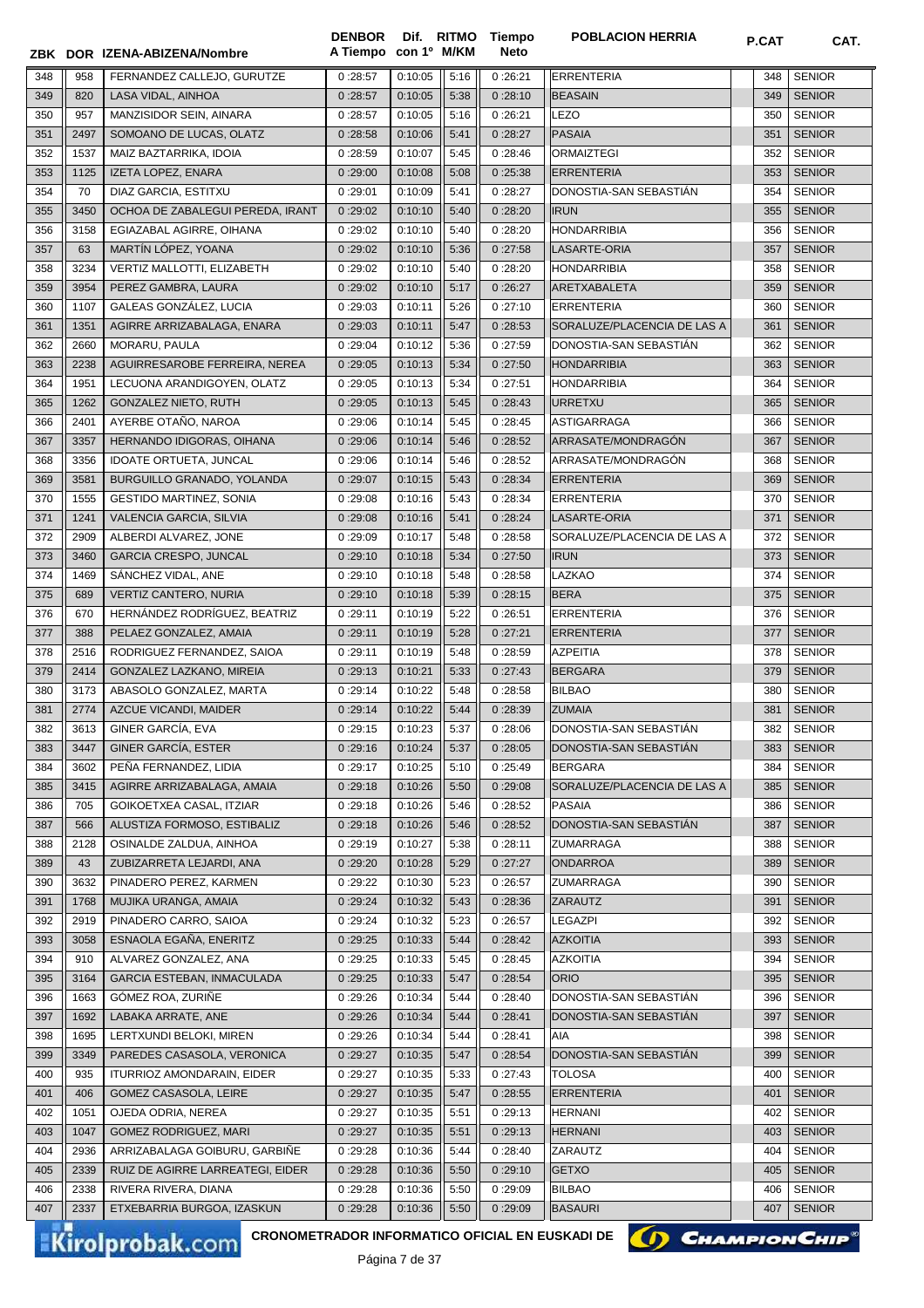|     |      | ZBK DOR IZENA-ABIZENA/Nombre                           | <b>DENBOR</b><br>A Tiempo con 1º M/KM |                     |      | Dif. RITMO Tiempo<br><b>Neto</b> | <b>POBLACION HERRIA</b>     | P.CAT | CAT.          |
|-----|------|--------------------------------------------------------|---------------------------------------|---------------------|------|----------------------------------|-----------------------------|-------|---------------|
| 348 | 958  | FERNANDEZ CALLEJO, GURUTZE                             | 0:28:57                               | 0:10:05             | 5:16 | 0:26:21                          | <b>ERRENTERIA</b>           | 348   | <b>SENIOR</b> |
| 349 | 820  | LASA VIDAL, AINHOA                                     | 0:28:57                               | 0:10:05             | 5:38 | 0:28:10                          | <b>BEASAIN</b>              | 349   | <b>SENIOR</b> |
| 350 | 957  | MANZISIDOR SEIN, AINARA                                | 0:28:57                               | 0:10:05             | 5:16 | 0:26:21                          | <b>LEZO</b>                 | 350   | <b>SENIOR</b> |
| 351 | 2497 | SOMOANO DE LUCAS, OLATZ                                | 0:28:58                               | 0:10:06             | 5:41 | 0:28:27                          | <b>PASAIA</b>               | 351   | <b>SENIOR</b> |
| 352 | 1537 | MAIZ BAZTARRIKA, IDOIA                                 | 0:28:59                               | 0:10:07             | 5:45 | 0:28:46                          | <b>ORMAIZTEGI</b>           | 352   | <b>SENIOR</b> |
| 353 | 1125 | IZETA LOPEZ, ENARA                                     | 0:29:00                               | 0:10:08             | 5:08 | 0:25:38                          | <b>ERRENTERIA</b>           | 353   | <b>SENIOR</b> |
| 354 | 70   | DIAZ GARCIA, ESTITXU                                   | 0:29:01                               | 0:10:09             | 5:41 | 0:28:27                          | DONOSTIA-SAN SEBASTIÁN      | 354   | <b>SENIOR</b> |
| 355 | 3450 | OCHOA DE ZABALEGUI PEREDA, IRANT                       | 0:29:02                               | 0:10:10             | 5:40 | 0:28:20                          | <b>IRUN</b>                 | 355   | <b>SENIOR</b> |
| 356 | 3158 | EGIAZABAL AGIRRE, OIHANA                               | 0:29:02                               | 0:10:10             | 5:40 | 0:28:20                          | <b>HONDARRIBIA</b>          | 356   | <b>SENIOR</b> |
| 357 | 63   | MARTÍN LÓPEZ, YOANA                                    | 0:29:02                               | 0:10:10             | 5:36 | 0:27:58                          | LASARTE-ORIA                | 357   | <b>SENIOR</b> |
| 358 | 3234 | VERTIZ MALLOTTI, ELIZABETH                             | 0:29:02                               | 0:10:10             | 5:40 | 0:28:20                          | <b>HONDARRIBIA</b>          | 358   | <b>SENIOR</b> |
| 359 | 3954 | PEREZ GAMBRA, LAURA                                    | 0:29:02                               | 0:10:10             | 5:17 | 0:26:27                          | <b>ARETXABALETA</b>         | 359   | <b>SENIOR</b> |
| 360 | 1107 | GALEAS GONZÁLEZ, LUCIA                                 | 0:29:03                               | 0:10:11             | 5:26 | 0:27:10                          | <b>ERRENTERIA</b>           | 360   | <b>SENIOR</b> |
| 361 | 1351 | AGIRRE ARRIZABALAGA, ENARA                             | 0:29:03                               | 0:10:11             | 5:47 | 0:28:53                          | SORALUZE/PLACENCIA DE LAS A | 361   | <b>SENIOR</b> |
| 362 | 2660 | MORARU, PAULA                                          | 0:29:04                               | 0:10:12             | 5:36 | 0:27:59                          | DONOSTIA-SAN SEBASTIÁN      | 362   | <b>SENIOR</b> |
| 363 | 2238 | AGUIRRESAROBE FERREIRA, NEREA                          | 0:29:05                               | 0:10:13             | 5:34 | 0:27:50                          | <b>HONDARRIBIA</b>          | 363   | <b>SENIOR</b> |
| 364 | 1951 | LECUONA ARANDIGOYEN, OLATZ                             | 0:29:05                               | 0:10:13             | 5:34 | 0:27:51                          | <b>HONDARRIBIA</b>          | 364   | <b>SENIOR</b> |
| 365 | 1262 | GONZALEZ NIETO, RUTH                                   | 0:29:05                               | 0:10:13             | 5:45 | 0:28:43                          | URRETXU                     | 365   | <b>SENIOR</b> |
| 366 | 2401 | AYERBE OTAÑO, NAROA                                    | 0:29:06                               | 0:10:14             | 5:45 | 0:28:45                          | <b>ASTIGARRAGA</b>          | 366   | <b>SENIOR</b> |
| 367 | 3357 | HERNANDO IDIGORAS, OIHANA                              | 0:29:06                               | 0:10:14             | 5:46 | 0:28:52                          | ARRASATE/MONDRAGÓN          | 367   | <b>SENIOR</b> |
| 368 | 3356 | <b>IDOATE ORTUETA, JUNCAL</b>                          | 0:29:06                               | 0:10:14             | 5:46 | 0:28:52                          | ARRASATE/MONDRAGÓN          | 368   | <b>SENIOR</b> |
| 369 | 3581 | BURGUILLO GRANADO, YOLANDA                             | 0:29:07                               | 0:10:15             | 5:43 | 0:28:34                          | <b>ERRENTERIA</b>           | 369   | <b>SENIOR</b> |
| 370 | 1555 | <b>GESTIDO MARTINEZ, SONIA</b>                         | 0:29:08                               | 0:10:16             | 5:43 | 0:28:34                          | <b>ERRENTERIA</b>           | 370   | <b>SENIOR</b> |
| 371 | 1241 | VALENCIA GARCIA, SILVIA                                | 0:29:08                               | 0:10:16             | 5:41 | 0:28:24                          | LASARTE-ORIA                | 371   | <b>SENIOR</b> |
| 372 | 2909 | ALBERDI ALVAREZ, JONE                                  | 0:29:09                               | 0:10:17             | 5:48 | 0:28:58                          | SORALUZE/PLACENCIA DE LAS A | 372   | <b>SENIOR</b> |
| 373 | 3460 | <b>GARCIA CRESPO, JUNCAL</b>                           | 0:29:10                               | 0:10:18             | 5:34 | 0:27:50                          | <b>IRUN</b>                 | 373   | <b>SENIOR</b> |
| 374 | 1469 | SÁNCHEZ VIDAL, ANE                                     | 0:29:10                               | 0:10:18             | 5:48 | 0:28:58                          | LAZKAO                      | 374   | <b>SENIOR</b> |
| 375 | 689  | VERTIZ CANTERO, NURIA                                  | 0:29:10                               | 0:10:18             | 5:39 | 0:28:15                          | <b>BERA</b>                 | 375   | <b>SENIOR</b> |
| 376 | 670  | HERNÁNDEZ RODRÍGUEZ, BEATRIZ                           | 0:29:11                               | 0:10:19             | 5:22 | 0:26:51                          | <b>ERRENTERIA</b>           | 376   | <b>SENIOR</b> |
| 377 | 388  | PELAEZ GONZALEZ, AMAIA                                 | 0:29:11                               | 0:10:19             | 5:28 | 0:27:21                          | <b>ERRENTERIA</b>           | 377   | <b>SENIOR</b> |
| 378 | 2516 | RODRIGUEZ FERNANDEZ, SAIOA                             | 0:29:11                               | 0:10:19             | 5:48 | 0:28:59                          | <b>AZPEITIA</b>             | 378   | <b>SENIOR</b> |
| 379 | 2414 | GONZALEZ LAZKANO, MIREIA                               | 0:29:13                               | 0:10:21             | 5:33 | 0:27:43                          | <b>BERGARA</b>              | 379   | <b>SENIOR</b> |
| 380 | 3173 | ABASOLO GONZALEZ, MARTA                                | 0:29:14                               | 0:10:22             | 5:48 | 0:28:58                          | <b>BILBAO</b>               | 380   | <b>SENIOR</b> |
| 381 | 2774 | AZCUE VICANDI, MAIDER                                  | 0:29:14                               | 0:10:22             | 5:44 | 0:28:39                          | <b>ZUMAIA</b>               | 381   | <b>SENIOR</b> |
| 382 | 3613 | GINER GARCÍA, EVA                                      | $0:29:15$ $0:10:23$                   |                     | 5:37 | 0:28:06                          | DONOSTIA-SAN SEBASTIÁN      |       | 382 SENIOR    |
| 383 | 3447 | GINER GARCÍA, ESTER                                    | 0:29:16                               | 0:10:24             | 5:37 | 0:28:05                          | DONOSTIA-SAN SEBASTIAN      | 383   | <b>SENIOR</b> |
| 384 | 3602 | PEÑA FERNANDEZ, LIDIA                                  | 0:29:17                               | 0:10:25             | 5:10 | 0:25:49                          | <b>BERGARA</b>              | 384   | <b>SENIOR</b> |
| 385 | 3415 | AGIRRE ARRIZABALAGA, AMAIA                             | 0:29:18                               | 0:10:26             | 5:50 | 0:29:08                          | SORALUZE/PLACENCIA DE LAS A | 385   | <b>SENIOR</b> |
| 386 | 705  | GOIKOETXEA CASAL, ITZIAR                               | 0:29:18                               | 0:10:26             | 5:46 | 0:28:52                          | <b>PASAIA</b>               | 386   | <b>SENIOR</b> |
| 387 | 566  | ALUSTIZA FORMOSO, ESTIBALIZ                            | 0:29:18                               | 0:10:26             | 5:46 | 0:28:52                          | DONOSTIA-SAN SEBASTIAN      | 387   | <b>SENIOR</b> |
| 388 | 2128 | OSINALDE ZALDUA, AINHOA                                | 0:29:19                               | 0:10:27             | 5:38 | 0:28:11                          | <b>ZUMARRAGA</b>            | 388   | <b>SENIOR</b> |
| 389 | 43   | ZUBIZARRETA LEJARDI, ANA                               | 0:29:20                               | 0:10:28             | 5:29 | 0:27:27                          | <b>ONDARROA</b>             | 389   | <b>SENIOR</b> |
| 390 | 3632 | PINADERO PEREZ, KARMEN                                 | 0:29:22                               | 0:10:30             | 5:23 | 0:26:57                          | ZUMARRAGA                   | 390   | <b>SENIOR</b> |
| 391 | 1768 | MUJIKA URANGA, AMAIA                                   | 0:29:24                               | 0:10:32             | 5:43 | 0:28:36                          | <b>ZARAUTZ</b>              | 391   | <b>SENIOR</b> |
| 392 | 2919 | PINADERO CARRO, SAIOA                                  | 0:29:24                               | 0:10:32             | 5:23 | 0:26:57                          | <b>LEGAZPI</b>              | 392   | <b>SENIOR</b> |
| 393 | 3058 | ESNAOLA EGAÑA, ENERITZ                                 | 0:29:25                               | 0:10:33             | 5:44 | 0:28:42                          | <b>AZKOITIA</b>             | 393   | <b>SENIOR</b> |
| 394 | 910  | ALVAREZ GONZALEZ, ANA                                  | 0:29:25                               | 0:10:33             | 5:45 | 0:28:45                          | <b>AZKOITIA</b>             | 394   | <b>SENIOR</b> |
| 395 | 3164 | GARCIA ESTEBAN, INMACULADA                             | 0:29:25                               | 0:10:33             | 5:47 | 0:28:54                          | <b>ORIO</b>                 | 395   | <b>SENIOR</b> |
| 396 | 1663 | GÓMEZ ROA, ZURIÑE                                      | 0:29:26                               | 0:10:34             | 5:44 | 0:28:40                          | DONOSTIA-SAN SEBASTIÁN      | 396   | <b>SENIOR</b> |
| 397 | 1692 | LABAKA ARRATE, ANE                                     | 0:29:26                               | 0:10:34             | 5:44 | 0:28:41                          | DONOSTIA-SAN SEBASTIÁN      | 397   | <b>SENIOR</b> |
| 398 | 1695 | LERTXUNDI BELOKI, MIREN                                | 0:29:26                               | 0:10:34             | 5:44 | 0:28:41                          | AIA                         | 398   | <b>SENIOR</b> |
| 399 | 3349 | PAREDES CASASOLA, VERONICA                             | 0:29:27                               | 0:10:35             | 5:47 | 0:28:54                          | DONOSTIA-SAN SEBASTIAN      | 399   | <b>SENIOR</b> |
| 400 | 935  | <b>ITURRIOZ AMONDARAIN, EIDER</b>                      | 0:29:27                               | 0:10:35             | 5:33 | 0:27:43                          | <b>TOLOSA</b>               | 400   | <b>SENIOR</b> |
| 401 | 406  | GOMEZ CASASOLA, LEIRE                                  | 0:29:27                               | 0:10:35             | 5:47 | 0:28:55                          | <b>ERRENTERIA</b>           | 401   | <b>SENIOR</b> |
| 402 | 1051 | OJEDA ODRIA, NEREA                                     | 0:29:27                               | 0:10:35             | 5:51 | 0:29:13                          | <b>HERNANI</b>              | 402   | <b>SENIOR</b> |
| 403 | 1047 | <b>GOMEZ RODRIGUEZ, MARI</b>                           | 0:29:27                               | 0:10:35             | 5:51 | 0:29:13                          | <b>HERNANI</b>              | 403   | <b>SENIOR</b> |
| 404 | 2936 | ARRIZABALAGA GOIBURU, GARBINE                          | 0:29:28                               | 0:10:36             | 5:44 | 0:28:40                          | ZARAUTZ                     | 404   | <b>SENIOR</b> |
| 405 | 2339 | RUIZ DE AGIRRE LARREATEGI, EIDER                       | 0:29:28                               | 0:10:36             | 5:50 | 0:29:10                          | <b>GETXO</b>                | 405   | <b>SENIOR</b> |
| 406 | 2338 | RIVERA RIVERA, DIANA                                   | 0:29:28                               | 0:10:36             | 5:50 | 0:29:09                          | <b>BILBAO</b>               | 406   | <b>SENIOR</b> |
| 407 | 2337 | ETXEBARRIA BURGOA, IZASKUN                             | 0:29:28                               | 0:10:36             | 5:50 | 0:29:09                          | <b>BASAURI</b>              | 407   | <b>SENIOR</b> |
|     |      | <b>CRONOMETRADOR INFORMATICO OFICIAL EN EUSKADI DE</b> |                                       |                     |      |                                  |                             |       |               |
|     |      | <b>Kirolprobak.com</b>                                 |                                       | $D2$ $A2$ $A3$ $A7$ |      |                                  | (I) CHAMPION CHIP®          |       |               |



Página 7 de 37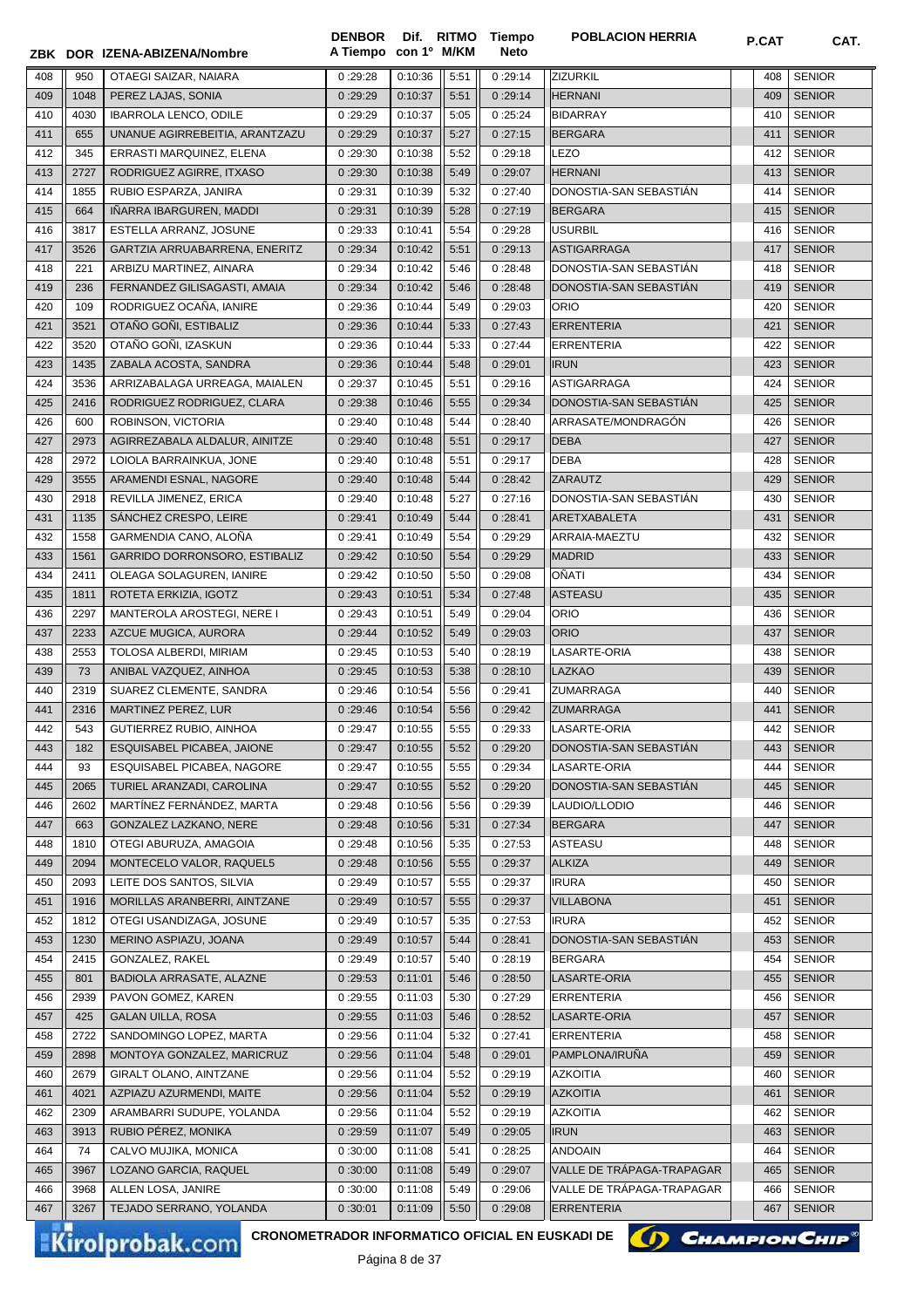|     |      | ZBK DOR IZENA-ABIZENA/Nombre                           | <b>DENBOR</b><br>A Tiempo con 1º M/KM |                                         |      | Dif. RITMO Tiempo<br><b>Neto</b> | <b>POBLACION HERRIA</b>              | P.CAT | CAT.          |
|-----|------|--------------------------------------------------------|---------------------------------------|-----------------------------------------|------|----------------------------------|--------------------------------------|-------|---------------|
| 408 | 950  | OTAEGI SAIZAR, NAIARA                                  | 0:29:28                               | 0:10:36                                 | 5:51 | 0:29:14                          | ZIZURKIL                             | 408   | <b>SENIOR</b> |
| 409 | 1048 | PEREZ LAJAS, SONIA                                     | 0:29:29                               | 0:10:37                                 | 5:51 | 0:29:14                          | <b>HERNANI</b>                       | 409   | <b>SENIOR</b> |
| 410 | 4030 | <b>IBARROLA LENCO, ODILE</b>                           | 0:29:29                               | 0:10:37                                 | 5:05 | 0:25:24                          | <b>BIDARRAY</b>                      | 410   | <b>SENIOR</b> |
|     |      |                                                        |                                       | 0:10:37                                 |      |                                  |                                      |       | <b>SENIOR</b> |
| 411 | 655  | UNANUE AGIRREBEITIA, ARANTZAZU                         | 0:29:29                               |                                         | 5:27 | 0:27:15                          | <b>BERGARA</b>                       | 411   |               |
| 412 | 345  | ERRASTI MARQUINEZ, ELENA                               | 0:29:30                               | 0:10:38                                 | 5:52 | 0:29:18                          | LEZO                                 | 412   | <b>SENIOR</b> |
| 413 | 2727 | RODRIGUEZ AGIRRE, ITXASO                               | 0:29:30                               | 0:10:38                                 | 5:49 | 0:29:07                          | <b>HERNANI</b>                       | 413   | <b>SENIOR</b> |
| 414 | 1855 | RUBIO ESPARZA, JANIRA                                  | 0:29:31                               | 0:10:39                                 | 5:32 | 0:27:40                          | DONOSTIA-SAN SEBASTIÁN               | 414   | <b>SENIOR</b> |
| 415 | 664  | IÑARRA IBARGUREN, MADDI                                | 0:29:31                               | 0:10:39                                 | 5:28 | 0:27:19                          | <b>BERGARA</b>                       | 415   | <b>SENIOR</b> |
| 416 | 3817 | ESTELLA ARRANZ, JOSUNE                                 | 0:29:33                               | 0:10:41                                 | 5:54 | 0:29:28                          | <b>USURBIL</b>                       | 416   | <b>SENIOR</b> |
| 417 | 3526 | GARTZIA ARRUABARRENA, ENERITZ                          | 0:29:34                               | 0:10:42                                 | 5:51 | 0:29:13                          | <b>ASTIGARRAGA</b>                   | 417   | <b>SENIOR</b> |
| 418 | 221  | ARBIZU MARTINEZ, AINARA                                | 0:29:34                               | 0:10:42                                 | 5:46 | 0:28:48                          | DONOSTIA-SAN SEBASTIAN               | 418   | <b>SENIOR</b> |
| 419 | 236  | FERNANDEZ GILISAGASTI, AMAIA                           | 0:29:34                               | 0:10:42                                 | 5:46 | 0:28:48                          | DONOSTIA-SAN SEBASTIAN               | 419   | <b>SENIOR</b> |
| 420 | 109  | RODRIGUEZ OCAÑA, IANIRE                                | 0:29:36                               | 0:10:44                                 | 5:49 | 0:29:03                          | <b>ORIO</b>                          | 420   | <b>SENIOR</b> |
| 421 | 3521 | OTAÑO GOÑI, ESTIBALIZ                                  | 0:29:36                               | 0:10:44                                 | 5:33 | 0:27:43                          | <b>ERRENTERIA</b>                    | 421   | <b>SENIOR</b> |
| 422 | 3520 | OTAÑO GOÑI. IZASKUN                                    | 0:29:36                               | 0:10:44                                 | 5:33 | 0:27:44                          | <b>ERRENTERIA</b>                    | 422   | <b>SENIOR</b> |
| 423 | 1435 | ZABALA ACOSTA, SANDRA                                  | 0:29:36                               | 0:10:44                                 | 5:48 | 0:29:01                          | <b>IRUN</b>                          | 423   | <b>SENIOR</b> |
| 424 | 3536 | ARRIZABALAGA URREAGA, MAIALEN                          | 0:29:37                               | 0:10:45                                 | 5:51 | 0:29:16                          | <b>ASTIGARRAGA</b>                   | 424   | <b>SENIOR</b> |
| 425 | 2416 | RODRIGUEZ RODRIGUEZ, CLARA                             | 0:29:38                               | 0:10:46                                 | 5:55 | 0:29:34                          | DONOSTIA-SAN SEBASTIAN               | 425   | <b>SENIOR</b> |
| 426 | 600  | ROBINSON, VICTORIA                                     | 0:29:40                               | 0:10:48                                 | 5:44 | 0:28:40                          | ARRASATE/MONDRAGÓN                   | 426   | <b>SENIOR</b> |
| 427 | 2973 | AGIRREZABALA ALDALUR, AINITZE                          | 0:29:40                               | 0:10:48                                 | 5:51 | 0:29:17                          | <b>DEBA</b>                          | 427   | <b>SENIOR</b> |
| 428 | 2972 | LOIOLA BARRAINKUA, JONE                                | 0:29:40                               | 0:10:48                                 | 5:51 | 0:29:17                          | <b>DEBA</b>                          | 428   | <b>SENIOR</b> |
| 429 | 3555 | ARAMENDI ESNAL, NAGORE                                 | 0:29:40                               | 0:10:48                                 | 5:44 | 0:28:42                          | <b>ZARAUTZ</b>                       | 429   | <b>SENIOR</b> |
| 430 | 2918 | REVILLA JIMENEZ, ERICA                                 | 0:29:40                               | 0:10:48                                 | 5:27 | 0:27:16                          | DONOSTIA-SAN SEBASTIAN               | 430   | <b>SENIOR</b> |
| 431 | 1135 | SÁNCHEZ CRESPO, LEIRE                                  | 0:29:41                               | 0:10:49                                 | 5:44 | 0:28:41                          | ARETXABALETA                         | 431   | <b>SENIOR</b> |
| 432 | 1558 | GARMENDIA CANO, ALOÑA                                  | 0:29:41                               | 0:10:49                                 | 5:54 | 0:29:29                          | ARRAIA-MAEZTU                        | 432   | <b>SENIOR</b> |
| 433 | 1561 | GARRIDO DORRONSORO, ESTIBALIZ                          | 0:29:42                               | 0:10:50                                 | 5:54 | 0:29:29                          | <b>MADRID</b>                        | 433   | <b>SENIOR</b> |
| 434 | 2411 | OLEAGA SOLAGUREN, IANIRE                               | 0:29:42                               | 0:10:50                                 | 5:50 | 0:29:08                          | OÑATI                                | 434   | <b>SENIOR</b> |
| 435 | 1811 | ROTETA ERKIZIA, IGOTZ                                  | 0:29:43                               | 0:10:51                                 | 5:34 | 0:27:48                          | <b>ASTEASU</b>                       | 435   | <b>SENIOR</b> |
| 436 | 2297 | MANTEROLA AROSTEGI, NERE I                             | 0:29:43                               | 0:10:51                                 | 5:49 | 0:29:04                          | <b>ORIO</b>                          | 436   | <b>SENIOR</b> |
| 437 | 2233 | AZCUE MUGICA, AURORA                                   | 0:29:44                               | 0:10:52                                 | 5:49 | 0:29:03                          | <b>ORIO</b>                          | 437   | <b>SENIOR</b> |
| 438 | 2553 | TOLOSA ALBERDI, MIRIAM                                 | 0:29:45                               | 0:10:53                                 | 5:40 | 0:28:19                          | LASARTE-ORIA                         | 438   | <b>SENIOR</b> |
| 439 | 73   | ANIBAL VAZQUEZ, AINHOA                                 | 0:29:45                               | 0:10:53                                 | 5:38 | 0:28:10                          | LAZKAO                               | 439   | <b>SENIOR</b> |
| 440 | 2319 | SUAREZ CLEMENTE, SANDRA                                | 0:29:46                               | 0:10:54                                 | 5:56 | 0:29:41                          | <b>ZUMARRAGA</b>                     | 440   | <b>SENIOR</b> |
| 441 | 2316 | MARTINEZ PEREZ, LUR                                    | 0:29:46                               | 0:10:54                                 | 5:56 | 0:29:42                          | <b>ZUMARRAGA</b>                     | 441   | <b>SENIOR</b> |
| 442 | 543  | GUTIERREZ RUBIO, AINHOA                                | 0:29:47                               | 0:10:55                                 | 5:55 | 0:29:33                          | LASARTE-ORIA                         |       | 442 SENIOR    |
| 443 | 182  | ESQUISABEL PICABEA, JAIONE                             | 0:29:47                               | 0:10:55                                 | 5:52 | 0:29:20                          | DONOSTIA-SAN SEBASTIAN               | 443   | <b>SENIOR</b> |
| 444 | 93   | ESQUISABEL PICABEA, NAGORE                             | 0:29:47                               | 0:10:55                                 | 5:55 | 0:29:34                          | LASARTE-ORIA                         | 444   | <b>SENIOR</b> |
| 445 | 2065 | TURIEL ARANZADI, CAROLINA                              | 0:29:47                               | 0:10:55                                 | 5:52 | 0:29:20                          | DONOSTIA-SAN SEBASTIAN               | 445   | <b>SENIOR</b> |
| 446 | 2602 | MARTÍNEZ FERNÁNDEZ, MARTA                              | 0:29:48                               | 0:10:56                                 | 5:56 | 0:29:39                          | LAUDIO/LLODIO                        | 446   | <b>SENIOR</b> |
| 447 | 663  | GONZALEZ LAZKANO, NERE                                 | 0:29:48                               | 0:10:56                                 | 5:31 | 0:27:34                          | BERGARA                              | 447   | <b>SENIOR</b> |
|     |      | OTEGI ABURUZA, AMAGOIA                                 |                                       |                                         | 5:35 |                                  | <b>ASTEASU</b>                       |       |               |
| 448 | 1810 |                                                        | 0:29:48                               | 0:10:56                                 |      | 0:27:53                          |                                      | 448   | <b>SENIOR</b> |
| 449 | 2094 | MONTECELO VALOR, RAQUEL5                               | 0:29:48                               | 0:10:56                                 | 5:55 | 0:29:37                          | <b>ALKIZA</b>                        | 449   | <b>SENIOR</b> |
| 450 | 2093 | LEITE DOS SANTOS, SILVIA                               | 0:29:49                               | 0:10:57                                 | 5:55 | 0:29:37                          | <b>IRURA</b>                         | 450   | <b>SENIOR</b> |
| 451 | 1916 | MORILLAS ARANBERRI, AINTZANE                           | 0:29:49                               | 0:10:57                                 | 5:55 | 0:29:37                          | <b>VILLABONA</b>                     | 451   | <b>SENIOR</b> |
| 452 | 1812 | OTEGI USANDIZAGA, JOSUNE                               | 0:29:49                               | 0:10:57                                 | 5:35 | 0:27:53                          | <b>IRURA</b>                         | 452   | <b>SENIOR</b> |
| 453 | 1230 | MERINO ASPIAZU, JOANA                                  | 0:29:49                               | 0:10:57                                 | 5:44 | 0:28:41                          | DONOSTIA-SAN SEBASTIAN               | 453   | <b>SENIOR</b> |
| 454 | 2415 | GONZALEZ, RAKEL                                        | 0:29:49                               | 0:10:57                                 | 5:40 | 0:28:19                          | <b>BERGARA</b>                       | 454   | <b>SENIOR</b> |
| 455 | 801  | BADIOLA ARRASATE, ALAZNE                               | 0:29:53                               | 0:11:01                                 | 5:46 | 0:28:50                          | LASARTE-ORIA                         | 455   | <b>SENIOR</b> |
| 456 | 2939 | PAVON GOMEZ, KAREN                                     | 0:29:55                               | 0:11:03                                 | 5:30 | 0:27:29                          | <b>ERRENTERIA</b>                    | 456   | <b>SENIOR</b> |
| 457 | 425  | <b>GALAN UILLA, ROSA</b>                               | 0:29:55                               | 0:11:03                                 | 5:46 | 0:28:52                          | LASARTE-ORIA                         | 457   | <b>SENIOR</b> |
| 458 | 2722 | SANDOMINGO LOPEZ, MARTA                                | 0:29:56                               | 0:11:04                                 | 5:32 | 0:27:41                          | ERRENTERIA                           | 458   | <b>SENIOR</b> |
| 459 | 2898 | MONTOYA GONZALEZ, MARICRUZ                             | 0:29:56                               | 0:11:04                                 | 5:48 | 0:29:01                          | PAMPLONA/IRUÑA                       | 459   | <b>SENIOR</b> |
| 460 | 2679 | GIRALT OLANO, AINTZANE                                 | 0:29:56                               | 0:11:04                                 | 5:52 | 0:29:19                          | <b>AZKOITIA</b>                      | 460   | <b>SENIOR</b> |
| 461 | 4021 | AZPIAZU AZURMENDI, MAITE                               | 0:29:56                               | 0:11:04                                 | 5:52 | 0:29:19                          | <b>AZKOITIA</b>                      | 461   | <b>SENIOR</b> |
| 462 | 2309 | ARAMBARRI SUDUPE, YOLANDA                              | 0:29:56                               | 0:11:04                                 | 5:52 | 0:29:19                          | <b>AZKOITIA</b>                      | 462   | <b>SENIOR</b> |
| 463 | 3913 | RUBIO PEREZ, MONIKA                                    | 0:29:59                               | 0:11:07                                 | 5:49 | 0:29:05                          | <b>IRUN</b>                          | 463   | <b>SENIOR</b> |
| 464 | 74   | CALVO MUJIKA, MONICA                                   | 0:30:00                               | 0:11:08                                 | 5:41 | 0:28:25                          | <b>ANDOAIN</b>                       | 464   | <b>SENIOR</b> |
| 465 | 3967 | LOZANO GARCIA, RAQUEL                                  | 0:30:00                               | 0:11:08                                 | 5:49 | 0:29:07                          | VALLE DE TRÁPAGA-TRAPAGAR            | 465   | <b>SENIOR</b> |
| 466 | 3968 | ALLEN LOSA, JANIRE                                     | 0:30:00                               | 0:11:08                                 | 5:49 | 0:29:06                          | VALLE DE TRAPAGA-TRAPAGAR            | 466   | <b>SENIOR</b> |
| 467 | 3267 | TEJADO SERRANO, YOLANDA                                | 0:30:01                               | 0:11:09                                 | 5:50 | 0:29:08                          | <b>ERRENTERIA</b>                    | 467   | <b>SENIOR</b> |
|     |      | <b>CRONOMETRADOR INFORMATICO OFICIAL EN EUSKADI DE</b> |                                       |                                         |      |                                  |                                      |       |               |
|     |      | <b>Kirolprobak.com</b>                                 |                                       | D <sub>2</sub> sin <sub>2</sub> 0 ds 27 |      |                                  | <b>OD</b> CHAMPION CHIP <sup>®</sup> |       |               |

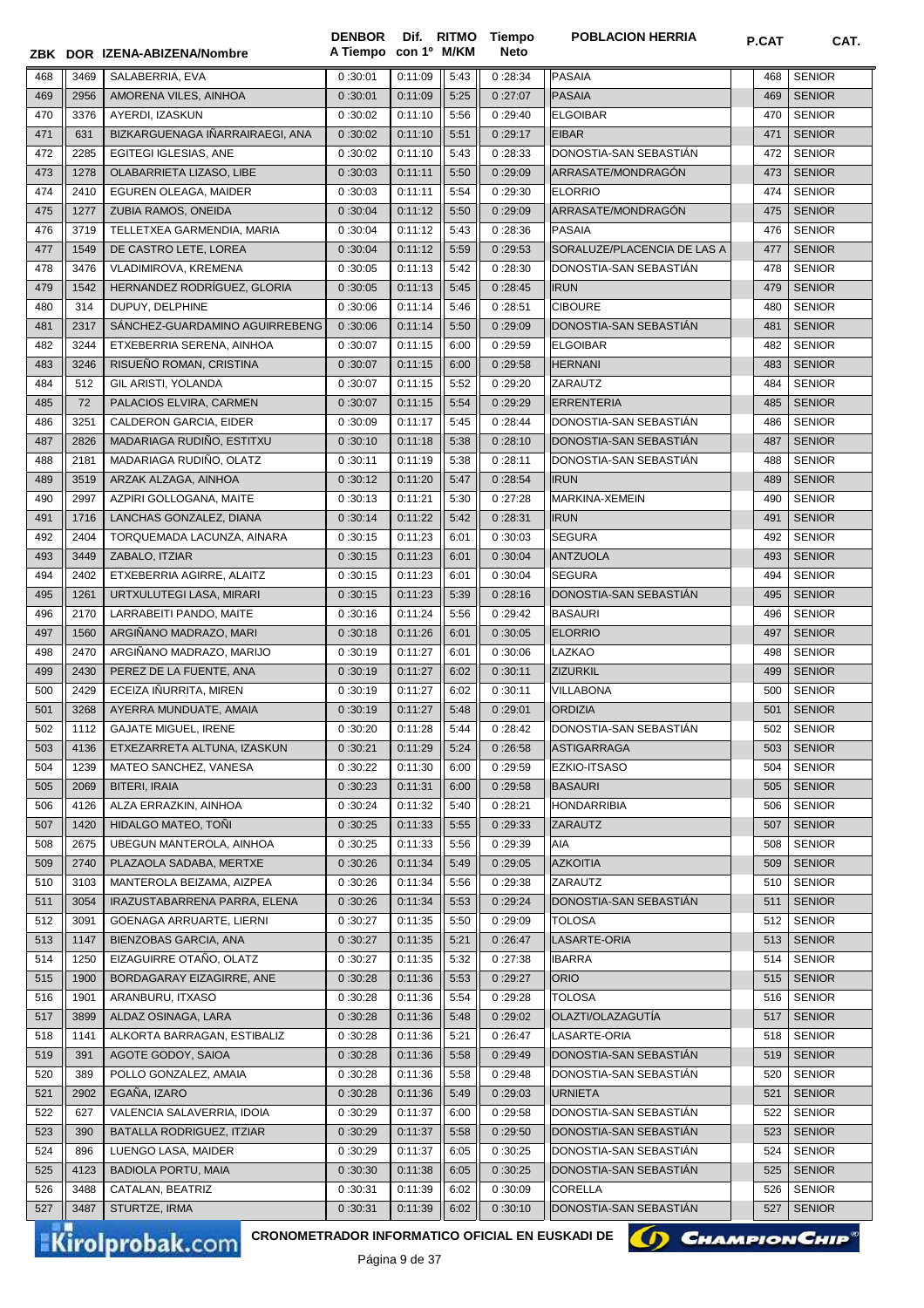|            |              | ZBK DOR IZENA-ABIZENA/Nombre            | A Tiempo con 1º M/KM |                    |              | Neto               |                                    |            |                                |
|------------|--------------|-----------------------------------------|----------------------|--------------------|--------------|--------------------|------------------------------------|------------|--------------------------------|
| 468        | 3469         | SALABERRIA, EVA                         | 0:30:01              | 0:11:09            | 5:43         | 0:28:34            | <b>PASAIA</b>                      | 468        | <b>SENIOR</b>                  |
| 469        | 2956         | AMORENA VILES, AINHOA                   | 0:30:01              | 0:11:09            | 5:25         | 0:27:07            | <b>PASAIA</b>                      | 469        | <b>SENIOR</b>                  |
| 470        | 3376         | AYERDI, IZASKUN                         | 0:30:02              | 0:11:10            | 5:56         | 0:29:40            | <b>ELGOIBAR</b>                    | 470        | <b>SENIOR</b>                  |
| 471        | 631          | BIZKARGUENAGA IÑARRAIRAEGI, ANA         | 0:30:02              | 0:11:10            | 5:51         | 0:29:17            | <b>EIBAR</b>                       | 471        | <b>SENIOR</b>                  |
| 472        | 2285         | EGITEGI IGLESIAS, ANE                   | 0:30:02              | 0:11:10            | 5:43         | 0:28:33            | DONOSTIA-SAN SEBASTIAN             | 472        | <b>SENIOR</b>                  |
| 473        | 1278         | OLABARRIETA LIZASO, LIBE                | 0:30:03              | 0:11:11            | 5:50         | 0:29:09            | ARRASATE/MONDRAGÓN                 | 473        | <b>SENIOR</b>                  |
| 474        | 2410         | EGUREN OLEAGA, MAIDER                   | 0:30:03              | 0:11:11            | 5:54         | 0:29:30            | <b>ELORRIO</b>                     | 474        | <b>SENIOR</b>                  |
| 475        | 1277         | ZUBIA RAMOS, ONEIDA                     | 0:30:04              | 0:11:12            | 5:50         | 0:29:09            | ARRASATE/MONDRAGÓN                 | 475        | <b>SENIOR</b>                  |
| 476        | 3719         | TELLETXEA GARMENDIA, MARIA              | 0:30:04              | 0:11:12            | 5:43         | 0:28:36            | <b>PASAIA</b>                      | 476        | <b>SENIOR</b>                  |
| 477        | 1549         | DE CASTRO LETE, LOREA                   | 0:30:04              | 0:11:12            | 5:59         | 0:29:53            | SORALUZE/PLACENCIA DE LAS A        | 477        | <b>SENIOR</b>                  |
| 478        | 3476         | VLADIMIROVA, KREMENA                    | 0:30:05              | 0:11:13            | 5:42         | 0:28:30            | DONOSTIA-SAN SEBASTIAN             | 478        | <b>SENIOR</b>                  |
| 479        | 1542         | HERNANDEZ RODRÍGUEZ, GLORIA             | 0:30:05              | 0:11:13            | 5:45         | 0:28:45            | <b>IRUN</b>                        | 479        | <b>SENIOR</b>                  |
| 480        | 314          | DUPUY, DELPHINE                         | 0:30:06              | 0:11:14            | 5:46         | 0:28:51            | <b>CIBOURE</b>                     | 480        | <b>SENIOR</b>                  |
| 481        | 2317         | SANCHEZ-GUARDAMINO AGUIRREBENG          | 0:30:06              | 0:11:14            | 5:50         | 0:29:09            | DONOSTIA-SAN SEBASTIAN             | 481        | <b>SENIOR</b>                  |
| 482        | 3244         | ETXEBERRIA SERENA, AINHOA               | 0:30:07              | 0:11:15            | 6:00         | 0:29:59            | <b>ELGOIBAR</b>                    | 482        | <b>SENIOR</b>                  |
| 483        | 3246         | RISUEÑO ROMAN, CRISTINA                 | 0:30:07              | 0:11:15            | 6:00         | 0:29:58            | <b>HERNANI</b>                     | 483        | <b>SENIOR</b>                  |
| 484        | 512          | GIL ARISTI, YOLANDA                     | 0:30:07              | 0:11:15            | 5:52         | 0:29:20            | ZARAUTZ                            | 484        | <b>SENIOR</b>                  |
| 485        | 72           | PALACIOS ELVIRA, CARMEN                 | 0:30:07              | 0:11:15            | 5:54         | 0:29:29            | <b>ERRENTERIA</b>                  | 485        | <b>SENIOR</b>                  |
| 486        | 3251         | CALDERON GARCIA, EIDER                  | 0:30:09              | 0:11:17            | 5:45         | 0:28:44            | DONOSTIA-SAN SEBASTIAN             | 486        | <b>SENIOR</b>                  |
| 487        | 2826         | MADARIAGA RUDIÑO, ESTITXU               | 0:30:10              | 0:11:18            | 5:38         | 0:28:10            | DONOSTIA-SAN SEBASTIAN             | 487        | <b>SENIOR</b>                  |
| 488        | 2181         | MADARIAGA RUDIÑO, OLATZ                 | 0:30:11              | 0:11:19            | 5:38         | 0:28:11            | DONOSTIA-SAN SEBASTIAN             | 488        | <b>SENIOR</b>                  |
| 489        | 3519         | ARZAK ALZAGA, AINHOA                    | 0:30:12              | 0:11:20            | 5:47         | 0:28:54            | <b>IRUN</b>                        | 489        | <b>SENIOR</b>                  |
| 490        | 2997         | AZPIRI GOLLOGANA, MAITE                 | 0:30:13              | 0:11:21            | 5:30         | 0:27:28            | MARKINA-XEMEIN                     | 490        | <b>SENIOR</b>                  |
| 491        | 1716         | LANCHAS GONZALEZ, DIANA                 | 0:30:14              | 0:11:22            | 5:42         | 0:28:31            | <b>IRUN</b>                        | 491        | <b>SENIOR</b>                  |
| 492        | 2404         | TORQUEMADA LACUNZA, AINARA              | 0:30:15              | 0:11:23            | 6:01         | 0:30:03            | <b>SEGURA</b>                      | 492        | <b>SENIOR</b>                  |
| 493        | 3449         | ZABALO, ITZIAR                          | 0:30:15              | 0:11:23            | 6:01         | 0:30:04            | <b>ANTZUOLA</b>                    | 493        | <b>SENIOR</b>                  |
| 494        | 2402         | ETXEBERRIA AGIRRE, ALAITZ               | 0:30:15              | 0:11:23            | 6:01         | 0:30:04            | <b>SEGURA</b>                      | 494        | <b>SENIOR</b>                  |
| 495        | 1261         | URTXULUTEGI LASA, MIRARI                | 0:30:15              | 0:11:23            | 5:39         | 0:28:16            | DONOSTIA-SAN SEBASTIAN             | 495        | <b>SENIOR</b>                  |
| 496        | 2170         | LARRABEITI PANDO, MAITE                 | 0:30:16              | 0:11:24            | 5:56         | 0:29:42            | <b>BASAURI</b>                     | 496        | <b>SENIOR</b>                  |
| 497        | 1560         | ARGIÑANO MADRAZO, MARI                  | 0:30:18              | 0:11:26            | 6:01         | 0:30:05            | <b>ELORRIO</b>                     | 497        | <b>SENIOR</b>                  |
| 498        | 2470         | ARGIÑANO MADRAZO, MARIJO                | 0:30:19              | 0:11:27            | 6:01         | 0:30:06            | <b>LAZKAO</b>                      | 498        | <b>SENIOR</b>                  |
| 499        | 2430         | PEREZ DE LA FUENTE, ANA                 | 0:30:19              | 0:11:27            | 6:02         | 0:30:11            | <b>ZIZURKIL</b>                    | 499        | <b>SENIOR</b>                  |
| 500        | 2429         | ECEIZA IÑURRITA, MIREN                  | 0:30:19              | 0:11:27            | 6:02         | 0:30:11            | <b>VILLABONA</b>                   | 500        | <b>SENIOR</b>                  |
| 501        | 3268         | AYERRA MUNDUATE, AMAIA                  | 0:30:19              | 0:11:27            | 5:48         | 0:29:01            | <b>ORDIZIA</b>                     | 501        | <b>SENIOR</b>                  |
| 502        | 1112         | <b>GAJATE MIGUEL, IRENE</b>             | 0:30:20              | 0:11:28            | 5:44         | 0:28:42            | DONOSTIA-SAN SEBASTIAN             | 502        | <b>SENIOR</b>                  |
| 503        | 4136         | ETXEZARRETA ALTUNA, IZASKUN             | 0:30:21              | 0:11:29            | 5:24         | 0:26:58            | ASTIGARRAGA                        | 503        | <b>SENIOR</b>                  |
| 504        | 1239         | MATEO SANCHEZ, VANESA                   | 0:30:22              | 0:11:30            | 6:00         | 0:29:59            | EZKIO-ITSASO                       | 504        | <b>SENIOR</b>                  |
| 505        | 2069         | <b>BITERI, IRAIA</b>                    | 0:30:23              | 0:11:31            | 6:00         | 0:29:58            | <b>BASAURI</b>                     | 505        | <b>SENIOR</b>                  |
| 506        | 4126         | ALZA ERRAZKIN, AINHOA                   | 0:30:24              | 0:11:32            | 5:40         | 0:28:21            | <b>HONDARRIBIA</b>                 | 506        | <b>SENIOR</b>                  |
| 507        | 1420         | HIDALGO MATEO, TONI                     | 0:30:25              | 0:11:33            | 5:55         | 0:29:33            | <b>ZARAUTZ</b>                     | 507        | <b>SENIOR</b>                  |
| 508        | 2675         | UBEGUN MANTEROLA, AINHOA                | 0:30:25              | 0:11:33            | 5:56         | 0:29:39            | <b>AIA</b>                         | 508        | <b>SENIOR</b>                  |
| 509        | 2740         | PLAZAOLA SADABA, MERTXE                 | 0:30:26              | 0:11:34            | 5:49         | 0:29:05            | <b>AZKOITIA</b>                    | 509        | <b>SENIOR</b>                  |
| 510        | 3103         | MANTEROLA BEIZAMA, AIZPEA               | 0:30:26              | 0:11:34            | 5:56         | 0:29:38            | ZARAUTZ                            | 510        | <b>SENIOR</b>                  |
| 511        | 3054         | IRAZUSTABARRENA PARRA, ELENA            | 0:30:26              | 0:11:34            | 5:53         | 0:29:24            | DONOSTIA-SAN SEBASTIAN             | 511        | <b>SENIOR</b>                  |
| 512        | 3091         | GOENAGA ARRUARTE, LIERNI                | 0:30:27              | 0:11:35            | 5:50         | 0:29:09            | <b>TOLOSA</b>                      | 512        | <b>SENIOR</b>                  |
| 513        | 1147         | BIENZOBAS GARCIA, ANA                   | 0:30:27              | 0:11:35            | 5:21         | 0:26:47            | LASARTE-ORIA                       | 513        | <b>SENIOR</b>                  |
| 514        | 1250         | EIZAGUIRRE OTAÑO, OLATZ                 | 0:30:27              | 0:11:35            | 5:32         | 0:27:38            | <b>IBARRA</b>                      | 514        | <b>SENIOR</b>                  |
| 515        | 1900         | BORDAGARAY EIZAGIRRE, ANE               | 0:30:28              | 0:11:36            | 5:53         | 0:29:27            | <b>ORIO</b>                        | 515        | <b>SENIOR</b>                  |
| 516        | 1901<br>3899 | ARANBURU, ITXASO<br>ALDAZ OSINAGA, LARA | 0:30:28<br>0:30:28   | 0:11:36            | 5:54<br>5:48 | 0:29:28<br>0:29:02 | <b>TOLOSA</b><br>OLAZTI/OLAZAGUTÍA | 516<br>517 | <b>SENIOR</b><br><b>SENIOR</b> |
| 517<br>518 | 1141         | ALKORTA BARRAGAN, ESTIBALIZ             | 0:30:28              | 0:11:36<br>0:11:36 | 5:21         | 0:26:47            | LASARTE-ORIA                       | 518        | <b>SENIOR</b>                  |
| 519        | 391          | AGOTE GODOY, SAIOA                      | 0:30:28              | 0:11:36            | 5:58         | 0:29:49            | DONOSTIA-SAN SEBASTIAN             | 519        | <b>SENIOR</b>                  |
| 520        | 389          | POLLO GONZALEZ, AMAIA                   | 0:30:28              | 0:11:36            | 5:58         | 0:29:48            | DONOSTIA-SAN SEBASTIAN             | 520        | <b>SENIOR</b>                  |
| 521        | 2902         | EGAÑA, IZARO                            | 0:30:28              | 0:11:36            | 5:49         | 0:29:03            | <b>URNIETA</b>                     | 521        | <b>SENIOR</b>                  |
| 522        | 627          | VALENCIA SALAVERRIA, IDOIA              | 0:30:29              | 0:11:37            | 6:00         | 0:29:58            | DONOSTIA-SAN SEBASTIAN             | 522        | <b>SENIOR</b>                  |
| 523        | 390          | BATALLA RODRIGUEZ, ITZIAR               | 0:30:29              | 0:11:37            | 5:58         | 0:29:50            | DONOSTIA-SAN SEBASTIAN             | 523        | <b>SENIOR</b>                  |
| 524        | 896          | LUENGO LASA, MAIDER                     | 0:30:29              | 0:11:37            | 6:05         | 0:30:25            | DONOSTIA-SAN SEBASTIAN             | 524        | <b>SENIOR</b>                  |
| 525        | 4123         | <b>BADIOLA PORTU, MAIA</b>              | 0:30:30              | 0:11:38            | 6:05         | 0:30:25            | DONOSTIA-SAN SEBASTIAN             | 525        | <b>SENIOR</b>                  |
| 526        | 3488         | CATALAN, BEATRIZ                        | 0:30:31              | 0:11:39            | 6:02         | 0:30:09            | <b>CORELLA</b>                     | 526        | <b>SENIOR</b>                  |
| 527        | 3487         | STURTZE, IRMA                           | 0:30:31              | 0:11:39            | 6:02         | 0:30:10            | DONOSTIA-SAN SEBASTIAN             | 527        | <b>SENIOR</b>                  |
|            |              |                                         |                      |                    |              |                    |                                    |            |                                |

**Tiempo** 

**DENBOR**

Kirolprobak.com

CRONOMETRADOR INFORMATICO OFICIAL EN EUSKADI DE **(A) CHAMPION CHIP<sup>®</sup>** 

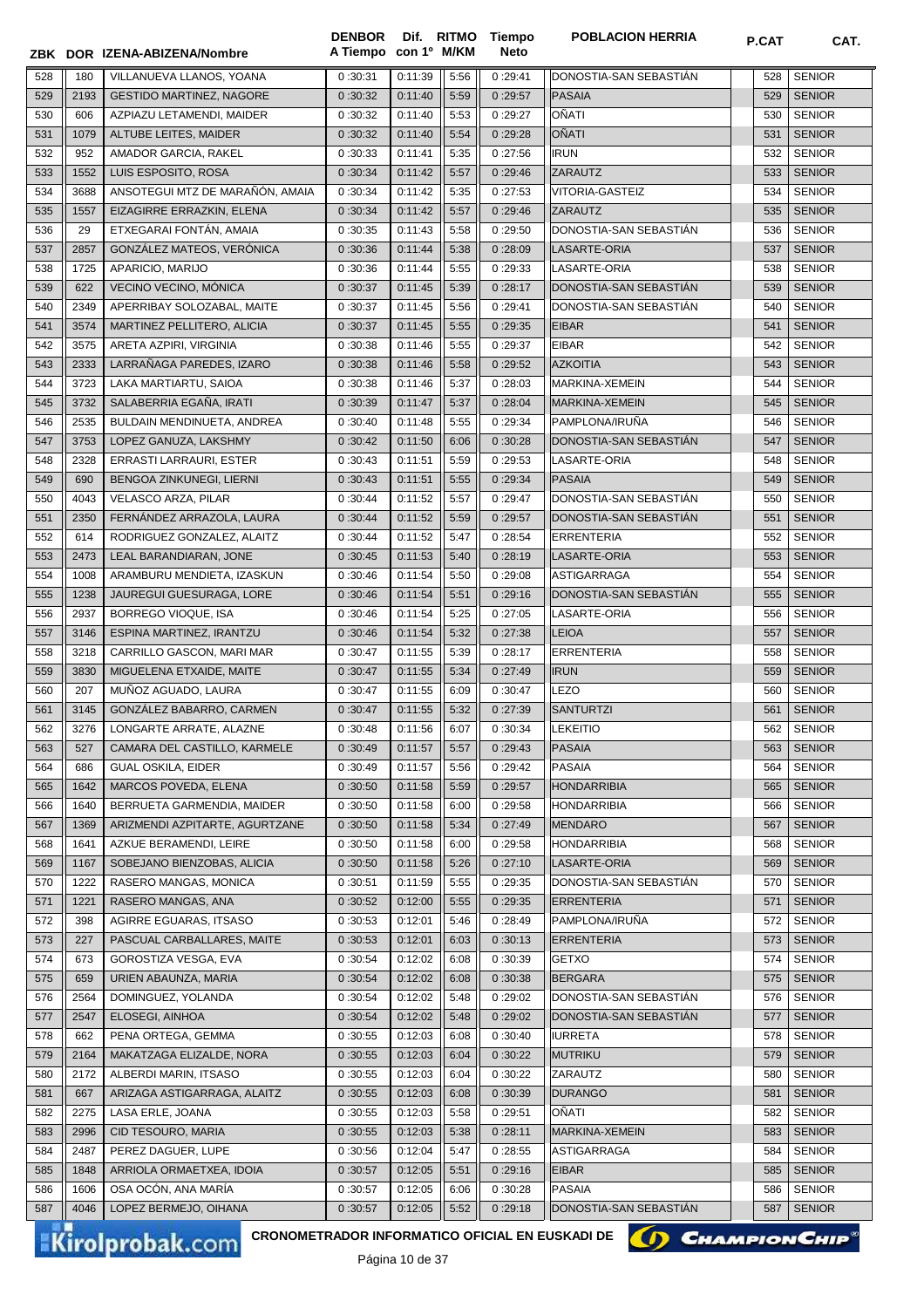|            |             | ZBK DOR IZENA-ABIZENA/Nombre                                              | <b>DENBOR</b><br>A Tiempo con 1º M/KM |                    |              | Dif. RITMO Tiempo<br><b>Neto</b> | <b>POBLACION HERRIA</b>    | P.CAT      | CAT.                           |
|------------|-------------|---------------------------------------------------------------------------|---------------------------------------|--------------------|--------------|----------------------------------|----------------------------|------------|--------------------------------|
| 528        | 180         | VILLANUEVA LLANOS, YOANA                                                  | 0:30:31                               | 0:11:39            | 5:56         | 0:29:41                          | DONOSTIA-SAN SEBASTIAN     | 528        | <b>SENIOR</b>                  |
| 529        | 2193        | <b>GESTIDO MARTINEZ, NAGORE</b>                                           | 0:30:32                               | 0:11:40            | 5:59         | 0:29:57                          | PASAIA                     | 529        | <b>SENIOR</b>                  |
| 530        | 606         | AZPIAZU LETAMENDI, MAIDER                                                 | 0:30:32                               | 0:11:40            | 5:53         | 0:29:27                          | OÑATI                      | 530        | <b>SENIOR</b>                  |
| 531        | 1079        | ALTUBE LEITES, MAIDER                                                     | 0:30:32                               | 0:11:40            | 5:54         | 0:29:28                          | <b>OÑATI</b>               | 531        | <b>SENIOR</b>                  |
| 532        | 952         | AMADOR GARCIA, RAKEL                                                      | 0:30:33                               | 0:11:41            | 5:35         | 0:27:56                          | <b>IRUN</b>                | 532        | <b>SENIOR</b>                  |
| 533        | 1552        | LUIS ESPOSITO, ROSA                                                       | 0:30:34                               | 0:11:42            | 5:57         | 0:29:46                          | <b>ZARAUTZ</b>             | 533        | <b>SENIOR</b>                  |
| 534        | 3688        | ANSOTEGUI MTZ DE MARAÑÓN, AMAIA                                           | 0:30:34                               | 0:11:42            | 5:35         | 0:27:53                          | <b>VITORIA-GASTEIZ</b>     | 534        | <b>SENIOR</b>                  |
| 535        | 1557        | EIZAGIRRE ERRAZKIN, ELENA                                                 | 0:30:34                               | 0:11:42            | 5:57         | 0:29:46                          | <b>ZARAUTZ</b>             | 535        | <b>SENIOR</b>                  |
| 536        | 29          | ETXEGARAI FONTÁN, AMAIA                                                   | 0:30:35                               | 0:11:43            | 5:58         | 0:29:50                          | DONOSTIA-SAN SEBASTIAN     | 536        | <b>SENIOR</b>                  |
| 537        | 2857        | GONZÁLEZ MATEOS, VERÓNICA                                                 | 0:30:36                               | 0:11:44            | 5:38         | 0:28:09                          | LASARTE-ORIA               | 537        | <b>SENIOR</b>                  |
| 538        | 1725        | APARICIO, MARIJO                                                          | 0:30:36                               | 0:11:44            | 5:55         | 0:29:33                          | LASARTE-ORIA               | 538        | <b>SENIOR</b>                  |
| 539        | 622         | VECINO VECINO, MÓNICA                                                     | 0:30:37                               | 0:11:45            | 5:39         | 0:28:17                          | DONOSTIA-SAN SEBASTIÁN     | 539        | <b>SENIOR</b>                  |
| 540        | 2349        | APERRIBAY SOLOZABAL, MAITE                                                | 0:30:37                               | 0:11:45            | 5:56         | 0:29:41                          | DONOSTIA-SAN SEBASTIAN     | 540        | <b>SENIOR</b>                  |
| 541        | 3574        | MARTINEZ PELLITERO, ALICIA                                                | 0:30:37                               | 0:11:45            | 5:55         | 0:29:35                          | <b>EIBAR</b>               | 541        | <b>SENIOR</b>                  |
| 542        | 3575        | ARETA AZPIRI. VIRGINIA                                                    | 0:30:38                               | 0:11:46            | 5:55         | 0:29:37                          | <b>EIBAR</b>               | 542        | <b>SENIOR</b>                  |
| 543        | 2333        | LARRAÑAGA PAREDES, IZARO                                                  | 0:30:38                               | 0:11:46            | 5:58         | 0:29:52                          | <b>AZKOITIA</b>            | 543        | <b>SENIOR</b>                  |
| 544        | 3723        | LAKA MARTIARTU, SAIOA                                                     | 0:30:38                               | 0:11:46            | 5:37         | 0:28:03                          | MARKINA-XEMEIN             | 544        | <b>SENIOR</b>                  |
| 545        | 3732        | SALABERRIA EGAÑA, IRATI                                                   | 0:30:39                               | 0:11:47            | 5:37         | 0:28:04                          | MARKINA-XEMEIN             | 545        | <b>SENIOR</b>                  |
| 546        | 2535        | BULDAIN MENDINUETA, ANDREA                                                | 0:30:40                               | 0:11:48            | 5:55         | 0:29:34                          | PAMPLONA/IRUÑA             | 546        | <b>SENIOR</b>                  |
| 547        | 3753        | LOPEZ GANUZA, LAKSHMY                                                     | 0:30:42                               | 0:11:50            | 6:06         | 0:30:28                          | DONOSTIA-SAN SEBASTIAN     | 547        | <b>SENIOR</b>                  |
| 548        | 2328        | ERRASTI LARRAURI, ESTER                                                   | 0:30:43                               | 0:11:51            | 5:59         | 0:29:53                          | LASARTE-ORIA               | 548        | <b>SENIOR</b>                  |
| 549        | 690         | BENGOA ZINKUNEGI, LIERNI                                                  | 0:30:43                               | 0:11:51            | 5:55         | 0:29:34                          | <b>PASAIA</b>              | 549        | <b>SENIOR</b>                  |
| 550        | 4043        | VELASCO ARZA, PILAR                                                       | 0:30:44                               | 0:11:52            | 5:57         | 0:29:47                          | DONOSTIA-SAN SEBASTIAN     | 550        | <b>SENIOR</b>                  |
| 551        | 2350        | FERNÁNDEZ ARRAZOLA, LAURA                                                 | 0:30:44                               | 0:11:52            | 5:59         | 0:29:57                          | DONOSTIA-SAN SEBASTIAN     | 551        | <b>SENIOR</b>                  |
| 552        | 614         | RODRIGUEZ GONZALEZ, ALAITZ                                                | 0:30:44                               | 0:11:52            | 5:47         | 0:28:54                          | <b>ERRENTERIA</b>          | 552        | <b>SENIOR</b>                  |
| 553        | 2473        | LEAL BARANDIARAN, JONE                                                    | 0:30:45                               | 0:11:53            | 5:40         | 0:28:19                          | LASARTE-ORIA               | 553        | <b>SENIOR</b>                  |
| 554        | 1008        | ARAMBURU MENDIETA, IZASKUN                                                | 0:30:46                               | 0:11:54            | 5:50         | 0:29:08                          | <b>ASTIGARRAGA</b>         | 554        | <b>SENIOR</b>                  |
| 555        | 1238        | JAUREGUI GUESURAGA, LORE                                                  | 0:30:46                               | 0:11:54            | 5:51         | 0:29:16                          | DONOSTIA-SAN SEBASTIAN     | 555        | <b>SENIOR</b>                  |
| 556        | 2937        | BORREGO VIOQUE, ISA                                                       | 0:30:46                               | 0:11:54            | 5:25         | 0:27:05                          | LASARTE-ORIA               | 556        | <b>SENIOR</b>                  |
| 557        | 3146        | ESPINA MARTINEZ, IRANTZU                                                  | 0:30:46                               | 0:11:54            | 5:32         | 0:27:38                          | <b>LEIOA</b>               | 557        | <b>SENIOR</b>                  |
| 558        | 3218        | CARRILLO GASCON, MARI MAR                                                 | 0:30:47                               | 0:11:55            | 5:39         | 0:28:17                          | <b>ERRENTERIA</b>          | 558        | <b>SENIOR</b>                  |
| 559<br>560 | 3830<br>207 | MIGUELENA ETXAIDE, MAITE<br>MUÑOZ AGUADO, LAURA                           | 0:30:47<br>0:30:47                    | 0:11:55<br>0:11:55 | 5:34<br>6:09 | 0:27:49<br>0:30:47               | <b>IRUN</b><br><b>LEZO</b> | 559        | <b>SENIOR</b><br><b>SENIOR</b> |
| 561        | 3145        | GONZÁLEZ BABARRO, CARMEN                                                  | 0:30:47                               | 0:11:55            | 5:32         | 0:27:39                          | <b>SANTURTZI</b>           | 560<br>561 | <b>SENIOR</b>                  |
| 562        | 3276        | LONGARTE ARRATE, ALAZNE                                                   | $0:30:48$ $0:11:56$                   |                    | 6:07         | 0:30:34                          | <b>LEKEITIO</b>            |            | 562 SENIOR                     |
| 563        | 527         | CAMARA DEL CASTILLO, KARMELE                                              | 0:30:49                               | 0:11:57            | 5:57         | 0:29:43                          | PASAIA                     | 563        | <b>SENIOR</b>                  |
| 564        | 686         | <b>GUAL OSKILA, EIDER</b>                                                 | 0:30:49                               | 0:11:57            | 5:56         | 0:29:42                          | PASAIA                     | 564        | <b>SENIOR</b>                  |
| 565        | 1642        | <b>MARCOS POVEDA, ELENA</b>                                               | 0:30:50                               | 0:11:58            | 5:59         | 0:29:57                          | <b>HONDARRIBIA</b>         | 565        | <b>SENIOR</b>                  |
| 566        | 1640        | BERRUETA GARMENDIA, MAIDER                                                | 0:30:50                               | 0:11:58            | 6:00         | 0:29:58                          | <b>HONDARRIBIA</b>         | 566        | <b>SENIOR</b>                  |
| 567        | 1369        | ARIZMENDI AZPITARTE, AGURTZANE                                            | 0:30:50                               | 0:11:58            | 5:34         | 0:27:49                          | <b>MENDARO</b>             | 567        | <b>SENIOR</b>                  |
| 568        | 1641        | AZKUE BERAMENDI, LEIRE                                                    | 0:30:50                               | 0:11:58            | 6:00         | 0:29:58                          | <b>HONDARRIBIA</b>         | 568        | <b>SENIOR</b>                  |
| 569        | 1167        | SOBEJANO BIENZOBAS, ALICIA                                                | 0:30:50                               | 0:11:58            | 5:26         | 0:27:10                          | LASARTE-ORIA               | 569        | <b>SENIOR</b>                  |
| 570        | 1222        | RASERO MANGAS, MONICA                                                     | 0:30:51                               | 0:11:59            | 5:55         | 0:29:35                          | DONOSTIA-SAN SEBASTIAN     | 570        | <b>SENIOR</b>                  |
| 571        | 1221        | RASERO MANGAS, ANA                                                        | 0:30:52                               | 0:12:00            | 5:55         | 0:29:35                          | <b>ERRENTERIA</b>          | 571        | <b>SENIOR</b>                  |
| 572        | 398         | AGIRRE EGUARAS, ITSASO                                                    | 0:30:53                               | 0:12:01            | 5:46         | 0:28:49                          | PAMPLONA/IRUÑA             | 572        | <b>SENIOR</b>                  |
| 573        | 227         | PASCUAL CARBALLARES, MAITE                                                | 0:30:53                               | 0:12:01            | 6:03         | 0:30:13                          | <b>ERRENTERIA</b>          | 573        | <b>SENIOR</b>                  |
| 574        | 673         | GOROSTIZA VESGA, EVA                                                      | 0:30:54                               | 0:12:02            | 6:08         | 0:30:39                          | <b>GETXO</b>               | 574        | <b>SENIOR</b>                  |
| 575        | 659         | URIEN ABAUNZA, MARIA                                                      | 0:30:54                               | 0:12:02            | 6:08         | 0:30:38                          | <b>BERGARA</b>             | 575        | <b>SENIOR</b>                  |
| 576        | 2564        | DOMINGUEZ, YOLANDA                                                        | 0:30:54                               | 0:12:02            | 5:48         | 0:29:02                          | DONOSTIA-SAN SEBASTIÁN     | 576        | <b>SENIOR</b>                  |
| 577        | 2547        | ELOSEGI, AINHOA                                                           | 0:30:54                               | 0:12:02            | 5:48         | 0:29:02                          | DONOSTIA-SAN SEBASTIÁN     | 577        | <b>SENIOR</b>                  |
| 578        | 662         | PENA ORTEGA, GEMMA                                                        | 0:30:55                               | 0:12:03            | 6:08         | 0:30:40                          | <b>IURRETA</b>             | 578        | <b>SENIOR</b>                  |
| 579        | 2164        | MAKATZAGA ELIZALDE, NORA                                                  | 0:30:55                               | 0:12:03            | 6:04         | 0:30:22                          | MUTRIKU                    | 579        | <b>SENIOR</b>                  |
| 580        | 2172        | ALBERDI MARIN, ITSASO                                                     | 0:30:55                               | 0:12:03            | 6:04         | 0:30:22                          | ZARAUTZ                    | 580        | <b>SENIOR</b>                  |
| 581        | 667         | ARIZAGA ASTIGARRAGA, ALAITZ                                               | 0:30:55                               | 0:12:03            | 6:08         | 0:30:39                          | <b>DURANGO</b>             | 581        | <b>SENIOR</b>                  |
| 582        | 2275        | LASA ERLE, JOANA                                                          | 0:30:55                               | 0:12:03            | 5:58         | 0:29:51                          | OÑATI                      | 582        | <b>SENIOR</b>                  |
| 583        | 2996        | CID TESOURO, MARIA                                                        | 0:30:55                               | 0:12:03            | 5:38         | 0:28:11                          | MARKINA-XEMEIN             | 583        | <b>SENIOR</b>                  |
| 584        | 2487        | PEREZ DAGUER, LUPE                                                        | 0:30:56                               | 0:12:04            | 5:47         | 0:28:55                          | ASTIGARRAGA                | 584        | <b>SENIOR</b>                  |
| 585        | 1848        | ARRIOLA ORMAETXEA, IDOIA                                                  | 0:30:57                               | 0:12:05            | 5:51         | 0:29:16                          | <b>EIBAR</b>               | 585        | <b>SENIOR</b>                  |
| 586        | 1606        | OSA OCON, ANA MARIA                                                       | 0:30:57                               | 0:12:05            | 6:06         | 0:30:28                          | <b>PASAIA</b>              | 586        | <b>SENIOR</b>                  |
| 587        | 4046        | LOPEZ BERMEJO, OIHANA                                                     | 0:30:57                               | 0:12:05            | 5:52         | 0:29:18                          | DONOSTIA-SAN SEBASTIAN     | 587        | <b>SENIOR</b>                  |
|            |             | CRONOMETRADOR INFORMATICO OFICIAL EN EUSKADI DE<br><b>Kirolprobak.com</b> |                                       |                    |              |                                  |                            |            | <b>CHAMPION CHIP®</b>          |

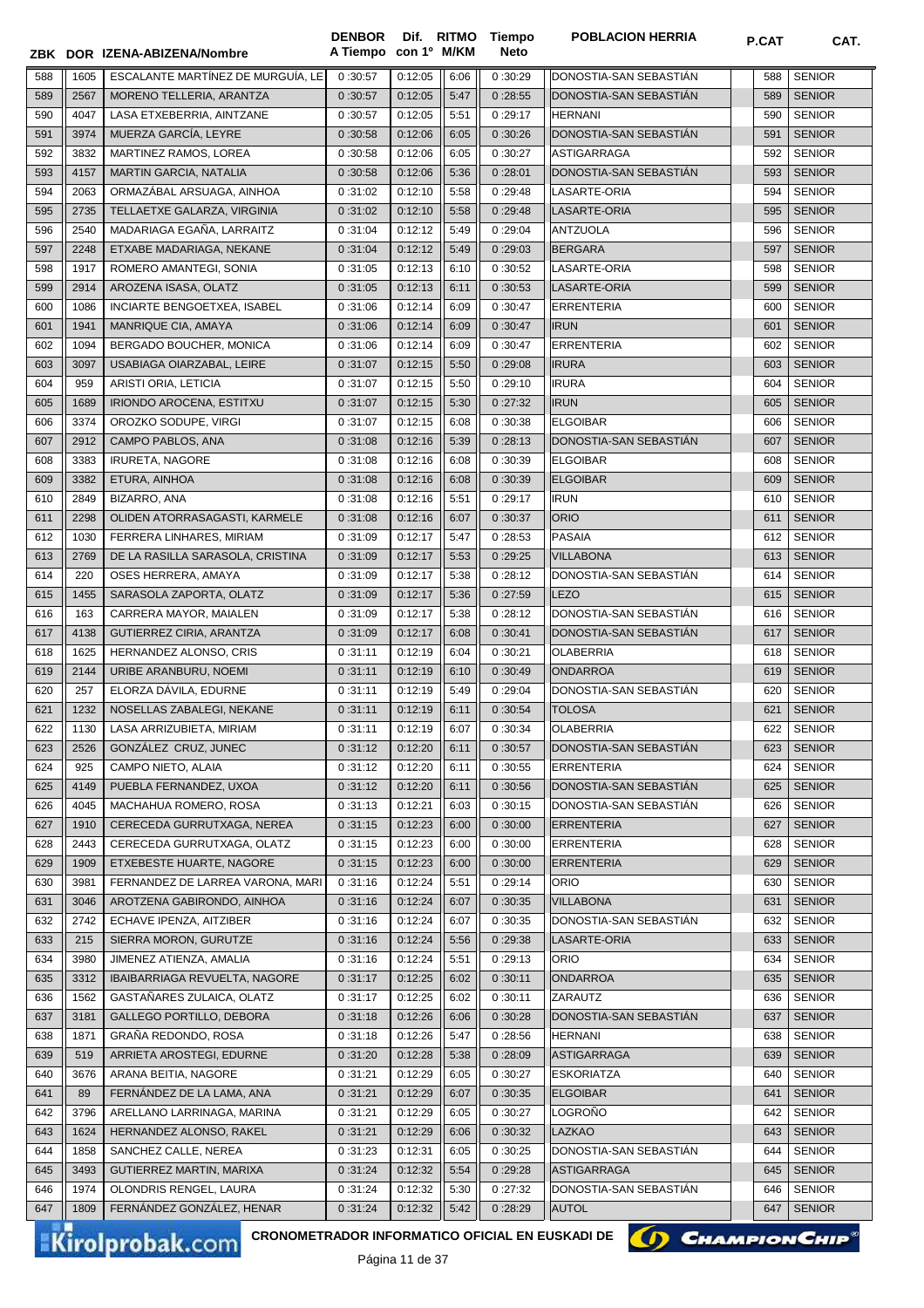**ZBK DOR IZENA-ABIZENA/Nombre A Tiempo con 1º M/KM Neto** 588 1605 ESCALANTE MARTÍNEZ DE MURGUÍA, LE 0:30:57 0:12:05 6:06 0 :30:29 DONOSTIA-SAN SEBASTIÁN 588 SENIOR 2567 MORENO TELLERIA, ARANTZA 0 :30:57 0:12:05 5:47 0 :28:55 DONOSTIA-SAN SEBASTIÁN 589 SENIOR 4047 LASA ETXEBERRIA, AINTZANE 0 :30:57 0:12:05 5:51 0 :29:17 HERNANI 590 SENIOR 591 3974 || MUERZA GARCÍA, LEYRE || 0 :30:58 || 0:12:06 || 6:05 || 0 :30:26 || DONOSTIA-SAN SEBASTIÁN || 591 SENIOR 3832 MARTINEZ RAMOS, LOREA 0 :30:58 0:12:06 6:05 0 :30:27 ASTIGARRAGA 592 SENIOR 4157 MARTIN GARCIA, NATALIA 0 :30:58 0:12:06 5:36 0 :28:01 DONOSTIA-SAN SEBASTIÁN 593 SENIOR 594 || 2063 || ORMAZÁBAL ARSUAGA, AINHOA || 0 :31:02 || 0:12:10 || 5:58 || 0 :29:48 || LASARTE-ORIA || 594 || 594 || SENIOR 2735 TELLAETXE GALARZA, VIRGINIA 0 :31:02 0:12:10 5:58 0 :29:48 LASARTE-ORIA 595 SENIOR 2540 MADARIAGA EGAÑA, LARRAITZ 0 :31:04 0:12:12 5:49 0 :29:04 ANTZUOLA 596 SENIOR 2248 ETXABE MADARIAGA, NEKANE 0 :31:04 0:12:12 5:49 0 :29:03 BERGARA 597 SENIOR 1917 ROMERO AMANTEGI, SONIA 0 :31:05 0:12:13 6:10 0 :30:52 LASARTE-ORIA 598 SENIOR 2914 AROZENA ISASA, OLATZ 0 :31:05 0:12:13 6:11 0 :30:53 LASARTE-ORIA 599 SENIOR 1086 INCIARTE BENGOETXEA, ISABEL 0 :31:06 0:12:14 6:09 0 :30:47 ERRENTERIA 600 SENIOR 601 | 1941 | MANRIQUE CIA, AMAYA | 0:31:06 | 0:12:14 || 6:09 || 0:30:47 ||IRUN | 6:09 || 1941 | MANRIQUE CIA, AMAYA 602 | 1094 | BERGADO BOUCHER, MONICA | 0:31:06 | 0:12:14 | 6:09 | 0:30:47 | ERRENTERIA | 6:02 | SENIOR 3097 USABIAGA OIARZABAL, LEIRE 0 :31:07 0:12:15 5:50 0 :29:08 IRURA 603 SENIOR 959 ARISTI ORIA, LETICIA 0 :31:07 0:12:15 5:50 0 :29:10 IRURA 604 SENIOR 1689 IRIONDO AROCENA, ESTITXU 0 :31:07 0:12:15 5:30 0 :27:32 IRUN 605 SENIOR 606 3374 OROZKO SODUPE, VIRGI | 0 :31:07 0:12:15 6:08 0 :30:38 ELGOIBAR 606 SENIOR 2912 CAMPO PABLOS, ANA 0 :31:08 0:12:16 5:39 0 :28:13 DONOSTIA-SAN SEBASTIÁN 607 SENIOR 608 || 3383 || IRURETA, NAGORE || 0 :31:08 || 0 :31:08 || 0:12:16 || 6:08 || 0 :30:39 || ELGOIBAR || 608 || 508 || 508 || 508 || 6:08 || 6:08 || 6:08 || 6:08 || 6:08 || 6:08 || 6:08 || 6:08 || 6:08 || 508 || 6:08 || 6:08 | 3382 ETURA, AINHOA 0 :31:08 0:12:16 6:08 0 :30:39 ELGOIBAR 609 SENIOR 2849 BIZARRO, ANA 0 :31:08 0:12:16 5:51 0 :29:17 IRUN 610 SENIOR 611 2298 OLIDEN ATORRASAGASTI, KARMELE 0:31:08 0:12:16  $\, \vert \, 0:12 \cdot 16 \, \vert \, 6:07 \, \vert \, 0:30 \cdot 37$  ORIO 1030 FERRERA LINHARES, MIRIAM 0 :31:09 0:12:17 5:47 0 :28:53 PASAIA 612 SENIOR 2769 DE LA RASILLA SARASOLA, CRISTINA 0 :31:09 0:12:17 5:53 0 :29:25 VILLABONA 613 SENIOR 220 OSES HERRERA, AMAYA 0 :31:09 0:12:17 5:38 0 :28:12 DONOSTIA-SAN SEBASTIÁN 614 SENIOR 1455 SARASOLA ZAPORTA, OLATZ 0 :31:09 0:12:17 5:36 0 :27:59 LEZO 615 SENIOR 163 CARRERA MAYOR, MAIALEN 0 :31:09 0:12:17 5:38 0 :28:12 DONOSTIA-SAN SEBASTIÁN 616 SENIOR 4138 GUTIERREZ CIRIA, ARANTZA 0 :31:09 0:12:17 6:08 0 :30:41 DONOSTIA-SAN SEBASTIÁN 617 SENIOR 618 || 1625 || HERNANDEZ ALONSO, CRIS || 0 :31:11 || 0:12:19 || 6:04 || 0 :30:21 || OLABERRIA || 6018 || 518 || 618 || 6:04 || 0:12:19 || 6:04 || 0 :30:21 || 0:12:19 || 6:04 || 0:12:19 || 6:04 || 0:12:19 || 6:04 || 0:12:19 2144 URIBE ARANBURU, NOEMI 0 :31:11 0:12:19 6:10 0 :30:49 ONDARROA 619 SENIOR 257 ELORZA DÁVILA, EDURNE 0 :31:11 0:12:19 5:49 0 :29:04 DONOSTIA-SAN SEBASTIÁN 620 SENIOR 621 || 1232 || NOSELLAS ZABALEGI, NEKANE || 0 :31:11 || 0:12:19 || 6:11 || 0:30:54 || TOLOSA || || 621 || SENIOR 1130 LASA ARRIZUBIETA, MIRIAM 0 :31:11 0:12:19 6:07 0 :30:34 OLABERRIA 622 SENIOR 623 | 2526 | GONZÁLEZ CRUZ, JUNEC | 0 :31:12 | 0:12:20 | 6:11 | 0 :30:57 | DONOSTIA-SAN SEBASTIÁN | 623 | SENIOR 624 || 925 || CAMPO NIETO, ALAIA || 0:31:12 || 0:12:20 || 6:11 || 0:30:55 ||ERRENTERIA || || 624 || SENIOR 4149 PUEBLA FERNANDEZ, UXOA 0 :31:12 0:12:20 6:11 0 :30:56 DONOSTIA-SAN SEBASTIÁN 625 SENIOR 4045 MACHAHUA ROMERO, ROSA 0 :31:13 0:12:21 6:03 0 :30:15 DONOSTIA-SAN SEBASTIÁN 626 SENIOR 1910 CERECEDA GURRUTXAGA, NEREA 0 :31:15 0:12:23 6:00 0 :30:00 ERRENTERIA 627 SENIOR 2443 CERECEDA GURRUTXAGA, OLATZ 0 :31:15 0:12:23 6:00 0 :30:00 ERRENTERIA 628 SENIOR 1909 ETXEBESTE HUARTE, NAGORE 0 :31:15 0:12:23 6:00 0 :30:00 ERRENTERIA 629 SENIOR 3981 FERNANDEZ DE LARREA VARONA, MARI 0 :31:16 0:12:24 5:51 0 :29:14 ORIO 630 SENIOR 3046 AROTZENA GABIRONDO, AINHOA 0 :31:16 0:12:24 6:07 0 :30:35 VILLABONA 631 SENIOR 632 2742 ECHAVE IPENZA, AITZIBER 0:31:16 0:12:24 6:07 0:30:35 DONOSTIA-SAN SEBASTIÁN (632 SENIOR 215 SIERRA MORON, GURUTZE 0 :31:16 0:12:24 5:56 0 :29:38 LASARTE-ORIA 633 SENIOR 3980 JIMENEZ ATIENZA, AMALIA 0 :31:16 0:12:24 5:51 0 :29:13 ORIO 634 SENIOR 3312 IBAIBARRIAGA REVUELTA, NAGORE 0 :31:17 0:12:25 6:02 0 :30:11 ONDARROA 635 SENIOR 1562 GASTAÑARES ZULAICA, OLATZ 0 :31:17 0:12:25 6:02 0 :30:11 ZARAUTZ 636 SENIOR 3181 GALLEGO PORTILLO, DEBORA 0 :31:18 0:12:26 6:06 0 :30:28 DONOSTIA-SAN SEBASTIÁN 637 SENIOR 1871 GRAÑA REDONDO, ROSA 0 :31:18 0:12:26 5:47 0 :28:56 HERNANI 638 SENIOR 639 | 519 | ARRIETA AROSTEGI, EDURNE | 0 :31:20 | 0:12:28 || 5:38 || 0 :28:09 | |ASTIGARRAGA | | | | | | | | 639 | SENIOR 640 || 3676 || ARANA BEITIA, NAGORE || 0 :31:21 || 0:12:29 || 6:05 || 0 :30:27 || ESKORIATZA || || || 640 || SENIOR 89 FERNÁNDEZ DE LA LAMA, ANA 0 :31:21 0:12:29 6:07 0 :30:35 ELGOIBAR 641 SENIOR 3796 ARELLANO LARRINAGA, MARINA 0 :31:21 0:12:29 6:05 0 :30:27 LOGROÑO 642 SENIOR 643 1624 HERNANDEZ ALONSO, RAKEL 0:31:21 0:12:29 6:06 0 :30:32 1 LAZKAO 643 1 6:06 1 6:06 643 SENIOR 1858 SANCHEZ CALLE, NEREA 0 :31:23 0:12:31 6:05 0 :30:25 DONOSTIA-SAN SEBASTIÁN 644 SENIOR 3493 GUTIERREZ MARTIN, MARIXA 0 :31:24 0:12:32 5:54 0 :29:28 ASTIGARRAGA 645 SENIOR  $\parallel$  1974 OLONDRIS RENGEL, LAURA  $\parallel$  0:31:24  $\parallel$  0:12:32  $\parallel$  5:30  $\parallel$  0:27:32  $\parallel$  DONOSTIA-SAN SEBASTIÁN  $\parallel$   $\parallel$  646  $\parallel$  SENIOR 1809 FERNÁNDEZ GONZÁLEZ, HENAR 0 :31:24 0:12:32 5:42 0 :28:29 AUTOL 647 SENIOR

**Dif.** 

**Tiempo** 

**DENBOR**

Kirolprobak.com

**CRONOMETRADOR INFORMATICO OFICIAL EN EUSKADI DE**

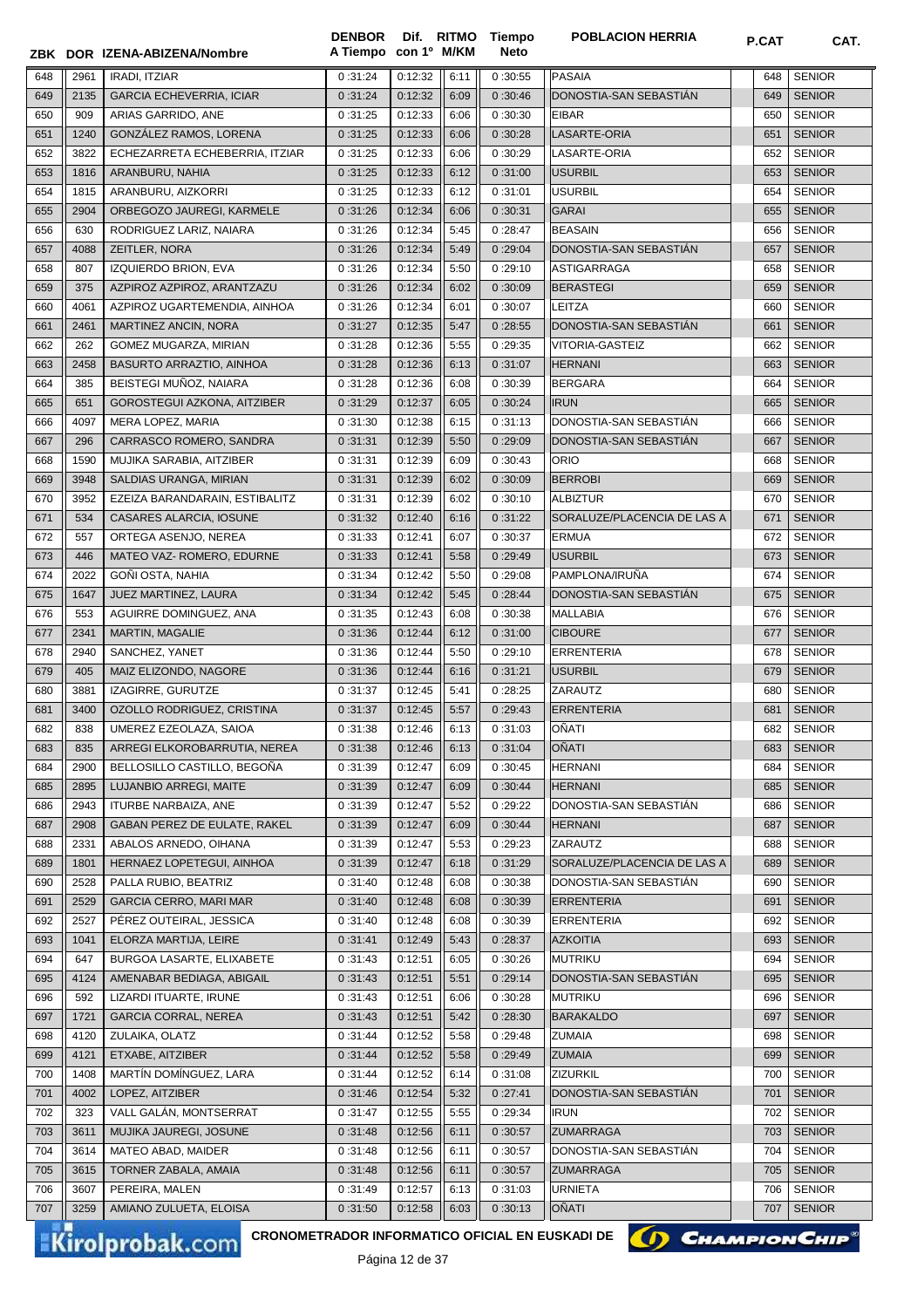|     |      | ZBK DOR IZENA-ABIZENA/Nombre       | A Tiempo con 1º M/KM |         |      | Neto    |                             |     |               |
|-----|------|------------------------------------|----------------------|---------|------|---------|-----------------------------|-----|---------------|
| 648 | 2961 | <b>IRADI, ITZIAR</b>               | 0:31:24              | 0:12:32 | 6:11 | 0:30:55 | <b>PASAIA</b>               | 648 | <b>SENIOR</b> |
| 649 | 2135 | <b>GARCIA ECHEVERRIA, ICIAR</b>    | 0:31:24              | 0:12:32 | 6:09 | 0:30:46 | DONOSTIA-SAN SEBASTIAN      | 649 | <b>SENIOR</b> |
| 650 | 909  | ARIAS GARRIDO, ANE                 | 0:31:25              | 0:12:33 | 6:06 | 0:30:30 | <b>EIBAR</b>                | 650 | <b>SENIOR</b> |
| 651 | 1240 | GONZÁLEZ RAMOS, LORENA             | 0:31:25              | 0:12:33 | 6:06 | 0:30:28 | LASARTE-ORIA                | 651 | <b>SENIOR</b> |
| 652 | 3822 | ECHEZARRETA ECHEBERRIA, ITZIAR     | 0:31:25              | 0:12:33 | 6:06 | 0:30:29 | LASARTE-ORIA                | 652 | <b>SENIOR</b> |
| 653 | 1816 | ARANBURU, NAHIA                    | 0:31:25              | 0:12:33 | 6:12 | 0:31:00 | <b>USURBIL</b>              | 653 | <b>SENIOR</b> |
| 654 | 1815 | ARANBURU, AIZKORRI                 | 0:31:25              | 0:12:33 | 6:12 | 0:31:01 | <b>USURBIL</b>              | 654 | <b>SENIOR</b> |
| 655 | 2904 | ORBEGOZO JAUREGI, KARMELE          | 0:31:26              | 0:12:34 | 6:06 | 0:30:31 | GARAI                       | 655 | <b>SENIOR</b> |
| 656 | 630  | RODRIGUEZ LARIZ, NAIARA            | 0:31:26              | 0:12:34 | 5:45 | 0:28:47 | BEASAIN                     | 656 | <b>SENIOR</b> |
| 657 | 4088 | ZEITLER, NORA                      | 0:31:26              | 0:12:34 | 5:49 | 0:29:04 | DONOSTIA-SAN SEBASTIAN      | 657 | <b>SENIOR</b> |
| 658 | 807  | IZQUIERDO BRION, EVA               | 0:31:26              | 0:12:34 | 5:50 | 0:29:10 | ASTIGARRAGA                 | 658 | <b>SENIOR</b> |
| 659 | 375  | AZPIROZ AZPIROZ, ARANTZAZU         | 0:31:26              | 0:12:34 | 6:02 | 0:30:09 | BERASTEGI                   | 659 | <b>SENIOR</b> |
| 660 | 4061 | AZPIROZ UGARTEMENDIA, AINHOA       | 0:31:26              | 0:12:34 | 6:01 | 0:30:07 | LEITZA                      | 660 | <b>SENIOR</b> |
| 661 | 2461 | MARTINEZ ANCIN, NORA               | 0:31:27              | 0:12:35 | 5:47 | 0:28:55 | DONOSTIA-SAN SEBASTIAN      | 661 | <b>SENIOR</b> |
| 662 | 262  | GOMEZ MUGARZA, MIRIAN              | 0:31:28              | 0:12:36 | 5:55 | 0:29:35 | <b>VITORIA-GASTEIZ</b>      | 662 | <b>SENIOR</b> |
| 663 | 2458 | BASURTO ARRAZTIO, AINHOA           | 0:31:28              | 0:12:36 | 6:13 | 0:31:07 | <b>HERNANI</b>              | 663 | <b>SENIOR</b> |
| 664 | 385  | BEISTEGI MUNOZ, NAIARA             | 0:31:28              | 0:12:36 | 6:08 | 0:30:39 | <b>BERGARA</b>              | 664 | <b>SENIOR</b> |
| 665 | 651  | <b>GOROSTEGUI AZKONA, AITZIBER</b> | 0:31:29              | 0:12:37 | 6:05 | 0:30:24 | <b>IRUN</b>                 | 665 | <b>SENIOR</b> |
| 666 | 4097 | MERA LOPEZ, MARIA                  | 0:31:30              | 0:12:38 | 6:15 | 0:31:13 | DONOSTIA-SAN SEBASTIÁN      | 666 | <b>SENIOR</b> |
| 667 | 296  | CARRASCO ROMERO, SANDRA            | 0:31:31              | 0:12:39 | 5:50 | 0:29:09 | DONOSTIA-SAN SEBASTIÁN      | 667 | <b>SENIOR</b> |
| 668 | 1590 | MUJIKA SARABIA, AITZIBER           | 0:31:31              | 0:12:39 | 6:09 | 0:30:43 | <b>ORIO</b>                 | 668 | <b>SENIOR</b> |
| 669 | 3948 | SALDIAS URANGA, MIRIAN             | 0:31:31              | 0:12:39 | 6:02 | 0:30:09 | <b>BERROBI</b>              | 669 | <b>SENIOR</b> |
| 670 | 3952 | EZEIZA BARANDARAIN, ESTIBALITZ     | 0:31:31              | 0:12:39 | 6:02 | 0:30:10 | <b>ALBIZTUR</b>             | 670 | <b>SENIOR</b> |
| 671 | 534  | CASARES ALARCIA, IOSUNE            | 0:31:32              | 0:12:40 | 6:16 | 0:31:22 | SORALUZE/PLACENCIA DE LAS A | 671 | <b>SENIOR</b> |
| 672 | 557  | ORTEGA ASENJO, NEREA               | 0:31:33              | 0:12:41 | 6:07 | 0:30:37 | <b>ERMUA</b>                | 672 | <b>SENIOR</b> |
| 673 | 446  | MATEO VAZ- ROMERO, EDURNE          | 0:31:33              | 0:12:41 | 5:58 | 0:29:49 | <b>USURBIL</b>              | 673 | <b>SENIOR</b> |
| 674 | 2022 | GOÑI OSTA, NAHIA                   | 0:31:34              | 0:12:42 | 5:50 | 0:29:08 | PAMPLONA/IRUÑA              | 674 | <b>SENIOR</b> |
| 675 | 1647 | JUEZ MARTINEZ, LAURA               | 0:31:34              | 0:12:42 | 5:45 | 0:28:44 | DONOSTIA-SAN SEBASTIAN      | 675 | <b>SENIOR</b> |
| 676 | 553  | AGUIRRE DOMINGUEZ, ANA             | 0:31:35              | 0:12:43 | 6:08 | 0:30:38 | <b>MALLABIA</b>             | 676 | <b>SENIOR</b> |
| 677 | 2341 | <b>MARTIN, MAGALIE</b>             | 0:31:36              | 0:12:44 | 6:12 | 0:31:00 | <b>CIBOURE</b>              | 677 | <b>SENIOR</b> |
| 678 | 2940 | SANCHEZ, YANET                     | 0:31:36              | 0:12:44 | 5:50 | 0:29:10 | <b>ERRENTERIA</b>           | 678 | <b>SENIOR</b> |
| 679 | 405  | MAIZ ELIZONDO, NAGORE              | 0:31:36              | 0:12:44 | 6:16 | 0:31:21 | <b>USURBIL</b>              | 679 | <b>SENIOR</b> |
| 680 | 3881 | IZAGIRRE, GURUTZE                  | 0:31:37              | 0:12:45 | 5:41 | 0:28:25 | ZARAUTZ                     | 680 | <b>SENIOR</b> |
| 681 | 3400 | OZOLLO RODRIGUEZ, CRISTINA         | 0:31:37              | 0:12:45 | 5:57 | 0:29:43 | <b>ERRENTERIA</b>           | 681 | <b>SENIOR</b> |
| 682 | 838  | UMEREZ EZEOLAZA, SAIOA             | 0:31:38              | 0:12:46 | 6:13 | 0:31:03 | OÑATI                       | 682 | <b>SENIOR</b> |
| 683 | 835  | ARREGI ELKOROBARRUTIA, NEREA       | 0:31:38              | 0:12:46 | 6:13 | 0:31:04 | OÑATI                       | 683 | <b>SENIOR</b> |
| 684 | 2900 | BELLOSILLO CASTILLO, BEGOÑA        | 0:31:39              | 0:12:47 | 6:09 | 0:30:45 | <b>HERNANI</b>              | 684 | <b>SENIOR</b> |
| 685 | 2895 | LUJANBIO ARREGI, MAITE             | 0:31:39              | 0:12:47 | 6:09 | 0:30:44 | <b>HERNANI</b>              | 685 | <b>SENIOR</b> |
| 686 | 2943 | ITURBE NARBAIZA, ANE               | 0:31:39              | 0:12:47 | 5:52 | 0:29:22 | DONOSTIA-SAN SEBASTIAN      | 686 | <b>SENIOR</b> |
| 687 | 2908 | GABAN PEREZ DE EULATE, RAKEL       | 0:31:39              | 0:12:47 | 6:09 | 0:30:44 | <b>HERNANI</b>              | 687 | <b>SENIOR</b> |
| 688 | 2331 | ABALOS ARNEDO, OIHANA              | 0:31:39              | 0:12:47 | 5:53 | 0:29:23 | <b>ZARAUTZ</b>              | 688 | <b>SENIOR</b> |
| 689 | 1801 | HERNAEZ LOPETEGUI, AINHOA          | 0:31:39              | 0:12:47 | 6:18 | 0:31:29 | SORALUZE/PLACENCIA DE LAS A | 689 | <b>SENIOR</b> |
| 690 | 2528 | PALLA RUBIO, BEATRIZ               | 0:31:40              | 0:12:48 | 6:08 | 0:30:38 | DONOSTIA-SAN SEBASTIÁN      | 690 | <b>SENIOR</b> |
| 691 | 2529 | <b>GARCIA CERRO, MARI MAR</b>      | 0:31:40              | 0:12:48 | 6:08 | 0:30:39 | <b>ERRENTERIA</b>           | 691 | <b>SENIOR</b> |
| 692 | 2527 | PÉREZ OUTEIRAL, JESSICA            | 0:31:40              | 0:12:48 | 6:08 | 0:30:39 | <b>ERRENTERIA</b>           | 692 | <b>SENIOR</b> |
| 693 | 1041 | ELORZA MARTIJA, LEIRE              | 0:31:41              | 0:12:49 | 5:43 | 0:28:37 | <b>AZKOITIA</b>             | 693 | <b>SENIOR</b> |
| 694 | 647  | BURGOA LASARTE, ELIXABETE          | 0:31:43              | 0:12:51 | 6:05 | 0:30:26 | <b>MUTRIKU</b>              | 694 | <b>SENIOR</b> |
| 695 | 4124 | AMENABAR BEDIAGA, ABIGAIL          | 0:31:43              | 0:12:51 | 5:51 | 0:29:14 | DONOSTIA-SAN SEBASTIAN      | 695 | <b>SENIOR</b> |
| 696 | 592  | LIZARDI ITUARTE, IRUNE             | 0:31:43              | 0:12:51 | 6:06 | 0:30:28 | <b>MUTRIKU</b>              | 696 | <b>SENIOR</b> |
| 697 | 1721 | <b>GARCIA CORRAL, NEREA</b>        | 0:31:43              | 0:12:51 | 5:42 | 0:28:30 | <b>BARAKALDO</b>            | 697 | <b>SENIOR</b> |
| 698 | 4120 | ZULAIKA, OLATZ                     | 0:31:44              | 0:12:52 | 5:58 | 0:29:48 | <b>ZUMAIA</b>               | 698 | <b>SENIOR</b> |
| 699 | 4121 | ETXABE, AITZIBER                   | 0:31:44              | 0:12:52 | 5:58 | 0:29:49 | <b>ZUMAIA</b>               | 699 | <b>SENIOR</b> |
| 700 | 1408 | MARTÍN DOMÍNGUEZ, LARA             | 0:31:44              | 0:12:52 | 6:14 | 0:31:08 | <b>ZIZURKIL</b>             | 700 | <b>SENIOR</b> |
| 701 | 4002 | LOPEZ, AITZIBER                    | 0:31:46              | 0:12:54 | 5:32 | 0:27:41 | DONOSTIA-SAN SEBASTIAN      | 701 | <b>SENIOR</b> |
| 702 | 323  | VALL GALAN, MONTSERRAT             | 0:31:47              | 0:12:55 | 5:55 | 0:29:34 | <b>IRUN</b>                 | 702 | <b>SENIOR</b> |
| 703 | 3611 | MUJIKA JAUREGI, JOSUNE             | 0:31:48              | 0:12:56 | 6:11 | 0:30:57 | <b>ZUMARRAGA</b>            | 703 | <b>SENIOR</b> |
| 704 | 3614 | MATEO ABAD, MAIDER                 | 0:31:48              | 0:12:56 | 6:11 | 0:30:57 | DONOSTIA-SAN SEBASTIAN      | 704 | <b>SENIOR</b> |
| 705 | 3615 | TORNER ZABALA, AMAIA               | 0:31:48              | 0:12:56 | 6:11 | 0:30:57 | <b>ZUMARRAGA</b>            | 705 | <b>SENIOR</b> |
| 706 | 3607 | PEREIRA, MALEN                     | 0:31:49              | 0:12:57 | 6:13 | 0:31:03 | <b>URNIETA</b>              | 706 | <b>SENIOR</b> |
| 707 | 3259 | AMIANO ZULUETA, ELOISA             | 0:31:50              | 0:12:58 | 6:03 | 0:30:13 | OÑATI                       | 707 | <b>SENIOR</b> |
|     |      |                                    |                      |         |      |         |                             |     |               |

**Tiempo** 

**DENBOR**

Kirolprobak.com

CRONOMETRADOR INFORMATICO OFICIAL EN EUSKADI DE **(A) CHAMPION CHIP<sup>®</sup>**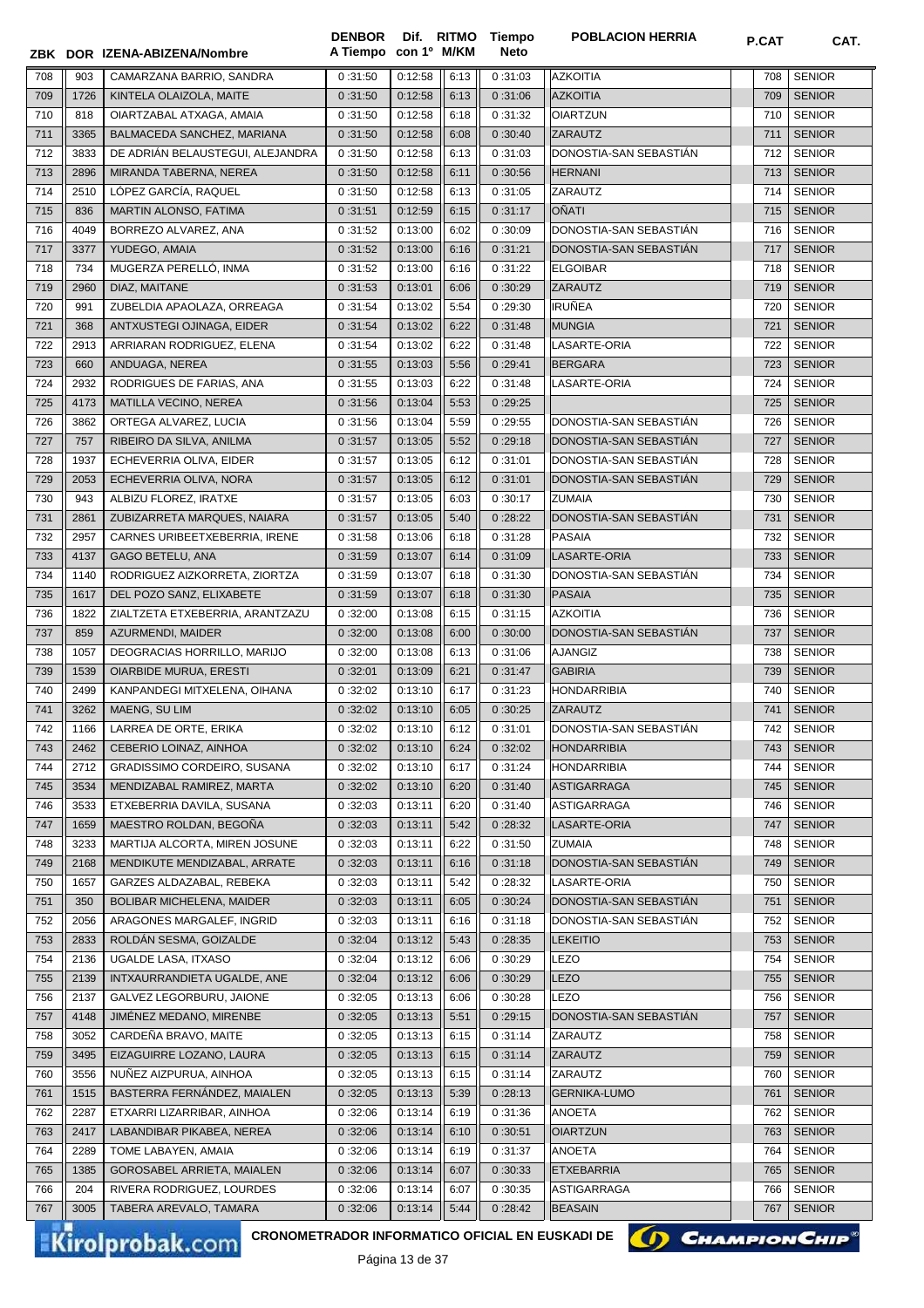|            |             | ZBK DOR IZENA-ABIZENA/Nombre                                                     | <b>DENBOR</b><br>A Tiempo con 1º M/KM |                    |              | Dif. RITMO Tiempo<br><b>Neto</b> | <b>POBLACION HERRIA</b>                  | P.CAT      | CAT.                           |
|------------|-------------|----------------------------------------------------------------------------------|---------------------------------------|--------------------|--------------|----------------------------------|------------------------------------------|------------|--------------------------------|
| 708        | 903         | CAMARZANA BARRIO, SANDRA                                                         | 0:31:50                               | 0:12:58            | 6:13         | 0:31:03                          | <b>AZKOITIA</b>                          | 708        | <b>SENIOR</b>                  |
| 709        | 1726        | KINTELA OLAIZOLA, MAITE                                                          | 0:31:50                               | 0:12:58            | 6:13         | 0:31:06                          | <b>AZKOITIA</b>                          | 709        | <b>SENIOR</b>                  |
| 710        | 818         | OIARTZABAL ATXAGA, AMAIA                                                         | 0:31:50                               | 0:12:58            | 6:18         | 0:31:32                          | <b>OIARTZUN</b>                          | 710        | <b>SENIOR</b>                  |
| 711        | 3365        | BALMACEDA SANCHEZ, MARIANA                                                       | 0:31:50                               | 0:12:58            | 6:08         | 0:30:40                          | <b>ZARAUTZ</b>                           | 711        | <b>SENIOR</b>                  |
| 712        | 3833        | DE ADRIÁN BELAUSTEGUI, ALEJANDRA                                                 | 0:31:50                               | 0:12:58            | 6:13         | 0:31:03                          | DONOSTIA-SAN SEBASTIAN                   | 712        | <b>SENIOR</b>                  |
| 713        | 2896        | MIRANDA TABERNA, NEREA                                                           | 0:31:50                               | 0:12:58            | 6:11         | 0:30:56                          | <b>HERNANI</b>                           | 713        | <b>SENIOR</b>                  |
| 714        | 2510        | LÓPEZ GARCÍA, RAQUEL                                                             | 0:31:50                               | 0:12:58            | 6:13         | 0:31:05                          | ZARAUTZ                                  | 714        | <b>SENIOR</b>                  |
| 715        | 836         | MARTIN ALONSO, FATIMA                                                            | 0:31:51                               | 0:12:59            | 6:15         | 0:31:17                          | <b>OÑATI</b>                             | 715        | <b>SENIOR</b>                  |
| 716        | 4049        | BORREZO ALVAREZ, ANA                                                             | 0:31:52                               | 0:13:00            | 6:02         | 0:30:09                          | DONOSTIA-SAN SEBASTIÁN                   | 716        | <b>SENIOR</b>                  |
| 717        | 3377        | YUDEGO, AMAIA                                                                    | 0:31:52                               | 0:13:00            | 6:16         | 0:31:21                          | DONOSTIA-SAN SEBASTIÁN                   | 717        | <b>SENIOR</b>                  |
| 718        | 734         | MUGERZA PERELLÓ, INMA                                                            | 0:31:52                               | 0:13:00            | 6:16         | 0:31:22                          | <b>ELGOIBAR</b>                          | 718        | <b>SENIOR</b>                  |
| 719        | 2960        | DIAZ, MAITANE                                                                    | 0:31:53                               | 0:13:01            | 6:06         | 0:30:29                          | ZARAUTZ                                  | 719        | <b>SENIOR</b>                  |
| 720        | 991         | ZUBELDIA APAOLAZA, ORREAGA                                                       | 0:31:54                               | 0:13:02            | 5:54         | 0:29:30                          | <b>IRUÑEA</b>                            | 720        | <b>SENIOR</b>                  |
| 721        | 368         | ANTXUSTEGI OJINAGA, EIDER                                                        | 0:31:54                               | 0:13:02            | 6:22         | 0:31:48                          | <b>MUNGIA</b>                            | 721        | <b>SENIOR</b>                  |
| 722        | 2913        | ARRIARAN RODRIGUEZ, ELENA                                                        | 0:31:54                               | 0:13:02            | 6:22         | 0:31:48                          | LASARTE-ORIA                             | 722        | <b>SENIOR</b>                  |
| 723        | 660         | ANDUAGA, NEREA                                                                   | 0:31:55                               | 0:13:03            | 5:56         | 0:29:41                          | <b>BERGARA</b>                           | 723        | <b>SENIOR</b>                  |
| 724        | 2932        | RODRIGUES DE FARIAS, ANA                                                         | 0:31:55                               | 0:13:03            | 6:22         | 0:31:48                          | LASARTE-ORIA                             | 724        | <b>SENIOR</b>                  |
| 725        | 4173        | MATILLA VECINO, NEREA                                                            | 0:31:56                               | 0:13:04            | 5:53         | 0:29:25                          |                                          | 725        | <b>SENIOR</b>                  |
| 726        | 3862        | ORTEGA ALVAREZ, LUCIA                                                            | 0:31:56                               | 0:13:04            | 5:59         | 0:29:55                          | DONOSTIA-SAN SEBASTIÁN                   | 726        | <b>SENIOR</b>                  |
| 727        | 757         | RIBEIRO DA SILVA, ANILMA                                                         | 0:31:57                               | 0:13:05            | 5:52         | 0:29:18                          | DONOSTIA-SAN SEBASTIAN                   | 727        | <b>SENIOR</b>                  |
| 728        | 1937        | ECHEVERRIA OLIVA, EIDER                                                          | 0:31:57                               | 0:13:05            | 6:12         | 0:31:01                          | DONOSTIA-SAN SEBASTIAN                   | 728        | <b>SENIOR</b>                  |
| 729        | 2053        | ECHEVERRIA OLIVA, NORA                                                           | 0:31:57                               | 0:13:05            | 6:12         | 0:31:01                          | DONOSTIA-SAN SEBASTIÁN                   | 729        | <b>SENIOR</b>                  |
| 730        | 943         | ALBIZU FLOREZ, IRATXE                                                            | 0:31:57                               | 0:13:05            | 6:03         | 0:30:17                          | <b>ZUMAIA</b>                            | 730        | <b>SENIOR</b>                  |
| 731        | 2861        | ZUBIZARRETA MARQUES, NAIARA                                                      | 0:31:57                               | 0:13:05            | 5:40         | 0:28:22                          | DONOSTIA-SAN SEBASTIAN                   | 731        | <b>SENIOR</b>                  |
| 732        | 2957        | CARNES URIBEETXEBERRIA, IRENE                                                    | 0:31:58                               | 0:13:06            | 6:18         | 0:31:28                          | PASAIA                                   | 732        | <b>SENIOR</b>                  |
| 733        | 4137        | GAGO BETELU, ANA                                                                 | 0:31:59                               | 0:13:07            | 6:14         | 0:31:09                          | LASARTE-ORIA                             | 733        | <b>SENIOR</b>                  |
| 734        | 1140        | RODRIGUEZ AIZKORRETA, ZIORTZA                                                    | 0:31:59                               | 0:13:07            | 6:18         | 0:31:30                          | DONOSTIA-SAN SEBASTIAN                   | 734        | <b>SENIOR</b>                  |
| 735        | 1617        | DEL POZO SANZ, ELIXABETE                                                         | 0:31:59                               | 0:13:07            | 6:18         | 0:31:30                          | <b>PASAIA</b>                            | 735        | <b>SENIOR</b>                  |
| 736        | 1822        | ZIALTZETA ETXEBERRIA, ARANTZAZU                                                  | 0:32:00                               | 0:13:08            | 6:15         | 0:31:15                          | <b>AZKOITIA</b>                          | 736        | <b>SENIOR</b>                  |
| 737        | 859<br>1057 | AZURMENDI, MAIDER<br>DEOGRACIAS HORRILLO, MARIJO                                 | 0:32:00                               | 0:13:08<br>0:13:08 | 6:00         | 0:30:00                          | DONOSTIA-SAN SEBASTIAN<br><b>AJANGIZ</b> | 737        | <b>SENIOR</b><br><b>SENIOR</b> |
| 738<br>739 | 1539        | OIARBIDE MURUA, ERESTI                                                           | 0:32:00<br>0:32:01                    | 0:13:09            | 6:13<br>6:21 | 0:31:06<br>0:31:47               | <b>GABIRIA</b>                           | 738<br>739 | <b>SENIOR</b>                  |
| 740        | 2499        | KANPANDEGI MITXELENA, OIHANA                                                     | 0:32:02                               | 0:13:10            | 6:17         | 0:31:23                          | <b>HONDARRIBIA</b>                       | 740        | <b>SENIOR</b>                  |
| 741        | 3262        | MAENG, SU LIM                                                                    | 0:32:02                               | 0:13:10            | 6:05         | 0:30:25                          | <b>ZARAUTZ</b>                           | 741        | <b>SENIOR</b>                  |
| 742        | 1166        | LARREA DE ORTE, ERIKA                                                            | $0:32:02$ 0:13:10                     |                    | 6:12         | 0:31:01                          | DONOSTIA-SAN SEBASTIÁN                   |            | 742 SENIOR                     |
| 743        | 2462        | CEBERIO LOINAZ, AINHOA                                                           | 0:32:02                               | 0:13:10            | 6:24         | 0:32:02                          | <b>HONDARRIBIA</b>                       | 743        | <b>SENIOR</b>                  |
| 744        | 2712        | <b>GRADISSIMO CORDEIRO, SUSANA</b>                                               | 0:32:02                               | 0:13:10            | 6:17         | 0:31:24                          | <b>HONDARRIBIA</b>                       | 744        | <b>SENIOR</b>                  |
| 745        | 3534        | MENDIZABAL RAMIREZ, MARTA                                                        | 0:32:02                               | 0:13:10            | 6:20         | 0:31:40                          | ASTIGARRAGA                              | 745        | <b>SENIOR</b>                  |
| 746        | 3533        | ETXEBERRIA DAVILA, SUSANA                                                        | 0:32:03                               | 0:13:11            | 6:20         | 0:31:40                          | <b>ASTIGARRAGA</b>                       | 746        | <b>SENIOR</b>                  |
| 747        | 1659        | MAESTRO ROLDAN, BEGOÑA                                                           | 0:32:03                               | 0:13:11            | 5:42         | 0:28:32                          | LASARTE-ORIA                             | 747        | <b>SENIOR</b>                  |
| 748        | 3233        | MARTIJA ALCORTA, MIREN JOSUNE                                                    | 0:32:03                               | 0:13:11            | 6:22         | 0:31:50                          | <b>ZUMAIA</b>                            | 748        | <b>SENIOR</b>                  |
| 749        | 2168        | MENDIKUTE MENDIZABAL, ARRATE                                                     | 0:32:03                               | 0:13:11            | 6:16         | 0:31:18                          | DONOSTIA-SAN SEBASTIÁN                   | 749        | <b>SENIOR</b>                  |
| 750        | 1657        | GARZES ALDAZABAL, REBEKA                                                         | 0:32:03                               | 0:13:11            | 5:42         | 0:28:32                          | LASARTE-ORIA                             | 750        | <b>SENIOR</b>                  |
| 751        | 350         | <b>BOLIBAR MICHELENA, MAIDER</b>                                                 | 0:32:03                               | 0:13:11            | 6:05         | 0:30:24                          | DONOSTIA-SAN SEBASTIAN                   | 751        | <b>SENIOR</b>                  |
| 752        | 2056        | ARAGONES MARGALEF, INGRID                                                        | 0:32:03                               | 0:13:11            | 6:16         | 0:31:18                          | DONOSTIA-SAN SEBASTIAN                   | 752        | <b>SENIOR</b>                  |
| 753        | 2833        | ROLDAN SESMA, GOIZALDE                                                           | 0:32:04                               | 0:13:12            | 5:43         | 0:28:35                          | <b>LEKEITIO</b>                          | 753        | <b>SENIOR</b>                  |
| 754        | 2136        | UGALDE LASA, ITXASO                                                              | 0:32:04                               | 0:13:12            | 6:06         | 0:30:29                          | <b>LEZO</b>                              | 754        | <b>SENIOR</b>                  |
| 755        | 2139        | INTXAURRANDIETA UGALDE, ANE                                                      | 0:32:04                               | 0:13:12            | 6:06         | 0:30:29                          | <b>LEZO</b>                              | 755        | <b>SENIOR</b>                  |
| 756        | 2137        | GALVEZ LEGORBURU, JAIONE                                                         | 0:32:05                               | 0:13:13            | 6:06         | 0:30:28                          | <b>LEZO</b>                              | 756        | <b>SENIOR</b>                  |
| 757        | 4148        | JIMÉNEZ MEDANO, MIRENBE                                                          | 0:32:05                               | 0:13:13            | 5:51         | 0:29:15                          | DONOSTIA-SAN SEBASTIÁN                   | 757        | <b>SENIOR</b>                  |
| 758        | 3052        | CARDEÑA BRAVO, MAITE                                                             | 0:32:05                               | 0:13:13            | 6:15         | 0:31:14                          | ZARAUTZ                                  | 758        | <b>SENIOR</b>                  |
| 759        | 3495        | EIZAGUIRRE LOZANO, LAURA                                                         | 0:32:05                               | 0:13:13            | 6:15         | 0:31:14                          | <b>ZARAUTZ</b>                           | 759        | <b>SENIOR</b>                  |
| 760        | 3556        | NUÑEZ AIZPURUA, AINHOA                                                           | 0:32:05                               | 0:13:13            | 6:15         | 0:31:14                          | ZARAUTZ                                  | 760        | <b>SENIOR</b>                  |
| 761        | 1515        | BASTERRA FERNÁNDEZ, MAIALEN                                                      | 0:32:05                               | 0:13:13            | 5:39         | 0:28:13                          | <b>GERNIKA-LUMO</b>                      | 761        | <b>SENIOR</b>                  |
| 762        | 2287        | ETXARRI LIZARRIBAR, AINHOA                                                       | 0:32:06                               | 0:13:14            | 6:19         | 0:31:36                          | ANOETA                                   | 762        | <b>SENIOR</b>                  |
| 763        | 2417        | LABANDIBAR PIKABEA, NEREA                                                        | 0:32:06                               | 0:13:14            | 6:10         | 0:30:51                          | <b>OIARTZUN</b>                          | 763        | <b>SENIOR</b>                  |
| 764        | 2289        | TOME LABAYEN, AMAIA                                                              | 0:32:06                               | 0:13:14            | 6:19         | 0:31:37                          | ANOETA                                   | 764        | <b>SENIOR</b>                  |
| 765        | 1385        | GOROSABEL ARRIETA, MAIALEN                                                       | 0:32:06                               | 0:13:14            | 6:07         | 0:30:33                          | <b>ETXEBARRIA</b>                        | 765        | <b>SENIOR</b>                  |
| 766        | 204         | RIVERA RODRIGUEZ, LOURDES                                                        | 0:32:06                               | 0:13:14            | 6:07         | 0:30:35                          | ASTIGARRAGA                              | 766        | <b>SENIOR</b>                  |
| 767        | 3005        | TABERA AREVALO, TAMARA                                                           | 0:32:06                               | 0:13:14            | 5:44         | 0:28:42                          | <b>BEASAIN</b>                           | 767        | <b>SENIOR</b>                  |
|            |             | <b>CRONOMETRADOR INFORMATICO OFICIAL EN EUSKADI DE</b><br><b>Kirolprobak.com</b> |                                       | $D4$ ainn 40 de 07 |              |                                  | (I) CHAMPION CHIP®                       |            |                                |

Página 13 de 37

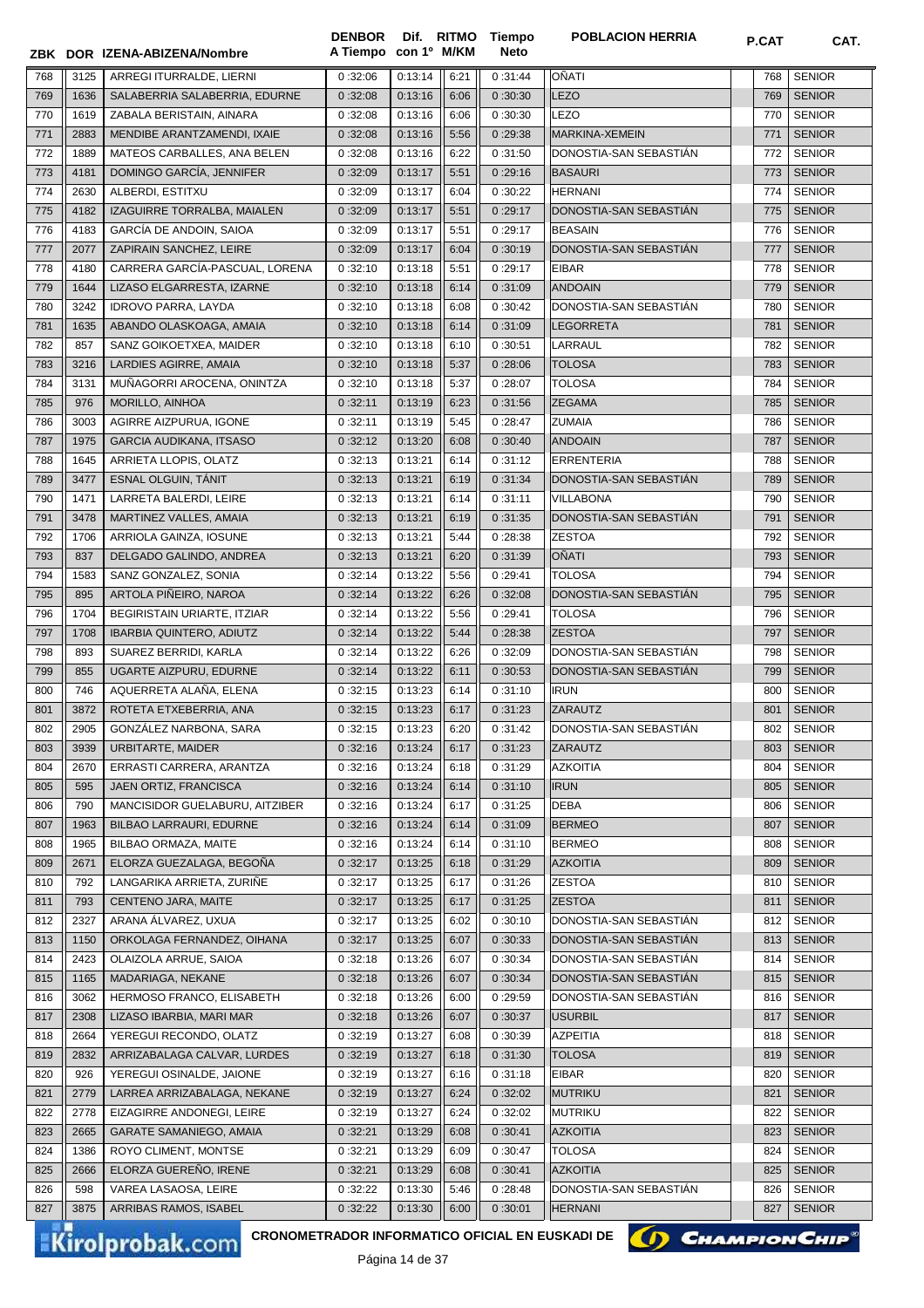|            |      | ZBK DOR IZENA-ABIZENA/Nombre    | A Tiempo con 1º M/KM |         |              | Neto    |                               |            |                                |
|------------|------|---------------------------------|----------------------|---------|--------------|---------|-------------------------------|------------|--------------------------------|
| 768        | 3125 | ARREGI ITURRALDE, LIERNI        | 0:32:06              | 0:13:14 | 6:21         | 0:31:44 | OÑATI                         | 768        | <b>SENIOR</b>                  |
| 769        | 1636 | SALABERRIA SALABERRIA, EDURNE   | 0:32:08              | 0:13:16 | 6:06         | 0:30:30 | <b>LEZO</b>                   | 769        | <b>SENIOR</b>                  |
| 770        | 1619 | ZABALA BERISTAIN, AINARA        | 0:32:08              | 0:13:16 | 6:06         | 0:30:30 | LEZO                          | 770        | <b>SENIOR</b>                  |
| 771        | 2883 | MENDIBE ARANTZAMENDI, IXAIE     | 0:32:08              | 0:13:16 | 5:56         | 0:29:38 | MARKINA-XEMEIN                | 771        | <b>SENIOR</b>                  |
| 772        | 1889 | MATEOS CARBALLES, ANA BELEN     | 0:32:08              | 0:13:16 | 6:22         | 0:31:50 | DONOSTIA-SAN SEBASTIÁN        | 772        | <b>SENIOR</b>                  |
| 773        | 4181 | DOMINGO GARCÍA, JENNIFER        | 0:32:09              | 0:13:17 | 5:51         | 0:29:16 | <b>BASAURI</b>                | 773        | <b>SENIOR</b>                  |
| 774        | 2630 | ALBERDI, ESTITXU                | 0:32:09              | 0:13:17 | 6:04         | 0:30:22 | <b>HERNANI</b>                | 774        | <b>SENIOR</b>                  |
| 775        | 4182 | IZAGUIRRE TORRALBA, MAIALEN     | 0:32:09              | 0:13:17 | 5:51         | 0:29:17 | DONOSTIA-SAN SEBASTIAN        | 775        | <b>SENIOR</b>                  |
| 776        | 4183 | GARCÍA DE ANDOIN, SAIOA         | 0:32:09              | 0:13:17 | 5:51         | 0:29:17 | <b>BEASAIN</b>                | 776        | <b>SENIOR</b>                  |
| 777        | 2077 | ZAPIRAIN SANCHEZ, LEIRE         | 0:32:09              | 0:13:17 | 6:04         | 0:30:19 | DONOSTIA-SAN SEBASTIAN        | 777        | <b>SENIOR</b>                  |
| 778        | 4180 | CARRERA GARCÍA-PASCUAL, LORENA  | 0:32:10              | 0:13:18 | 5:51         | 0:29:17 | <b>EIBAR</b>                  | 778        | <b>SENIOR</b>                  |
| 779        | 1644 | LIZASO ELGARRESTA, IZARNE       | 0:32:10              | 0:13:18 | 6:14         | 0:31:09 | <b>ANDOAIN</b>                | 779        | <b>SENIOR</b>                  |
| 780        | 3242 | <b>IDROVO PARRA, LAYDA</b>      | 0:32:10              | 0:13:18 | 6:08         | 0:30:42 | DONOSTIA-SAN SEBASTIAN        | 780        | <b>SENIOR</b>                  |
| 781        | 1635 | ABANDO OLASKOAGA, AMAIA         | 0:32:10              | 0:13:18 | 6:14         | 0:31:09 | LEGORRETA                     | 781        | <b>SENIOR</b>                  |
| 782        | 857  | SANZ GOIKOETXEA, MAIDER         | 0:32:10              | 0:13:18 | 6:10         | 0:30:51 | LARRAUL                       | 782        | <b>SENIOR</b>                  |
| 783        | 3216 | LARDIES AGIRRE, AMAIA           | 0:32:10              | 0:13:18 | 5:37         | 0:28:06 | <b>TOLOSA</b>                 | 783        | <b>SENIOR</b>                  |
| 784        | 3131 | MUÑAGORRI AROCENA, ONINTZA      | 0:32:10              | 0:13:18 | 5:37         | 0:28:07 | <b>TOLOSA</b>                 | 784        | <b>SENIOR</b>                  |
| 785        | 976  | MORILLO, AINHOA                 | 0:32:11              | 0:13:19 | 6:23         | 0:31:56 | <b>ZEGAMA</b>                 | 785        | <b>SENIOR</b>                  |
| 786        | 3003 | AGIRRE AIZPURUA, IGONE          | 0:32:11              | 0:13:19 | 5:45         | 0:28:47 | <b>ZUMAIA</b>                 | 786        | <b>SENIOR</b>                  |
| 787        | 1975 | <b>GARCIA AUDIKANA, ITSASO</b>  | 0:32:12              | 0:13:20 | 6:08         | 0:30:40 | <b>ANDOAIN</b>                | 787        | <b>SENIOR</b>                  |
| 788        | 1645 | ARRIETA LLOPIS, OLATZ           | 0:32:13              | 0:13:21 | 6:14         | 0:31:12 | <b>ERRENTERIA</b>             | 788        | <b>SENIOR</b>                  |
| 789        | 3477 | ESNAL OLGUIN, TÁNIT             | 0:32:13              | 0:13:21 | 6:19         | 0:31:34 | DONOSTIA-SAN SEBASTIÁN        | 789        | <b>SENIOR</b>                  |
| 790        | 1471 | LARRETA BALERDI, LEIRE          | 0:32:13              | 0:13:21 | 6:14         | 0:31:11 | <b>VILLABONA</b>              | 790        | <b>SENIOR</b>                  |
| 791        | 3478 | MARTINEZ VALLES, AMAIA          | 0:32:13              | 0:13:21 | 6:19         | 0:31:35 | DONOSTIA-SAN SEBASTIÁN        | 791        | <b>SENIOR</b>                  |
| 792        | 1706 | ARRIOLA GAINZA, IOSUNE          | 0:32:13              | 0:13:21 | 5:44         | 0:28:38 | <b>ZESTOA</b>                 | 792        | <b>SENIOR</b>                  |
|            | 837  | DELGADO GALINDO, ANDREA         | 0:32:13              | 0:13:21 |              | 0:31:39 | OÑATI                         | 793        | <b>SENIOR</b>                  |
| 793<br>794 | 1583 | SANZ GONZALEZ, SONIA            | 0:32:14              | 0:13:22 | 6:20<br>5:56 | 0:29:41 | <b>TOLOSA</b>                 | 794        | <b>SENIOR</b>                  |
|            | 895  | ARTOLA PIÑEIRO, NAROA           |                      | 0:13:22 | 6:26         | 0:32:08 | DONOSTIA-SAN SEBASTIAN        | 795        | <b>SENIOR</b>                  |
| 795<br>796 | 1704 | BEGIRISTAIN URIARTE, ITZIAR     | 0:32:14<br>0:32:14   | 0:13:22 | 5:56         | 0:29:41 | <b>TOLOSA</b>                 | 796        | <b>SENIOR</b>                  |
| 797        | 1708 | <b>IBARBIA QUINTERO, ADIUTZ</b> | 0:32:14              | 0:13:22 | 5:44         | 0:28:38 | <b>ZESTOA</b>                 | 797        | <b>SENIOR</b>                  |
| 798        | 893  | SUAREZ BERRIDI, KARLA           | 0:32:14              | 0:13:22 | 6:26         | 0:32:09 | DONOSTIA-SAN SEBASTIAN        | 798        | <b>SENIOR</b>                  |
|            | 855  | UGARTE AIZPURU, EDURNE          |                      |         | 6:11         |         | DONOSTIA-SAN SEBASTIAN        | 799        | <b>SENIOR</b>                  |
| 799        | 746  | AQUERRETA ALAÑA, ELENA          | 0:32:14              | 0:13:22 | 6:14         | 0:30:53 |                               |            |                                |
| 800<br>801 | 3872 | ROTETA ETXEBERRIA, ANA          | 0:32:15<br>0:32:15   | 0:13:23 | 6:17         | 0:31:10 | <b>IRUN</b><br><b>ZARAUTZ</b> | 800<br>801 | <b>SENIOR</b><br><b>SENIOR</b> |
|            |      | GONZÁLEZ NARBONA, SARA          |                      | 0:13:23 |              | 0:31:23 |                               |            |                                |
| 802        | 2905 |                                 | 0:32:15              | 0:13:23 | 6:20         | 0:31:42 | DONOSTIA-SAN SEBASTIAN        | 802        | <b>SENIOR</b>                  |
| 803        | 3939 | URBITARTE, MAIDER               | 0:32:16              | 0:13:24 | 6:17         | 0:31:23 | ZARAUTZ                       | 803        | <b>SENIOR</b>                  |
| 804        | 2670 | ERRASTI CARRERA, ARANTZA        | 0:32:16              | 0:13:24 | 6:18         | 0:31:29 | <b>AZKOITIA</b>               | 804        | <b>SENIOR</b><br><b>SENIOR</b> |
| 805        | 595  | JAEN ORTIZ, FRANCISCA           | 0:32:16              | 0:13:24 | 6:14         | 0:31:10 | <b>IRUN</b>                   | 805        |                                |
| 806        | 790  | MANCISIDOR GUELABURU, AITZIBER  | 0:32:16              | 0:13:24 | 6:17         | 0:31:25 | <b>DEBA</b>                   | 806        | <b>SENIOR</b>                  |
| 807        | 1963 | BILBAO LARRAURI, EDURNE         | 0:32:16              | 0:13:24 | 6:14         | 0:31:09 | <b>BERMEO</b>                 | 807        | <b>SENIOR</b>                  |
| 808        | 1965 | BILBAO ORMAZA, MAITE            | 0:32:16              | 0:13:24 | 6:14         | 0:31:10 | <b>BERMEO</b>                 | 808        | <b>SENIOR</b>                  |
| 809        | 2671 | ELORZA GUEZALAGA, BEGOÑA        | 0:32:17              | 0:13:25 | 6:18         | 0:31:29 | <b>AZKOITIA</b>               | 809        | <b>SENIOR</b>                  |
| 810        | 792  | LANGARIKA ARRIETA, ZURIÑE       | 0:32:17              | 0:13:25 | 6:17         | 0:31:26 | <b>ZESTOA</b>                 | 810        | <b>SENIOR</b>                  |
| 811        | 793  | CENTENO JARA, MAITE             | 0:32:17              | 0:13:25 | 6:17         | 0:31:25 | <b>ZESTOA</b>                 | 811        | <b>SENIOR</b>                  |
| 812        | 2327 | ARANA ALVAREZ, UXUA             | 0:32:17              | 0:13:25 | 6:02         | 0:30:10 | DONOSTIA-SAN SEBASTIÁN        | 812        | <b>SENIOR</b>                  |
| 813        | 1150 | ORKOLAGA FERNANDEZ, OIHANA      | 0:32:17              | 0:13:25 | 6:07         | 0:30:33 | DONOSTIA-SAN SEBASTIAN        | 813        | <b>SENIOR</b>                  |
| 814        | 2423 | OLAIZOLA ARRUE, SAIOA           | 0:32:18              | 0:13:26 | 6:07         | 0:30:34 | DONOSTIA-SAN SEBASTIAN        | 814        | <b>SENIOR</b>                  |
| 815        | 1165 | MADARIAGA, NEKANE               | 0:32:18              | 0:13:26 | 6:07         | 0:30:34 | DONOSTIA-SAN SEBASTIAN        | 815        | <b>SENIOR</b>                  |
| 816        | 3062 | HERMOSO FRANCO, ELISABETH       | 0:32:18              | 0:13:26 | 6:00         | 0:29:59 | DONOSTIA-SAN SEBASTIAN        | 816        | <b>SENIOR</b>                  |
| 817        | 2308 | LIZASO IBARBIA, MARI MAR        | 0:32:18              | 0:13:26 | 6:07         | 0:30:37 | <b>USURBIL</b>                | 817        | <b>SENIOR</b>                  |
| 818        | 2664 | YEREGUI RECONDO, OLATZ          | 0:32:19              | 0:13:27 | 6:08         | 0:30:39 | <b>AZPEITIA</b>               | 818        | <b>SENIOR</b>                  |
| 819        | 2832 | ARRIZABALAGA CALVAR, LURDES     | 0:32:19              | 0:13:27 | 6:18         | 0:31:30 | <b>TOLOSA</b>                 | 819        | <b>SENIOR</b>                  |
| 820        | 926  | YEREGUI OSINALDE, JAIONE        | 0:32:19              | 0:13:27 | 6:16         | 0:31:18 | <b>EIBAR</b>                  | 820        | <b>SENIOR</b>                  |
| 821        | 2779 | LARREA ARRIZABALAGA, NEKANE     | 0:32:19              | 0:13:27 | 6:24         | 0:32:02 | <b>MUTRIKU</b>                | 821        | <b>SENIOR</b>                  |
| 822        | 2778 | EIZAGIRRE ANDONEGI, LEIRE       | 0:32:19              | 0:13:27 | 6:24         | 0:32:02 | <b>MUTRIKU</b>                | 822        | <b>SENIOR</b>                  |
| 823        | 2665 | <b>GARATE SAMANIEGO, AMAIA</b>  | 0:32:21              | 0:13:29 | 6:08         | 0:30:41 | <b>AZKOITIA</b>               | 823        | <b>SENIOR</b>                  |
| 824        | 1386 | ROYO CLIMENT, MONTSE            | 0:32:21              | 0:13:29 | 6:09         | 0:30:47 | TOLOSA                        | 824        | <b>SENIOR</b>                  |
| 825        | 2666 | ELORZA GUEREÑO, IRENE           | 0:32:21              | 0:13:29 | 6:08         | 0:30:41 | <b>AZKOITIA</b>               | 825        | <b>SENIOR</b>                  |
| 826        | 598  | VAREA LASAOSA, LEIRE            | 0:32:22              | 0:13:30 | 5:46         | 0:28:48 | DONOSTIA-SAN SEBASTIAN        | 826        | <b>SENIOR</b>                  |
| 827        | 3875 | ARRIBAS RAMOS, ISABEL           | 0:32:22              | 0:13:30 | 6:00         | 0:30:01 | <b>HERNANI</b>                | 827        | <b>SENIOR</b>                  |

**Tiempo** 

**DENBOR**

**CRONOMETRADOR INFORMATICO OFICIAL EN EUSKADI DE CHAMPION CHIP<sup>®</sup>** 

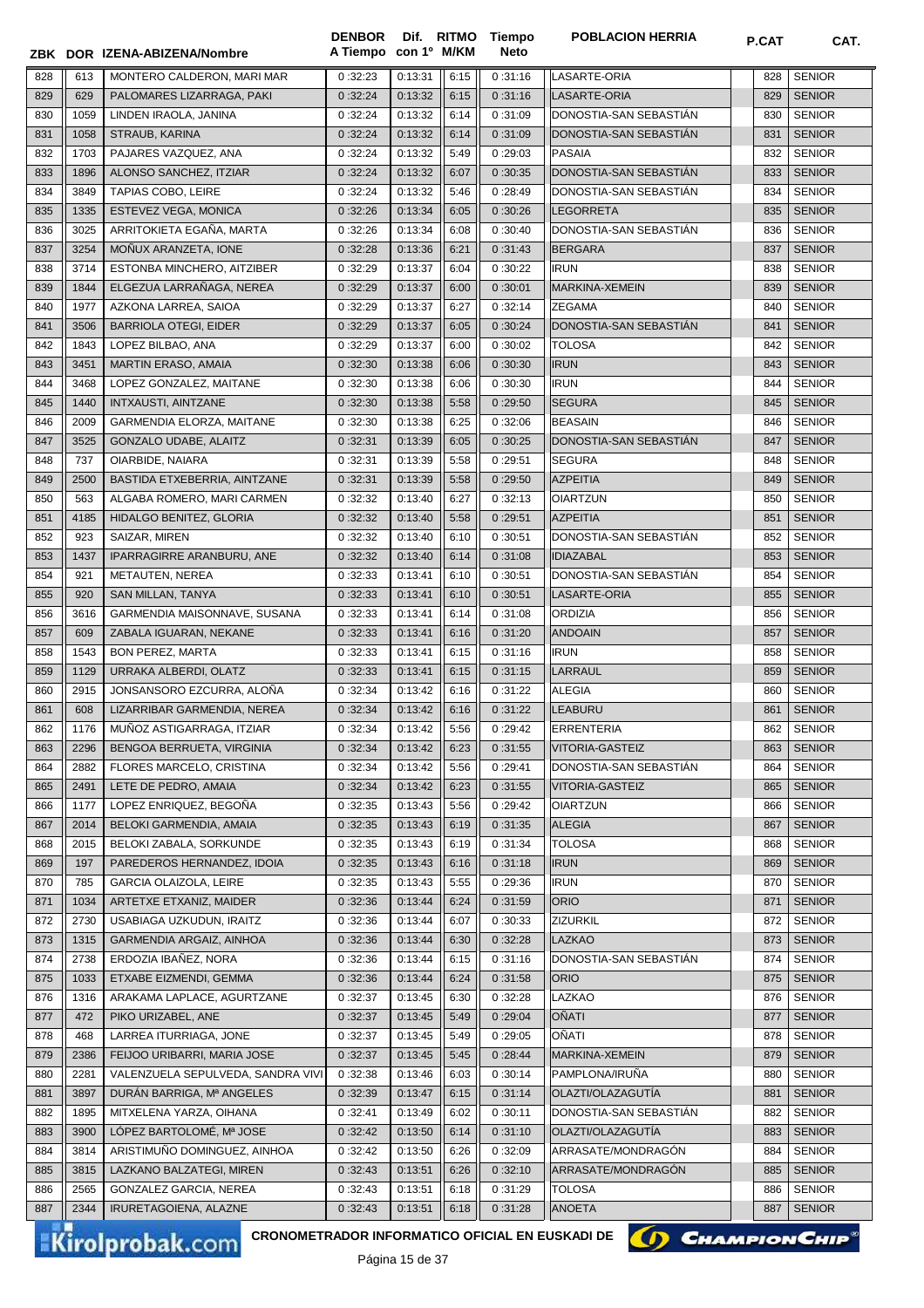|            |             | ZBK DOR IZENA-ABIZENA/Nombre                    | <b>DENBOR</b><br>A Tiempo | con 1º M/KM        |              | Dif. RITMO Tiempo<br>Neto | <b>POBLACION HERRIA</b>                | <b>P.CAT</b> | CAT.                           |
|------------|-------------|-------------------------------------------------|---------------------------|--------------------|--------------|---------------------------|----------------------------------------|--------------|--------------------------------|
|            |             |                                                 |                           |                    |              |                           |                                        |              |                                |
| 828        | 613         | MONTERO CALDERON, MARI MAR                      | 0:32:23                   | 0:13:31            | 6:15         | 0:31:16                   | LASARTE-ORIA                           | 828          | <b>SENIOR</b>                  |
| 829<br>830 | 629<br>1059 | PALOMARES LIZARRAGA, PAKI                       | 0:32:24<br>0:32:24        | 0:13:32<br>0:13:32 | 6:15<br>6:14 | 0:31:16<br>0:31:09        | LASARTE-ORIA<br>DONOSTIA-SAN SEBASTIAN | 829<br>830   | <b>SENIOR</b><br><b>SENIOR</b> |
| 831        | 1058        | LINDEN IRAOLA, JANINA<br>STRAUB, KARINA         | 0:32:24                   | 0:13:32            | 6:14         | 0:31:09                   | DONOSTIA-SAN SEBASTIÁN                 | 831          | <b>SENIOR</b>                  |
| 832        | 1703        | PAJARES VAZQUEZ, ANA                            | 0:32:24                   | 0:13:32            | 5:49         | 0:29:03                   | <b>PASAIA</b>                          | 832          | <b>SENIOR</b>                  |
| 833        | 1896        | ALONSO SANCHEZ, ITZIAR                          | 0:32:24                   | 0:13:32            | 6:07         | 0:30:35                   | DONOSTIA-SAN SEBASTIAN                 | 833          | <b>SENIOR</b>                  |
| 834        | 3849        | <b>TAPIAS COBO. LEIRE</b>                       | 0:32:24                   | 0:13:32            | 5:46         | 0:28:49                   | DONOSTIA-SAN SEBASTIAN                 | 834          | <b>SENIOR</b>                  |
| 835        | 1335        | ESTEVEZ VEGA, MONICA                            | 0:32:26                   | 0:13:34            | 6:05         | 0:30:26                   | <b>LEGORRETA</b>                       | 835          | <b>SENIOR</b>                  |
| 836        | 3025        | ARRITOKIETA EGAÑA, MARTA                        | 0:32:26                   | 0:13:34            | 6:08         | 0:30:40                   | DONOSTIA-SAN SEBASTIAN                 | 836          | <b>SENIOR</b>                  |
| 837        | 3254        | MONUX ARANZETA, IONE                            | 0:32:28                   | 0:13:36            | 6:21         | 0:31:43                   | <b>BERGARA</b>                         | 837          | <b>SENIOR</b>                  |
| 838        | 3714        | ESTONBA MINCHERO, AITZIBER                      | 0:32:29                   | 0:13:37            | 6:04         | 0:30:22                   | <b>IRUN</b>                            | 838          | <b>SENIOR</b>                  |
| 839        | 1844        | ELGEZUA LARRAÑAGA, NEREA                        | 0:32:29                   | 0:13:37            | 6:00         | 0:30:01                   | MARKINA-XEMEIN                         | 839          | <b>SENIOR</b>                  |
| 840        | 1977        | AZKONA LARREA, SAIOA                            | 0:32:29                   | 0:13:37            | 6:27         | 0:32:14                   | ZEGAMA                                 | 840          | <b>SENIOR</b>                  |
| 841        | 3506        | <b>BARRIOLA OTEGI, EIDER</b>                    | 0:32:29                   | 0:13:37            | 6:05         | 0:30:24                   | DONOSTIA-SAN SEBASTIAN                 | 841          | <b>SENIOR</b>                  |
| 842        | 1843        | LOPEZ BILBAO, ANA                               | 0:32:29                   | 0:13:37            | 6:00         | 0:30:02                   | TOLOSA                                 | 842          | <b>SENIOR</b>                  |
| 843        | 3451        | <b>MARTIN ERASO, AMAIA</b>                      | 0:32:30                   | 0:13:38            | 6:06         | 0:30:30                   | <b>IRUN</b>                            | 843          | <b>SENIOR</b>                  |
| 844        | 3468        | LOPEZ GONZALEZ, MAITANE                         | 0:32:30                   | 0:13:38            | 6:06         | 0:30:30                   | <b>IRUN</b>                            | 844          | <b>SENIOR</b>                  |
| 845        | 1440        | <b>INTXAUSTI, AINTZANE</b>                      | 0:32:30                   | 0:13:38            | 5:58         | 0:29:50                   | <b>SEGURA</b>                          | 845          | <b>SENIOR</b>                  |
| 846        | 2009        | GARMENDIA ELORZA, MAITANE                       | 0:32:30                   | 0:13:38            | 6:25         | 0:32:06                   | <b>BEASAIN</b>                         | 846          | <b>SENIOR</b>                  |
| 847        | 3525        | <b>GONZALO UDABE, ALAITZ</b>                    | 0:32:31                   | 0:13:39            | 6:05         | 0:30:25                   | DONOSTIA-SAN SEBASTIÁN                 | 847          | <b>SENIOR</b>                  |
| 848        | 737         | OIARBIDE, NAIARA                                | 0:32:31                   | 0:13:39            | 5:58         | 0:29:51                   | <b>SEGURA</b>                          | 848          | <b>SENIOR</b>                  |
| 849        | 2500        | BASTIDA ETXEBERRIA, AINTZANE                    | 0:32:31                   | 0:13:39            | 5:58         | 0:29:50                   | <b>AZPEITIA</b>                        | 849          | <b>SENIOR</b>                  |
| 850        | 563         | ALGABA ROMERO, MARI CARMEN                      | 0:32:32                   | 0:13:40            | 6:27         | 0:32:13                   | <b>OIARTZUN</b>                        | 850          | <b>SENIOR</b>                  |
| 851        | 4185        | HIDALGO BENITEZ, GLORIA                         | 0:32:32                   | 0:13:40            | 5:58         | 0:29:51                   | <b>AZPEITIA</b>                        | 851          | <b>SENIOR</b>                  |
| 852        | 923         | SAIZAR, MIREN                                   | 0:32:32                   | 0:13:40            | 6:10         | 0:30:51                   | DONOSTIA-SAN SEBASTIAN                 | 852          | <b>SENIOR</b>                  |
| 853        | 1437        | IPARRAGIRRE ARANBURU, ANE                       | 0:32:32                   | 0:13:40            | 6:14         | 0:31:08                   | <b>IDIAZABAL</b>                       | 853          | <b>SENIOR</b>                  |
| 854        | 921         | METAUTEN, NEREA                                 | 0:32:33                   | 0:13:41            | 6:10         | 0:30:51                   | DONOSTIA-SAN SEBASTIAN                 | 854          | <b>SENIOR</b>                  |
| 855        | 920         | SAN MILLAN, TANYA                               | 0:32:33                   | 0:13:41            | 6:10         | 0:30:51                   | LASARTE-ORIA                           | 855          | <b>SENIOR</b>                  |
| 856        | 3616        | GARMENDIA MAISONNAVE, SUSANA                    | 0:32:33                   | 0:13:41            | 6:14         | 0:31:08                   | <b>ORDIZIA</b>                         | 856          | <b>SENIOR</b>                  |
| 857        | 609         | ZABALA IGUARAN, NEKANE                          | 0:32:33                   | 0:13:41            | 6:16         | 0:31:20                   | <b>ANDOAIN</b>                         | 857          | <b>SENIOR</b>                  |
| 858        | 1543        | <b>BON PEREZ, MARTA</b>                         | 0:32:33                   | 0:13:41            | 6:15         | 0:31:16                   | <b>IRUN</b>                            | 858          | <b>SENIOR</b>                  |
| 859        | 1129        | URRAKA ALBERDI, OLATZ                           | 0:32:33                   | 0:13:41            | 6:15         | 0:31:15                   | LARRAUL                                | 859          | <b>SENIOR</b>                  |
| 860        | 2915        | JONSANSORO EZCURRA, ALONA                       | 0:32:34                   | 0:13:42            | 6:16         | 0:31:22                   | <b>ALEGIA</b>                          | 860          | <b>SENIOR</b>                  |
| 861        | 608         | LIZARRIBAR GARMENDIA, NEREA                     | 0:32:34                   | 0:13:42            | 6:16         | 0:31:22                   | <b>LEABURU</b>                         | 861          | <b>SENIOR</b>                  |
| 862        | 1176        | MUNOZ ASTIGARRAGA, ITZIAR                       | 0:32:34                   | 0:13:42            | 5:56         | 0:29:42                   | ERRENTERIA                             | 862          | <b>SENIOR</b>                  |
| 863        | 2296        | BENGOA BERRUETA, VIRGINIA                       | 0:32:34                   | 0:13:42            | 6:23         | 0:31:55                   | VITORIA-GASTEIZ                        | 863          | <b>SENIOR</b>                  |
| 864        | 2882        | FLORES MARCELO, CRISTINA                        | 0:32:34                   | 0:13:42            | 5:56         | 0:29:41                   | DONOSTIA-SAN SEBASTIAN                 | 864          | <b>SENIOR</b>                  |
| 865        | 2491        | LETE DE PEDRO, AMAIA                            | 0:32:34                   | 0:13:42            | 6:23         | 0:31:55                   | VITORIA-GASTEIZ                        | 865          | <b>SENIOR</b>                  |
| 866        | 1177        | LOPEZ ENRIQUEZ, BEGOÑA                          | 0:32:35                   | 0:13:43            | 5:56         | 0:29:42                   | <b>OIARTZUN</b>                        | 866          | <b>SENIOR</b>                  |
| 867        | 2014        | BELOKI GARMENDIA, AMAIA                         | 0:32:35                   | 0:13:43            | 6:19         | 0:31:35                   | <b>ALEGIA</b>                          | 867          | <b>SENIOR</b>                  |
| 868        | 2015        | BELOKI ZABALA, SORKUNDE                         | 0:32:35                   | 0:13:43            | 6:19         | 0:31:34                   | <b>TOLOSA</b>                          | 868          | <b>SENIOR</b>                  |
| 869        | 197         | PAREDEROS HERNANDEZ, IDOIA                      | 0:32:35                   | 0:13:43            | 6:16         | 0:31:18                   | <b>IRUN</b>                            | 869          | <b>SENIOR</b>                  |
| 870        | 785         | GARCIA OLAIZOLA, LEIRE                          | 0:32:35                   | 0:13:43            | 5:55         | 0:29:36                   | <b>IRUN</b>                            | 870          | <b>SENIOR</b>                  |
| 871        | 1034        | ARTETXE ETXANIZ, MAIDER                         | 0:32:36                   | 0:13:44            | 6:24         | 0:31:59                   | <b>ORIO</b>                            | 871          | <b>SENIOR</b>                  |
| 872        | 2730        | USABIAGA UZKUDUN, IRAITZ                        | 0:32:36                   | 0:13:44            | 6:07         | 0:30:33                   | ZIZURKIL                               | 872          | <b>SENIOR</b>                  |
| 873        | 1315        | GARMENDIA ARGAIZ, AINHOA                        | 0:32:36                   | 0:13:44            | 6:30         | 0:32:28                   | <b>LAZKAO</b>                          | 873          | <b>SENIOR</b>                  |
| 874        | 2738        | ERDOZIA IBAÑEZ, NORA                            | 0:32:36                   | 0:13:44            | 6:15         | 0:31:16                   | DONOSTIA-SAN SEBASTIAN                 | 874          | <b>SENIOR</b>                  |
| 875        | 1033        | ETXABE EIZMENDI, GEMMA                          | 0:32:36                   | 0:13:44            | 6:24         | 0:31:58                   | <b>ORIO</b>                            | 875          | <b>SENIOR</b>                  |
| 876        | 1316        | ARAKAMA LAPLACE, AGURTZANE                      | 0:32:37                   | 0:13:45            | 6:30         | 0:32:28                   | LAZKAO                                 | 876          | <b>SENIOR</b>                  |
| 877        | 472         | PIKO URIZABEL, ANE                              | 0:32:37                   | 0:13:45            | 5:49         | 0:29:04                   | OÑATI                                  | 877          | <b>SENIOR</b>                  |
| 878        | 468         | LARREA ITURRIAGA, JONE                          | 0:32:37                   | 0:13:45            | 5:49         | 0:29:05                   | OÑATI                                  | 878          | <b>SENIOR</b>                  |
| 879        | 2386        | FEIJOO URIBARRI, MARIA JOSE                     | 0:32:37                   | 0:13:45            | 5:45         | 0:28:44                   | MARKINA-XEMEIN                         | 879          | <b>SENIOR</b>                  |
| 880        | 2281        | VALENZUELA SEPULVEDA, SANDRA VIVI               | 0:32:38                   | 0:13:46            | 6:03         | 0:30:14                   | PAMPLONA/IRUNA                         | 880          | <b>SENIOR</b>                  |
| 881        | 3897        | DURAN BARRIGA, Mª ANGELES                       | 0:32:39                   | 0:13:47            | 6:15         | 0:31:14                   | OLAZTI/OLAZAGUTÍA                      | 881          | <b>SENIOR</b>                  |
| 882        | 1895        | MITXELENA YARZA, OIHANA                         | 0:32:41                   | 0:13:49            | 6:02         | 0:30:11                   | DONOSTIA-SAN SEBASTIAN                 | 882          | <b>SENIOR</b>                  |
| 883        | 3900        | LÓPEZ BARTOLOMÉ, Mª JOSE                        | 0:32:42                   | 0:13:50            | 6:14         | 0:31:10                   | OLAZTI/OLAZAGUTÍA                      | 883          | <b>SENIOR</b>                  |
| 884        | 3814        | ARISTIMUÑO DOMINGUEZ, AINHOA                    | 0:32:42                   | 0:13:50            | 6:26         | 0:32:09                   | ARRASATE/MONDRAGÓN                     | 884          | <b>SENIOR</b>                  |
| 885        | 3815        | LAZKANO BALZATEGI, MIREN                        | 0:32:43                   | 0:13:51            | 6:26         | 0:32:10                   | ARRASATE/MONDRAGÓN                     | 885          | <b>SENIOR</b>                  |
| 886        | 2565        | GONZALEZ GARCIA, NEREA                          | 0:32:43                   | 0:13:51            | 6:18         | 0:31:29                   | TOLOSA                                 | 886          | <b>SENIOR</b>                  |
| 887        | 2344        | IRURETAGOIENA, ALAZNE                           | 0:32:43                   | 0:13:51            | 6:18         | 0:31:28                   | <b>ANOETA</b>                          | 887          | <b>SENIOR</b>                  |
|            |             | CRONOMETRADOR INFORMATICO OFICIAL EN EUSKADI DE |                           |                    |              |                           |                                        |              |                                |
|            |             | <b>Kirolprobak.com</b>                          |                           | Dáana A E do 27    |              |                           | () CHAMPION CHIP                       |              |                                |

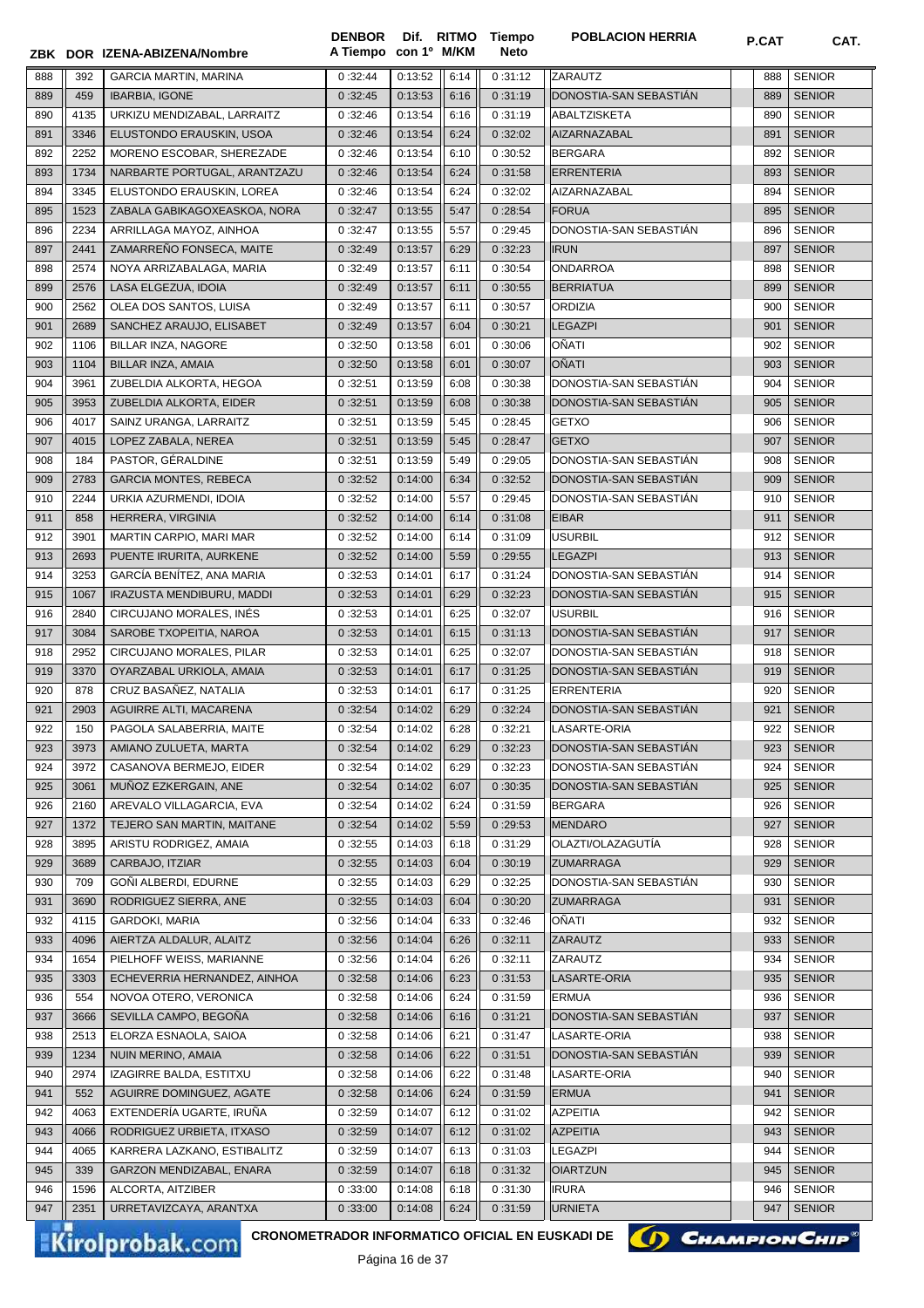|            |              | ZBK DOR IZENA-ABIZENA/Nombre                       | <b>DENBOR</b><br>A Tiempo | con 1º M/KM        |              | Dif. RITMO Tiempo<br><b>Neto</b> | <b>POBLACION HERRIA</b>          | P.CAT      | CAT.                           |
|------------|--------------|----------------------------------------------------|---------------------------|--------------------|--------------|----------------------------------|----------------------------------|------------|--------------------------------|
| 888        | 392          | <b>GARCIA MARTIN, MARINA</b>                       | 0:32:44                   | 0:13:52            | 6:14         | 0:31:12                          | ZARAUTZ                          | 888        | <b>SENIOR</b>                  |
| 889        | 459          | <b>IBARBIA, IGONE</b>                              | 0:32:45                   | 0:13:53            | 6:16         | 0:31:19                          | DONOSTIA-SAN SEBASTIAN           | 889        | <b>SENIOR</b>                  |
| 890        | 4135         | URKIZU MENDIZABAL. LARRAITZ                        | 0:32:46                   | 0:13:54            | 6:16         | 0:31:19                          | ABALTZISKETA                     | 890        | <b>SENIOR</b>                  |
| 891        | 3346         | ELUSTONDO ERAUSKIN, USOA                           | 0:32:46                   | 0:13:54            | 6:24         | 0:32:02                          | AIZARNAZABAL                     | 891        | <b>SENIOR</b>                  |
| 892        | 2252         | MORENO ESCOBAR, SHEREZADE                          | 0:32:46                   | 0:13:54            | 6:10         | 0:30:52                          | <b>BERGARA</b>                   | 892        | <b>SENIOR</b>                  |
| 893        | 1734         | NARBARTE PORTUGAL, ARANTZAZU                       | 0:32:46                   | 0:13:54            | 6:24         | 0:31:58                          | <b>ERRENTERIA</b>                | 893        | <b>SENIOR</b>                  |
| 894        | 3345         | ELUSTONDO ERAUSKIN, LOREA                          | 0:32:46                   | 0:13:54            | 6:24         | 0:32:02                          | AIZARNAZABAL                     | 894        | <b>SENIOR</b>                  |
| 895        | 1523         | ZABALA GABIKAGOXEASKOA, NORA                       | 0:32:47                   | 0:13:55            | 5:47         | 0:28:54                          | <b>FORUA</b>                     | 895        | <b>SENIOR</b>                  |
| 896        | 2234         | ARRILLAGA MAYOZ, AINHOA                            | 0:32:47                   | 0:13:55            | 5:57         | 0:29:45                          | DONOSTIA-SAN SEBASTIÁN           | 896        | <b>SENIOR</b>                  |
| 897        | 2441         | ZAMARREÑO FONSECA, MAITE                           | 0:32:49                   | 0:13:57            | 6:29         | 0:32:23                          | <b>IRUN</b>                      | 897        | <b>SENIOR</b>                  |
| 898        | 2574         | NOYA ARRIZABALAGA, MARIA                           | 0:32:49                   | 0:13:57            | 6:11         | 0:30:54                          | <b>ONDARROA</b>                  | 898        | <b>SENIOR</b>                  |
| 899        | 2576         | LASA ELGEZUA, IDOIA                                | 0:32:49                   | 0:13:57            | 6:11         | 0:30:55                          | <b>BERRIATUA</b>                 | 899        | <b>SENIOR</b>                  |
| 900        | 2562         | OLEA DOS SANTOS, LUISA                             | 0:32:49                   | 0:13:57            | 6:11         | 0:30:57                          | <b>ORDIZIA</b>                   | 900        | <b>SENIOR</b>                  |
| 901        | 2689         | SANCHEZ ARAUJO, ELISABET                           | 0:32:49                   | 0:13:57            | 6:04         | 0:30:21                          | <b>LEGAZPI</b>                   | 901        | <b>SENIOR</b>                  |
| 902        | 1106         | BILLAR INZA, NAGORE                                | 0:32:50                   | 0:13:58            | 6:01         | 0:30:06                          | OÑATI                            | 902        | <b>SENIOR</b>                  |
| 903        | 1104         | BILLAR INZA, AMAIA                                 | 0:32:50                   | 0:13:58            | 6:01         | 0:30:07                          | OÑATI                            | 903        | <b>SENIOR</b>                  |
| 904        | 3961         | ZUBELDIA ALKORTA, HEGOA                            | 0:32:51                   | 0:13:59            | 6:08         | 0:30:38                          | DONOSTIA-SAN SEBASTIAN           | 904        | <b>SENIOR</b>                  |
| 905        | 3953         | ZUBELDIA ALKORTA, EIDER                            | 0:32:51                   | 0:13:59            | 6:08         | 0:30:38                          | DONOSTIA-SAN SEBASTIAN           | 905        | <b>SENIOR</b>                  |
| 906        | 4017         | SAINZ URANGA, LARRAITZ                             | 0:32:51                   | 0:13:59            | 5:45         | 0:28:45                          | <b>GETXO</b>                     | 906        | <b>SENIOR</b>                  |
| 907        | 4015         | LOPEZ ZABALA, NEREA                                | 0:32:51                   | 0:13:59            | 5:45         | 0:28:47                          | <b>GETXO</b>                     | 907        | <b>SENIOR</b>                  |
| 908        | 184          | PASTOR, GÉRALDINE                                  | 0:32:51                   | 0:13:59            | 5:49         | 0:29:05                          | DONOSTIA-SAN SEBASTIAN           | 908        | <b>SENIOR</b>                  |
| 909        | 2783         | <b>GARCIA MONTES, REBECA</b>                       | 0:32:52                   | 0:14:00            | 6:34         | 0:32:52                          | DONOSTIA-SAN SEBASTIAN           | 909        | <b>SENIOR</b>                  |
| 910        | 2244         | URKIA AZURMENDI, IDOIA                             | 0:32:52                   | 0:14:00            | 5:57         | 0:29:45                          | DONOSTIA-SAN SEBASTIAN           | 910        | <b>SENIOR</b>                  |
| 911        | 858          | HERRERA, VIRGINIA                                  | 0:32:52                   | 0:14:00            | 6:14         | 0:31:08                          | <b>EIBAR</b>                     | 911        | <b>SENIOR</b>                  |
| 912<br>913 | 3901<br>2693 | MARTIN CARPIO, MARI MAR<br>PUENTE IRURITA, AURKENE | 0:32:52<br>0:32:52        | 0:14:00<br>0:14:00 | 6:14<br>5:59 | 0:31:09<br>0:29:55               | <b>USURBIL</b><br><b>LEGAZPI</b> | 912<br>913 | <b>SENIOR</b><br><b>SENIOR</b> |
| 914        | 3253         | GARCÍA BENÍTEZ, ANA MARIA                          | 0:32:53                   | 0:14:01            | 6:17         | 0:31:24                          | DONOSTIA-SAN SEBASTIAN           | 914        | <b>SENIOR</b>                  |
| 915        | 1067         | IRAZUSTA MENDIBURU, MADDI                          | 0:32:53                   | 0:14:01            | 6:29         | 0:32:23                          | DONOSTIA-SAN SEBASTIAN           | 915        | <b>SENIOR</b>                  |
| 916        | 2840         | CIRCUJANO MORALES, INÉS                            | 0:32:53                   | 0:14:01            | 6:25         | 0:32:07                          | <b>USURBIL</b>                   | 916        | <b>SENIOR</b>                  |
| 917        | 3084         | SAROBE TXOPEITIA, NAROA                            | 0:32:53                   | 0:14:01            | 6:15         | 0:31:13                          | DONOSTIA-SAN SEBASTIAN           | 917        | <b>SENIOR</b>                  |
| 918        | 2952         | CIRCUJANO MORALES, PILAR                           | 0:32:53                   | 0:14:01            | 6:25         | 0:32:07                          | DONOSTIA-SAN SEBASTIAN           | 918        | <b>SENIOR</b>                  |
| 919        | 3370         | OYARZABAL URKIOLA, AMAIA                           | 0:32:53                   | 0:14:01            | 6:17         | 0:31:25                          | DONOSTIA-SAN SEBASTIAN           | 919        | <b>SENIOR</b>                  |
| 920        | 878          | CRUZ BASAÑEZ, NATALIA                              | 0:32:53                   | 0:14:01            | 6:17         | 0:31:25                          | <b>ERRENTERIA</b>                | 920        | <b>SENIOR</b>                  |
| 921        | 2903         | AGUIRRE ALTI, MACARENA                             | 0:32:54                   | 0:14:02            | 6:29         | 0:32:24                          | DONOSTIA-SAN SEBASTIÁN           | 921        | <b>SENIOR</b>                  |
| 922        | 150          | PAGOLA SALABERRIA, MAITE                           | 0:32:54                   | 0:14:02            | 6:28         | 0:32:21                          | LASARTE-ORIA                     | 922        | <b>SENIOR</b>                  |
| 923        | 3973         | AMIANO ZULUETA, MARTA                              | 0:32:54                   | 0:14:02            | 6:29         | 0:32:23                          | DONOSTIA-SAN SEBASTIAN           | 923        | <b>SENIOR</b>                  |
| 924        | 3972         | CASANOVA BERMEJO, EIDER                            | 0:32:54                   | 0:14:02            | 6:29         | 0:32:23                          | DONOSTIA-SAN SEBASTIAN           | 924        | <b>SENIOR</b>                  |
| 925        | 3061         | MUÑOZ EZKERGAIN, ANE                               | 0:32:54                   | 0:14:02            | 6:07         | 0:30:35                          | DONOSTIA-SAN SEBASTIAN           | 925        | <b>SENIOR</b>                  |
| 926        | 2160         | AREVALO VILLAGARCIA, EVA                           | 0:32:54                   | 0:14:02            | 6:24         | 0:31:59                          | <b>BERGARA</b>                   | 926        | <b>SENIOR</b>                  |
| 927        | 1372         | TEJERO SAN MARTIN, MAITANE                         | 0:32:54                   | 0:14:02            | 5:59         | 0:29:53                          | <b>MENDARO</b>                   | 927        | <b>SENIOR</b>                  |
| 928        | 3895         | ARISTU RODRIGEZ, AMAIA                             | 0:32:55                   | 0:14:03            | 6:18         | 0:31:29                          | OLAZTI/OLAZAGUTÍA                | 928        | <b>SENIOR</b>                  |
| 929        | 3689         | CARBAJO, ITZIAR                                    | 0:32:55                   | 0:14:03            | 6:04         | 0:30:19                          | <b>ZUMARRAGA</b>                 | 929        | <b>SENIOR</b>                  |
| 930        | 709<br>3690  | GOÑI ALBERDI, EDURNE                               | 0:32:55                   | 0:14:03            | 6:29<br>6:04 | 0:32:25                          | DONOSTIA-SAN SEBASTIAN           | 930        | <b>SENIOR</b>                  |
| 931<br>932 | 4115         | RODRIGUEZ SIERRA, ANE<br><b>GARDOKI, MARIA</b>     | 0:32:55<br>0:32:56        | 0:14:03<br>0:14:04 | 6:33         | 0:30:20<br>0:32:46               | <b>ZUMARRAGA</b><br>OÑATI        | 931<br>932 | <b>SENIOR</b><br><b>SENIOR</b> |
| 933        | 4096         | AIERTZA ALDALUR, ALAITZ                            | 0:32:56                   | 0:14:04            | 6:26         | 0:32:11                          | <b>ZARAUTZ</b>                   | 933        | <b>SENIOR</b>                  |
| 934        | 1654         | PIELHOFF WEISS, MARIANNE                           | 0:32:56                   | 0:14:04            | 6:26         | 0:32:11                          | ZARAUTZ                          | 934        | <b>SENIOR</b>                  |
| 935        | 3303         | ECHEVERRIA HERNANDEZ, AINHOA                       | 0:32:58                   | 0:14:06            | 6:23         | 0:31:53                          | LASARTE-ORIA                     | 935        | <b>SENIOR</b>                  |
| 936        | 554          | NOVOA OTERO, VERONICA                              | 0:32:58                   | 0:14:06            | 6:24         | 0:31:59                          | <b>ERMUA</b>                     | 936        | <b>SENIOR</b>                  |
| 937        | 3666         | SEVILLA CAMPO, BEGOÑA                              | 0:32:58                   | 0:14:06            | 6:16         | 0:31:21                          | DONOSTIA-SAN SEBASTIAN           | 937        | <b>SENIOR</b>                  |
| 938        | 2513         | ELORZA ESNAOLA, SAIOA                              | 0:32:58                   | 0:14:06            | 6:21         | 0:31:47                          | LASARTE-ORIA                     | 938        | <b>SENIOR</b>                  |
| 939        | 1234         | NUIN MERINO, AMAIA                                 | 0:32:58                   | 0:14:06            | 6:22         | 0:31:51                          | DONOSTIA-SAN SEBASTIAN           | 939        | <b>SENIOR</b>                  |
| 940        | 2974         | IZAGIRRE BALDA, ESTITXU                            | 0:32:58                   | 0:14:06            | 6:22         | 0:31:48                          | LASARTE-ORIA                     | 940        | <b>SENIOR</b>                  |
| 941        | 552          | AGUIRRE DOMINGUEZ, AGATE                           | 0:32:58                   | 0:14:06            | 6:24         | 0:31:59                          | <b>ERMUA</b>                     | 941        | <b>SENIOR</b>                  |
| 942        | 4063         | EXTENDERÍA UGARTE, IRUÑA                           | 0:32:59                   | 0:14:07            | 6:12         | 0:31:02                          | <b>AZPEITIA</b>                  | 942        | <b>SENIOR</b>                  |
| 943        | 4066         | RODRIGUEZ URBIETA, ITXASO                          | 0:32:59                   | 0:14:07            | 6:12         | 0:31:02                          | <b>AZPEITIA</b>                  | 943        | <b>SENIOR</b>                  |
| 944        | 4065         | KARRERA LAZKANO, ESTIBALITZ                        | 0:32:59                   | 0:14:07            | 6:13         | 0:31:03                          | <b>LEGAZPI</b>                   | 944        | <b>SENIOR</b>                  |
| 945        | 339          | GARZON MENDIZABAL, ENARA                           | 0:32:59                   | 0:14:07            | 6:18         | 0:31:32                          | <b>OIARTZUN</b>                  | 945        | <b>SENIOR</b>                  |
| 946        | 1596         | ALCORTA, AITZIBER                                  | 0:33:00                   | 0:14:08            | 6:18         | 0:31:30                          | <b>IRURA</b>                     | 946        | <b>SENIOR</b>                  |
| 947        | 2351         | URRETAVIZCAYA, ARANTXA                             | 0:33:00                   | 0:14:08            | 6:24         | 0:31:59                          | <b>URNIETA</b>                   | 947        | <b>SENIOR</b>                  |

CRONOMETRADOR INFORMATICO OFICIAL EN EUSKADI DE **(A) CHAMPION CHIP**<sup>®</sup>

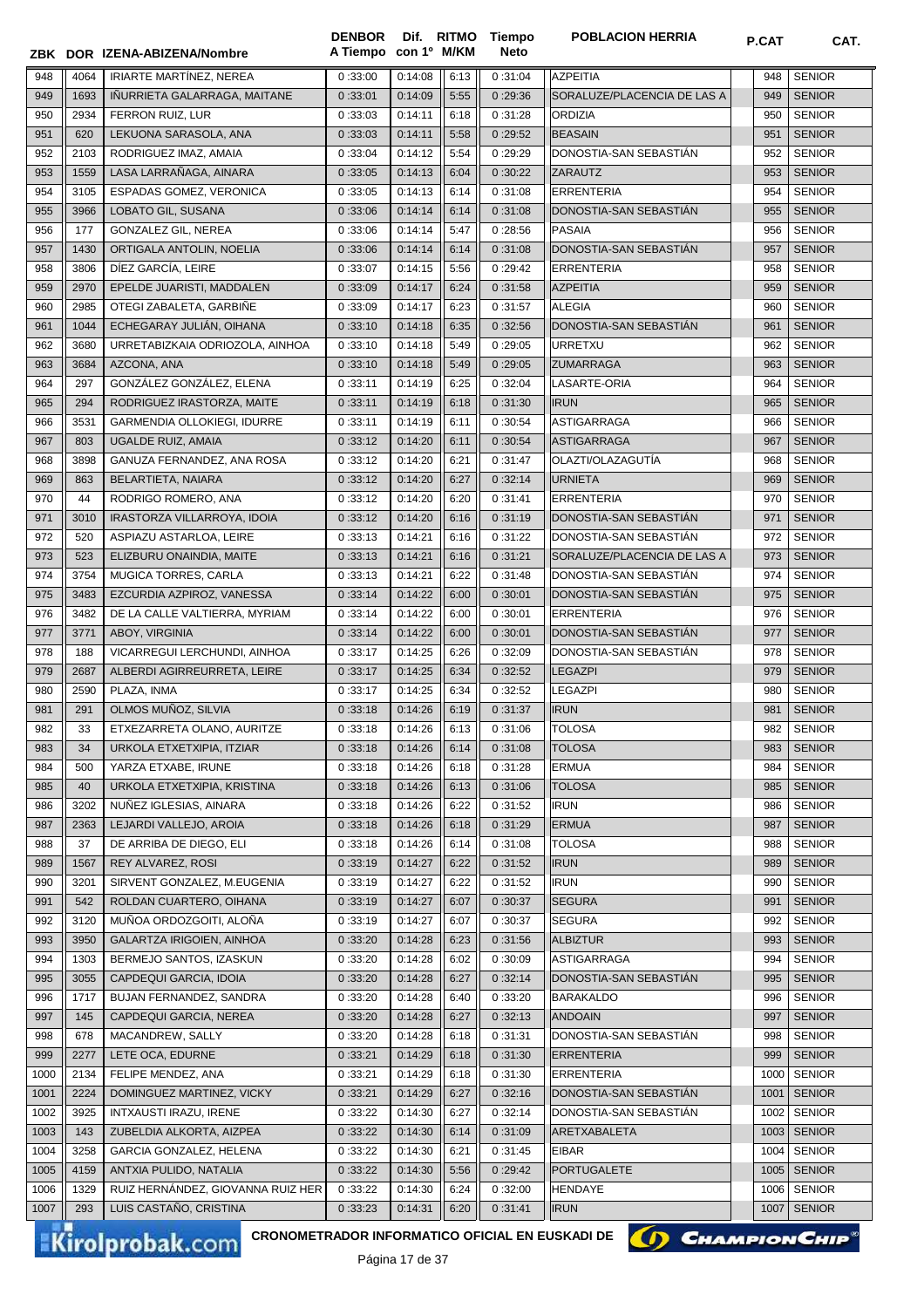|      |      | ZBK DOR IZENA-ABIZENA/Nombre       | A Tiempo con 1º M/KM |         |      | Neto    |                             |      |               |
|------|------|------------------------------------|----------------------|---------|------|---------|-----------------------------|------|---------------|
| 948  | 4064 | <b>IRIARTE MARTINEZ, NEREA</b>     | 0:33:00              | 0:14:08 | 6:13 | 0:31:04 | <b>AZPEITIA</b>             | 948  | <b>SENIOR</b> |
| 949  | 1693 | IÑURRIETA GALARRAGA, MAITANE       | 0:33:01              | 0:14:09 | 5:55 | 0:29:36 | SORALUZE/PLACENCIA DE LAS A | 949  | <b>SENIOR</b> |
| 950  | 2934 | FERRON RUIZ, LUR                   | 0:33:03              | 0:14:11 | 6:18 | 0:31:28 | <b>ORDIZIA</b>              | 950  | <b>SENIOR</b> |
| 951  | 620  | LEKUONA SARASOLA, ANA              | 0:33:03              | 0:14:11 | 5:58 | 0:29:52 | <b>BEASAIN</b>              | 951  | <b>SENIOR</b> |
| 952  | 2103 | RODRIGUEZ IMAZ, AMAIA              | 0:33:04              | 0:14:12 | 5:54 | 0:29:29 | DONOSTIA-SAN SEBASTIAN      | 952  | <b>SENIOR</b> |
| 953  | 1559 | LASA LARRAÑAGA, AINARA             | 0:33:05              | 0:14:13 | 6:04 | 0:30:22 | ZARAUTZ                     | 953  | <b>SENIOR</b> |
| 954  | 3105 | ESPADAS GOMEZ, VERONICA            | 0:33:05              | 0:14:13 | 6:14 | 0:31:08 | <b>ERRENTERIA</b>           | 954  | <b>SENIOR</b> |
| 955  | 3966 | LOBATO GIL, SUSANA                 | 0:33:06              | 0:14:14 | 6:14 | 0:31:08 | DONOSTIA-SAN SEBASTIÁN      | 955  | <b>SENIOR</b> |
| 956  | 177  | <b>GONZALEZ GIL, NEREA</b>         | 0:33:06              | 0:14:14 | 5:47 | 0:28:56 | <b>PASAIA</b>               | 956  | <b>SENIOR</b> |
| 957  | 1430 | ORTIGALA ANTOLIN, NOELIA           | 0:33:06              | 0:14:14 | 6:14 | 0:31:08 | DONOSTIA-SAN SEBASTIAN      | 957  | <b>SENIOR</b> |
| 958  | 3806 | DÍEZ GARCÍA, LEIRE                 | 0:33:07              | 0:14:15 | 5:56 | 0:29:42 | <b>ERRENTERIA</b>           | 958  | <b>SENIOR</b> |
| 959  | 2970 | EPELDE JUARISTI, MADDALEN          | 0:33:09              | 0:14:17 | 6:24 | 0:31:58 | <b>AZPEITIA</b>             | 959  | <b>SENIOR</b> |
| 960  | 2985 | OTEGI ZABALETA, GARBIÑE            | 0:33:09              | 0:14:17 | 6:23 | 0:31:57 | <b>ALEGIA</b>               | 960  | <b>SENIOR</b> |
| 961  | 1044 | ECHEGARAY JULIAN, OIHANA           | 0:33:10              | 0:14:18 | 6:35 | 0:32:56 | DONOSTIA-SAN SEBASTIAN      | 961  | <b>SENIOR</b> |
| 962  | 3680 | URRETABIZKAIA ODRIOZOLA, AINHOA    | 0:33:10              | 0:14:18 | 5:49 | 0:29:05 | <b>URRETXU</b>              | 962  | <b>SENIOR</b> |
| 963  | 3684 | AZCONA, ANA                        | 0:33:10              | 0:14:18 | 5:49 | 0:29:05 | <b>ZUMARRAGA</b>            | 963  | <b>SENIOR</b> |
| 964  | 297  | GONZÁLEZ GONZÁLEZ, ELENA           | 0:33:11              | 0:14:19 | 6:25 | 0:32:04 | LASARTE-ORIA                | 964  | <b>SENIOR</b> |
| 965  | 294  | RODRIGUEZ IRASTORZA, MAITE         | 0:33:11              | 0:14:19 | 6:18 | 0:31:30 | <b>IRUN</b>                 | 965  | <b>SENIOR</b> |
| 966  | 3531 | <b>GARMENDIA OLLOKIEGI, IDURRE</b> | 0:33:11              | 0:14:19 | 6:11 | 0:30:54 | <b>ASTIGARRAGA</b>          | 966  | <b>SENIOR</b> |
| 967  | 803  | UGALDE RUIZ, AMAIA                 | 0:33:12              | 0:14:20 | 6:11 | 0:30:54 | <b>ASTIGARRAGA</b>          | 967  | <b>SENIOR</b> |
| 968  | 3898 | GANUZA FERNANDEZ, ANA ROSA         | 0:33:12              | 0:14:20 | 6:21 | 0:31:47 | OLAZTI/OLAZAGUTÍA           | 968  | <b>SENIOR</b> |
| 969  | 863  | BELARTIETA, NAIARA                 | 0:33:12              | 0:14:20 | 6:27 | 0:32:14 | <b>URNIETA</b>              | 969  | <b>SENIOR</b> |
| 970  | 44   | RODRIGO ROMERO, ANA                | 0:33:12              | 0:14:20 | 6:20 | 0:31:41 | <b>ERRENTERIA</b>           | 970  | <b>SENIOR</b> |
| 971  | 3010 | IRASTORZA VILLARROYA, IDOIA        | 0:33:12              | 0:14:20 | 6:16 | 0:31:19 | DONOSTIA-SAN SEBASTIAN      | 971  | <b>SENIOR</b> |
| 972  | 520  | ASPIAZU ASTARLOA, LEIRE            | 0:33:13              | 0:14:21 | 6:16 | 0:31:22 | DONOSTIA-SAN SEBASTIÁN      | 972  | <b>SENIOR</b> |
| 973  | 523  | ELIZBURU ONAINDIA, MAITE           | 0:33:13              | 0:14:21 | 6:16 | 0:31:21 | SORALUZE/PLACENCIA DE LAS A | 973  | <b>SENIOR</b> |
| 974  | 3754 | MUGICA TORRES, CARLA               | 0:33:13              | 0:14:21 | 6:22 | 0:31:48 | DONOSTIA-SAN SEBASTIAN      | 974  | <b>SENIOR</b> |
| 975  | 3483 | EZCURDIA AZPIROZ, VANESSA          | 0:33:14              | 0:14:22 | 6:00 | 0:30:01 | DONOSTIA-SAN SEBASTIAN      | 975  | <b>SENIOR</b> |
| 976  | 3482 | DE LA CALLE VALTIERRA, MYRIAM      | 0:33:14              | 0:14:22 | 6:00 | 0:30:01 | <b>ERRENTERIA</b>           | 976  | <b>SENIOR</b> |
| 977  | 3771 | ABOY, VIRGINIA                     | 0:33:14              | 0:14:22 | 6:00 | 0:30:01 | DONOSTIA-SAN SEBASTIÁN      | 977  | <b>SENIOR</b> |
| 978  | 188  | VICARREGUI LERCHUNDI, AINHOA       | 0:33:17              | 0:14:25 | 6:26 | 0:32:09 | DONOSTIA-SAN SEBASTIÁN      | 978  | <b>SENIOR</b> |
| 979  | 2687 | ALBERDI AGIRREURRETA, LEIRE        | 0:33:17              | 0:14:25 | 6:34 | 0:32:52 | <b>LEGAZPI</b>              | 979  | <b>SENIOR</b> |
| 980  | 2590 | PLAZA, INMA                        | 0:33:17              | 0:14:25 | 6:34 | 0:32:52 | <b>LEGAZPI</b>              | 980  | <b>SENIOR</b> |
|      | 291  | OLMOS MUÑOZ, SILVIA                | 0:33:18              |         | 6:19 |         | <b>IRUN</b>                 | 981  | <b>SENIOR</b> |
| 981  |      | ETXEZARRETA OLANO, AURITZE         |                      | 0:14:26 |      | 0:31:37 |                             |      | <b>SENIOR</b> |
| 982  | 33   |                                    | 0:33:18              | 0:14:26 | 6:13 | 0:31:06 | <b>TOLOSA</b>               | 982  |               |
| 983  | 34   | URKOLA ETXETXIPIA, ITZIAR          | 0:33:18              | 0:14:26 | 6:14 | 0:31:08 | <b>TOLOSA</b>               | 983  | <b>SENIOR</b> |
| 984  | 500  | YARZA ETXABE, IRUNE                | 0:33:18              | 0:14:26 | 6:18 | 0:31:28 | ERMUA                       | 984  | <b>SENIOR</b> |
| 985  | 40   | URKOLA ETXETXIPIA, KRISTINA        | 0:33:18              | 0:14:26 | 6:13 | 0:31:06 | <b>TOLOSA</b>               | 985  | <b>SENIOR</b> |
| 986  | 3202 | NUÑEZ IGLESIAS, AINARA             | 0:33:18              | 0:14:26 | 6:22 | 0:31:52 | <b>IRUN</b>                 | 986  | <b>SENIOR</b> |
| 987  | 2363 | LEJARDI VALLEJO, AROIA             | 0:33:18              | 0:14:26 | 6:18 | 0:31:29 | <b>ERMUA</b>                | 987  | <b>SENIOR</b> |
| 988  | 37   | DE ARRIBA DE DIEGO, ELI            | 0:33:18              | 0:14:26 | 6:14 | 0:31:08 | <b>TOLOSA</b>               | 988  | <b>SENIOR</b> |
| 989  | 1567 | REY ALVAREZ, ROSI                  | 0:33:19              | 0:14:27 | 6:22 | 0:31:52 | <b>IRUN</b>                 | 989  | <b>SENIOR</b> |
| 990  | 3201 | SIRVENT GONZALEZ, M.EUGENIA        | 0:33:19              | 0:14:27 | 6:22 | 0:31:52 | <b>IRUN</b>                 | 990  | <b>SENIOR</b> |
| 991  | 542  | ROLDAN CUARTERO, OIHANA            | 0:33:19              | 0:14:27 | 6:07 | 0:30:37 | <b>SEGURA</b>               | 991  | <b>SENIOR</b> |
| 992  | 3120 | MUÑOA ORDOZGOITI, ALOÑA            | 0:33:19              | 0:14:27 | 6:07 | 0:30:37 | <b>SEGURA</b>               | 992  | <b>SENIOR</b> |
| 993  | 3950 | GALARTZA IRIGOIEN, AINHOA          | 0:33:20              | 0:14:28 | 6:23 | 0:31:56 | <b>ALBIZTUR</b>             | 993  | <b>SENIOR</b> |
| 994  | 1303 | BERMEJO SANTOS, IZASKUN            | 0:33:20              | 0:14:28 | 6:02 | 0:30:09 | <b>ASTIGARRAGA</b>          | 994  | <b>SENIOR</b> |
| 995  | 3055 | CAPDEQUI GARCIA, IDOIA             | 0:33:20              | 0:14:28 | 6:27 | 0:32:14 | DONOSTIA-SAN SEBASTIAN      | 995  | <b>SENIOR</b> |
| 996  | 1717 | BUJAN FERNANDEZ, SANDRA            | 0:33:20              | 0:14:28 | 6:40 | 0:33:20 | <b>BARAKALDO</b>            | 996  | <b>SENIOR</b> |
| 997  | 145  | CAPDEQUI GARCIA, NEREA             | 0:33:20              | 0:14:28 | 6:27 | 0:32:13 | <b>ANDOAIN</b>              | 997  | <b>SENIOR</b> |
| 998  | 678  | MACANDREW, SALLY                   | 0:33:20              | 0:14:28 | 6:18 | 0:31:31 | DONOSTIA-SAN SEBASTIAN      | 998  | <b>SENIOR</b> |
| 999  | 2277 | LETE OCA, EDURNE                   | 0:33:21              | 0:14:29 | 6:18 | 0:31:30 | <b>ERRENTERIA</b>           | 999  | <b>SENIOR</b> |
| 1000 | 2134 | FELIPE MENDEZ, ANA                 | 0:33:21              | 0:14:29 | 6:18 | 0:31:30 | <b>ERRENTERIA</b>           | 1000 | <b>SENIOR</b> |
| 1001 | 2224 | DOMINGUEZ MARTINEZ, VICKY          | 0:33:21              | 0:14:29 | 6:27 | 0:32:16 | DONOSTIA-SAN SEBASTIAN      | 1001 | <b>SENIOR</b> |
| 1002 | 3925 | INTXAUSTI IRAZU, IRENE             | 0:33:22              | 0:14:30 | 6:27 | 0:32:14 | DONOSTIA-SAN SEBASTIAN      | 1002 | <b>SENIOR</b> |
| 1003 | 143  | ZUBELDIA ALKORTA, AIZPEA           | 0:33:22              | 0:14:30 | 6:14 | 0:31:09 | ARETXABALETA                | 1003 | SENIOR        |
| 1004 | 3258 | GARCIA GONZALEZ, HELENA            | 0:33:22              | 0:14:30 | 6:21 | 0:31:45 | <b>EIBAR</b>                | 1004 | <b>SENIOR</b> |
| 1005 | 4159 | ANTXIA PULIDO, NATALIA             | 0:33:22              | 0:14:30 | 5:56 | 0:29:42 | PORTUGALETE                 | 1005 | <b>SENIOR</b> |
| 1006 | 1329 | RUIZ HERNÁNDEZ, GIOVANNA RUIZ HER  | 0:33:22              | 0:14:30 | 6:24 | 0:32:00 | <b>HENDAYE</b>              | 1006 | <b>SENIOR</b> |
| 1007 | 293  | LUIS CASTAÑO, CRISTINA             | 0:33:23              | 0:14:31 | 6:20 | 0:31:41 | <b>IRUN</b>                 | 1007 | <b>SENIOR</b> |

**Tiempo** 

**DENBOR**

Kirolprobak.com

CRONOMETRADOR INFORMATICO OFICIAL EN EUSKADI DE **(A) CHAMPION CHIP<sup>®</sup>** 

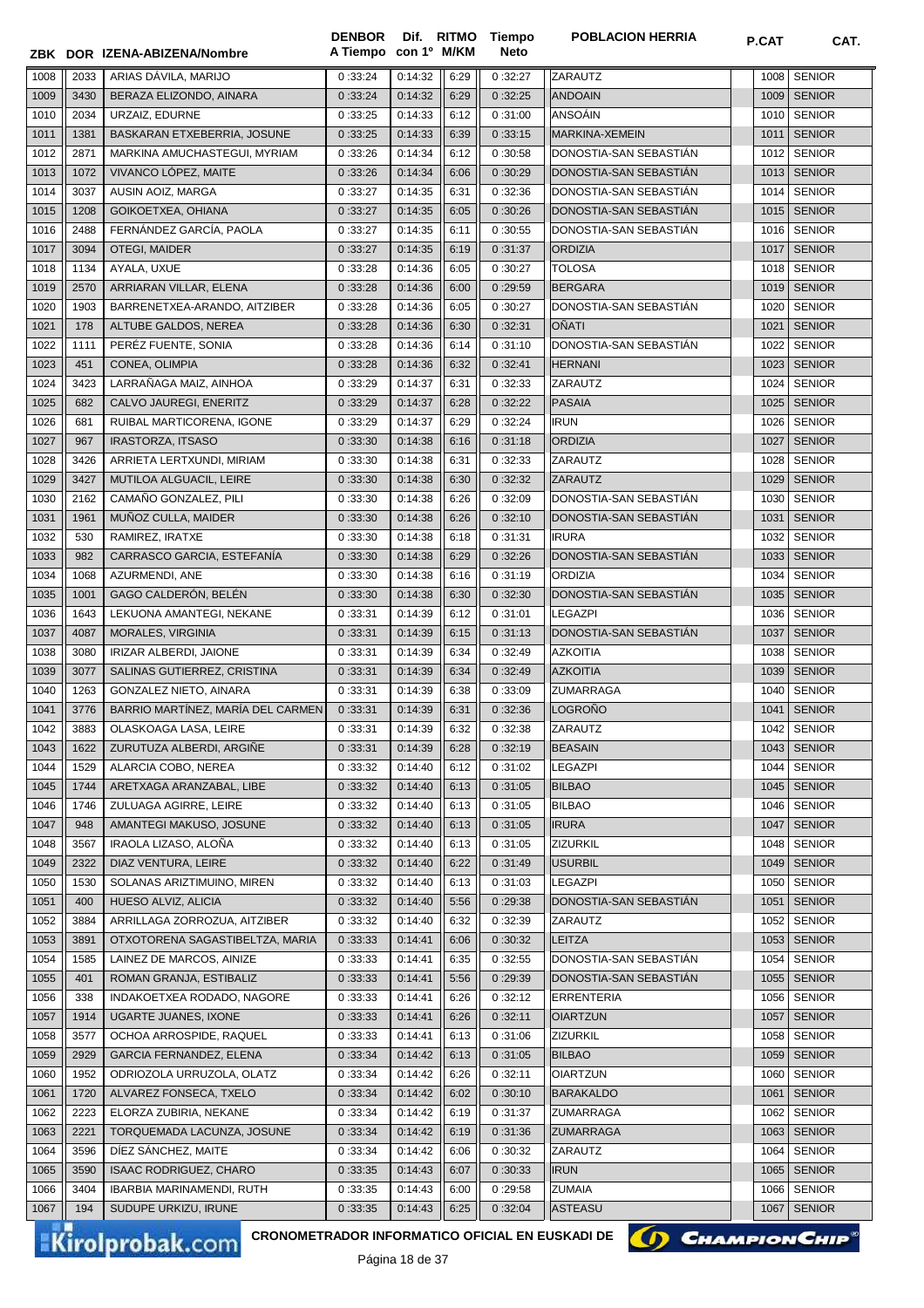|      |      | ZBK DOR IZENA-ABIZENA/Nombre      | <b>DENBOR</b><br>A Tiempo con 1º M/KM |         |      | Dif. RITMO Tiempo<br><b>Neto</b> | <b>POBLACION HERRIA</b> | P.CAT | CAT.          |
|------|------|-----------------------------------|---------------------------------------|---------|------|----------------------------------|-------------------------|-------|---------------|
| 1008 | 2033 | ARIAS DÁVILA, MARIJO              | 0:33:24                               | 0:14:32 | 6:29 | 0:32:27                          | ZARAUTZ                 | 1008  | <b>SENIOR</b> |
| 1009 | 3430 | BERAZA ELIZONDO, AINARA           | 0:33:24                               | 0:14:32 | 6:29 | 0:32:25                          | <b>ANDOAIN</b>          | 1009  | <b>SENIOR</b> |
| 1010 | 2034 | URZAIZ, EDURNE                    | 0:33:25                               | 0:14:33 | 6:12 | 0:31:00                          | ANSOÁIN                 | 1010  | <b>SENIOR</b> |
| 1011 | 1381 | BASKARAN ETXEBERRIA, JOSUNE       | 0:33:25                               | 0:14:33 | 6:39 | 0:33:15                          | MARKINA-XEMEIN          | 1011  | <b>SENIOR</b> |
|      |      |                                   | 0:33:26                               | 0:14:34 |      | 0:30:58                          | DONOSTIA-SAN SEBASTIAN  |       | <b>SENIOR</b> |
| 1012 | 2871 | MARKINA AMUCHASTEGUI, MYRIAM      |                                       |         | 6:12 |                                  |                         | 1012  |               |
| 1013 | 1072 | VIVANCO LÓPEZ, MAITE              | 0:33:26                               | 0:14:34 | 6:06 | 0:30:29                          | DONOSTIA-SAN SEBASTIAN  |       | 1013 SENIOR   |
| 1014 | 3037 | AUSIN AOIZ, MARGA                 | 0:33:27                               | 0:14:35 | 6:31 | 0:32:36                          | DONOSTIA-SAN SEBASTIÁN  | 1014  | <b>SENIOR</b> |
| 1015 | 1208 | GOIKOETXEA, OHIANA                | 0:33:27                               | 0:14:35 | 6:05 | 0:30:26                          | DONOSTIA-SAN SEBASTIAN  |       | 1015 SENIOR   |
| 1016 | 2488 | FERNÁNDEZ GARCÍA, PAOLA           | 0:33:27                               | 0:14:35 | 6:11 | 0:30:55                          | DONOSTIA-SAN SEBASTIAN  | 1016  | <b>SENIOR</b> |
| 1017 | 3094 | <b>OTEGI, MAIDER</b>              | 0:33:27                               | 0:14:35 | 6:19 | 0:31:37                          | <b>ORDIZIA</b>          | 1017  | <b>SENIOR</b> |
| 1018 | 1134 | AYALA, UXUE                       | 0:33:28                               | 0:14:36 | 6:05 | 0:30:27                          | <b>TOLOSA</b>           | 1018  | <b>SENIOR</b> |
| 1019 | 2570 | ARRIARAN VILLAR, ELENA            | 0:33:28                               | 0:14:36 | 6:00 | 0:29:59                          | <b>BERGARA</b>          | 1019  | <b>SENIOR</b> |
| 1020 | 1903 | BARRENETXEA-ARANDO, AITZIBER      | 0:33:28                               | 0:14:36 | 6:05 | 0:30:27                          | DONOSTIA-SAN SEBASTIAN  | 1020  | <b>SENIOR</b> |
| 1021 | 178  | ALTUBE GALDOS, NEREA              | 0:33:28                               | 0:14:36 | 6:30 | 0:32:31                          | <b>OÑATI</b>            | 1021  | <b>SENIOR</b> |
| 1022 | 1111 | PERÉZ FUENTE, SONIA               | 0:33:28                               | 0:14:36 | 6:14 | 0:31:10                          | DONOSTIA-SAN SEBASTIAN  | 1022  | <b>SENIOR</b> |
| 1023 | 451  | CONEA, OLIMPIA                    | 0:33:28                               | 0:14:36 | 6:32 | 0:32:41                          | <b>HERNANI</b>          | 1023  | <b>SENIOR</b> |
| 1024 | 3423 | LARRAÑAGA MAIZ, AINHOA            | 0:33:29                               | 0:14:37 | 6:31 | 0:32:33                          | ZARAUTZ                 | 1024  | <b>SENIOR</b> |
| 1025 | 682  | CALVO JAUREGI, ENERITZ            | 0:33:29                               | 0:14:37 | 6:28 | 0:32:22                          | <b>PASAIA</b>           | 1025  | <b>SENIOR</b> |
| 1026 | 681  | RUIBAL MARTICORENA, IGONE         | 0:33:29                               | 0:14:37 | 6:29 | 0:32:24                          | <b>IRUN</b>             | 1026  | <b>SENIOR</b> |
| 1027 | 967  | <b>IRASTORZA, ITSASO</b>          | 0:33:30                               | 0:14:38 | 6:16 | 0:31:18                          | <b>ORDIZIA</b>          | 1027  | <b>SENIOR</b> |
| 1028 | 3426 | ARRIETA LERTXUNDI, MIRIAM         | 0:33:30                               | 0:14:38 | 6:31 | 0:32:33                          | ZARAUTZ                 | 1028  | <b>SENIOR</b> |
| 1029 | 3427 | MUTILOA ALGUACIL, LEIRE           | 0:33:30                               | 0:14:38 | 6:30 | 0:32:32                          | <b>ZARAUTZ</b>          | 1029  | <b>SENIOR</b> |
|      |      |                                   |                                       |         |      |                                  |                         |       |               |
| 1030 | 2162 | CAMAÑO GONZALEZ, PILI             | 0:33:30                               | 0:14:38 | 6:26 | 0:32:09                          | DONOSTIA-SAN SEBASTIAN  | 1030  | <b>SENIOR</b> |
| 1031 | 1961 | MUÑOZ CULLA, MAIDER               | 0:33:30                               | 0:14:38 | 6:26 | 0:32:10                          | DONOSTIA-SAN SEBASTIAN  | 1031  | <b>SENIOR</b> |
| 1032 | 530  | RAMIREZ, IRATXE                   | 0:33:30                               | 0:14:38 | 6:18 | 0:31:31                          | <b>IRURA</b>            | 1032  | <b>SENIOR</b> |
| 1033 | 982  | CARRASCO GARCIA, ESTEFANÍA        | 0:33:30                               | 0:14:38 | 6:29 | 0:32:26                          | DONOSTIA-SAN SEBASTIAN  | 1033  | <b>SENIOR</b> |
| 1034 | 1068 | AZURMENDI, ANE                    | 0:33:30                               | 0:14:38 | 6:16 | 0:31:19                          | <b>ORDIZIA</b>          | 1034  | <b>SENIOR</b> |
| 1035 | 1001 | GAGO CALDERÓN, BELÉN              | 0:33:30                               | 0:14:38 | 6:30 | 0:32:30                          | DONOSTIA-SAN SEBASTIAN  | 1035  | <b>SENIOR</b> |
| 1036 | 1643 | LEKUONA AMANTEGI, NEKANE          | 0:33:31                               | 0:14:39 | 6:12 | 0:31:01                          | <b>LEGAZPI</b>          | 1036  | <b>SENIOR</b> |
| 1037 | 4087 | MORALES, VIRGINIA                 | 0:33:31                               | 0:14:39 | 6:15 | 0:31:13                          | DONOSTIA-SAN SEBASTIAN  | 1037  | <b>SENIOR</b> |
| 1038 | 3080 | <b>IRIZAR ALBERDI, JAIONE</b>     | 0:33:31                               | 0:14:39 | 6:34 | 0:32:49                          | <b>AZKOITIA</b>         | 1038  | <b>SENIOR</b> |
| 1039 | 3077 | SALINAS GUTIERREZ, CRISTINA       | 0:33:31                               | 0:14:39 | 6:34 | 0:32:49                          | <b>AZKOITIA</b>         | 1039  | <b>SENIOR</b> |
| 1040 | 1263 | <b>GONZALEZ NIETO, AINARA</b>     | 0:33:31                               | 0:14:39 | 6:38 | 0:33:09                          | <b>ZUMARRAGA</b>        | 1040  | <b>SENIOR</b> |
| 1041 | 3776 | BARRIO MARTÍNEZ, MARÍA DEL CARMEN | 0:33:31                               | 0:14:39 | 6:31 | 0:32:36                          | LOGRONO                 |       | 1041   SENIOR |
| 1042 | 3883 | OLASKOAGA LASA, LEIRE             | 0:33:31                               | 0:14:39 | 6:32 | 0:32:38                          | ZARAUTZ                 |       | 1042 SENIOR   |
| 1043 | 1622 | ZURUTUZA ALBERDI, ARGIÑE          | 0:33:31                               | 0:14:39 | 6:28 | 0:32:19                          | <b>BEASAIN</b>          |       | 1043 SENIOR   |
| 1044 | 1529 | ALARCIA COBO, NEREA               | 0:33:32                               | 0:14:40 | 6:12 | 0:31:02                          | <b>LEGAZPI</b>          | 1044  | <b>SENIOR</b> |
| 1045 | 1744 | ARETXAGA ARANZABAL, LIBE          | 0:33:32                               | 0:14:40 | 6:13 | 0:31:05                          | <b>BILBAO</b>           | 1045  | <b>SENIOR</b> |
| 1046 | 1746 | ZULUAGA AGIRRE, LEIRE             | 0:33:32                               | 0:14:40 | 6:13 |                                  | <b>BILBAO</b>           |       | <b>SENIOR</b> |
|      |      |                                   |                                       |         |      | 0:31:05                          |                         | 1046  |               |
| 1047 | 948  | AMANTEGI MAKUSO, JOSUNE           | 0:33:32                               | 0:14:40 | 6:13 | 0:31:05                          | <b>IRURA</b>            | 1047  | <b>SENIOR</b> |
| 1048 | 3567 | IRAOLA LIZASO, ALONA              | 0:33:32                               | 0:14:40 | 6:13 | 0:31:05                          | ZIZURKIL                | 1048  | <b>SENIOR</b> |
| 1049 | 2322 | DIAZ VENTURA, LEIRE               | 0:33:32                               | 0:14:40 | 6:22 | 0:31:49                          | <b>USURBIL</b>          | 1049  | <b>SENIOR</b> |
| 1050 | 1530 | SOLANAS ARIZTIMUINO, MIREN        | 0:33:32                               | 0:14:40 | 6:13 | 0:31:03                          | LEGAZPI                 | 1050  | <b>SENIOR</b> |
| 1051 | 400  | HUESO ALVIZ, ALICIA               | 0:33:32                               | 0:14:40 | 5:56 | 0:29:38                          | DONOSTIA-SAN SEBASTIAN  | 1051  | <b>SENIOR</b> |
| 1052 | 3884 | ARRILLAGA ZORROZUA, AITZIBER      | 0:33:32                               | 0:14:40 | 6:32 | 0:32:39                          | ZARAUTZ                 | 1052  | <b>SENIOR</b> |
| 1053 | 3891 | OTXOTORENA SAGASTIBELTZA, MARIA   | 0:33:33                               | 0:14:41 | 6:06 | 0:30:32                          | <b>LEITZA</b>           | 1053  | <b>SENIOR</b> |
| 1054 | 1585 | LAINEZ DE MARCOS, AINIZE          | 0:33:33                               | 0:14:41 | 6:35 | 0:32:55                          | DONOSTIA-SAN SEBASTIAN  | 1054  | <b>SENIOR</b> |
| 1055 | 401  | ROMAN GRANJA, ESTIBALIZ           | 0:33:33                               | 0:14:41 | 5:56 | 0:29:39                          | DONOSTIA-SAN SEBASTIAN  | 1055  | <b>SENIOR</b> |
| 1056 | 338  | INDAKOETXEA RODADO, NAGORE        | 0:33:33                               | 0:14:41 | 6:26 | 0:32:12                          | <b>ERRENTERIA</b>       | 1056  | <b>SENIOR</b> |
| 1057 | 1914 | <b>UGARTE JUANES, IXONE</b>       | 0:33:33                               | 0:14:41 | 6:26 | 0:32:11                          | <b>OIARTZUN</b>         | 1057  | <b>SENIOR</b> |
| 1058 | 3577 | OCHOA ARROSPIDE, RAQUEL           | 0:33:33                               | 0:14:41 | 6:13 | 0:31:06                          | ZIZURKIL                | 1058  | <b>SENIOR</b> |
| 1059 | 2929 | GARCIA FERNANDEZ, ELENA           | 0:33:34                               | 0:14:42 | 6:13 | 0:31:05                          | <b>BILBAO</b>           | 1059  | <b>SENIOR</b> |
| 1060 | 1952 | ODRIOZOLA URRUZOLA, OLATZ         | 0:33:34                               | 0:14:42 | 6:26 | 0:32:11                          | <b>OIARTZUN</b>         | 1060  | <b>SENIOR</b> |
| 1061 | 1720 | ALVAREZ FONSECA, TXELO            | 0:33:34                               | 0:14:42 | 6:02 | 0:30:10                          | <b>BARAKALDO</b>        | 1061  | <b>SENIOR</b> |
| 1062 | 2223 | ELORZA ZUBIRIA, NEKANE            | 0:33:34                               | 0:14:42 | 6:19 | 0:31:37                          | ZUMARRAGA               | 1062  | <b>SENIOR</b> |
| 1063 | 2221 | TORQUEMADA LACUNZA, JOSUNE        | 0:33:34                               | 0:14:42 | 6:19 | 0:31:36                          | ZUMARRAGA               | 1063  | <b>SENIOR</b> |
| 1064 | 3596 | DIEZ SANCHEZ, MAITE               | 0:33:34                               | 0:14:42 | 6:06 | 0:30:32                          | ZARAUTZ                 | 1064  | <b>SENIOR</b> |
|      | 3590 |                                   |                                       |         | 6:07 |                                  | <b>IRUN</b>             | 1065  | <b>SENIOR</b> |
| 1065 |      | <b>ISAAC RODRIGUEZ, CHARO</b>     | 0:33:35                               | 0:14:43 |      | 0:30:33                          |                         |       |               |
| 1066 | 3404 | IBARBIA MARINAMENDI, RUTH         | 0:33:35                               | 0:14:43 | 6:00 | 0:29:58                          | <b>ZUMAIA</b>           | 1066  | <b>SENIOR</b> |
| 1067 | 194  | SUDUPE URKIZU, IRUNE              | 0:33:35                               | 0:14:43 | 6:25 | 0:32:04                          | <b>ASTEASU</b>          | 1067  | <b>SENIOR</b> |

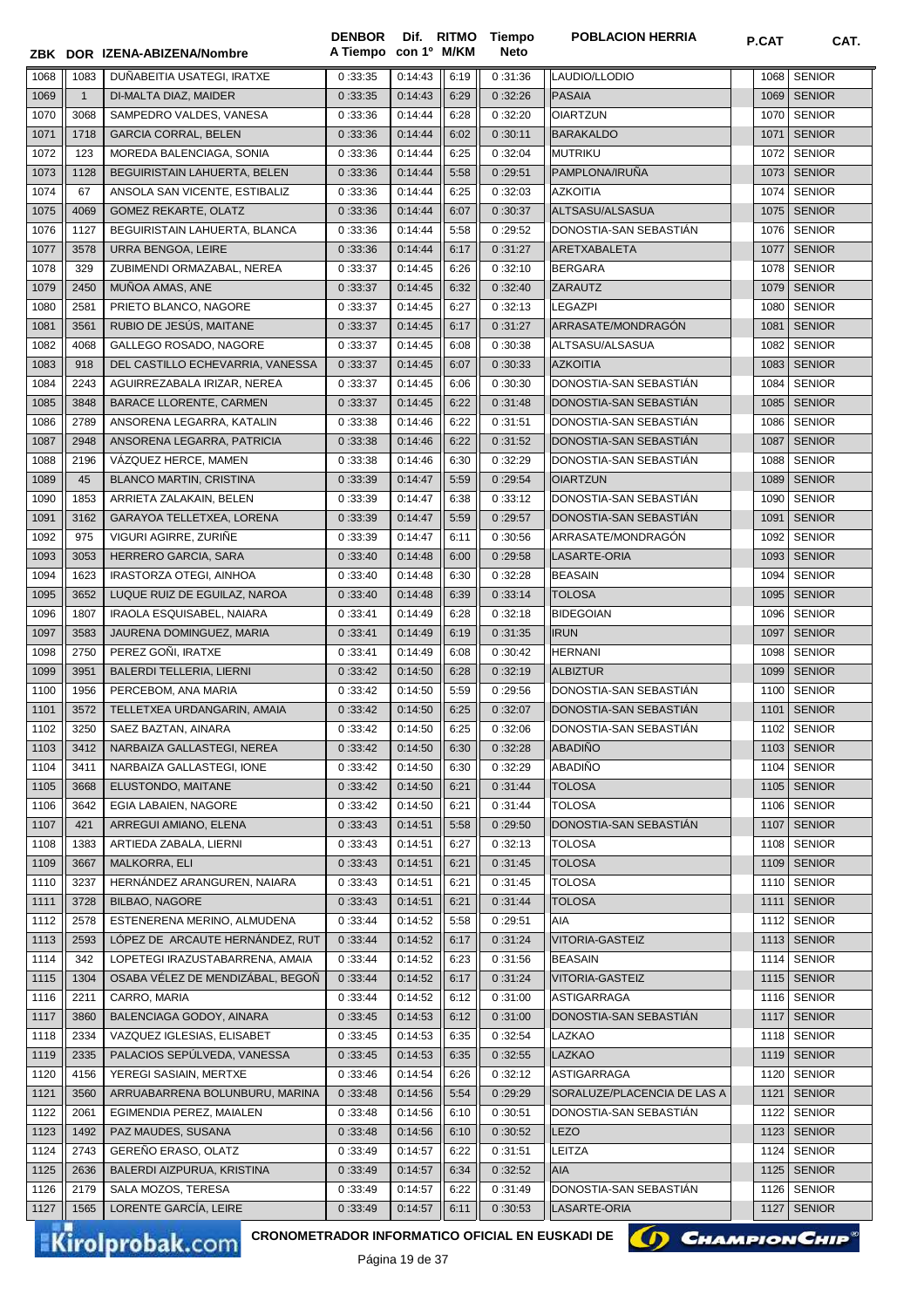|      |                | ZBK DOR IZENA-ABIZENA/Nombre                                              | <b>DENBOR</b><br>A Tiempo con 1º M/KM |                    |      | Dif. RITMO Tiempo<br><b>Neto</b> | <b>POBLACION HERRIA</b>     | P.CAT | CAT.          |
|------|----------------|---------------------------------------------------------------------------|---------------------------------------|--------------------|------|----------------------------------|-----------------------------|-------|---------------|
| 1068 | 1083           | DUÑABEITIA USATEGI, IRATXE                                                | 0:33:35                               | 0:14:43            | 6:19 | 0:31:36                          | LAUDIO/LLODIO               | 1068  | <b>SENIOR</b> |
| 1069 | $\overline{1}$ | DI-MALTA DIAZ, MAIDER                                                     | 0:33:35                               | 0:14:43            | 6:29 | 0:32:26                          | <b>PASAIA</b>               | 1069  | <b>SENIOR</b> |
| 1070 | 3068           | SAMPEDRO VALDES, VANESA                                                   | 0:33:36                               | 0:14:44            | 6:28 | 0:32:20                          | <b>OIARTZUN</b>             | 1070  | <b>SENIOR</b> |
| 1071 | 1718           | <b>GARCIA CORRAL, BELEN</b>                                               | 0:33:36                               | 0:14:44            | 6:02 | 0:30:11                          | <b>BARAKALDO</b>            | 1071  | <b>SENIOR</b> |
| 1072 | 123            | MOREDA BALENCIAGA, SONIA                                                  | 0:33:36                               | 0:14:44            | 6:25 | 0:32:04                          | <b>MUTRIKU</b>              | 1072  | <b>SENIOR</b> |
| 1073 | 1128           | BEGUIRISTAIN LAHUERTA, BELEN                                              | 0:33:36                               | 0:14:44            | 5:58 | 0:29:51                          | PAMPLONA/IRUÑA              | 1073  | <b>SENIOR</b> |
| 1074 | 67             | ANSOLA SAN VICENTE, ESTIBALIZ                                             | 0:33:36                               | 0:14:44            | 6:25 | 0:32:03                          | <b>AZKOITIA</b>             | 1074  | <b>SENIOR</b> |
| 1075 | 4069           | GOMEZ REKARTE, OLATZ                                                      | 0:33:36                               | 0:14:44            | 6:07 | 0:30:37                          | ALTSASU/ALSASUA             |       | 1075   SENIOR |
| 1076 | 1127           | BEGUIRISTAIN LAHUERTA, BLANCA                                             | 0:33:36                               | 0:14:44            | 5:58 | 0:29:52                          | DONOSTIA-SAN SEBASTIAN      | 1076  | <b>SENIOR</b> |
| 1077 | 3578           | URRA BENGOA, LEIRE                                                        | 0:33:36                               | 0:14:44            | 6:17 | 0:31:27                          | ARETXABALETA                | 1077  | <b>SENIOR</b> |
| 1078 | 329            | ZUBIMENDI ORMAZABAL, NEREA                                                | 0:33:37                               | 0:14:45            | 6:26 | 0:32:10                          | <b>BERGARA</b>              | 1078  | <b>SENIOR</b> |
| 1079 | 2450           | MUÑOA AMAS, ANE                                                           | 0:33:37                               | 0:14:45            | 6:32 | 0:32:40                          | <b>ZARAUTZ</b>              | 1079  | <b>SENIOR</b> |
| 1080 | 2581           | PRIETO BLANCO, NAGORE                                                     | 0:33:37                               | 0:14:45            | 6:27 | 0:32:13                          | <b>LEGAZPI</b>              | 1080  | <b>SENIOR</b> |
| 1081 | 3561           | RUBIO DE JESÚS, MAITANE                                                   | 0:33:37                               | 0:14:45            | 6:17 | 0:31:27                          | ARRASATE/MONDRAGÓN          | 1081  | <b>SENIOR</b> |
| 1082 | 4068           | GALLEGO ROSADO. NAGORE                                                    | 0:33:37                               | 0:14:45            | 6:08 | 0:30:38                          | ALTSASU/ALSASUA             | 1082  | <b>SENIOR</b> |
| 1083 | 918            | DEL CASTILLO ECHEVARRIA, VANESSA                                          | 0:33:37                               | 0:14:45            | 6:07 | 0:30:33                          | <b>AZKOITIA</b>             | 1083  | <b>SENIOR</b> |
| 1084 | 2243           | AGUIRREZABALA IRIZAR, NEREA                                               | 0:33:37                               | 0:14:45            | 6:06 | 0:30:30                          | DONOSTIA-SAN SEBASTIÁN      | 1084  | <b>SENIOR</b> |
| 1085 | 3848           | <b>BARACE LLORENTE, CARMEN</b>                                            | 0:33:37                               | 0:14:45            | 6:22 | 0:31:48                          | DONOSTIA-SAN SEBASTIAN      |       | 1085   SENIOR |
| 1086 | 2789           | ANSORENA LEGARRA, KATALIN                                                 | 0:33:38                               | 0:14:46            | 6:22 | 0:31:51                          | DONOSTIA-SAN SEBASTIAN      | 1086  | <b>SENIOR</b> |
| 1087 | 2948           | ANSORENA LEGARRA, PATRICIA                                                | 0:33:38                               | 0:14:46            | 6:22 | 0:31:52                          | DONOSTIA-SAN SEBASTIAN      | 1087  | <b>SENIOR</b> |
|      |                |                                                                           |                                       | 0:14:46            |      | 0:32:29                          |                             | 1088  | <b>SENIOR</b> |
| 1088 | 2196           | VÁZQUEZ HERCE, MAMEN                                                      | 0:33:38                               |                    | 6:30 |                                  | DONOSTIA-SAN SEBASTIAN      |       |               |
| 1089 | 45             | <b>BLANCO MARTIN, CRISTINA</b>                                            | 0:33:39                               | 0:14:47            | 5:59 | 0:29:54                          | <b>OIARTZUN</b>             | 1089  | <b>SENIOR</b> |
| 1090 | 1853           | ARRIETA ZALAKAIN, BELEN                                                   | 0:33:39                               | 0:14:47            | 6:38 | 0:33:12                          | DONOSTIA-SAN SEBASTIAN      | 1090  | <b>SENIOR</b> |
| 1091 | 3162           | GARAYOA TELLETXEA, LORENA                                                 | 0:33:39                               | 0:14:47            | 5:59 | 0:29:57                          | DONOSTIA-SAN SEBASTIAN      | 1091  | <b>SENIOR</b> |
| 1092 | 975            | VIGURI AGIRRE, ZURINE                                                     | 0:33:39                               | 0:14:47            | 6:11 | 0:30:56                          | ARRASATE/MONDRAGÓN          | 1092  | <b>SENIOR</b> |
| 1093 | 3053           | HERRERO GARCIA, SARA                                                      | 0:33:40                               | 0:14:48            | 6:00 | 0:29:58                          | LASARTE-ORIA                | 1093  | <b>SENIOR</b> |
| 1094 | 1623           | IRASTORZA OTEGI, AINHOA                                                   | 0:33:40                               | 0:14:48            | 6:30 | 0:32:28                          | <b>BEASAIN</b>              | 1094  | <b>SENIOR</b> |
| 1095 | 3652           | LUQUE RUIZ DE EGUILAZ, NAROA                                              | 0:33:40                               | 0:14:48            | 6:39 | 0:33:14                          | <b>TOLOSA</b>               | 1095  | <b>SENIOR</b> |
| 1096 | 1807           | IRAOLA ESQUISABEL, NAIARA                                                 | 0:33:41                               | 0:14:49            | 6:28 | 0:32:18                          | <b>BIDEGOIAN</b>            | 1096  | <b>SENIOR</b> |
| 1097 | 3583           | JAURENA DOMINGUEZ, MARIA                                                  | 0:33:41                               | 0:14:49            | 6:19 | 0:31:35                          | <b>IRUN</b>                 | 1097  | <b>SENIOR</b> |
| 1098 | 2750           | PEREZ GOÑI, IRATXE                                                        | 0:33:41                               | 0:14:49            | 6:08 | 0:30:42                          | <b>HERNANI</b>              | 1098  | <b>SENIOR</b> |
| 1099 | 3951           | BALERDI TELLERIA, LIERNI                                                  | 0:33:42                               | 0:14:50            | 6:28 | 0:32:19                          | <b>ALBIZTUR</b>             | 1099  | <b>SENIOR</b> |
| 1100 | 1956           | PERCEBOM, ANA MARIA                                                       | 0:33:42                               | 0:14:50            | 5:59 | 0:29:56                          | DONOSTIA-SAN SEBASTIAN      | 1100  | <b>SENIOR</b> |
| 1101 | 3572           | TELLETXEA URDANGARIN, AMAIA                                               | 0:33:42                               | 0:14:50            | 6:25 | 0:32:07                          | DONOSTIA-SAN SEBASTIÁN      |       | 1101   SENIOR |
| 1102 | 3250           | SAEZ BAZTAN, AINARA                                                       | 0:33:42                               | 0:14:50            | 6:25 | 0:32:06                          | DONOSTIA-SAN SEBASTIÁN      |       | 1102 SENIOR   |
| 1103 | 3412           | NARBAIZA GALLASTEGI, NEREA                                                | 0:33:42                               | 0:14:50            | 6:30 | 0:32:28                          | <b>ABADIÑO</b>              |       | 1103   SENIOR |
| 1104 | 3411           | NARBAIZA GALLASTEGI, IONE                                                 | 0:33:42                               | 0:14:50            | 6:30 | 0:32:29                          | <b>ABADIÑO</b>              |       | 1104   SENIOR |
| 1105 | 3668           | ELUSTONDO, MAITANE                                                        | 0:33:42                               | 0:14:50            | 6:21 | 0:31:44                          | <b>TOLOSA</b>               |       | 1105   SENIOR |
| 1106 | 3642           | EGIA LABAIEN, NAGORE                                                      | 0:33:42                               | 0:14:50            | 6:21 | 0:31:44                          | <b>TOLOSA</b>               |       | 1106 SENIOR   |
| 1107 | 421            | ARREGUI AMIANO, ELENA                                                     | 0:33:43                               | 0:14:51            | 5:58 | 0:29:50                          | DONOSTIA-SAN SEBASTIÁN      | 1107  | <b>SENIOR</b> |
| 1108 | 1383           | ARTIEDA ZABALA, LIERNI                                                    | 0:33:43                               | 0:14:51            | 6:27 | 0:32:13                          | <b>TOLOSA</b>               |       | 1108 SENIOR   |
| 1109 | 3667           | MALKORRA, ELI                                                             | 0:33:43                               | 0:14:51            | 6:21 | 0:31:45                          | <b>TOLOSA</b>               |       | 1109   SENIOR |
| 1110 | 3237           | HERNÁNDEZ ARANGUREN, NAIARA                                               | 0:33:43                               | 0:14:51            | 6:21 | 0:31:45                          | <b>TOLOSA</b>               | 1110  | <b>SENIOR</b> |
| 1111 | 3728           | <b>BILBAO, NAGORE</b>                                                     | 0:33:43                               | 0:14:51            | 6:21 | 0:31:44                          | <b>TOLOSA</b>               | 1111  | <b>SENIOR</b> |
| 1112 | 2578           | ESTENERENA MERINO, ALMUDENA                                               | 0:33:44                               | 0:14:52            | 5:58 | 0:29:51                          | AIA                         | 1112  | <b>SENIOR</b> |
| 1113 | 2593           | LÓPEZ DE ARCAUTE HERNÁNDEZ, RUT                                           | 0:33:44                               | 0:14:52            | 6:17 | 0:31:24                          | VITORIA-GASTEIZ             | 1113  | <b>SENIOR</b> |
| 1114 | 342            | LOPETEGI IRAZUSTABARRENA, AMAIA                                           | 0:33:44                               | 0:14:52            | 6:23 | 0:31:56                          | <b>BEASAIN</b>              | 1114  | <b>SENIOR</b> |
| 1115 | 1304           | OSABA VÉLEZ DE MENDIZÁBAL, BEGOÑ                                          | 0:33:44                               | 0:14:52            | 6:17 | 0:31:24                          | VITORIA-GASTEIZ             | 1115  | <b>SENIOR</b> |
| 1116 | 2211           | CARRO, MARIA                                                              | 0:33:44                               | 0:14:52            | 6:12 | 0:31:00                          | <b>ASTIGARRAGA</b>          | 1116  | <b>SENIOR</b> |
| 1117 | 3860           | BALENCIAGA GODOY, AINARA                                                  | 0:33:45                               | 0:14:53            | 6:12 | 0:31:00                          | DONOSTIA-SAN SEBASTIÁN      | 1117  | <b>SENIOR</b> |
| 1118 | 2334           | VAZQUEZ IGLESIAS, ELISABET                                                | 0:33:45                               | 0:14:53            | 6:35 | 0:32:54                          | LAZKAO                      |       | 1118 SENIOR   |
| 1119 | 2335           | PALACIOS SEPÚLVEDA, VANESSA                                               | 0:33:45                               | 0:14:53            | 6:35 | 0:32:55                          | <b>LAZKAO</b>               |       | 1119   SENIOR |
| 1120 | 4156           | YEREGI SASIAIN, MERTXE                                                    | 0:33:46                               | 0:14:54            | 6:26 | 0:32:12                          | ASTIGARRAGA                 | 1120  | <b>SENIOR</b> |
| 1121 | 3560           | ARRUABARRENA BOLUNBURU, MARINA                                            | 0:33:48                               | 0:14:56            | 5:54 | 0:29:29                          | SORALUZE/PLACENCIA DE LAS A | 1121  | <b>SENIOR</b> |
| 1122 | 2061           | EGIMENDIA PEREZ, MAIALEN                                                  | 0:33:48                               | 0:14:56            | 6:10 | 0:30:51                          | DONOSTIA-SAN SEBASTIAN      | 1122  | <b>SENIOR</b> |
| 1123 | 1492           | PAZ MAUDES, SUSANA                                                        | 0:33:48                               | 0:14:56            | 6:10 | 0:30:52                          | LEZO                        | 1123  | <b>SENIOR</b> |
| 1124 | 2743           | GEREÑO ERASO, OLATZ                                                       | 0:33:49                               | 0:14:57            | 6:22 | 0:31:51                          | LEITZA                      | 1124  | <b>SENIOR</b> |
| 1125 | 2636           | BALERDI AIZPURUA, KRISTINA                                                | 0:33:49                               | 0:14:57            | 6:34 | 0:32:52                          | <b>AIA</b>                  |       | 1125   SENIOR |
| 1126 | 2179           | SALA MOZOS, TERESA                                                        | 0:33:49                               | 0:14:57            | 6:22 | 0:31:49                          | DONOSTIA-SAN SEBASTIAN      |       | 1126 SENIOR   |
| 1127 | 1565           | LORENTE GARCÍA, LEIRE                                                     | 0:33:49                               | 0:14:57            | 6:11 | 0:30:53                          | LASARTE-ORIA                |       | 1127   SENIOR |
|      |                |                                                                           |                                       |                    |      |                                  |                             |       |               |
|      |                | CRONOMETRADOR INFORMATICO OFICIAL EN EUSKADI DE<br><b>Kirolprobak.com</b> |                                       | $D4$ ainn 40 de 97 |      |                                  | () CHAMPION CHIP            |       |               |

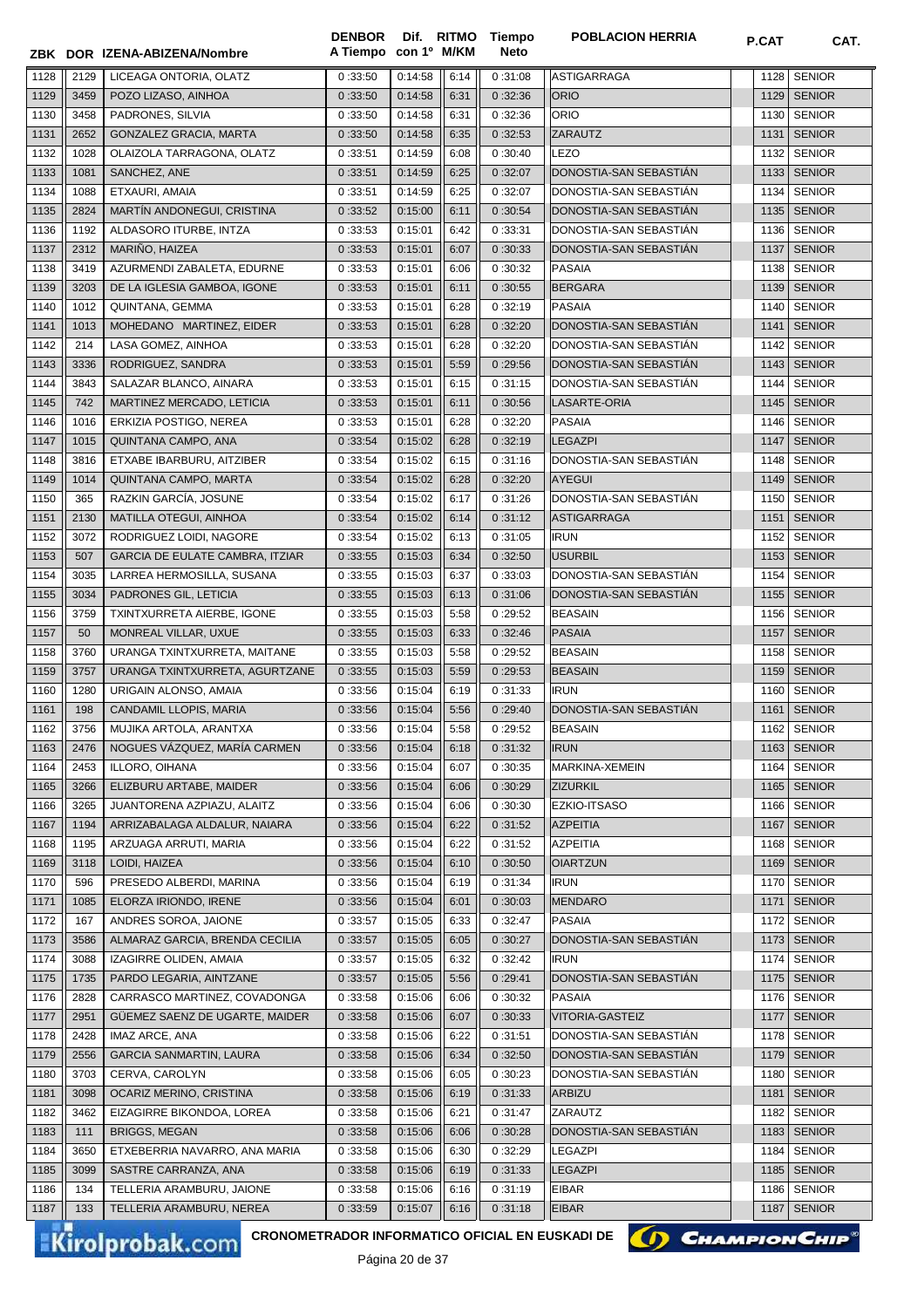|      |      | ZBK DOR IZENA-ABIZENA/Nombre    | A Tiempo con 1º M/KM |         |      | Neto    |                        |      |               |
|------|------|---------------------------------|----------------------|---------|------|---------|------------------------|------|---------------|
| 1128 | 2129 | LICEAGA ONTORIA, OLATZ          | 0:33:50              | 0:14:58 | 6:14 | 0:31:08 | <b>ASTIGARRAGA</b>     | 1128 | <b>SENIOR</b> |
| 1129 | 3459 | POZO LIZASO, AINHOA             | 0:33:50              | 0:14:58 | 6:31 | 0:32:36 | <b>ORIO</b>            | 1129 | <b>SENIOR</b> |
| 1130 | 3458 | PADRONES, SILVIA                | 0:33:50              | 0:14:58 | 6:31 | 0:32:36 | ORIO                   | 1130 | <b>SENIOR</b> |
| 1131 | 2652 | <b>GONZALEZ GRACIA, MARTA</b>   | 0:33:50              | 0:14:58 | 6:35 | 0:32:53 | <b>ZARAUTZ</b>         | 1131 | <b>SENIOR</b> |
| 1132 | 1028 | OLAIZOLA TARRAGONA, OLATZ       | 0:33:51              | 0:14:59 | 6:08 | 0:30:40 | LEZO                   | 1132 | <b>SENIOR</b> |
| 1133 | 1081 | SANCHEZ, ANE                    | 0:33:51              | 0:14:59 | 6:25 | 0:32:07 | DONOSTIA-SAN SEBASTIAN | 1133 | <b>SENIOR</b> |
| 1134 | 1088 | ETXAURI, AMAIA                  | 0:33:51              | 0:14:59 | 6:25 | 0:32:07 | DONOSTIA-SAN SEBASTIAN | 1134 | <b>SENIOR</b> |
| 1135 | 2824 | MARTÍN ANDONEGUI, CRISTINA      | 0:33:52              | 0:15:00 | 6:11 | 0:30:54 | DONOSTIA-SAN SEBASTIÁN | 1135 | <b>SENIOR</b> |
| 1136 | 1192 | ALDASORO ITURBE, INTZA          | 0:33:53              | 0:15:01 | 6:42 | 0:33:31 | DONOSTIA-SAN SEBASTIÁN | 1136 | <b>SENIOR</b> |
| 1137 | 2312 | MARIÑO, HAIZEA                  | 0:33:53              | 0:15:01 | 6:07 | 0:30:33 | DONOSTIA-SAN SEBASTIAN | 1137 | <b>SENIOR</b> |
| 1138 | 3419 | AZURMENDI ZABALETA, EDURNE      | 0:33:53              | 0:15:01 | 6:06 | 0:30:32 | <b>PASAIA</b>          | 1138 | <b>SENIOR</b> |
| 1139 | 3203 | DE LA IGLESIA GAMBOA, IGONE     | 0:33:53              | 0:15:01 | 6:11 | 0:30:55 | <b>BERGARA</b>         | 1139 | <b>SENIOR</b> |
| 1140 | 1012 | QUINTANA, GEMMA                 | 0:33:53              | 0:15:01 | 6:28 | 0:32:19 | <b>PASAIA</b>          | 1140 | <b>SENIOR</b> |
| 1141 | 1013 | MOHEDANO MARTINEZ, EIDER        | 0:33:53              | 0:15:01 | 6:28 | 0:32:20 | DONOSTIA-SAN SEBASTIAN | 1141 | <b>SENIOR</b> |
| 1142 | 214  | LASA GOMEZ, AINHOA              | 0:33:53              | 0:15:01 | 6:28 | 0:32:20 | DONOSTIA-SAN SEBASTIAN | 1142 | <b>SENIOR</b> |
| 1143 | 3336 | RODRIGUEZ, SANDRA               | 0:33:53              | 0:15:01 | 5:59 | 0:29:56 | DONOSTIA-SAN SEBASTIÁN | 1143 | <b>SENIOR</b> |
| 1144 | 3843 | SALAZAR BLANCO, AINARA          | 0:33:53              | 0:15:01 | 6:15 | 0:31:15 | DONOSTIA-SAN SEBASTIÁN | 1144 | <b>SENIOR</b> |
| 1145 | 742  | MARTINEZ MERCADO, LETICIA       | 0:33:53              | 0:15:01 | 6:11 | 0:30:56 | LASARTE-ORIA           | 1145 | <b>SENIOR</b> |
| 1146 | 1016 | ERKIZIA POSTIGO, NEREA          | 0:33:53              | 0:15:01 | 6:28 | 0:32:20 | <b>PASAIA</b>          | 1146 | <b>SENIOR</b> |
| 1147 | 1015 | QUINTANA CAMPO, ANA             | 0:33:54              | 0:15:02 | 6:28 | 0:32:19 | <b>LEGAZPI</b>         | 1147 | <b>SENIOR</b> |
| 1148 | 3816 | ETXABE IBARBURU, AITZIBER       | 0:33:54              | 0:15:02 | 6:15 | 0:31:16 | DONOSTIA-SAN SEBASTIÁN | 1148 | <b>SENIOR</b> |
| 1149 | 1014 | QUINTANA CAMPO, MARTA           | 0:33:54              | 0:15:02 | 6:28 | 0:32:20 | <b>AYEGUI</b>          | 1149 | <b>SENIOR</b> |
| 1150 | 365  | RAZKIN GARCÍA, JOSUNE           | 0:33:54              | 0:15:02 | 6:17 | 0:31:26 | DONOSTIA-SAN SEBASTIAN | 1150 | <b>SENIOR</b> |
| 1151 | 2130 | MATILLA OTEGUI, AINHOA          | 0:33:54              | 0:15:02 | 6:14 | 0:31:12 | <b>ASTIGARRAGA</b>     | 1151 | <b>SENIOR</b> |
| 1152 | 3072 | RODRIGUEZ LOIDI, NAGORE         | 0:33:54              | 0:15:02 | 6:13 | 0:31:05 | <b>IRUN</b>            | 1152 | <b>SENIOR</b> |
| 1153 | 507  | GARCIA DE EULATE CAMBRA, ITZIAR | 0:33:55              | 0:15:03 | 6:34 | 0:32:50 | <b>USURBIL</b>         | 1153 | <b>SENIOR</b> |
| 1154 | 3035 | LARREA HERMOSILLA, SUSANA       | 0:33:55              | 0:15:03 | 6:37 | 0:33:03 | DONOSTIA-SAN SEBASTIAN | 1154 | <b>SENIOR</b> |
| 1155 | 3034 | PADRONES GIL, LETICIA           | 0:33:55              | 0:15:03 | 6:13 | 0:31:06 | DONOSTIA-SAN SEBASTIAN | 1155 | <b>SENIOR</b> |
| 1156 | 3759 | TXINTXURRETA AIERBE, IGONE      | 0:33:55              | 0:15:03 | 5:58 | 0:29:52 | <b>BEASAIN</b>         | 1156 | <b>SENIOR</b> |
| 1157 | 50   | MONREAL VILLAR, UXUE            | 0:33:55              | 0:15:03 | 6:33 | 0:32:46 | <b>PASAIA</b>          | 1157 | <b>SENIOR</b> |
| 1158 | 3760 | URANGA TXINTXURRETA, MAITANE    | 0:33:55              | 0:15:03 | 5:58 | 0:29:52 | <b>BEASAIN</b>         | 1158 | <b>SENIOR</b> |
| 1159 | 3757 | URANGA TXINTXURRETA, AGURTZANE  | 0:33:55              | 0:15:03 | 5:59 | 0:29:53 | <b>BEASAIN</b>         | 1159 | <b>SENIOR</b> |
| 1160 | 1280 | URIGAIN ALONSO, AMAIA           | 0:33:56              | 0:15:04 | 6:19 | 0:31:33 | <b>IRUN</b>            | 1160 | <b>SENIOR</b> |
| 1161 | 198  | CANDAMIL LLOPIS, MARIA          | 0:33:56              | 0:15:04 | 5:56 | 0:29:40 | DONOSTIA-SAN SEBASTIÁN | 1161 | <b>SENIOR</b> |
| 1162 | 3756 | MUJIKA ARTOLA, ARANTXA          | 0:33:56              | 0:15:04 | 5:58 | 0:29:52 | <b>BEASAIN</b>         | 1162 | <b>SENIOR</b> |
| 1163 | 2476 | NOGUES VÁZQUEZ, MARÍA CARMEN    | 0:33:56              | 0:15:04 | 6:18 | 0:31:32 | <b>IRUN</b>            |      | 1163   SENIOR |
| 1164 | 2453 | ILLORO, OIHANA                  | 0:33:56              | 0:15:04 | 6:07 | 0:30:35 | MARKINA-XEMEIN         | 1164 | <b>SENIOR</b> |
| 1165 | 3266 | ELIZBURU ARTABE, MAIDER         | 0:33:56              | 0:15:04 | 6:06 | 0:30:29 | <b>ZIZURKIL</b>        | 1165 | <b>SENIOR</b> |
| 1166 | 3265 | JUANTORENA AZPIAZU, ALAITZ      | 0:33:56              | 0:15:04 | 6:06 | 0:30:30 | EZKIO-ITSASO           | 1166 | <b>SENIOR</b> |
| 1167 | 1194 | ARRIZABALAGA ALDALUR, NAIARA    | 0:33:56              | 0:15:04 | 6:22 | 0:31:52 | <b>AZPEITIA</b>        | 1167 | <b>SENIOR</b> |
| 1168 | 1195 | ARZUAGA ARRUTI, MARIA           | 0:33:56              | 0:15:04 | 6:22 | 0:31:52 | <b>AZPEITIA</b>        | 1168 | <b>SENIOR</b> |
| 1169 | 3118 | LOIDI, HAIZEA                   | 0:33:56              | 0:15:04 | 6:10 | 0:30:50 | <b>OIARTZUN</b>        | 1169 | <b>SENIOR</b> |
| 1170 | 596  | PRESEDO ALBERDI, MARINA         | 0:33:56              | 0:15:04 | 6:19 | 0:31:34 | <b>IRUN</b>            | 1170 | <b>SENIOR</b> |
| 1171 | 1085 | ELORZA IRIONDO, IRENE           | 0:33:56              | 0:15:04 | 6:01 | 0:30:03 | <b>MENDARO</b>         | 1171 | <b>SENIOR</b> |
| 1172 | 167  | ANDRES SOROA, JAIONE            | 0:33:57              | 0:15:05 | 6:33 | 0:32:47 | <b>PASAIA</b>          | 1172 | <b>SENIOR</b> |
| 1173 | 3586 | ALMARAZ GARCIA, BRENDA CECILIA  | 0:33:57              | 0:15:05 | 6:05 | 0:30:27 | DONOSTIA-SAN SEBASTIAN | 1173 | <b>SENIOR</b> |
| 1174 | 3088 | IZAGIRRE OLIDEN, AMAIA          | 0:33:57              | 0:15:05 | 6:32 | 0:32:42 | <b>IRUN</b>            | 1174 | <b>SENIOR</b> |
| 1175 | 1735 | PARDO LEGARIA, AINTZANE         | 0:33:57              | 0:15:05 | 5:56 | 0:29:41 | DONOSTIA-SAN SEBASTIAN | 1175 | <b>SENIOR</b> |
| 1176 | 2828 | CARRASCO MARTINEZ, COVADONGA    | 0:33:58              | 0:15:06 | 6:06 | 0:30:32 | <b>PASAIA</b>          | 1176 | <b>SENIOR</b> |
| 1177 | 2951 | GÜEMEZ SAENZ DE UGARTE, MAIDER  | 0:33:58              | 0:15:06 | 6:07 | 0:30:33 | VITORIA-GASTEIZ        | 1177 | <b>SENIOR</b> |
| 1178 | 2428 | IMAZ ARCE, ANA                  | 0:33:58              | 0:15:06 | 6:22 | 0:31:51 | DONOSTIA-SAN SEBASTIAN | 1178 | <b>SENIOR</b> |
| 1179 | 2556 | <b>GARCIA SANMARTIN, LAURA</b>  | 0:33:58              | 0:15:06 | 6:34 | 0:32:50 | DONOSTIA-SAN SEBASTIAN | 1179 | <b>SENIOR</b> |
| 1180 | 3703 | CERVA, CAROLYN                  | 0:33:58              | 0:15:06 | 6:05 | 0:30:23 | DONOSTIA-SAN SEBASTIAN | 1180 | <b>SENIOR</b> |
| 1181 | 3098 | OCARIZ MERINO, CRISTINA         | 0:33:58              | 0:15:06 | 6:19 | 0:31:33 | <b>ARBIZU</b>          | 1181 | <b>SENIOR</b> |
| 1182 | 3462 | EIZAGIRRE BIKONDOA, LOREA       | 0:33:58              | 0:15:06 | 6:21 | 0:31:47 | ZARAUTZ                | 1182 | <b>SENIOR</b> |
| 1183 | 111  | <b>BRIGGS, MEGAN</b>            | 0:33:58              | 0:15:06 | 6:06 | 0:30:28 | DONOSTIA-SAN SEBASTIAN | 1183 | <b>SENIOR</b> |
| 1184 | 3650 | ETXEBERRIA NAVARRO, ANA MARIA   | 0:33:58              | 0:15:06 | 6:30 | 0:32:29 | <b>LEGAZPI</b>         | 1184 | <b>SENIOR</b> |
| 1185 | 3099 | SASTRE CARRANZA, ANA            | 0:33:58              | 0:15:06 | 6:19 | 0:31:33 | <b>LEGAZPI</b>         | 1185 | <b>SENIOR</b> |
| 1186 | 134  | TELLERIA ARAMBURU, JAIONE       | 0:33:58              | 0:15:06 | 6:16 | 0:31:19 | <b>EIBAR</b>           | 1186 | <b>SENIOR</b> |
| 1187 | 133  | TELLERIA ARAMBURU, NEREA        | 0:33:59              | 0:15:07 | 6:16 | 0:31:18 | <b>EIBAR</b>           | 1187 | <b>SENIOR</b> |

**Tiempo** 

**DENBOR**

Kirolprobak.com

CRONOMETRADOR INFORMATICO OFICIAL EN EUSKADI DE **(A) CHAMPION CHIP**<sup>®</sup>

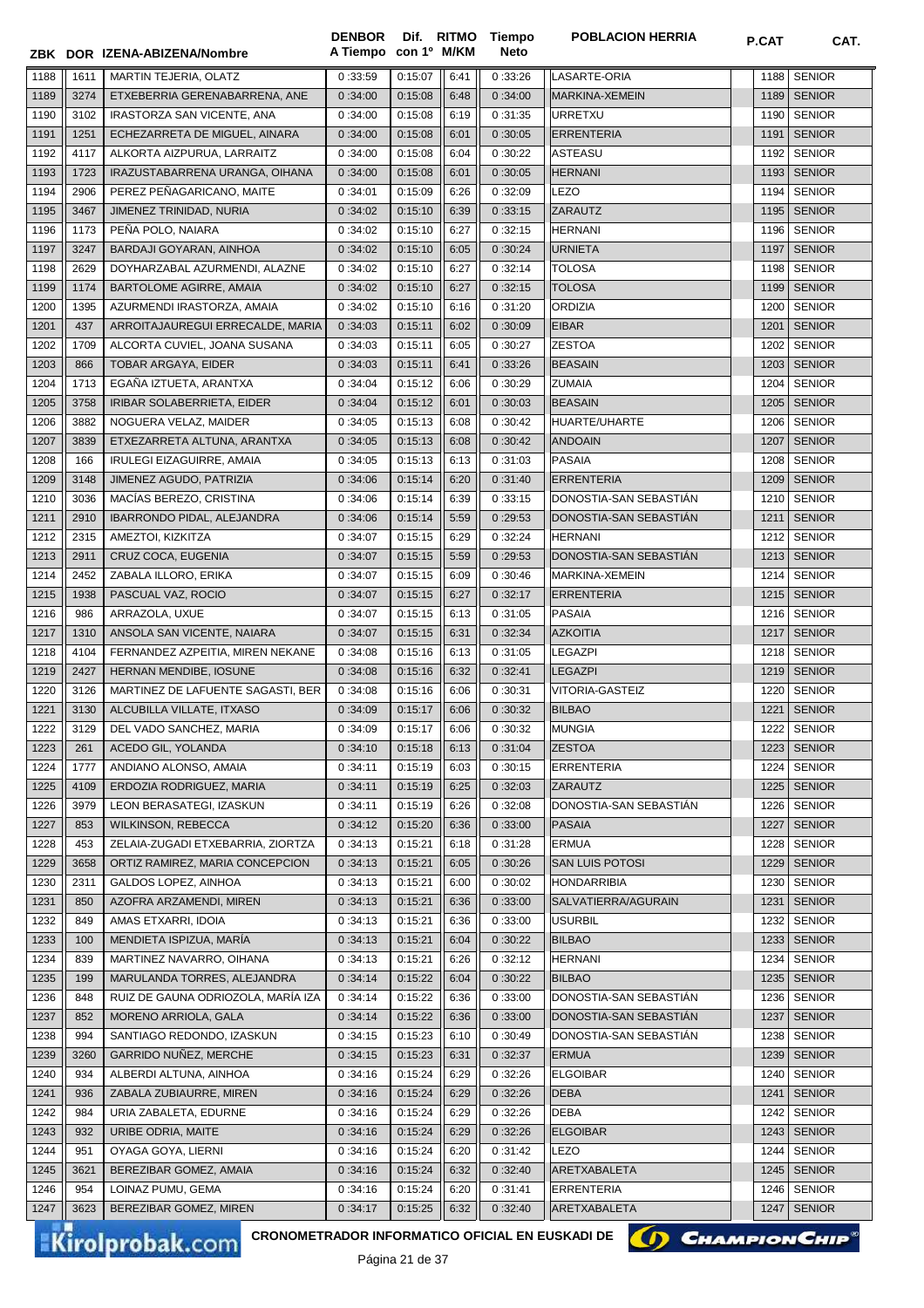|      |             | ZBK DOR IZENA-ABIZENA/Nombre                | A Tiempo con 1º M/KM |         |      | Neto    |                                   |      |               |
|------|-------------|---------------------------------------------|----------------------|---------|------|---------|-----------------------------------|------|---------------|
| 1188 | 1611        | MARTIN TEJERIA, OLATZ                       | 0:33:59              | 0:15:07 | 6:41 | 0:33:26 | LASARTE-ORIA                      | 1188 | <b>SENIOR</b> |
| 1189 | 3274        | ETXEBERRIA GERENABARRENA, ANE               | 0:34:00              | 0:15:08 | 6:48 | 0:34:00 | MARKINA-XEMEIN                    | 1189 | <b>SENIOR</b> |
| 1190 | 3102        | IRASTORZA SAN VICENTE, ANA                  | 0:34:00              | 0:15:08 | 6:19 | 0:31:35 | <b>URRETXU</b>                    | 1190 | <b>SENIOR</b> |
| 1191 | 1251        | ECHEZARRETA DE MIGUEL, AINARA               | 0:34:00              | 0:15:08 | 6:01 | 0:30:05 | <b>ERRENTERIA</b>                 | 1191 | <b>SENIOR</b> |
| 1192 | 4117        | ALKORTA AIZPURUA, LARRAITZ                  | 0:34:00              | 0:15:08 | 6:04 | 0:30:22 | <b>ASTEASU</b>                    | 1192 | <b>SENIOR</b> |
| 1193 | 1723        | IRAZUSTABARRENA URANGA, OIHANA              | 0:34:00              | 0:15:08 | 6:01 | 0:30:05 | <b>HERNANI</b>                    | 1193 | <b>SENIOR</b> |
| 1194 | 2906        | PEREZ PEÑAGARICANO, MAITE                   | 0:34:01              | 0:15:09 | 6:26 | 0:32:09 | LEZO                              | 1194 | <b>SENIOR</b> |
| 1195 | 3467        | JIMENEZ TRINIDAD, NURIA                     | 0:34:02              | 0:15:10 | 6:39 | 0:33:15 | ZARAUTZ                           | 1195 | <b>SENIOR</b> |
| 1196 | 1173        | PEÑA POLO, NAIARA                           | 0:34:02              | 0:15:10 | 6:27 | 0:32:15 | <b>HERNANI</b>                    | 1196 | <b>SENIOR</b> |
| 1197 | 3247        | BARDAJI GOYARAN, AINHOA                     | 0:34:02              | 0:15:10 | 6:05 | 0:30:24 | <b>URNIETA</b>                    | 1197 | <b>SENIOR</b> |
| 1198 | 2629        | DOYHARZABAL AZURMENDI, ALAZNE               | 0:34:02              | 0:15:10 | 6:27 | 0:32:14 | <b>TOLOSA</b>                     | 1198 | <b>SENIOR</b> |
| 1199 | 1174        | BARTOLOME AGIRRE, AMAIA                     | 0:34:02              | 0:15:10 | 6:27 | 0:32:15 | <b>TOLOSA</b>                     | 1199 | <b>SENIOR</b> |
| 1200 | 1395        | AZURMENDI IRASTORZA, AMAIA                  | 0:34:02              | 0:15:10 | 6:16 | 0:31:20 | ORDIZIA                           | 1200 | <b>SENIOR</b> |
| 1201 | 437         | ARROITAJAUREGUI ERRECALDE, MARIA            | 0:34:03              | 0:15:11 | 6:02 | 0:30:09 | <b>EIBAR</b>                      | 1201 | <b>SENIOR</b> |
| 1202 | 1709        | ALCORTA CUVIEL, JOANA SUSANA                | 0:34:03              | 0:15:11 | 6:05 | 0:30:27 | <b>ZESTOA</b>                     | 1202 | <b>SENIOR</b> |
| 1203 | 866         | TOBAR ARGAYA, EIDER                         | 0:34:03              | 0:15:11 | 6:41 | 0:33:26 | <b>BEASAIN</b>                    | 1203 | <b>SENIOR</b> |
| 1204 | 1713        | EGAÑA IZTUETA, ARANTXA                      | 0:34:04              | 0:15:12 | 6:06 | 0:30:29 | <b>ZUMAIA</b>                     | 1204 | <b>SENIOR</b> |
| 1205 | 3758        | IRIBAR SOLABERRIETA, EIDER                  | 0:34:04              | 0:15:12 | 6:01 | 0:30:03 | <b>BEASAIN</b>                    | 1205 | <b>SENIOR</b> |
| 1206 | 3882        | NOGUERA VELAZ, MAIDER                       | 0:34:05              | 0:15:13 | 6:08 | 0:30:42 | HUARTE/UHARTE                     | 1206 | <b>SENIOR</b> |
| 1207 | 3839        | ETXEZARRETA ALTUNA, ARANTXA                 | 0:34:05              | 0:15:13 | 6:08 | 0:30:42 | <b>ANDOAIN</b>                    | 1207 | <b>SENIOR</b> |
| 1208 | 166         | IRULEGI EIZAGUIRRE, AMAIA                   | 0:34:05              | 0:15:13 | 6:13 | 0:31:03 | <b>PASAIA</b>                     | 1208 | <b>SENIOR</b> |
| 1209 | 3148        | JIMENEZ AGUDO, PATRIZIA                     | 0:34:06              | 0:15:14 | 6:20 | 0:31:40 | <b>ERRENTERIA</b>                 | 1209 | <b>SENIOR</b> |
| 1210 | 3036        | MACÍAS BEREZO, CRISTINA                     | 0:34:06              | 0:15:14 | 6:39 | 0:33:15 | DONOSTIA-SAN SEBASTIAN            | 1210 | <b>SENIOR</b> |
| 1211 | 2910        | IBARRONDO PIDAL, ALEJANDRA                  | 0:34:06              | 0:15:14 | 5:59 | 0:29:53 | DONOSTIA-SAN SEBASTIAN            | 1211 | <b>SENIOR</b> |
| 1212 | 2315        | AMEZTOI, KIZKITZA                           | 0:34:07              | 0:15:15 | 6:29 | 0:32:24 | <b>HERNANI</b>                    | 1212 | <b>SENIOR</b> |
| 1213 | 2911        | CRUZ COCA, EUGENIA                          | 0:34:07              | 0:15:15 | 5:59 | 0:29:53 | DONOSTIA-SAN SEBASTIÁN            | 1213 | <b>SENIOR</b> |
| 1214 | 2452        | ZABALA ILLORO, ERIKA                        | 0:34:07              | 0:15:15 | 6:09 | 0:30:46 | MARKINA-XEMEIN                    | 1214 | <b>SENIOR</b> |
| 1215 | 1938        | PASCUAL VAZ, ROCIO                          | 0:34:07              | 0:15:15 | 6:27 | 0:32:17 | <b>ERRENTERIA</b>                 | 1215 | <b>SENIOR</b> |
| 1216 | 986         | ARRAZOLA, UXUE                              | 0:34:07              | 0:15:15 | 6:13 | 0:31:05 | <b>PASAIA</b>                     | 1216 | <b>SENIOR</b> |
| 1217 | 1310        | ANSOLA SAN VICENTE, NAIARA                  | 0:34:07              | 0:15:15 | 6:31 | 0:32:34 | <b>AZKOITIA</b>                   | 1217 | <b>SENIOR</b> |
| 1218 | 4104        | FERNANDEZ AZPEITIA, MIREN NEKANE            | 0:34:08              | 0:15:16 | 6:13 | 0:31:05 | <b>LEGAZPI</b>                    | 1218 | <b>SENIOR</b> |
| 1219 | 2427        | HERNAN MENDIBE, IOSUNE                      | 0:34:08              | 0:15:16 | 6:32 | 0:32:41 | <b>LEGAZPI</b>                    |      | 1219 SENIOR   |
| 1220 | 3126        | MARTINEZ DE LAFUENTE SAGASTI, BER           | 0:34:08              | 0:15:16 | 6:06 | 0:30:31 | VITORIA-GASTEIZ                   | 1220 | <b>SENIOR</b> |
| 1221 | 3130        | ALCUBILLA VILLATE, ITXASO                   | 0:34:09              | 0:15:17 | 6:06 | 0:30:32 | <b>BILBAO</b>                     | 1221 | <b>SENIOR</b> |
| 1222 | 3129        | DEL VADO SANCHEZ, MARIA                     | 0:34:09              | 0:15:17 | 6:06 | 0:30:32 | <b>MUNGIA</b>                     | 1222 | <b>SENIOR</b> |
| 1223 | 261         | ACEDO GIL, YOLANDA                          | 0:34:10              | 0:15:18 | 6:13 | 0:31:04 | <b>ZESTOA</b>                     |      | 1223 SENIOR   |
| 1224 | 1777        | ANDIANO ALONSO, AMAIA                       | 0:34:11              | 0:15:19 | 6:03 | 0:30:15 | ERRENTERIA                        | 1224 | <b>SENIOR</b> |
| 1225 | 4109        | ERDOZIA RODRIGUEZ, MARIA                    | 0:34:11              | 0:15:19 | 6:25 | 0:32:03 | ZARAUTZ                           | 1225 | <b>SENIOR</b> |
| 1226 | 3979        | LEON BERASATEGI, IZASKUN                    | 0:34:11              | 0:15:19 | 6:26 | 0:32:08 | DONOSTIA-SAN SEBASTIAN            | 1226 | <b>SENIOR</b> |
| 1227 | 853         | <b>WILKINSON, REBECCA</b>                   | 0:34:12              | 0:15:20 | 6:36 | 0:33:00 | <b>PASAIA</b>                     | 1227 | <b>SENIOR</b> |
| 1228 | 453         | ZELAIA-ZUGADI ETXEBARRIA, ZIORTZA           | 0:34:13              | 0:15:21 | 6:18 | 0:31:28 | <b>ERMUA</b>                      | 1228 | <b>SENIOR</b> |
| 1229 | 3658        | ORTIZ RAMIREZ, MARIA CONCEPCION             | 0:34:13              | 0:15:21 | 6:05 | 0:30:26 | SAN LUIS POTOSI                   | 1229 | <b>SENIOR</b> |
| 1230 | 2311        | GALDOS LOPEZ, AINHOA                        | 0:34:13              | 0:15:21 | 6:00 | 0:30:02 | <b>HONDARRIBIA</b>                | 1230 | <b>SENIOR</b> |
| 1231 | 850         | AZOFRA ARZAMENDI, MIREN                     | 0:34:13              | 0:15:21 | 6:36 | 0:33:00 | SALVATIERRA/AGURAIN               | 1231 | <b>SENIOR</b> |
| 1232 | 849         | AMAS ETXARRI, IDOIA                         | 0:34:13              | 0:15:21 | 6:36 | 0:33:00 | USURBIL                           | 1232 | <b>SENIOR</b> |
| 1233 | 100         | MENDIETA ISPIZUA, MARÍA                     | 0:34:13              | 0:15:21 | 6:04 | 0:30:22 | <b>BILBAO</b>                     | 1233 | <b>SENIOR</b> |
| 1234 | 839         | MARTINEZ NAVARRO, OIHANA                    | 0:34:13              | 0:15:21 | 6:26 | 0:32:12 | <b>HERNANI</b>                    | 1234 | <b>SENIOR</b> |
| 1235 | 199         | MARULANDA TORRES, ALEJANDRA                 | 0:34:14              | 0:15:22 | 6:04 | 0:30:22 | <b>BILBAO</b>                     | 1235 | <b>SENIOR</b> |
| 1236 | 848         | RUIZ DE GAUNA ODRIOZOLA, MARÍA IZA          | 0:34:14              | 0:15:22 | 6:36 | 0:33:00 | DONOSTIA-SAN SEBASTIAN            | 1236 | <b>SENIOR</b> |
| 1237 | 852         | MORENO ARRIOLA, GALA                        | 0:34:14              | 0:15:22 | 6:36 | 0:33:00 | DONOSTIA-SAN SEBASTIAN            | 1237 | <b>SENIOR</b> |
| 1238 | 994         | SANTIAGO REDONDO, IZASKUN                   | 0:34:15              | 0:15:23 | 6:10 | 0:30:49 | DONOSTIA-SAN SEBASTIAN            | 1238 | <b>SENIOR</b> |
| 1239 | 3260        | GARRIDO NUÑEZ, MERCHE                       | 0:34:15              | 0:15:23 | 6:31 | 0:32:37 | <b>ERMUA</b>                      | 1239 | <b>SENIOR</b> |
| 1240 | 934         | ALBERDI ALTUNA, AINHOA                      | 0:34:16              | 0:15:24 | 6:29 | 0:32:26 | ELGOIBAR                          | 1240 | <b>SENIOR</b> |
| 1241 | 936         | ZABALA ZUBIAURRE, MIREN                     | 0:34:16              | 0:15:24 | 6:29 | 0:32:26 | DEBA                              | 1241 | <b>SENIOR</b> |
| 1242 | 984         | URIA ZABALETA, EDURNE                       | 0:34:16              | 0:15:24 | 6:29 | 0:32:26 | DEBA                              | 1242 | <b>SENIOR</b> |
| 1243 | 932         | URIBE ODRIA, MAITE                          | 0:34:16              | 0:15:24 | 6:29 | 0:32:26 | <b>ELGOIBAR</b>                   | 1243 | <b>SENIOR</b> |
| 1244 | 951         | OYAGA GOYA, LIERNI                          | 0:34:16              | 0:15:24 | 6:20 | 0:31:42 | LEZO                              | 1244 | <b>SENIOR</b> |
| 1245 | 3621        | BEREZIBAR GOMEZ, AMAIA                      | 0:34:16              | 0:15:24 | 6:32 | 0:32:40 | ARETXABALETA                      | 1245 | <b>SENIOR</b> |
| 1246 | 954<br>3623 | LOINAZ PUMU, GEMA<br>BEREZIBAR GOMEZ, MIREN | 0:34:16              | 0:15:24 | 6:20 | 0:31:41 | <b>ERRENTERIA</b><br>ARETXABALETA | 1246 | <b>SENIOR</b> |
| 1247 |             |                                             | 0:34:17              | 0:15:25 | 6:32 | 0:32:40 |                                   |      | 1247 SENIOR   |

**Tiempo** 

**DENBOR**

**CRONOMETRADOR INFORMATICO OFICIAL EN EUSKADI DE**

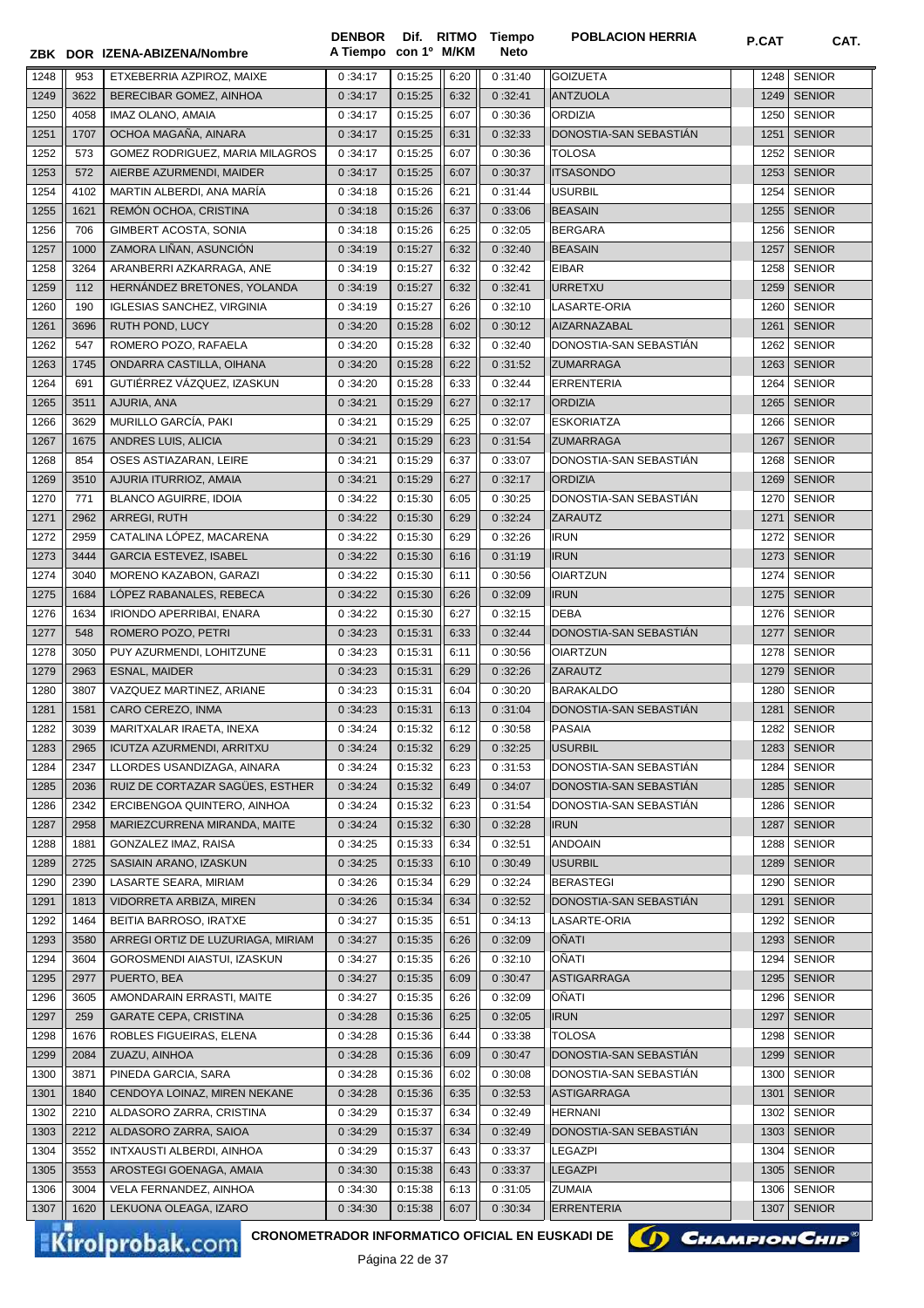| 1248<br>1249<br>1250<br>1251<br>1252<br>1253<br>1254<br>1255<br>1256<br>1257<br>1258<br>1259<br>1260 | 953<br>3622<br>4058<br>1707 | ZBK DOR IZENA-ABIZENA/Nombre<br>ETXEBERRIA AZPIROZ, MAIXE<br>BERECIBAR GOMEZ, AINHOA | A Tiempo con 1º M/KM<br>0:34:17 | 0:15:25         | 6:20 | 0:31:40 | <b>GOIZUETA</b>                            | 1248 |                                |
|------------------------------------------------------------------------------------------------------|-----------------------------|--------------------------------------------------------------------------------------|---------------------------------|-----------------|------|---------|--------------------------------------------|------|--------------------------------|
|                                                                                                      |                             |                                                                                      |                                 |                 |      |         |                                            |      | <b>SENIOR</b>                  |
|                                                                                                      |                             |                                                                                      | 0:34:17                         | 0:15:25         | 6:32 | 0:32:41 | <b>ANTZUOLA</b>                            | 1249 | <b>SENIOR</b>                  |
|                                                                                                      |                             | IMAZ OLANO, AMAIA                                                                    | 0:34:17                         | 0:15:25         | 6:07 | 0:30:36 | <b>ORDIZIA</b>                             | 1250 | <b>SENIOR</b>                  |
|                                                                                                      |                             | OCHOA MAGAÑA, AINARA                                                                 | 0:34:17                         | 0:15:25         | 6:31 | 0:32:33 | DONOSTIA-SAN SEBASTIAN                     | 1251 | <b>SENIOR</b>                  |
|                                                                                                      | 573                         | GOMEZ RODRIGUEZ, MARIA MILAGROS                                                      | 0:34:17                         | 0:15:25         | 6:07 | 0:30:36 | <b>TOLOSA</b>                              | 1252 | <b>SENIOR</b>                  |
|                                                                                                      | 572                         | AIERBE AZURMENDI, MAIDER                                                             | 0:34:17                         | 0:15:25         | 6:07 | 0:30:37 | <b>ITSASONDO</b>                           | 1253 | <b>SENIOR</b>                  |
|                                                                                                      | 4102                        | MARTIN ALBERDI, ANA MARÍA                                                            | 0:34:18                         | 0:15:26         | 6:21 | 0:31:44 | <b>USURBIL</b>                             | 1254 | <b>SENIOR</b>                  |
|                                                                                                      | 1621                        | REMÓN OCHOA, CRISTINA                                                                | 0:34:18                         | 0:15:26         | 6:37 | 0:33:06 | <b>BEASAIN</b>                             | 1255 | <b>SENIOR</b>                  |
|                                                                                                      | 706                         | GIMBERT ACOSTA, SONIA                                                                | 0:34:18                         | 0:15:26         | 6:25 | 0:32:05 | <b>BERGARA</b>                             | 1256 | <b>SENIOR</b>                  |
|                                                                                                      | 1000                        | ZAMORA LIÑAN, ASUNCIÓN                                                               | 0:34:19                         | 0:15:27         | 6:32 | 0:32:40 | <b>BEASAIN</b>                             | 1257 | <b>SENIOR</b>                  |
|                                                                                                      | 3264                        | ARANBERRI AZKARRAGA, ANE                                                             | 0:34:19                         | 0:15:27         | 6:32 | 0:32:42 | <b>EIBAR</b>                               | 1258 | <b>SENIOR</b>                  |
|                                                                                                      | 112                         | HERNÁNDEZ BRETONES, YOLANDA                                                          | 0:34:19                         | 0:15:27         |      | 0:32:41 | URRETXU                                    | 1259 | <b>SENIOR</b>                  |
|                                                                                                      | 190                         |                                                                                      | 0:34:19                         | 0:15:27         | 6:32 | 0:32:10 | LASARTE-ORIA                               |      | <b>SENIOR</b>                  |
|                                                                                                      |                             | <b>IGLESIAS SANCHEZ, VIRGINIA</b>                                                    |                                 |                 | 6:26 |         |                                            | 1260 |                                |
| 1261                                                                                                 | 3696                        | RUTH POND, LUCY                                                                      | 0:34:20                         | 0:15:28         | 6:02 | 0:30:12 | AIZARNAZABAL                               | 1261 | <b>SENIOR</b>                  |
| 1262                                                                                                 | 547                         | ROMERO POZO, RAFAELA                                                                 | 0:34:20                         | 0:15:28         | 6:32 | 0:32:40 | DONOSTIA-SAN SEBASTIÁN<br><b>ZUMARRAGA</b> | 1262 | <b>SENIOR</b><br><b>SENIOR</b> |
| 1263                                                                                                 | 1745                        | ONDARRA CASTILLA, OIHANA<br>GUTIÉRREZ VÁZQUEZ, IZASKUN                               | 0:34:20                         | 0:15:28         | 6:22 | 0:31:52 |                                            | 1263 | <b>SENIOR</b>                  |
| 1264                                                                                                 | 691                         |                                                                                      | 0:34:20                         | 0:15:28         | 6:33 | 0:32:44 | <b>ERRENTERIA</b>                          | 1264 |                                |
| 1265                                                                                                 | 3511                        | AJURIA, ANA                                                                          | 0:34:21                         | 0:15:29         | 6:27 | 0:32:17 | <b>ORDIZIA</b>                             | 1265 | <b>SENIOR</b>                  |
| 1266                                                                                                 | 3629                        | MURILLO GARCÍA, PAKI                                                                 | 0:34:21                         | 0:15:29         | 6:25 | 0:32:07 | <b>ESKORIATZA</b>                          | 1266 | <b>SENIOR</b>                  |
| 1267                                                                                                 | 1675                        | ANDRES LUIS, ALICIA                                                                  | 0:34:21                         | 0:15:29         | 6:23 | 0:31:54 | <b>ZUMARRAGA</b>                           | 1267 | <b>SENIOR</b>                  |
| 1268                                                                                                 | 854                         | OSES ASTIAZARAN, LEIRE                                                               | 0:34:21                         | 0:15:29         | 6:37 | 0:33:07 | DONOSTIA-SAN SEBASTIAN                     | 1268 | <b>SENIOR</b>                  |
| 1269                                                                                                 | 3510                        | AJURIA ITURRIOZ, AMAIA                                                               | 0:34:21                         | 0:15:29         | 6:27 | 0:32:17 | <b>ORDIZIA</b>                             | 1269 | <b>SENIOR</b>                  |
| 1270                                                                                                 | 771                         | <b>BLANCO AGUIRRE, IDOIA</b>                                                         | 0:34:22                         | 0:15:30         | 6:05 | 0:30:25 | DONOSTIA-SAN SEBASTIAN                     | 1270 | <b>SENIOR</b>                  |
| 1271                                                                                                 | 2962                        | ARREGI, RUTH                                                                         | 0:34:22                         | 0:15:30         | 6:29 | 0:32:24 | <b>ZARAUTZ</b>                             | 1271 | <b>SENIOR</b>                  |
| 1272                                                                                                 | 2959                        | CATALINA LÓPEZ, MACARENA                                                             | 0:34:22                         | 0:15:30         | 6:29 | 0:32:26 | <b>IRUN</b>                                | 1272 | <b>SENIOR</b>                  |
| 1273                                                                                                 | 3444                        | <b>GARCIA ESTEVEZ, ISABEL</b>                                                        | 0:34:22                         | 0:15:30         | 6:16 | 0:31:19 | <b>IRUN</b>                                | 1273 | <b>SENIOR</b>                  |
| 1274                                                                                                 | 3040                        | MORENO KAZABON, GARAZI                                                               | 0:34:22                         | 0:15:30         | 6:11 | 0:30:56 | <b>OIARTZUN</b>                            | 1274 | <b>SENIOR</b>                  |
| 1275                                                                                                 | 1684                        | LÓPEZ RABANALES, REBECA                                                              | 0:34:22                         | 0:15:30         | 6:26 | 0:32:09 | <b>IRUN</b>                                | 1275 | <b>SENIOR</b>                  |
| 1276                                                                                                 | 1634                        | IRIONDO APERRIBAI, ENARA                                                             | 0:34:22                         | 0:15:30         | 6:27 | 0:32:15 | <b>DEBA</b>                                | 1276 | <b>SENIOR</b>                  |
| 1277                                                                                                 | 548                         | ROMERO POZO, PETRI                                                                   | 0:34:23                         | 0:15:31         | 6:33 | 0:32:44 | DONOSTIA-SAN SEBASTIAN                     | 1277 | <b>SENIOR</b>                  |
| 1278                                                                                                 | 3050                        | PUY AZURMENDI, LOHITZUNE                                                             | 0:34:23                         | 0:15:31         | 6:11 | 0:30:56 | <b>OIARTZUN</b>                            | 1278 | <b>SENIOR</b>                  |
| 1279                                                                                                 | 2963                        | <b>ESNAL, MAIDER</b>                                                                 | 0:34:23                         | 0:15:31         | 6:29 | 0:32:26 | <b>ZARAUTZ</b>                             | 1279 | <b>SENIOR</b>                  |
| 1280                                                                                                 | 3807                        | VAZQUEZ MARTINEZ, ARIANE                                                             | 0:34:23                         | 0:15:31         | 6:04 | 0:30:20 | <b>BARAKALDO</b>                           | 1280 | <b>SENIOR</b>                  |
| 1281                                                                                                 | 1581                        | CARO CEREZO, INMA                                                                    | 0:34:23                         | 0:15:31         | 6:13 | 0:31:04 | DONOSTIA-SAN SEBASTIÁN                     | 1281 | <b>SENIOR</b>                  |
| 1282                                                                                                 | 3039                        | MARITXALAR IRAETA, INEXA                                                             | 0:34:24                         | 0:15:32         | 6:12 | 0:30:58 | PASAIA                                     |      | 1282 SENIOR                    |
| 1283                                                                                                 | 2965                        | ICUTZA AZURMENDI, ARRITXU                                                            | 0:34:24                         | 0:15:32         | 6:29 | 0:32:25 | <b>USURBIL</b>                             |      | 1283   SENIOR                  |
| 1284                                                                                                 | 2347                        | LLORDES USANDIZAGA, AINARA                                                           | 0:34:24                         | 0:15:32         | 6:23 | 0:31:53 | DONOSTIA-SAN SEBASTIAN                     | 1284 | <b>SENIOR</b>                  |
| 1285                                                                                                 | 2036                        | RUIZ DE CORTAZAR SAGÜES, ESTHER                                                      | 0:34:24                         | 0:15:32         | 6:49 | 0:34:07 | DONOSTIA-SAN SEBASTIAN                     |      | 1285   SENIOR                  |
| 1286                                                                                                 | 2342                        | ERCIBENGOA QUINTERO, AINHOA                                                          | 0:34:24                         | 0:15:32         | 6:23 | 0:31:54 | DONOSTIA-SAN SEBASTIAN                     | 1286 | <b>SENIOR</b>                  |
| 1287                                                                                                 | 2958                        | MARIEZCURRENA MIRANDA, MAITE                                                         | 0:34:24                         | 0:15:32         | 6:30 | 0:32:28 | <b>IRUN</b>                                | 1287 | <b>SENIOR</b>                  |
| 1288                                                                                                 | 1881                        | GONZALEZ IMAZ, RAISA                                                                 | 0:34:25                         | 0:15:33         | 6:34 | 0:32:51 | <b>ANDOAIN</b>                             | 1288 | <b>SENIOR</b>                  |
| 1289                                                                                                 | 2725                        | SASIAIN ARANO, IZASKUN                                                               | 0:34:25                         | 0:15:33         | 6:10 | 0:30:49 | <b>USURBIL</b>                             | 1289 | <b>SENIOR</b>                  |
| 1290                                                                                                 | 2390                        | LASARTE SEARA, MIRIAM                                                                | 0:34:26                         | 0:15:34         | 6:29 | 0:32:24 | <b>BERASTEGI</b>                           | 1290 | <b>SENIOR</b>                  |
| 1291                                                                                                 | 1813                        | VIDORRETA ARBIZA, MIREN                                                              | 0:34:26                         | 0:15:34         | 6:34 | 0:32:52 | DONOSTIA-SAN SEBASTIÁN                     | 1291 | <b>SENIOR</b>                  |
| 1292                                                                                                 | 1464                        | BEITIA BARROSO, IRATXE                                                               | 0:34:27                         | 0:15:35         | 6:51 | 0:34:13 | LASARTE-ORIA                               | 1292 | <b>SENIOR</b>                  |
| 1293                                                                                                 | 3580                        | ARREGI ORTIZ DE LUZURIAGA, MIRIAM                                                    | 0:34:27                         | 0:15:35         | 6:26 | 0:32:09 | <b>OÑATI</b>                               | 1293 | <b>SENIOR</b>                  |
| 1294                                                                                                 | 3604                        | GOROSMENDI AIASTUI, IZASKUN                                                          | 0:34:27                         | 0:15:35         | 6:26 | 0:32:10 | OÑATI                                      | 1294 | <b>SENIOR</b>                  |
| 1295                                                                                                 | 2977                        | PUERTO, BEA                                                                          | 0:34:27                         | 0:15:35         | 6:09 | 0:30:47 | <b>ASTIGARRAGA</b>                         | 1295 | <b>SENIOR</b>                  |
| 1296                                                                                                 | 3605                        | AMONDARAIN ERRASTI, MAITE                                                            | 0:34:27                         | 0:15:35         | 6:26 | 0:32:09 | OÑATI                                      | 1296 | <b>SENIOR</b>                  |
| 1297                                                                                                 | 259                         | <b>GARATE CEPA, CRISTINA</b>                                                         | 0:34:28                         | 0:15:36         | 6:25 | 0:32:05 | <b>IRUN</b>                                | 1297 | <b>SENIOR</b>                  |
| 1298                                                                                                 | 1676                        | ROBLES FIGUEIRAS, ELENA                                                              | 0:34:28                         | 0:15:36         | 6:44 | 0:33:38 | <b>TOLOSA</b>                              | 1298 | <b>SENIOR</b>                  |
| 1299                                                                                                 | 2084                        | ZUAZU, AINHOA                                                                        | 0:34:28                         | 0:15:36         | 6:09 | 0:30:47 | DONOSTIA-SAN SEBASTIAN                     | 1299 | <b>SENIOR</b>                  |
| 1300                                                                                                 | 3871                        | PINEDA GARCIA, SARA                                                                  | 0:34:28                         | 0:15:36         | 6:02 | 0:30:08 | DONOSTIA-SAN SEBASTIAN                     | 1300 | <b>SENIOR</b>                  |
| 1301                                                                                                 | 1840                        | CENDOYA LOINAZ, MIREN NEKANE                                                         | 0:34:28                         | 0:15:36         | 6:35 | 0:32:53 | <b>ASTIGARRAGA</b>                         | 1301 | <b>SENIOR</b>                  |
| 1302                                                                                                 | 2210                        | ALDASORO ZARRA, CRISTINA                                                             | 0:34:29                         | 0:15:37         | 6:34 | 0:32:49 | <b>HERNANI</b>                             | 1302 | <b>SENIOR</b>                  |
| 1303                                                                                                 | 2212                        | ALDASORO ZARRA, SAIOA                                                                | 0:34:29                         | 0:15:37         | 6:34 | 0:32:49 | DONOSTIA-SAN SEBASTIAN                     | 1303 | <b>SENIOR</b>                  |
| 1304                                                                                                 | 3552                        | INTXAUSTI ALBERDI, AINHOA                                                            | 0:34:29                         | 0:15:37         | 6:43 | 0:33:37 | <b>LEGAZPI</b>                             | 1304 | <b>SENIOR</b>                  |
| 1305                                                                                                 | 3553                        | AROSTEGI GOENAGA, AMAIA                                                              | 0:34:30                         | 0:15:38         | 6:43 | 0:33:37 | <b>LEGAZPI</b>                             | 1305 | <b>SENIOR</b>                  |
| 1306                                                                                                 | 3004                        | VELA FERNANDEZ, AINHOA                                                               | 0:34:30                         | 0:15:38         | 6:13 | 0:31:05 | <b>ZUMAIA</b>                              | 1306 | <b>SENIOR</b>                  |
| 1307                                                                                                 | 1620                        | LEKUONA OLEAGA, IZARO                                                                | 0:34:30                         | 0:15:38         | 6:07 | 0:30:34 | <b>ERRENTERIA</b>                          | 1307 | <b>SENIOR</b>                  |
|                                                                                                      |                             | CRONOMETRADOR INFORMATICO OFICIAL EN EUSKADI DE<br><b>Kirolprobak.com</b>            |                                 | Dáoina 22 de 27 |      |         | () CHAMPION CHIP                           |      |                                |

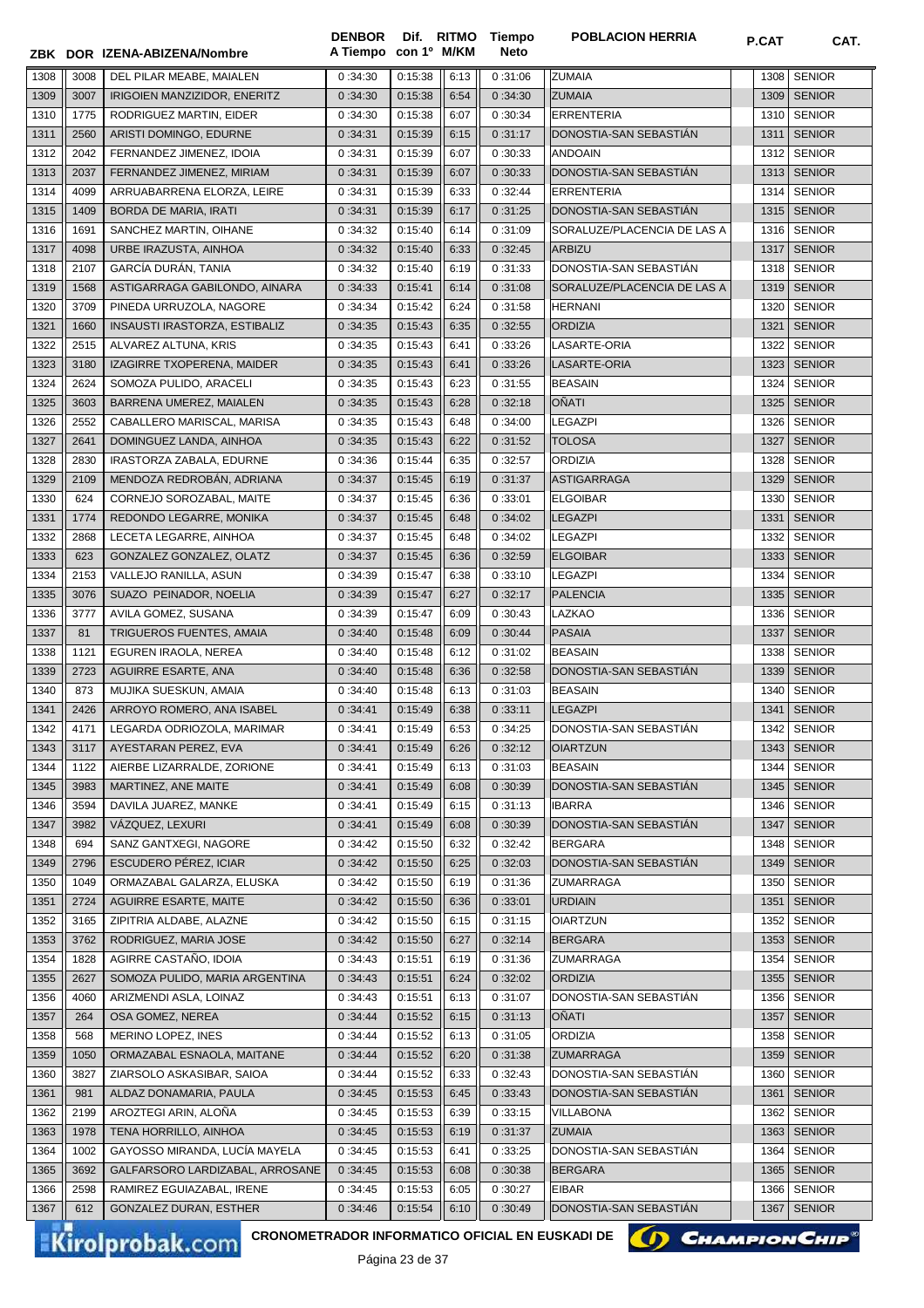|      |      | ZBK DOR IZENA-ABIZENA/Nombre    | A Tiempo con 1º M/KM |         |      | Neto    |                             | <b>P.UAI</b> | UAI.          |
|------|------|---------------------------------|----------------------|---------|------|---------|-----------------------------|--------------|---------------|
| 1308 | 3008 | DEL PILAR MEABE, MAIALEN        | 0:34:30              | 0:15:38 | 6:13 | 0:31:06 | <b>ZUMAIA</b>               | 1308         | <b>SENIOR</b> |
| 1309 | 3007 | IRIGOIEN MANZIZIDOR, ENERITZ    | 0:34:30              | 0:15:38 | 6:54 | 0:34:30 | <b>ZUMAIA</b>               | 1309         | <b>SENIOR</b> |
| 1310 | 1775 | RODRIGUEZ MARTIN, EIDER         | 0:34:30              | 0:15:38 | 6:07 | 0:30:34 | <b>ERRENTERIA</b>           | 1310         | <b>SENIOR</b> |
| 1311 | 2560 | ARISTI DOMINGO, EDURNE          | 0:34:31              | 0:15:39 | 6:15 | 0:31:17 | DONOSTIA-SAN SEBASTIAN      | 1311         | <b>SENIOR</b> |
| 1312 | 2042 | FERNANDEZ JIMENEZ, IDOIA        | 0:34:31              | 0:15:39 | 6:07 | 0:30:33 | <b>ANDOAIN</b>              | 1312         | <b>SENIOR</b> |
| 1313 | 2037 | FERNANDEZ JIMENEZ, MIRIAM       | 0:34:31              | 0:15:39 | 6:07 | 0:30:33 | DONOSTIA-SAN SEBASTIAN      |              | 1313   SENIOR |
| 1314 | 4099 | ARRUABARRENA ELORZA, LEIRE      | 0:34:31              | 0:15:39 | 6:33 | 0:32:44 | ERRENTERIA                  | 1314         | <b>SENIOR</b> |
| 1315 | 1409 | BORDA DE MARIA, IRATI           | 0:34:31              | 0:15:39 | 6:17 | 0:31:25 | DONOSTIA-SAN SEBASTIAN      | 1315         | <b>SENIOR</b> |
| 1316 | 1691 | SANCHEZ MARTIN, OIHANE          | 0:34:32              | 0:15:40 | 6:14 | 0:31:09 | SORALUZE/PLACENCIA DE LAS A | 1316         | <b>SENIOR</b> |
| 1317 | 4098 | URBE IRAZUSTA, AINHOA           | 0:34:32              | 0:15:40 | 6:33 | 0:32:45 | <b>ARBIZU</b>               | 1317         | <b>SENIOR</b> |
| 1318 | 2107 | GARCÍA DURÁN, TANIA             | 0:34:32              | 0:15:40 | 6:19 | 0:31:33 | DONOSTIA-SAN SEBASTIAN      | 1318         | <b>SENIOR</b> |
| 1319 | 1568 | ASTIGARRAGA GABILONDO, AINARA   | 0:34:33              | 0:15:41 | 6:14 | 0:31:08 | SORALUZE/PLACENCIA DE LAS A | 1319         | <b>SENIOR</b> |
| 1320 | 3709 | PINEDA URRUZOLA, NAGORE         | 0:34:34              | 0:15:42 | 6:24 | 0:31:58 | <b>HERNANI</b>              | 1320         | <b>SENIOR</b> |
| 1321 | 1660 | INSAUSTI IRASTORZA, ESTIBALIZ   | 0:34:35              | 0:15:43 | 6:35 | 0:32:55 | <b>ORDIZIA</b>              | 1321         | <b>SENIOR</b> |
| 1322 | 2515 | ALVAREZ ALTUNA, KRIS            | 0:34:35              | 0:15:43 | 6:41 | 0:33:26 | LASARTE-ORIA                | 1322         | <b>SENIOR</b> |
| 1323 | 3180 | IZAGIRRE TXOPERENA, MAIDER      | 0:34:35              | 0:15:43 | 6:41 | 0:33:26 | LASARTE-ORIA                | 1323         | <b>SENIOR</b> |
| 1324 | 2624 | SOMOZA PULIDO, ARACELI          | 0:34:35              | 0:15:43 | 6:23 | 0:31:55 | <b>BEASAIN</b>              | 1324         | <b>SENIOR</b> |
| 1325 | 3603 | BARRENA UMEREZ, MAIALEN         | 0:34:35              | 0:15:43 | 6:28 | 0:32:18 | OÑATI                       | 1325         | <b>SENIOR</b> |
| 1326 | 2552 | CABALLERO MARISCAL, MARISA      | 0:34:35              | 0:15:43 | 6:48 | 0:34:00 | <b>LEGAZPI</b>              | 1326         | <b>SENIOR</b> |
| 1327 | 2641 | DOMINGUEZ LANDA, AINHOA         | 0:34:35              | 0:15:43 | 6:22 | 0:31:52 | <b>TOLOSA</b>               | 1327         | <b>SENIOR</b> |
| 1328 | 2830 | IRASTORZA ZABALA, EDURNE        | 0:34:36              | 0:15:44 | 6:35 | 0:32:57 | <b>ORDIZIA</b>              | 1328         | <b>SENIOR</b> |
| 1329 | 2109 | MENDOZA REDROBÁN, ADRIANA       | 0:34:37              | 0:15:45 | 6:19 | 0:31:37 | ASTIGARRAGA                 | 1329         | <b>SENIOR</b> |
| 1330 | 624  | CORNEJO SOROZABAL, MAITE        | 0:34:37              | 0:15:45 | 6:36 | 0:33:01 | <b>ELGOIBAR</b>             | 1330         | <b>SENIOR</b> |
| 1331 | 1774 | REDONDO LEGARRE, MONIKA         | 0:34:37              | 0:15:45 | 6:48 | 0:34:02 | <b>LEGAZPI</b>              | 1331         | <b>SENIOR</b> |
| 1332 | 2868 | LECETA LEGARRE, AINHOA          | 0:34:37              | 0:15:45 | 6:48 | 0:34:02 | <b>LEGAZPI</b>              | 1332         | <b>SENIOR</b> |
| 1333 | 623  | GONZALEZ GONZALEZ, OLATZ        | 0:34:37              | 0:15:45 | 6:36 | 0:32:59 | <b>ELGOIBAR</b>             | 1333         | <b>SENIOR</b> |
| 1334 | 2153 | VALLEJO RANILLA, ASUN           | 0:34:39              | 0:15:47 | 6:38 | 0:33:10 | <b>LEGAZPI</b>              | 1334         | <b>SENIOR</b> |
| 1335 | 3076 | SUAZO PEINADOR, NOELIA          | 0:34:39              | 0:15:47 | 6:27 | 0:32:17 | <b>PALENCIA</b>             | 1335         | <b>SENIOR</b> |
| 1336 | 3777 | AVILA GOMEZ, SUSANA             | 0:34:39              | 0:15:47 | 6:09 | 0:30:43 | LAZKAO                      | 1336         | <b>SENIOR</b> |
| 1337 | 81   | TRIGUEROS FUENTES, AMAIA        | 0:34:40              | 0:15:48 | 6:09 | 0:30:44 | PASAIA                      | 1337         | <b>SENIOR</b> |
| 1338 | 1121 | EGUREN IRAOLA, NEREA            | 0:34:40              | 0:15:48 | 6:12 | 0:31:02 | <b>BEASAIN</b>              | 1338         | <b>SENIOR</b> |
| 1339 | 2723 | AGUIRRE ESARTE, ANA             | 0:34:40              | 0:15:48 | 6:36 | 0:32:58 | DONOSTIA-SAN SEBASTIAN      | 1339         | <b>SENIOR</b> |
| 1340 | 873  | MUJIKA SUESKUN, AMAIA           | 0:34:40              | 0:15:48 | 6:13 | 0:31:03 | <b>BEASAIN</b>              | 1340         | <b>SENIOR</b> |
| 1341 | 2426 | ARROYO ROMERO, ANA ISABEL       | 0:34:41              | 0:15:49 | 6:38 | 0:33:11 | <b>LEGAZPI</b>              | 1341         | <b>SENIOR</b> |
| 1342 | 4171 | LEGARDA ODRIOZOLA, MARIMAR      | 0:34:41              | 0:15:49 | 6:53 | 0:34:25 | DONOSTIA-SAN SEBASTIAN      |              | 1342 SENIOR   |
| 1343 | 3117 | AYESTARAN PEREZ, EVA            | 0:34:41              | 0:15:49 | 6:26 | 0:32:12 | <b>OIARTZUN</b>             |              | 1343   SENIOR |
| 1344 | 1122 | AIERBE LIZARRALDE, ZORIONE      | 0:34:41              | 0:15:49 | 6:13 | 0:31:03 | <b>BEASAIN</b>              | 1344         | <b>SENIOR</b> |
| 1345 | 3983 | MARTINEZ, ANE MAITE             | 0:34:41              | 0:15:49 | 6:08 | 0:30:39 | DONOSTIA-SAN SEBASTIAN      | 1345         | <b>SENIOR</b> |
| 1346 | 3594 | DAVILA JUAREZ, MANKE            | 0:34:41              | 0:15:49 | 6:15 | 0:31:13 | <b>IBARRA</b>               | 1346         | <b>SENIOR</b> |
| 1347 | 3982 | VÁZQUEZ, LEXURI                 | 0:34:41              | 0:15:49 | 6:08 | 0:30:39 | DONOSTIA-SAN SEBASTIÁN      | 1347         | <b>SENIOR</b> |
| 1348 | 694  | SANZ GANTXEGI, NAGORE           | 0:34:42              | 0:15:50 | 6:32 | 0:32:42 | <b>BERGARA</b>              | 1348         | <b>SENIOR</b> |
| 1349 | 2796 | <b>ESCUDERO PÉREZ, ICIAR</b>    | 0:34:42              | 0:15:50 | 6:25 | 0:32:03 | DONOSTIA-SAN SEBASTIAN      | 1349         | <b>SENIOR</b> |
| 1350 | 1049 | ORMAZABAL GALARZA, ELUSKA       | 0:34:42              | 0:15:50 | 6:19 | 0:31:36 | ZUMARRAGA                   | 1350         | <b>SENIOR</b> |
| 1351 | 2724 | <b>AGUIRRE ESARTE, MAITE</b>    | 0:34:42              | 0:15:50 | 6:36 | 0:33:01 | <b>URDIAIN</b>              | 1351         | <b>SENIOR</b> |
| 1352 | 3165 | ZIPITRIA ALDABE, ALAZNE         | 0:34:42              | 0:15:50 | 6:15 | 0:31:15 | <b>OIARTZUN</b>             | 1352         | <b>SENIOR</b> |
| 1353 | 3762 | RODRIGUEZ, MARIA JOSE           | 0:34:42              | 0:15:50 | 6:27 | 0:32:14 | <b>BERGARA</b>              | 1353         | <b>SENIOR</b> |
| 1354 | 1828 | AGIRRE CASTAÑO, IDOIA           | 0:34:43              | 0:15:51 | 6:19 | 0:31:36 | <b>ZUMARRAGA</b>            | 1354         | <b>SENIOR</b> |
| 1355 | 2627 | SOMOZA PULIDO, MARIA ARGENTINA  | 0:34:43              | 0:15:51 | 6:24 | 0:32:02 | <b>ORDIZIA</b>              | 1355         | <b>SENIOR</b> |
| 1356 | 4060 | ARIZMENDI ASLA, LOINAZ          | 0:34:43              | 0:15:51 | 6:13 | 0:31:07 | DONOSTIA-SAN SEBASTIAN      | 1356         | <b>SENIOR</b> |
| 1357 | 264  | OSA GOMEZ, NEREA                | 0:34:44              | 0:15:52 | 6:15 | 0:31:13 | OÑATI                       | 1357         | <b>SENIOR</b> |
| 1358 | 568  | MERINO LOPEZ, INES              | 0:34:44              | 0:15:52 | 6:13 | 0:31:05 | <b>ORDIZIA</b>              | 1358         | <b>SENIOR</b> |
| 1359 | 1050 | ORMAZABAL ESNAOLA, MAITANE      | 0:34:44              | 0:15:52 | 6:20 | 0:31:38 | <b>ZUMARRAGA</b>            | 1359         | <b>SENIOR</b> |
| 1360 | 3827 | ZIARSOLO ASKASIBAR, SAIOA       | 0:34:44              | 0:15:52 | 6:33 | 0:32:43 | DONOSTIA-SAN SEBASTIAN      | 1360         | <b>SENIOR</b> |
| 1361 | 981  | ALDAZ DONAMARIA, PAULA          | 0:34:45              | 0:15:53 | 6:45 | 0:33:43 | DONOSTIA-SAN SEBASTIAN      | 1361         | <b>SENIOR</b> |
| 1362 | 2199 | AROZTEGI ARIN, ALOÑA            | 0:34:45              | 0:15:53 | 6:39 | 0:33:15 | <b>VILLABONA</b>            | 1362         | <b>SENIOR</b> |
| 1363 | 1978 | TENA HORRILLO, AINHOA           | 0:34:45              | 0:15:53 | 6:19 | 0:31:37 | <b>ZUMAIA</b>               | 1363         | <b>SENIOR</b> |
| 1364 | 1002 | GAYOSSO MIRANDA, LUCÍA MAYELA   | 0:34:45              | 0:15:53 | 6:41 | 0:33:25 | DONOSTIA-SAN SEBASTIAN      | 1364         | <b>SENIOR</b> |
| 1365 | 3692 | GALFARSORO LARDIZABAL, ARROSANE | 0:34:45              | 0:15:53 | 6:08 | 0:30:38 | <b>BERGARA</b>              | 1365         | <b>SENIOR</b> |
| 1366 | 2598 | RAMIREZ EGUIAZABAL, IRENE       | 0:34:45              | 0:15:53 | 6:05 | 0:30:27 | <b>EIBAR</b>                | 1366         | <b>SENIOR</b> |
| 1367 | 612  | GONZALEZ DURAN, ESTHER          | 0:34:46              | 0:15:54 | 6:10 | 0:30:49 | DONOSTIA-SAN SEBASTIAN      | 1367         | <b>SENIOR</b> |

**DENBOR**

Kirolprobak.com

CRONOMETRADOR INFORMATICO OFICIAL EN EUSKADI DE **(A) CHAMPION CHIP**<sup>®</sup>



**POBLACION HERRIA P.CAT CAT.** 

**Tiempo**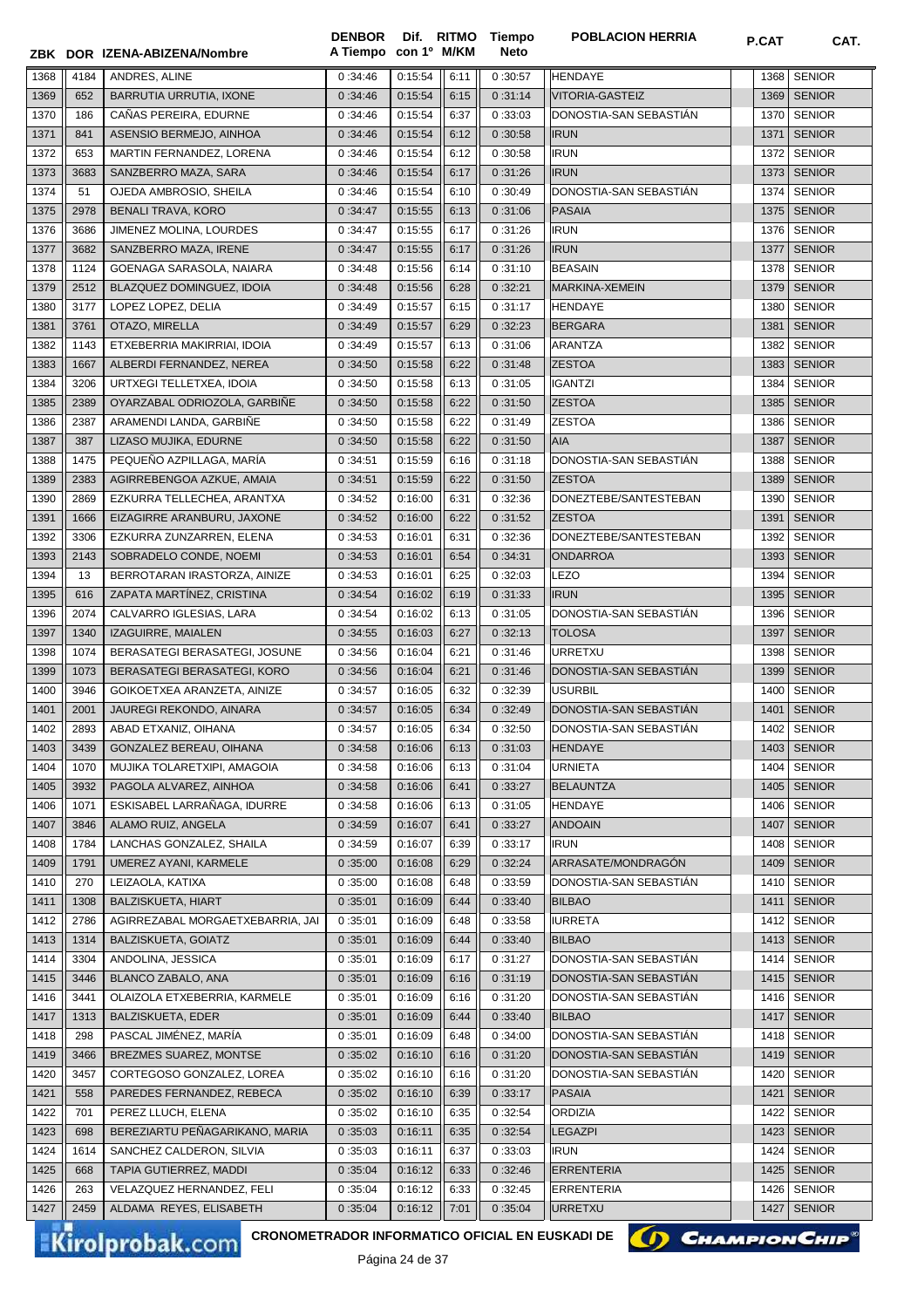|              |      | ZBK DOR IZENA-ABIZENA/Nombre     | <b>DENBOR</b><br>A Tiempo con 1º M/KM |         |      | Dif. RITMO Tiempo<br><b>Neto</b> | <b>POBLACION HERRIA</b> | P.CAT | CAT.          |
|--------------|------|----------------------------------|---------------------------------------|---------|------|----------------------------------|-------------------------|-------|---------------|
| 1368         | 4184 | ANDRES, ALINE                    | 0:34:46                               | 0:15:54 | 6:11 | 0:30:57                          | <b>HENDAYE</b>          | 1368  | <b>SENIOR</b> |
| 1369         | 652  | BARRUTIA URRUTIA, IXONE          | 0:34:46                               | 0:15:54 | 6:15 | 0:31:14                          | <b>VITORIA-GASTEIZ</b>  | 1369  | <b>SENIOR</b> |
| 1370         | 186  | CAÑAS PEREIRA, EDURNE            | 0:34:46                               | 0:15:54 | 6:37 | 0:33:03                          | DONOSTIA-SAN SEBASTIAN  | 1370  | <b>SENIOR</b> |
| 1371         | 841  | ASENSIO BERMEJO, AINHOA          | 0:34:46                               | 0:15:54 | 6:12 | 0:30:58                          | <b>IRUN</b>             | 1371  | <b>SENIOR</b> |
|              |      |                                  |                                       | 0:15:54 |      |                                  | <b>IRUN</b>             |       |               |
| 1372         | 653  | MARTIN FERNANDEZ, LORENA         | 0:34:46                               |         | 6:12 | 0:30:58                          |                         | 1372  | <b>SENIOR</b> |
| 1373         | 3683 | SANZBERRO MAZA, SARA             | 0:34:46                               | 0:15:54 | 6:17 | 0:31:26                          | <b>IRUN</b>             | 1373  | <b>SENIOR</b> |
| 1374         | 51   | OJEDA AMBROSIO, SHEILA           | 0:34:46                               | 0:15:54 | 6:10 | 0:30:49                          | DONOSTIA-SAN SEBASTIAN  | 1374  | <b>SENIOR</b> |
| 1375         | 2978 | <b>BENALI TRAVA, KORO</b>        | 0:34:47                               | 0:15:55 | 6:13 | 0:31:06                          | <b>PASAIA</b>           |       | 1375 SENIOR   |
| 1376         | 3686 | JIMENEZ MOLINA, LOURDES          | 0:34:47                               | 0:15:55 | 6:17 | 0:31:26                          | <b>IRUN</b>             | 1376  | <b>SENIOR</b> |
| 1377         | 3682 | SANZBERRO MAZA, IRENE            | 0:34:47                               | 0:15:55 | 6:17 | 0:31:26                          | <b>IRUN</b>             | 1377  | <b>SENIOR</b> |
| 1378         | 1124 | GOENAGA SARASOLA, NAIARA         | 0:34:48                               | 0:15:56 | 6:14 | 0:31:10                          | <b>BEASAIN</b>          | 1378  | <b>SENIOR</b> |
| 1379         | 2512 | BLAZQUEZ DOMINGUEZ, IDOIA        | 0:34:48                               | 0:15:56 | 6:28 | 0:32:21                          | MARKINA-XEMEIN          | 1379  | <b>SENIOR</b> |
| 1380         | 3177 | LOPEZ LOPEZ, DELIA               | 0:34:49                               | 0:15:57 | 6:15 | 0:31:17                          | <b>HENDAYE</b>          | 1380  | <b>SENIOR</b> |
| 1381         | 3761 | OTAZO, MIRELLA                   | 0:34:49                               | 0:15:57 | 6:29 | 0:32:23                          | <b>BERGARA</b>          | 1381  | <b>SENIOR</b> |
| 1382         | 1143 | ETXEBERRIA MAKIRRIAI, IDOIA      | 0:34:49                               | 0:15:57 | 6:13 | 0:31:06                          | <b>ARANTZA</b>          | 1382  | <b>SENIOR</b> |
| 1383         | 1667 | ALBERDI FERNANDEZ, NEREA         | 0:34:50                               | 0:15:58 | 6:22 | 0:31:48                          | <b>ZESTOA</b>           | 1383  | <b>SENIOR</b> |
| 1384         | 3206 | URTXEGI TELLETXEA, IDOIA         | 0:34:50                               | 0:15:58 | 6:13 | 0:31:05                          | <b>IGANTZI</b>          | 1384  | <b>SENIOR</b> |
| 1385         | 2389 | OYARZABAL ODRIOZOLA, GARBIÑE     | 0:34:50                               | 0:15:58 | 6:22 | 0:31:50                          | <b>ZESTOA</b>           | 1385  | <b>SENIOR</b> |
| 1386         | 2387 | ARAMENDI LANDA, GARBIÑE          | 0:34:50                               | 0:15:58 | 6:22 | 0:31:49                          | <b>ZESTOA</b>           | 1386  | <b>SENIOR</b> |
| 1387         | 387  | LIZASO MUJIKA, EDURNE            | 0:34:50                               | 0:15:58 | 6:22 | 0:31:50                          | AIA                     | 1387  | <b>SENIOR</b> |
| 1388         | 1475 | PEQUEÑO AZPILLAGA, MARÍA         | 0:34:51                               | 0:15:59 | 6:16 | 0:31:18                          | DONOSTIA-SAN SEBASTIAN  | 1388  | <b>SENIOR</b> |
|              |      | AGIRREBENGOA AZKUE, AMAIA        |                                       |         |      |                                  |                         |       |               |
| 1389         | 2383 |                                  | 0:34:51                               | 0:15:59 | 6:22 | 0:31:50                          | <b>ZESTOA</b>           | 1389  | <b>SENIOR</b> |
| 1390         | 2869 | EZKURRA TELLECHEA, ARANTXA       | 0:34:52                               | 0:16:00 | 6:31 | 0:32:36                          | DONEZTEBE/SANTESTEBAN   | 1390  | <b>SENIOR</b> |
| 1391         | 1666 | EIZAGIRRE ARANBURU, JAXONE       | 0:34:52                               | 0:16:00 | 6:22 | 0:31:52                          | <b>ZESTOA</b>           | 1391  | <b>SENIOR</b> |
| 1392         | 3306 | EZKURRA ZUNZARREN, ELENA         | 0:34:53                               | 0:16:01 | 6:31 | 0:32:36                          | DONEZTEBE/SANTESTEBAN   | 1392  | <b>SENIOR</b> |
| 1393         | 2143 | SOBRADELO CONDE, NOEMI           | 0:34:53                               | 0:16:01 | 6:54 | 0:34:31                          | <b>ONDARROA</b>         | 1393  | <b>SENIOR</b> |
| 1394         | 13   | BERROTARAN IRASTORZA, AINIZE     | 0:34:53                               | 0:16:01 | 6:25 | 0:32:03                          | <b>LEZO</b>             | 1394  | <b>SENIOR</b> |
| 1395         | 616  | ZAPATA MARTÍNEZ, CRISTINA        | 0:34:54                               | 0:16:02 | 6:19 | 0:31:33                          | <b>IRUN</b>             | 1395  | <b>SENIOR</b> |
| 1396         | 2074 | CALVARRO IGLESIAS, LARA          | 0:34:54                               | 0:16:02 | 6:13 | 0:31:05                          | DONOSTIA-SAN SEBASTIAN  | 1396  | <b>SENIOR</b> |
| 1397         | 1340 | IZAGUIRRE, MAIALEN               | 0:34:55                               | 0:16:03 | 6:27 | 0:32:13                          | <b>TOLOSA</b>           | 1397  | <b>SENIOR</b> |
| 1398         | 1074 | BERASATEGI BERASATEGI, JOSUNE    | 0:34:56                               | 0:16:04 | 6:21 | 0:31:46                          | <b>URRETXU</b>          | 1398  | <b>SENIOR</b> |
| 1399         | 1073 | BERASATEGI BERASATEGI, KORO      | 0:34:56                               | 0:16:04 | 6:21 | 0:31:46                          | DONOSTIA-SAN SEBASTIÁN  | 1399  | <b>SENIOR</b> |
| 1400         | 3946 | GOIKOETXEA ARANZETA, AINIZE      | 0:34:57                               | 0:16:05 | 6:32 | 0:32:39                          | <b>USURBIL</b>          | 1400  | <b>SENIOR</b> |
| 1401         | 2001 | JAUREGI REKONDO, AINARA          | 0:34:57                               | 0:16:05 | 6:34 | 0:32:49                          | DONOSTIA-SAN SEBASTIAN  | 1401  | <b>SENIOR</b> |
| 1402         | 2893 | ABAD ETXANIZ, OIHANA             | 0:34:57                               | 0:16:05 | 6:34 | 0:32:50                          | DONOSTIA-SAN SEBASTIÁN  |       | 1402 SENIOR   |
| 1403         | 3439 | GONZALEZ BEREAU, OIHANA          | 0:34:58                               | 0:16:06 | 6:13 | 0:31:03                          | HENDAYE                 |       | 1403 SENIOR   |
| 1404         | 1070 | MUJIKA TOLARETXIPI, AMAGOIA      | 0:34:58                               | 0:16:06 | 6:13 | 0:31:04                          | <b>URNIETA</b>          | 1404  | <b>SENIOR</b> |
| 1405         | 3932 | PAGOLA ALVAREZ, AINHOA           |                                       | 0:16:06 |      |                                  | <b>BELAUNTZA</b>        |       | 1405   SENIOR |
|              |      |                                  | 0:34:58                               |         | 6:41 | 0:33:27                          |                         |       |               |
| 1406         | 1071 | ESKISABEL LARRANAGA, IDURRE      | 0:34:58                               | 0:16:06 | 6:13 | 0:31:05                          | <b>HENDAYE</b>          |       | 1406 SENIOR   |
| 1407         | 3846 | ALAMO RUIZ, ANGELA               | 0:34:59                               | 0:16:07 | 6:41 | 0:33:27                          | <b>ANDOAIN</b>          | 1407  | <b>SENIOR</b> |
| 1408         | 1784 | LANCHAS GONZALEZ, SHAILA         | 0:34:59                               | 0:16:07 | 6:39 | 0:33:17                          | <b>IRUN</b>             |       | 1408   SENIOR |
| 1409         | 1791 | UMEREZ AYANI, KARMELE            | 0:35:00                               | 0:16:08 | 6:29 | 0:32:24                          | ARRASATE/MONDRAGÓN      | 1409  | <b>SENIOR</b> |
| 1410         | 270  | LEIZAOLA, KATIXA                 | 0:35:00                               | 0:16:08 | 6:48 | 0:33:59                          | DONOSTIA-SAN SEBASTIAN  | 1410  | <b>SENIOR</b> |
| 1411         | 1308 | <b>BALZISKUETA, HIART</b>        | 0:35:01                               | 0:16:09 | 6:44 | 0:33:40                          | <b>BILBAO</b>           | 1411  | <b>SENIOR</b> |
| 1412         | 2786 | AGIRREZABAL MORGAETXEBARRIA, JAI | 0:35:01                               | 0:16:09 | 6:48 | 0:33:58                          | <b>IURRETA</b>          | 1412  | <b>SENIOR</b> |
| 1413         | 1314 | BALZISKUETA, GOIATZ              | 0:35:01                               | 0:16:09 | 6:44 | 0:33:40                          | <b>BILBAO</b>           | 1413  | <b>SENIOR</b> |
| 1414         | 3304 | ANDOLINA, JESSICA                | 0:35:01                               | 0:16:09 | 6:17 | 0:31:27                          | DONOSTIA-SAN SEBASTIAN  | 1414  | <b>SENIOR</b> |
| 1415         | 3446 | BLANCO ZABALO, ANA               | 0:35:01                               | 0:16:09 | 6:16 | 0:31:19                          | DONOSTIA-SAN SEBASTIAN  | 1415  | <b>SENIOR</b> |
| 1416         | 3441 | OLAIZOLA ETXEBERRIA, KARMELE     | 0:35:01                               | 0:16:09 | 6:16 | 0:31:20                          | DONOSTIA-SAN SEBASTIÁN  |       | 1416 SENIOR   |
| 1417         | 1313 | BALZISKUETA, EDER                | 0:35:01                               | 0:16:09 | 6:44 | 0:33:40                          | <b>BILBAO</b>           | 1417  | <b>SENIOR</b> |
| 1418         | 298  | PASCAL JIMÉNEZ, MARÍA            | 0:35:01                               | 0:16:09 | 6:48 | 0:34:00                          | DONOSTIA-SAN SEBASTIAN  |       | 1418   SENIOR |
| 1419         | 3466 | BREZMES SUAREZ, MONTSE           | 0:35:02                               | 0:16:10 | 6:16 | 0:31:20                          | DONOSTIA-SAN SEBASTIAN  |       | 1419   SENIOR |
| 1420         | 3457 | CORTEGOSO GONZALEZ, LOREA        | 0:35:02                               | 0:16:10 | 6:16 | 0:31:20                          | DONOSTIA-SAN SEBASTIAN  | 1420  | <b>SENIOR</b> |
| 1421         | 558  | PAREDES FERNANDEZ, REBECA        | 0:35:02                               | 0:16:10 | 6:39 | 0:33:17                          | PASAIA                  | 1421  | <b>SENIOR</b> |
| 1422         | 701  | PEREZ LLUCH, ELENA               | 0:35:02                               | 0:16:10 | 6:35 | 0:32:54                          | <b>ORDIZIA</b>          | 1422  | <b>SENIOR</b> |
|              |      |                                  |                                       |         |      |                                  |                         |       |               |
| 1423         | 698  | BEREZIARTU PENAGARIKANO, MARIA   | 0:35:03                               | 0:16:11 | 6:35 | 0:32:54                          | <b>LEGAZPI</b>          | 1423  | <b>SENIOR</b> |
| 1424         | 1614 | SANCHEZ CALDERON, SILVIA         | 0:35:03                               | 0:16:11 | 6:37 | 0:33:03                          | <b>IRUN</b>             | 1424  | <b>SENIOR</b> |
| 1425         | 668  | TAPIA GUTIERREZ, MADDI           | 0:35:04                               | 0:16:12 | 6:33 | 0:32:46                          | <b>ERRENTERIA</b>       | 1425  | <b>SENIOR</b> |
|              | 263  | VELAZQUEZ HERNANDEZ, FELI        | 0:35:04                               | 0:16:12 | 6:33 | 0:32:45                          | <b>ERRENTERIA</b>       |       | 1426 SENIOR   |
| 1426<br>1427 | 2459 | ALDAMA REYES, ELISABETH          | 0:35:04                               | 0:16:12 | 7:01 | 0:35:04                          | <b>URRETXU</b>          |       | <b>SENIOR</b> |

Página 24 de 37

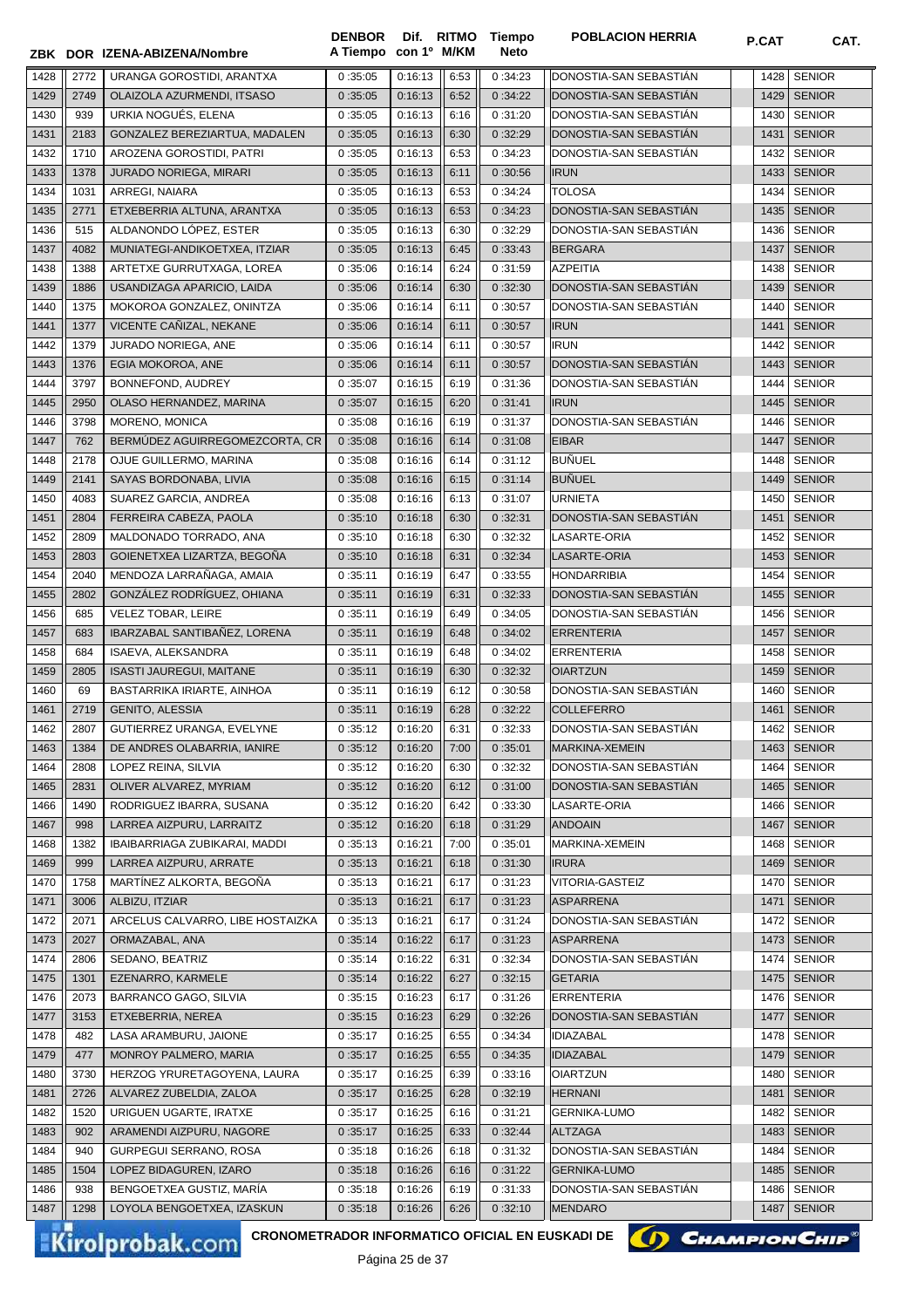| 1428<br>0:35:05<br>0:16:13<br>6:53<br>0:34:23<br>DONOSTIA-SAN SEBASTIAN<br><b>SENIOR</b><br>2772<br>URANGA GOROSTIDI, ARANTXA<br>1428<br>1429<br>2749<br>OLAIZOLA AZURMENDI, ITSASO<br>0:16:13<br>6:52<br>0:34:22<br>DONOSTIA-SAN SEBASTIAN<br>1429<br><b>SENIOR</b><br>0:35:05<br>URKIA NOGUÉS, ELENA<br>DONOSTIA-SAN SEBASTIÁN<br><b>SENIOR</b><br>1430<br>939<br>0:35:05<br>0:16:13<br>6:16<br>0:31:20<br>1430<br>1431<br>DONOSTIA-SAN SEBASTIÁN<br><b>SENIOR</b><br>2183<br>GONZALEZ BEREZIARTUA, MADALEN<br>0:16:13<br>6:30<br>0:32:29<br>1431<br>0:35:05<br>1432<br><b>SENIOR</b><br>1710<br>AROZENA GOROSTIDI, PATRI<br>0:35:05<br>0:16:13<br>6:53<br>0:34:23<br>DONOSTIA-SAN SEBASTIAN<br>1432<br>1433<br>1378<br>JURADO NORIEGA, MIRARI<br>0:16:13<br>0:30:56<br><b>IRUN</b><br>1433<br><b>SENIOR</b><br>0:35:05<br>6:11<br>1434<br>0:34:24<br><b>TOLOSA</b><br><b>SENIOR</b><br>1031<br>ARREGI, NAIARA<br>0:35:05<br>0:16:13<br>6:53<br>1434<br>1435<br>ETXEBERRIA ALTUNA, ARANTXA<br>0:16:13<br>DONOSTIA-SAN SEBASTIÁN<br><b>SENIOR</b><br>2771<br>6:53<br>0:34:23<br>1435<br>0:35:05<br>1436<br>515<br>ALDANONDO LÓPEZ. ESTER<br>0:16:13<br>0:32:29<br>DONOSTIA-SAN SEBASTIAN<br><b>SENIOR</b><br>0:35:05<br>6:30<br>1436<br>1437<br>0:16:13<br><b>SENIOR</b><br>4082<br>MUNIATEGI-ANDIKOETXEA, ITZIAR<br>0:35:05<br>6:45<br>0:33:43<br><b>BERGARA</b><br>1437<br>1438<br>1388<br>ARTETXE GURRUTXAGA, LOREA<br>0:16:14<br>6:24<br>0:31:59<br><b>AZPEITIA</b><br>1438<br><b>SENIOR</b><br>0:35:06<br>1439<br>USANDIZAGA APARICIO, LAIDA<br>6:30<br>DONOSTIA-SAN SEBASTIAN<br><b>SENIOR</b><br>1886<br>0:16:14<br>0:32:30<br>1439<br>0:35:06<br>1440<br>1375<br>MOKOROA GONZALEZ, ONINTZA<br>0:16:14<br>DONOSTIA-SAN SEBASTIAN<br>1440<br><b>SENIOR</b><br>0:35:06<br>6:11<br>0:30:57<br>1441<br>1377<br>VICENTE CAÑIZAL, NEKANE<br>0:16:14<br>0:30:57<br>1441<br><b>SENIOR</b><br>0:35:06<br>6:11<br><b>IRUN</b><br>1442<br>1379<br>JURADO NORIEGA, ANE<br>0:35:06<br>0:16:14<br>0:30:57<br><b>IRUN</b><br>1442<br><b>SENIOR</b><br>6:11<br>DONOSTIA-SAN SEBASTIÁN<br>1443<br>EGIA MOKOROA, ANE<br><b>SENIOR</b><br>1376<br>0:16:14<br>0:30:57<br>1443<br>0:35:06<br>6:11<br>1444<br>3797<br>BONNEFOND, AUDREY<br>DONOSTIA-SAN SEBASTIÁN<br><b>SENIOR</b><br>0:35:07<br>0:16:15<br>6:19<br>0:31:36<br>1444<br>1445<br>OLASO HERNANDEZ, MARINA<br>0:16:15<br><b>IRUN</b><br><b>SENIOR</b><br>2950<br>0:35:07<br>6:20<br>0:31:41<br>1445<br>DONOSTIA-SAN SEBASTIÁN<br>1446<br>3798<br>MORENO, MONICA<br>0:16:16<br>6:19<br>0:31:37<br><b>SENIOR</b><br>0:35:08<br>1446<br>1447<br>762<br>BERMÚDEZ AGUIRREGOMEZCORTA, CR<br><b>EIBAR</b><br><b>SENIOR</b><br>0:35:08<br>0:16:16<br>6:14<br>0:31:08<br>1447<br>0:31:12<br><b>BUÑUEL</b><br><b>SENIOR</b><br>1448<br>2178<br>OJUE GUILLERMO, MARINA<br>0:35:08<br>0:16:16<br>6:14<br>1448<br><b>BUÑUEL</b><br>1449<br>0:31:14<br><b>SENIOR</b><br>2141<br>SAYAS BORDONABA, LIVIA<br>0:16:16<br>1449<br>0:35:08<br>6:15<br>1450<br>4083<br>SUAREZ GARCIA, ANDREA<br>0:16:16<br>0:31:07<br><b>URNIETA</b><br>1450<br><b>SENIOR</b><br>0:35:08<br>6:13<br>1451<br>FERREIRA CABEZA, PAOLA<br>0:16:18<br>0:32:31<br>DONOSTIA-SAN SEBASTIÁN<br><b>SENIOR</b><br>2804<br>0:35:10<br>6:30<br>1451<br>1452<br>MALDONADO TORRADO, ANA<br>0:16:18<br>0:32:32<br>LASARTE-ORIA<br>1452<br><b>SENIOR</b><br>2809<br>0:35:10<br>6:30<br>1453<br>GOIENETXEA LIZARTZA, BEGOÑA<br>0:16:18<br>0:32:34<br>LASARTE-ORIA<br>1453<br><b>SENIOR</b><br>2803<br>0:35:10<br>6:31<br>MENDOZA LARRAÑAGA, AMAIA<br>1454<br>2040<br>0:16:19<br>0:33:55<br><b>HONDARRIBIA</b><br>1454<br><b>SENIOR</b><br>0:35:11<br>6:47<br>1455<br>GONZÁLEZ RODRÍGUEZ, OHIANA<br>2802<br>0:35:11<br>0:16:19<br>6:31<br>0:32:33<br>DONOSTIA-SAN SEBASTIAN<br>1455<br><b>SENIOR</b><br>1456<br>685<br><b>VELEZ TOBAR, LEIRE</b><br>0:16:19<br>0:34:05<br>DONOSTIA-SAN SEBASTIAN<br>1456<br><b>SENIOR</b><br>0:35:11<br>6:49<br>1457<br>IBARZABAL SANTIBAÑEZ, LORENA<br>0:16:19<br><b>ERRENTERIA</b><br>1457<br><b>SENIOR</b><br>683<br>0:35:11<br>6:48<br>0:34:02<br>1458<br>ISAEVA, ALEKSANDRA<br>0:16:19<br><b>SENIOR</b><br>684<br>0:35:11<br>6:48<br>0:34:02<br><b>ERRENTERIA</b><br>1458<br>1459<br><b>ISASTI JAUREGUI, MAITANE</b><br>0:35:11<br>0:16:19<br>0:32:32<br><b>OIARTZUN</b><br>1459<br><b>SENIOR</b><br>2805<br>6:30<br>DONOSTIA-SAN SEBASTIÁN<br><b>SENIOR</b><br>1460<br>69<br>BASTARRIKA IRIARTE, AINHOA<br>0:35:11<br>0:16:19<br>6:12<br>0:30:58<br>1460<br>2719<br><b>GENITO, ALESSIA</b><br>0:16:19<br>0:32:22<br>COLLEFERRO<br><b>SENIOR</b><br>1461<br>0:35:11<br>6:28<br>1461<br>1462<br>2807<br>GUTIERREZ URANGA, EVELYNE<br>0:35:12<br>0:16:20<br>6:31<br>0:32:33<br>DONOSTIA-SAN SEBASTIAN<br>1462 SENIOR<br><b>SENIOR</b><br>1463<br>1384<br>DE ANDRES OLABARRIA, IANIRE<br>0:35:12<br>0:16:20<br>7:00<br>0:35:01<br><b>MARKINA-XEMEIN</b><br>1463<br><b>SENIOR</b><br>2808<br>LOPEZ REINA, SILVIA<br>0:35:12<br>6:30<br>0:32:32<br>DONOSTIA-SAN SEBASTIAN<br>1464<br>0:16:20<br>1464<br>1465<br>2831<br>OLIVER ALVAREZ, MYRIAM<br>0:31:00<br>DONOSTIA-SAN SEBASTIAN<br><b>SENIOR</b><br>0:35:12<br>0:16:20<br>6:12<br>1465<br>RODRIGUEZ IBARRA, SUSANA<br>0:33:30<br>LASARTE-ORIA<br><b>SENIOR</b><br>1466<br>1490<br>0:35:12<br>0:16:20<br>6:42<br>1466<br>1467<br>998<br>LARREA AIZPURU, LARRAITZ<br>0:35:12<br>0:16:20<br>0:31:29<br><b>ANDOAIN</b><br>1467<br><b>SENIOR</b><br>6:18<br>IBAIBARRIAGA ZUBIKARAI, MADDI<br>0:35:01<br>MARKINA-XEMEIN<br><b>SENIOR</b><br>1468<br>1382<br>0:35:13<br>0:16:21<br>7:00<br>1468<br>LARREA AIZPURU, ARRATE<br><b>IRURA</b><br><b>SENIOR</b><br>1469<br>0:16:21<br>0:31:30<br>999<br>0:35:13<br>6:18<br>1469<br>1470<br>MARTÍNEZ ALKORTA, BEGOÑA<br>0:16:21<br><b>SENIOR</b><br>1758<br>0:35:13<br>6:17<br>0:31:23<br>VITORIA-GASTEIZ<br>1470<br>ALBIZU, ITZIAR<br><b>ASPARRENA</b><br><b>SENIOR</b><br>1471<br>3006<br>0:35:13<br>0:16:21<br>6:17<br>0:31:23<br>1471<br>1472<br>2071<br>ARCELUS CALVARRO, LIBE HOSTAIZKA<br>0:35:13<br>0:16:21<br>6:17<br>0:31:24<br>DONOSTIA-SAN SEBASTIAN<br><b>SENIOR</b><br>1472<br>ORMAZABAL, ANA<br><b>ASPARRENA</b><br><b>SENIOR</b><br>1473<br>2027<br>0:35:14<br>0:16:22<br>6:17<br>0:31:23<br>1473<br>1474<br>SEDANO, BEATRIZ<br>0:32:34<br>DONOSTIA-SAN SEBASTIAN<br><b>SENIOR</b><br>2806<br>0:35:14<br>0:16:22<br>6:31<br>1474<br>EZENARRO, KARMELE<br>0:32:15<br><b>GETARIA</b><br><b>SENIOR</b><br>1475<br>1301<br>0:35:14<br>0:16:22<br>6:27<br>1475<br>BARRANCO GAGO, SILVIA<br>0:31:26<br><b>ERRENTERIA</b><br><b>SENIOR</b><br>1476<br>2073<br>0:35:15<br>0:16:23<br>6:17<br>1476<br>ETXEBERRIA, NEREA<br>DONOSTIA-SAN SEBASTIÁN<br><b>SENIOR</b><br>1477<br>3153<br>0:32:26<br>0:35:15<br>0:16:23<br>6:29<br>1477<br>LASA ARAMBURU, JAIONE<br>0:34:34<br><b>SENIOR</b><br>1478<br>482<br>0:35:17<br>0:16:25<br>6:55<br><b>IDIAZABAL</b><br>1478<br>MONROY PALMERO, MARIA<br><b>SENIOR</b><br>1479<br>477<br>0:35:17<br>0:16:25<br>6:55<br>0:34:35<br><b>IDIAZABAL</b><br>1479<br>1480<br>3730<br>HERZOG YRURETAGOYENA, LAURA<br>0:16:25<br>6:39<br>0:33:16<br><b>OIARTZUN</b><br><b>SENIOR</b><br>0:35:17<br>1480<br><b>SENIOR</b><br>1481<br>2726<br>ALVAREZ ZUBELDIA, ZALOA<br>0:35:17<br>0:16:25<br>6:28<br>0:32:19<br><b>HERNANI</b><br>1481<br><b>SENIOR</b><br>1482<br>1520<br>URIGUEN UGARTE, IRATXE<br>0:31:21<br><b>GERNIKA-LUMO</b><br>0:35:17<br>0:16:25<br>6:16<br>1482<br>ARAMENDI AIZPURU, NAGORE<br>0:32:44<br><b>ALTZAGA</b><br><b>SENIOR</b><br>1483<br>902<br>0:35:17<br>0:16:25<br>6:33<br>1483<br>GURPEGUI SERRANO, ROSA<br>0:31:32<br>DONOSTIA-SAN SEBASTIAN<br><b>SENIOR</b><br>1484<br>940<br>0:35:18<br>0:16:26<br>6:18<br>1484<br>1485<br>LOPEZ BIDAGUREN, IZARO<br>0:16:26<br>0:31:22<br><b>GERNIKA-LUMO</b><br>1485<br><b>SENIOR</b><br>1504<br>0:35:18<br>6:16<br>BENGOETXEA GUSTIZ, MARÍA<br>DONOSTIA-SAN SEBASTIAN<br><b>SENIOR</b><br>1486<br>938<br>0:35:18<br>0:16:26<br>6:19<br>0:31:33<br>1486<br><b>SENIOR</b><br>1487<br>1298<br>LOYOLA BENGOETXEA, IZASKUN<br>0:35:18<br>0:16:26<br>6:26<br>0:32:10<br><b>MENDARO</b><br>1487 |  | ZBK DOR IZENA-ABIZENA/Nombre | <b>DENBOR</b><br>A Tiempo con 1º M/KM |  | Dif. RITMO Tiempo<br><b>Neto</b> | <b>POBLACION HERRIA</b> | P.CAT | CAT. |
|-----------------------------------------------------------------------------------------------------------------------------------------------------------------------------------------------------------------------------------------------------------------------------------------------------------------------------------------------------------------------------------------------------------------------------------------------------------------------------------------------------------------------------------------------------------------------------------------------------------------------------------------------------------------------------------------------------------------------------------------------------------------------------------------------------------------------------------------------------------------------------------------------------------------------------------------------------------------------------------------------------------------------------------------------------------------------------------------------------------------------------------------------------------------------------------------------------------------------------------------------------------------------------------------------------------------------------------------------------------------------------------------------------------------------------------------------------------------------------------------------------------------------------------------------------------------------------------------------------------------------------------------------------------------------------------------------------------------------------------------------------------------------------------------------------------------------------------------------------------------------------------------------------------------------------------------------------------------------------------------------------------------------------------------------------------------------------------------------------------------------------------------------------------------------------------------------------------------------------------------------------------------------------------------------------------------------------------------------------------------------------------------------------------------------------------------------------------------------------------------------------------------------------------------------------------------------------------------------------------------------------------------------------------------------------------------------------------------------------------------------------------------------------------------------------------------------------------------------------------------------------------------------------------------------------------------------------------------------------------------------------------------------------------------------------------------------------------------------------------------------------------------------------------------------------------------------------------------------------------------------------------------------------------------------------------------------------------------------------------------------------------------------------------------------------------------------------------------------------------------------------------------------------------------------------------------------------------------------------------------------------------------------------------------------------------------------------------------------------------------------------------------------------------------------------------------------------------------------------------------------------------------------------------------------------------------------------------------------------------------------------------------------------------------------------------------------------------------------------------------------------------------------------------------------------------------------------------------------------------------------------------------------------------------------------------------------------------------------------------------------------------------------------------------------------------------------------------------------------------------------------------------------------------------------------------------------------------------------------------------------------------------------------------------------------------------------------------------------------------------------------------------------------------------------------------------------------------------------------------------------------------------------------------------------------------------------------------------------------------------------------------------------------------------------------------------------------------------------------------------------------------------------------------------------------------------------------------------------------------------------------------------------------------------------------------------------------------------------------------------------------------------------------------------------------------------------------------------------------------------------------------------------------------------------------------------------------------------------------------------------------------------------------------------------------------------------------------------------------------------------------------------------------------------------------------------------------------------------------------------------------------------------------------------------------------------------------------------------------------------------------------------------------------------------------------------------------------------------------------------------------------------------------------------------------------------------------------------------------------------------------------------------------------------------------------------------------------------------------------------------------------------------------------------------------------------------------------------------------------------------------------------------------------------------------------------------------------------------------------------------------------------------------------------------------------------------------------------------------------------------------------------------------------------------------------------------------------------------------------------------------------------------------------------------------------------------------------------------------------------------------------------------------------------------------------------------------------------------------------------------------------------------------------------------------------------------------------------------------------------------------------------------------------------------------------------------------------------------------------------------------------------------------------------------------------------------------------------------------------------------------------------------------------------------------------------------------------------------------------------------------------------------------------------------------------------------------------------------------------------------------------------------------------------------------------------------------------------------------------------------------------------------------------------------------------------------------------------------------------------------------------------------------------------------------------------------------------------------------------|--|------------------------------|---------------------------------------|--|----------------------------------|-------------------------|-------|------|
|                                                                                                                                                                                                                                                                                                                                                                                                                                                                                                                                                                                                                                                                                                                                                                                                                                                                                                                                                                                                                                                                                                                                                                                                                                                                                                                                                                                                                                                                                                                                                                                                                                                                                                                                                                                                                                                                                                                                                                                                                                                                                                                                                                                                                                                                                                                                                                                                                                                                                                                                                                                                                                                                                                                                                                                                                                                                                                                                                                                                                                                                                                                                                                                                                                                                                                                                                                                                                                                                                                                                                                                                                                                                                                                                                                                                                                                                                                                                                                                                                                                                                                                                                                                                                                                                                                                                                                                                                                                                                                                                                                                                                                                                                                                                                                                                                                                                                                                                                                                                                                                                                                                                                                                                                                                                                                                                                                                                                                                                                                                                                                                                                                                                                                                                                                                                                                                                                                                                                                                                                                                                                                                                                                                                                                                                                                                                                                                                                                                                                                                                                                                                                                                                                                                                                                                                                                                                                                                                                                                                                                                                                                                                                                                                                                                                                                                                                                                                                                                                                                                                                                                                                                                                                                                                                                                                                                                                                                                                                                                                                                                                                                           |  |                              |                                       |  |                                  |                         |       |      |
|                                                                                                                                                                                                                                                                                                                                                                                                                                                                                                                                                                                                                                                                                                                                                                                                                                                                                                                                                                                                                                                                                                                                                                                                                                                                                                                                                                                                                                                                                                                                                                                                                                                                                                                                                                                                                                                                                                                                                                                                                                                                                                                                                                                                                                                                                                                                                                                                                                                                                                                                                                                                                                                                                                                                                                                                                                                                                                                                                                                                                                                                                                                                                                                                                                                                                                                                                                                                                                                                                                                                                                                                                                                                                                                                                                                                                                                                                                                                                                                                                                                                                                                                                                                                                                                                                                                                                                                                                                                                                                                                                                                                                                                                                                                                                                                                                                                                                                                                                                                                                                                                                                                                                                                                                                                                                                                                                                                                                                                                                                                                                                                                                                                                                                                                                                                                                                                                                                                                                                                                                                                                                                                                                                                                                                                                                                                                                                                                                                                                                                                                                                                                                                                                                                                                                                                                                                                                                                                                                                                                                                                                                                                                                                                                                                                                                                                                                                                                                                                                                                                                                                                                                                                                                                                                                                                                                                                                                                                                                                                                                                                                                                           |  |                              |                                       |  |                                  |                         |       |      |
|                                                                                                                                                                                                                                                                                                                                                                                                                                                                                                                                                                                                                                                                                                                                                                                                                                                                                                                                                                                                                                                                                                                                                                                                                                                                                                                                                                                                                                                                                                                                                                                                                                                                                                                                                                                                                                                                                                                                                                                                                                                                                                                                                                                                                                                                                                                                                                                                                                                                                                                                                                                                                                                                                                                                                                                                                                                                                                                                                                                                                                                                                                                                                                                                                                                                                                                                                                                                                                                                                                                                                                                                                                                                                                                                                                                                                                                                                                                                                                                                                                                                                                                                                                                                                                                                                                                                                                                                                                                                                                                                                                                                                                                                                                                                                                                                                                                                                                                                                                                                                                                                                                                                                                                                                                                                                                                                                                                                                                                                                                                                                                                                                                                                                                                                                                                                                                                                                                                                                                                                                                                                                                                                                                                                                                                                                                                                                                                                                                                                                                                                                                                                                                                                                                                                                                                                                                                                                                                                                                                                                                                                                                                                                                                                                                                                                                                                                                                                                                                                                                                                                                                                                                                                                                                                                                                                                                                                                                                                                                                                                                                                                                           |  |                              |                                       |  |                                  |                         |       |      |
|                                                                                                                                                                                                                                                                                                                                                                                                                                                                                                                                                                                                                                                                                                                                                                                                                                                                                                                                                                                                                                                                                                                                                                                                                                                                                                                                                                                                                                                                                                                                                                                                                                                                                                                                                                                                                                                                                                                                                                                                                                                                                                                                                                                                                                                                                                                                                                                                                                                                                                                                                                                                                                                                                                                                                                                                                                                                                                                                                                                                                                                                                                                                                                                                                                                                                                                                                                                                                                                                                                                                                                                                                                                                                                                                                                                                                                                                                                                                                                                                                                                                                                                                                                                                                                                                                                                                                                                                                                                                                                                                                                                                                                                                                                                                                                                                                                                                                                                                                                                                                                                                                                                                                                                                                                                                                                                                                                                                                                                                                                                                                                                                                                                                                                                                                                                                                                                                                                                                                                                                                                                                                                                                                                                                                                                                                                                                                                                                                                                                                                                                                                                                                                                                                                                                                                                                                                                                                                                                                                                                                                                                                                                                                                                                                                                                                                                                                                                                                                                                                                                                                                                                                                                                                                                                                                                                                                                                                                                                                                                                                                                                                                           |  |                              |                                       |  |                                  |                         |       |      |
|                                                                                                                                                                                                                                                                                                                                                                                                                                                                                                                                                                                                                                                                                                                                                                                                                                                                                                                                                                                                                                                                                                                                                                                                                                                                                                                                                                                                                                                                                                                                                                                                                                                                                                                                                                                                                                                                                                                                                                                                                                                                                                                                                                                                                                                                                                                                                                                                                                                                                                                                                                                                                                                                                                                                                                                                                                                                                                                                                                                                                                                                                                                                                                                                                                                                                                                                                                                                                                                                                                                                                                                                                                                                                                                                                                                                                                                                                                                                                                                                                                                                                                                                                                                                                                                                                                                                                                                                                                                                                                                                                                                                                                                                                                                                                                                                                                                                                                                                                                                                                                                                                                                                                                                                                                                                                                                                                                                                                                                                                                                                                                                                                                                                                                                                                                                                                                                                                                                                                                                                                                                                                                                                                                                                                                                                                                                                                                                                                                                                                                                                                                                                                                                                                                                                                                                                                                                                                                                                                                                                                                                                                                                                                                                                                                                                                                                                                                                                                                                                                                                                                                                                                                                                                                                                                                                                                                                                                                                                                                                                                                                                                                           |  |                              |                                       |  |                                  |                         |       |      |
|                                                                                                                                                                                                                                                                                                                                                                                                                                                                                                                                                                                                                                                                                                                                                                                                                                                                                                                                                                                                                                                                                                                                                                                                                                                                                                                                                                                                                                                                                                                                                                                                                                                                                                                                                                                                                                                                                                                                                                                                                                                                                                                                                                                                                                                                                                                                                                                                                                                                                                                                                                                                                                                                                                                                                                                                                                                                                                                                                                                                                                                                                                                                                                                                                                                                                                                                                                                                                                                                                                                                                                                                                                                                                                                                                                                                                                                                                                                                                                                                                                                                                                                                                                                                                                                                                                                                                                                                                                                                                                                                                                                                                                                                                                                                                                                                                                                                                                                                                                                                                                                                                                                                                                                                                                                                                                                                                                                                                                                                                                                                                                                                                                                                                                                                                                                                                                                                                                                                                                                                                                                                                                                                                                                                                                                                                                                                                                                                                                                                                                                                                                                                                                                                                                                                                                                                                                                                                                                                                                                                                                                                                                                                                                                                                                                                                                                                                                                                                                                                                                                                                                                                                                                                                                                                                                                                                                                                                                                                                                                                                                                                                                           |  |                              |                                       |  |                                  |                         |       |      |
|                                                                                                                                                                                                                                                                                                                                                                                                                                                                                                                                                                                                                                                                                                                                                                                                                                                                                                                                                                                                                                                                                                                                                                                                                                                                                                                                                                                                                                                                                                                                                                                                                                                                                                                                                                                                                                                                                                                                                                                                                                                                                                                                                                                                                                                                                                                                                                                                                                                                                                                                                                                                                                                                                                                                                                                                                                                                                                                                                                                                                                                                                                                                                                                                                                                                                                                                                                                                                                                                                                                                                                                                                                                                                                                                                                                                                                                                                                                                                                                                                                                                                                                                                                                                                                                                                                                                                                                                                                                                                                                                                                                                                                                                                                                                                                                                                                                                                                                                                                                                                                                                                                                                                                                                                                                                                                                                                                                                                                                                                                                                                                                                                                                                                                                                                                                                                                                                                                                                                                                                                                                                                                                                                                                                                                                                                                                                                                                                                                                                                                                                                                                                                                                                                                                                                                                                                                                                                                                                                                                                                                                                                                                                                                                                                                                                                                                                                                                                                                                                                                                                                                                                                                                                                                                                                                                                                                                                                                                                                                                                                                                                                                           |  |                              |                                       |  |                                  |                         |       |      |
|                                                                                                                                                                                                                                                                                                                                                                                                                                                                                                                                                                                                                                                                                                                                                                                                                                                                                                                                                                                                                                                                                                                                                                                                                                                                                                                                                                                                                                                                                                                                                                                                                                                                                                                                                                                                                                                                                                                                                                                                                                                                                                                                                                                                                                                                                                                                                                                                                                                                                                                                                                                                                                                                                                                                                                                                                                                                                                                                                                                                                                                                                                                                                                                                                                                                                                                                                                                                                                                                                                                                                                                                                                                                                                                                                                                                                                                                                                                                                                                                                                                                                                                                                                                                                                                                                                                                                                                                                                                                                                                                                                                                                                                                                                                                                                                                                                                                                                                                                                                                                                                                                                                                                                                                                                                                                                                                                                                                                                                                                                                                                                                                                                                                                                                                                                                                                                                                                                                                                                                                                                                                                                                                                                                                                                                                                                                                                                                                                                                                                                                                                                                                                                                                                                                                                                                                                                                                                                                                                                                                                                                                                                                                                                                                                                                                                                                                                                                                                                                                                                                                                                                                                                                                                                                                                                                                                                                                                                                                                                                                                                                                                                           |  |                              |                                       |  |                                  |                         |       |      |
|                                                                                                                                                                                                                                                                                                                                                                                                                                                                                                                                                                                                                                                                                                                                                                                                                                                                                                                                                                                                                                                                                                                                                                                                                                                                                                                                                                                                                                                                                                                                                                                                                                                                                                                                                                                                                                                                                                                                                                                                                                                                                                                                                                                                                                                                                                                                                                                                                                                                                                                                                                                                                                                                                                                                                                                                                                                                                                                                                                                                                                                                                                                                                                                                                                                                                                                                                                                                                                                                                                                                                                                                                                                                                                                                                                                                                                                                                                                                                                                                                                                                                                                                                                                                                                                                                                                                                                                                                                                                                                                                                                                                                                                                                                                                                                                                                                                                                                                                                                                                                                                                                                                                                                                                                                                                                                                                                                                                                                                                                                                                                                                                                                                                                                                                                                                                                                                                                                                                                                                                                                                                                                                                                                                                                                                                                                                                                                                                                                                                                                                                                                                                                                                                                                                                                                                                                                                                                                                                                                                                                                                                                                                                                                                                                                                                                                                                                                                                                                                                                                                                                                                                                                                                                                                                                                                                                                                                                                                                                                                                                                                                                                           |  |                              |                                       |  |                                  |                         |       |      |
|                                                                                                                                                                                                                                                                                                                                                                                                                                                                                                                                                                                                                                                                                                                                                                                                                                                                                                                                                                                                                                                                                                                                                                                                                                                                                                                                                                                                                                                                                                                                                                                                                                                                                                                                                                                                                                                                                                                                                                                                                                                                                                                                                                                                                                                                                                                                                                                                                                                                                                                                                                                                                                                                                                                                                                                                                                                                                                                                                                                                                                                                                                                                                                                                                                                                                                                                                                                                                                                                                                                                                                                                                                                                                                                                                                                                                                                                                                                                                                                                                                                                                                                                                                                                                                                                                                                                                                                                                                                                                                                                                                                                                                                                                                                                                                                                                                                                                                                                                                                                                                                                                                                                                                                                                                                                                                                                                                                                                                                                                                                                                                                                                                                                                                                                                                                                                                                                                                                                                                                                                                                                                                                                                                                                                                                                                                                                                                                                                                                                                                                                                                                                                                                                                                                                                                                                                                                                                                                                                                                                                                                                                                                                                                                                                                                                                                                                                                                                                                                                                                                                                                                                                                                                                                                                                                                                                                                                                                                                                                                                                                                                                                           |  |                              |                                       |  |                                  |                         |       |      |
|                                                                                                                                                                                                                                                                                                                                                                                                                                                                                                                                                                                                                                                                                                                                                                                                                                                                                                                                                                                                                                                                                                                                                                                                                                                                                                                                                                                                                                                                                                                                                                                                                                                                                                                                                                                                                                                                                                                                                                                                                                                                                                                                                                                                                                                                                                                                                                                                                                                                                                                                                                                                                                                                                                                                                                                                                                                                                                                                                                                                                                                                                                                                                                                                                                                                                                                                                                                                                                                                                                                                                                                                                                                                                                                                                                                                                                                                                                                                                                                                                                                                                                                                                                                                                                                                                                                                                                                                                                                                                                                                                                                                                                                                                                                                                                                                                                                                                                                                                                                                                                                                                                                                                                                                                                                                                                                                                                                                                                                                                                                                                                                                                                                                                                                                                                                                                                                                                                                                                                                                                                                                                                                                                                                                                                                                                                                                                                                                                                                                                                                                                                                                                                                                                                                                                                                                                                                                                                                                                                                                                                                                                                                                                                                                                                                                                                                                                                                                                                                                                                                                                                                                                                                                                                                                                                                                                                                                                                                                                                                                                                                                                                           |  |                              |                                       |  |                                  |                         |       |      |
|                                                                                                                                                                                                                                                                                                                                                                                                                                                                                                                                                                                                                                                                                                                                                                                                                                                                                                                                                                                                                                                                                                                                                                                                                                                                                                                                                                                                                                                                                                                                                                                                                                                                                                                                                                                                                                                                                                                                                                                                                                                                                                                                                                                                                                                                                                                                                                                                                                                                                                                                                                                                                                                                                                                                                                                                                                                                                                                                                                                                                                                                                                                                                                                                                                                                                                                                                                                                                                                                                                                                                                                                                                                                                                                                                                                                                                                                                                                                                                                                                                                                                                                                                                                                                                                                                                                                                                                                                                                                                                                                                                                                                                                                                                                                                                                                                                                                                                                                                                                                                                                                                                                                                                                                                                                                                                                                                                                                                                                                                                                                                                                                                                                                                                                                                                                                                                                                                                                                                                                                                                                                                                                                                                                                                                                                                                                                                                                                                                                                                                                                                                                                                                                                                                                                                                                                                                                                                                                                                                                                                                                                                                                                                                                                                                                                                                                                                                                                                                                                                                                                                                                                                                                                                                                                                                                                                                                                                                                                                                                                                                                                                                           |  |                              |                                       |  |                                  |                         |       |      |
|                                                                                                                                                                                                                                                                                                                                                                                                                                                                                                                                                                                                                                                                                                                                                                                                                                                                                                                                                                                                                                                                                                                                                                                                                                                                                                                                                                                                                                                                                                                                                                                                                                                                                                                                                                                                                                                                                                                                                                                                                                                                                                                                                                                                                                                                                                                                                                                                                                                                                                                                                                                                                                                                                                                                                                                                                                                                                                                                                                                                                                                                                                                                                                                                                                                                                                                                                                                                                                                                                                                                                                                                                                                                                                                                                                                                                                                                                                                                                                                                                                                                                                                                                                                                                                                                                                                                                                                                                                                                                                                                                                                                                                                                                                                                                                                                                                                                                                                                                                                                                                                                                                                                                                                                                                                                                                                                                                                                                                                                                                                                                                                                                                                                                                                                                                                                                                                                                                                                                                                                                                                                                                                                                                                                                                                                                                                                                                                                                                                                                                                                                                                                                                                                                                                                                                                                                                                                                                                                                                                                                                                                                                                                                                                                                                                                                                                                                                                                                                                                                                                                                                                                                                                                                                                                                                                                                                                                                                                                                                                                                                                                                                           |  |                              |                                       |  |                                  |                         |       |      |
|                                                                                                                                                                                                                                                                                                                                                                                                                                                                                                                                                                                                                                                                                                                                                                                                                                                                                                                                                                                                                                                                                                                                                                                                                                                                                                                                                                                                                                                                                                                                                                                                                                                                                                                                                                                                                                                                                                                                                                                                                                                                                                                                                                                                                                                                                                                                                                                                                                                                                                                                                                                                                                                                                                                                                                                                                                                                                                                                                                                                                                                                                                                                                                                                                                                                                                                                                                                                                                                                                                                                                                                                                                                                                                                                                                                                                                                                                                                                                                                                                                                                                                                                                                                                                                                                                                                                                                                                                                                                                                                                                                                                                                                                                                                                                                                                                                                                                                                                                                                                                                                                                                                                                                                                                                                                                                                                                                                                                                                                                                                                                                                                                                                                                                                                                                                                                                                                                                                                                                                                                                                                                                                                                                                                                                                                                                                                                                                                                                                                                                                                                                                                                                                                                                                                                                                                                                                                                                                                                                                                                                                                                                                                                                                                                                                                                                                                                                                                                                                                                                                                                                                                                                                                                                                                                                                                                                                                                                                                                                                                                                                                                                           |  |                              |                                       |  |                                  |                         |       |      |
|                                                                                                                                                                                                                                                                                                                                                                                                                                                                                                                                                                                                                                                                                                                                                                                                                                                                                                                                                                                                                                                                                                                                                                                                                                                                                                                                                                                                                                                                                                                                                                                                                                                                                                                                                                                                                                                                                                                                                                                                                                                                                                                                                                                                                                                                                                                                                                                                                                                                                                                                                                                                                                                                                                                                                                                                                                                                                                                                                                                                                                                                                                                                                                                                                                                                                                                                                                                                                                                                                                                                                                                                                                                                                                                                                                                                                                                                                                                                                                                                                                                                                                                                                                                                                                                                                                                                                                                                                                                                                                                                                                                                                                                                                                                                                                                                                                                                                                                                                                                                                                                                                                                                                                                                                                                                                                                                                                                                                                                                                                                                                                                                                                                                                                                                                                                                                                                                                                                                                                                                                                                                                                                                                                                                                                                                                                                                                                                                                                                                                                                                                                                                                                                                                                                                                                                                                                                                                                                                                                                                                                                                                                                                                                                                                                                                                                                                                                                                                                                                                                                                                                                                                                                                                                                                                                                                                                                                                                                                                                                                                                                                                                           |  |                              |                                       |  |                                  |                         |       |      |
|                                                                                                                                                                                                                                                                                                                                                                                                                                                                                                                                                                                                                                                                                                                                                                                                                                                                                                                                                                                                                                                                                                                                                                                                                                                                                                                                                                                                                                                                                                                                                                                                                                                                                                                                                                                                                                                                                                                                                                                                                                                                                                                                                                                                                                                                                                                                                                                                                                                                                                                                                                                                                                                                                                                                                                                                                                                                                                                                                                                                                                                                                                                                                                                                                                                                                                                                                                                                                                                                                                                                                                                                                                                                                                                                                                                                                                                                                                                                                                                                                                                                                                                                                                                                                                                                                                                                                                                                                                                                                                                                                                                                                                                                                                                                                                                                                                                                                                                                                                                                                                                                                                                                                                                                                                                                                                                                                                                                                                                                                                                                                                                                                                                                                                                                                                                                                                                                                                                                                                                                                                                                                                                                                                                                                                                                                                                                                                                                                                                                                                                                                                                                                                                                                                                                                                                                                                                                                                                                                                                                                                                                                                                                                                                                                                                                                                                                                                                                                                                                                                                                                                                                                                                                                                                                                                                                                                                                                                                                                                                                                                                                                                           |  |                              |                                       |  |                                  |                         |       |      |
|                                                                                                                                                                                                                                                                                                                                                                                                                                                                                                                                                                                                                                                                                                                                                                                                                                                                                                                                                                                                                                                                                                                                                                                                                                                                                                                                                                                                                                                                                                                                                                                                                                                                                                                                                                                                                                                                                                                                                                                                                                                                                                                                                                                                                                                                                                                                                                                                                                                                                                                                                                                                                                                                                                                                                                                                                                                                                                                                                                                                                                                                                                                                                                                                                                                                                                                                                                                                                                                                                                                                                                                                                                                                                                                                                                                                                                                                                                                                                                                                                                                                                                                                                                                                                                                                                                                                                                                                                                                                                                                                                                                                                                                                                                                                                                                                                                                                                                                                                                                                                                                                                                                                                                                                                                                                                                                                                                                                                                                                                                                                                                                                                                                                                                                                                                                                                                                                                                                                                                                                                                                                                                                                                                                                                                                                                                                                                                                                                                                                                                                                                                                                                                                                                                                                                                                                                                                                                                                                                                                                                                                                                                                                                                                                                                                                                                                                                                                                                                                                                                                                                                                                                                                                                                                                                                                                                                                                                                                                                                                                                                                                                                           |  |                              |                                       |  |                                  |                         |       |      |
|                                                                                                                                                                                                                                                                                                                                                                                                                                                                                                                                                                                                                                                                                                                                                                                                                                                                                                                                                                                                                                                                                                                                                                                                                                                                                                                                                                                                                                                                                                                                                                                                                                                                                                                                                                                                                                                                                                                                                                                                                                                                                                                                                                                                                                                                                                                                                                                                                                                                                                                                                                                                                                                                                                                                                                                                                                                                                                                                                                                                                                                                                                                                                                                                                                                                                                                                                                                                                                                                                                                                                                                                                                                                                                                                                                                                                                                                                                                                                                                                                                                                                                                                                                                                                                                                                                                                                                                                                                                                                                                                                                                                                                                                                                                                                                                                                                                                                                                                                                                                                                                                                                                                                                                                                                                                                                                                                                                                                                                                                                                                                                                                                                                                                                                                                                                                                                                                                                                                                                                                                                                                                                                                                                                                                                                                                                                                                                                                                                                                                                                                                                                                                                                                                                                                                                                                                                                                                                                                                                                                                                                                                                                                                                                                                                                                                                                                                                                                                                                                                                                                                                                                                                                                                                                                                                                                                                                                                                                                                                                                                                                                                                           |  |                              |                                       |  |                                  |                         |       |      |
|                                                                                                                                                                                                                                                                                                                                                                                                                                                                                                                                                                                                                                                                                                                                                                                                                                                                                                                                                                                                                                                                                                                                                                                                                                                                                                                                                                                                                                                                                                                                                                                                                                                                                                                                                                                                                                                                                                                                                                                                                                                                                                                                                                                                                                                                                                                                                                                                                                                                                                                                                                                                                                                                                                                                                                                                                                                                                                                                                                                                                                                                                                                                                                                                                                                                                                                                                                                                                                                                                                                                                                                                                                                                                                                                                                                                                                                                                                                                                                                                                                                                                                                                                                                                                                                                                                                                                                                                                                                                                                                                                                                                                                                                                                                                                                                                                                                                                                                                                                                                                                                                                                                                                                                                                                                                                                                                                                                                                                                                                                                                                                                                                                                                                                                                                                                                                                                                                                                                                                                                                                                                                                                                                                                                                                                                                                                                                                                                                                                                                                                                                                                                                                                                                                                                                                                                                                                                                                                                                                                                                                                                                                                                                                                                                                                                                                                                                                                                                                                                                                                                                                                                                                                                                                                                                                                                                                                                                                                                                                                                                                                                                                           |  |                              |                                       |  |                                  |                         |       |      |
|                                                                                                                                                                                                                                                                                                                                                                                                                                                                                                                                                                                                                                                                                                                                                                                                                                                                                                                                                                                                                                                                                                                                                                                                                                                                                                                                                                                                                                                                                                                                                                                                                                                                                                                                                                                                                                                                                                                                                                                                                                                                                                                                                                                                                                                                                                                                                                                                                                                                                                                                                                                                                                                                                                                                                                                                                                                                                                                                                                                                                                                                                                                                                                                                                                                                                                                                                                                                                                                                                                                                                                                                                                                                                                                                                                                                                                                                                                                                                                                                                                                                                                                                                                                                                                                                                                                                                                                                                                                                                                                                                                                                                                                                                                                                                                                                                                                                                                                                                                                                                                                                                                                                                                                                                                                                                                                                                                                                                                                                                                                                                                                                                                                                                                                                                                                                                                                                                                                                                                                                                                                                                                                                                                                                                                                                                                                                                                                                                                                                                                                                                                                                                                                                                                                                                                                                                                                                                                                                                                                                                                                                                                                                                                                                                                                                                                                                                                                                                                                                                                                                                                                                                                                                                                                                                                                                                                                                                                                                                                                                                                                                                                           |  |                              |                                       |  |                                  |                         |       |      |
|                                                                                                                                                                                                                                                                                                                                                                                                                                                                                                                                                                                                                                                                                                                                                                                                                                                                                                                                                                                                                                                                                                                                                                                                                                                                                                                                                                                                                                                                                                                                                                                                                                                                                                                                                                                                                                                                                                                                                                                                                                                                                                                                                                                                                                                                                                                                                                                                                                                                                                                                                                                                                                                                                                                                                                                                                                                                                                                                                                                                                                                                                                                                                                                                                                                                                                                                                                                                                                                                                                                                                                                                                                                                                                                                                                                                                                                                                                                                                                                                                                                                                                                                                                                                                                                                                                                                                                                                                                                                                                                                                                                                                                                                                                                                                                                                                                                                                                                                                                                                                                                                                                                                                                                                                                                                                                                                                                                                                                                                                                                                                                                                                                                                                                                                                                                                                                                                                                                                                                                                                                                                                                                                                                                                                                                                                                                                                                                                                                                                                                                                                                                                                                                                                                                                                                                                                                                                                                                                                                                                                                                                                                                                                                                                                                                                                                                                                                                                                                                                                                                                                                                                                                                                                                                                                                                                                                                                                                                                                                                                                                                                                                           |  |                              |                                       |  |                                  |                         |       |      |
|                                                                                                                                                                                                                                                                                                                                                                                                                                                                                                                                                                                                                                                                                                                                                                                                                                                                                                                                                                                                                                                                                                                                                                                                                                                                                                                                                                                                                                                                                                                                                                                                                                                                                                                                                                                                                                                                                                                                                                                                                                                                                                                                                                                                                                                                                                                                                                                                                                                                                                                                                                                                                                                                                                                                                                                                                                                                                                                                                                                                                                                                                                                                                                                                                                                                                                                                                                                                                                                                                                                                                                                                                                                                                                                                                                                                                                                                                                                                                                                                                                                                                                                                                                                                                                                                                                                                                                                                                                                                                                                                                                                                                                                                                                                                                                                                                                                                                                                                                                                                                                                                                                                                                                                                                                                                                                                                                                                                                                                                                                                                                                                                                                                                                                                                                                                                                                                                                                                                                                                                                                                                                                                                                                                                                                                                                                                                                                                                                                                                                                                                                                                                                                                                                                                                                                                                                                                                                                                                                                                                                                                                                                                                                                                                                                                                                                                                                                                                                                                                                                                                                                                                                                                                                                                                                                                                                                                                                                                                                                                                                                                                                                           |  |                              |                                       |  |                                  |                         |       |      |
|                                                                                                                                                                                                                                                                                                                                                                                                                                                                                                                                                                                                                                                                                                                                                                                                                                                                                                                                                                                                                                                                                                                                                                                                                                                                                                                                                                                                                                                                                                                                                                                                                                                                                                                                                                                                                                                                                                                                                                                                                                                                                                                                                                                                                                                                                                                                                                                                                                                                                                                                                                                                                                                                                                                                                                                                                                                                                                                                                                                                                                                                                                                                                                                                                                                                                                                                                                                                                                                                                                                                                                                                                                                                                                                                                                                                                                                                                                                                                                                                                                                                                                                                                                                                                                                                                                                                                                                                                                                                                                                                                                                                                                                                                                                                                                                                                                                                                                                                                                                                                                                                                                                                                                                                                                                                                                                                                                                                                                                                                                                                                                                                                                                                                                                                                                                                                                                                                                                                                                                                                                                                                                                                                                                                                                                                                                                                                                                                                                                                                                                                                                                                                                                                                                                                                                                                                                                                                                                                                                                                                                                                                                                                                                                                                                                                                                                                                                                                                                                                                                                                                                                                                                                                                                                                                                                                                                                                                                                                                                                                                                                                                                           |  |                              |                                       |  |                                  |                         |       |      |
|                                                                                                                                                                                                                                                                                                                                                                                                                                                                                                                                                                                                                                                                                                                                                                                                                                                                                                                                                                                                                                                                                                                                                                                                                                                                                                                                                                                                                                                                                                                                                                                                                                                                                                                                                                                                                                                                                                                                                                                                                                                                                                                                                                                                                                                                                                                                                                                                                                                                                                                                                                                                                                                                                                                                                                                                                                                                                                                                                                                                                                                                                                                                                                                                                                                                                                                                                                                                                                                                                                                                                                                                                                                                                                                                                                                                                                                                                                                                                                                                                                                                                                                                                                                                                                                                                                                                                                                                                                                                                                                                                                                                                                                                                                                                                                                                                                                                                                                                                                                                                                                                                                                                                                                                                                                                                                                                                                                                                                                                                                                                                                                                                                                                                                                                                                                                                                                                                                                                                                                                                                                                                                                                                                                                                                                                                                                                                                                                                                                                                                                                                                                                                                                                                                                                                                                                                                                                                                                                                                                                                                                                                                                                                                                                                                                                                                                                                                                                                                                                                                                                                                                                                                                                                                                                                                                                                                                                                                                                                                                                                                                                                                           |  |                              |                                       |  |                                  |                         |       |      |
|                                                                                                                                                                                                                                                                                                                                                                                                                                                                                                                                                                                                                                                                                                                                                                                                                                                                                                                                                                                                                                                                                                                                                                                                                                                                                                                                                                                                                                                                                                                                                                                                                                                                                                                                                                                                                                                                                                                                                                                                                                                                                                                                                                                                                                                                                                                                                                                                                                                                                                                                                                                                                                                                                                                                                                                                                                                                                                                                                                                                                                                                                                                                                                                                                                                                                                                                                                                                                                                                                                                                                                                                                                                                                                                                                                                                                                                                                                                                                                                                                                                                                                                                                                                                                                                                                                                                                                                                                                                                                                                                                                                                                                                                                                                                                                                                                                                                                                                                                                                                                                                                                                                                                                                                                                                                                                                                                                                                                                                                                                                                                                                                                                                                                                                                                                                                                                                                                                                                                                                                                                                                                                                                                                                                                                                                                                                                                                                                                                                                                                                                                                                                                                                                                                                                                                                                                                                                                                                                                                                                                                                                                                                                                                                                                                                                                                                                                                                                                                                                                                                                                                                                                                                                                                                                                                                                                                                                                                                                                                                                                                                                                                           |  |                              |                                       |  |                                  |                         |       |      |
|                                                                                                                                                                                                                                                                                                                                                                                                                                                                                                                                                                                                                                                                                                                                                                                                                                                                                                                                                                                                                                                                                                                                                                                                                                                                                                                                                                                                                                                                                                                                                                                                                                                                                                                                                                                                                                                                                                                                                                                                                                                                                                                                                                                                                                                                                                                                                                                                                                                                                                                                                                                                                                                                                                                                                                                                                                                                                                                                                                                                                                                                                                                                                                                                                                                                                                                                                                                                                                                                                                                                                                                                                                                                                                                                                                                                                                                                                                                                                                                                                                                                                                                                                                                                                                                                                                                                                                                                                                                                                                                                                                                                                                                                                                                                                                                                                                                                                                                                                                                                                                                                                                                                                                                                                                                                                                                                                                                                                                                                                                                                                                                                                                                                                                                                                                                                                                                                                                                                                                                                                                                                                                                                                                                                                                                                                                                                                                                                                                                                                                                                                                                                                                                                                                                                                                                                                                                                                                                                                                                                                                                                                                                                                                                                                                                                                                                                                                                                                                                                                                                                                                                                                                                                                                                                                                                                                                                                                                                                                                                                                                                                                                           |  |                              |                                       |  |                                  |                         |       |      |
|                                                                                                                                                                                                                                                                                                                                                                                                                                                                                                                                                                                                                                                                                                                                                                                                                                                                                                                                                                                                                                                                                                                                                                                                                                                                                                                                                                                                                                                                                                                                                                                                                                                                                                                                                                                                                                                                                                                                                                                                                                                                                                                                                                                                                                                                                                                                                                                                                                                                                                                                                                                                                                                                                                                                                                                                                                                                                                                                                                                                                                                                                                                                                                                                                                                                                                                                                                                                                                                                                                                                                                                                                                                                                                                                                                                                                                                                                                                                                                                                                                                                                                                                                                                                                                                                                                                                                                                                                                                                                                                                                                                                                                                                                                                                                                                                                                                                                                                                                                                                                                                                                                                                                                                                                                                                                                                                                                                                                                                                                                                                                                                                                                                                                                                                                                                                                                                                                                                                                                                                                                                                                                                                                                                                                                                                                                                                                                                                                                                                                                                                                                                                                                                                                                                                                                                                                                                                                                                                                                                                                                                                                                                                                                                                                                                                                                                                                                                                                                                                                                                                                                                                                                                                                                                                                                                                                                                                                                                                                                                                                                                                                                           |  |                              |                                       |  |                                  |                         |       |      |
|                                                                                                                                                                                                                                                                                                                                                                                                                                                                                                                                                                                                                                                                                                                                                                                                                                                                                                                                                                                                                                                                                                                                                                                                                                                                                                                                                                                                                                                                                                                                                                                                                                                                                                                                                                                                                                                                                                                                                                                                                                                                                                                                                                                                                                                                                                                                                                                                                                                                                                                                                                                                                                                                                                                                                                                                                                                                                                                                                                                                                                                                                                                                                                                                                                                                                                                                                                                                                                                                                                                                                                                                                                                                                                                                                                                                                                                                                                                                                                                                                                                                                                                                                                                                                                                                                                                                                                                                                                                                                                                                                                                                                                                                                                                                                                                                                                                                                                                                                                                                                                                                                                                                                                                                                                                                                                                                                                                                                                                                                                                                                                                                                                                                                                                                                                                                                                                                                                                                                                                                                                                                                                                                                                                                                                                                                                                                                                                                                                                                                                                                                                                                                                                                                                                                                                                                                                                                                                                                                                                                                                                                                                                                                                                                                                                                                                                                                                                                                                                                                                                                                                                                                                                                                                                                                                                                                                                                                                                                                                                                                                                                                                           |  |                              |                                       |  |                                  |                         |       |      |
|                                                                                                                                                                                                                                                                                                                                                                                                                                                                                                                                                                                                                                                                                                                                                                                                                                                                                                                                                                                                                                                                                                                                                                                                                                                                                                                                                                                                                                                                                                                                                                                                                                                                                                                                                                                                                                                                                                                                                                                                                                                                                                                                                                                                                                                                                                                                                                                                                                                                                                                                                                                                                                                                                                                                                                                                                                                                                                                                                                                                                                                                                                                                                                                                                                                                                                                                                                                                                                                                                                                                                                                                                                                                                                                                                                                                                                                                                                                                                                                                                                                                                                                                                                                                                                                                                                                                                                                                                                                                                                                                                                                                                                                                                                                                                                                                                                                                                                                                                                                                                                                                                                                                                                                                                                                                                                                                                                                                                                                                                                                                                                                                                                                                                                                                                                                                                                                                                                                                                                                                                                                                                                                                                                                                                                                                                                                                                                                                                                                                                                                                                                                                                                                                                                                                                                                                                                                                                                                                                                                                                                                                                                                                                                                                                                                                                                                                                                                                                                                                                                                                                                                                                                                                                                                                                                                                                                                                                                                                                                                                                                                                                                           |  |                              |                                       |  |                                  |                         |       |      |
|                                                                                                                                                                                                                                                                                                                                                                                                                                                                                                                                                                                                                                                                                                                                                                                                                                                                                                                                                                                                                                                                                                                                                                                                                                                                                                                                                                                                                                                                                                                                                                                                                                                                                                                                                                                                                                                                                                                                                                                                                                                                                                                                                                                                                                                                                                                                                                                                                                                                                                                                                                                                                                                                                                                                                                                                                                                                                                                                                                                                                                                                                                                                                                                                                                                                                                                                                                                                                                                                                                                                                                                                                                                                                                                                                                                                                                                                                                                                                                                                                                                                                                                                                                                                                                                                                                                                                                                                                                                                                                                                                                                                                                                                                                                                                                                                                                                                                                                                                                                                                                                                                                                                                                                                                                                                                                                                                                                                                                                                                                                                                                                                                                                                                                                                                                                                                                                                                                                                                                                                                                                                                                                                                                                                                                                                                                                                                                                                                                                                                                                                                                                                                                                                                                                                                                                                                                                                                                                                                                                                                                                                                                                                                                                                                                                                                                                                                                                                                                                                                                                                                                                                                                                                                                                                                                                                                                                                                                                                                                                                                                                                                                           |  |                              |                                       |  |                                  |                         |       |      |
|                                                                                                                                                                                                                                                                                                                                                                                                                                                                                                                                                                                                                                                                                                                                                                                                                                                                                                                                                                                                                                                                                                                                                                                                                                                                                                                                                                                                                                                                                                                                                                                                                                                                                                                                                                                                                                                                                                                                                                                                                                                                                                                                                                                                                                                                                                                                                                                                                                                                                                                                                                                                                                                                                                                                                                                                                                                                                                                                                                                                                                                                                                                                                                                                                                                                                                                                                                                                                                                                                                                                                                                                                                                                                                                                                                                                                                                                                                                                                                                                                                                                                                                                                                                                                                                                                                                                                                                                                                                                                                                                                                                                                                                                                                                                                                                                                                                                                                                                                                                                                                                                                                                                                                                                                                                                                                                                                                                                                                                                                                                                                                                                                                                                                                                                                                                                                                                                                                                                                                                                                                                                                                                                                                                                                                                                                                                                                                                                                                                                                                                                                                                                                                                                                                                                                                                                                                                                                                                                                                                                                                                                                                                                                                                                                                                                                                                                                                                                                                                                                                                                                                                                                                                                                                                                                                                                                                                                                                                                                                                                                                                                                                           |  |                              |                                       |  |                                  |                         |       |      |
|                                                                                                                                                                                                                                                                                                                                                                                                                                                                                                                                                                                                                                                                                                                                                                                                                                                                                                                                                                                                                                                                                                                                                                                                                                                                                                                                                                                                                                                                                                                                                                                                                                                                                                                                                                                                                                                                                                                                                                                                                                                                                                                                                                                                                                                                                                                                                                                                                                                                                                                                                                                                                                                                                                                                                                                                                                                                                                                                                                                                                                                                                                                                                                                                                                                                                                                                                                                                                                                                                                                                                                                                                                                                                                                                                                                                                                                                                                                                                                                                                                                                                                                                                                                                                                                                                                                                                                                                                                                                                                                                                                                                                                                                                                                                                                                                                                                                                                                                                                                                                                                                                                                                                                                                                                                                                                                                                                                                                                                                                                                                                                                                                                                                                                                                                                                                                                                                                                                                                                                                                                                                                                                                                                                                                                                                                                                                                                                                                                                                                                                                                                                                                                                                                                                                                                                                                                                                                                                                                                                                                                                                                                                                                                                                                                                                                                                                                                                                                                                                                                                                                                                                                                                                                                                                                                                                                                                                                                                                                                                                                                                                                                           |  |                              |                                       |  |                                  |                         |       |      |
|                                                                                                                                                                                                                                                                                                                                                                                                                                                                                                                                                                                                                                                                                                                                                                                                                                                                                                                                                                                                                                                                                                                                                                                                                                                                                                                                                                                                                                                                                                                                                                                                                                                                                                                                                                                                                                                                                                                                                                                                                                                                                                                                                                                                                                                                                                                                                                                                                                                                                                                                                                                                                                                                                                                                                                                                                                                                                                                                                                                                                                                                                                                                                                                                                                                                                                                                                                                                                                                                                                                                                                                                                                                                                                                                                                                                                                                                                                                                                                                                                                                                                                                                                                                                                                                                                                                                                                                                                                                                                                                                                                                                                                                                                                                                                                                                                                                                                                                                                                                                                                                                                                                                                                                                                                                                                                                                                                                                                                                                                                                                                                                                                                                                                                                                                                                                                                                                                                                                                                                                                                                                                                                                                                                                                                                                                                                                                                                                                                                                                                                                                                                                                                                                                                                                                                                                                                                                                                                                                                                                                                                                                                                                                                                                                                                                                                                                                                                                                                                                                                                                                                                                                                                                                                                                                                                                                                                                                                                                                                                                                                                                                                           |  |                              |                                       |  |                                  |                         |       |      |
|                                                                                                                                                                                                                                                                                                                                                                                                                                                                                                                                                                                                                                                                                                                                                                                                                                                                                                                                                                                                                                                                                                                                                                                                                                                                                                                                                                                                                                                                                                                                                                                                                                                                                                                                                                                                                                                                                                                                                                                                                                                                                                                                                                                                                                                                                                                                                                                                                                                                                                                                                                                                                                                                                                                                                                                                                                                                                                                                                                                                                                                                                                                                                                                                                                                                                                                                                                                                                                                                                                                                                                                                                                                                                                                                                                                                                                                                                                                                                                                                                                                                                                                                                                                                                                                                                                                                                                                                                                                                                                                                                                                                                                                                                                                                                                                                                                                                                                                                                                                                                                                                                                                                                                                                                                                                                                                                                                                                                                                                                                                                                                                                                                                                                                                                                                                                                                                                                                                                                                                                                                                                                                                                                                                                                                                                                                                                                                                                                                                                                                                                                                                                                                                                                                                                                                                                                                                                                                                                                                                                                                                                                                                                                                                                                                                                                                                                                                                                                                                                                                                                                                                                                                                                                                                                                                                                                                                                                                                                                                                                                                                                                                           |  |                              |                                       |  |                                  |                         |       |      |
|                                                                                                                                                                                                                                                                                                                                                                                                                                                                                                                                                                                                                                                                                                                                                                                                                                                                                                                                                                                                                                                                                                                                                                                                                                                                                                                                                                                                                                                                                                                                                                                                                                                                                                                                                                                                                                                                                                                                                                                                                                                                                                                                                                                                                                                                                                                                                                                                                                                                                                                                                                                                                                                                                                                                                                                                                                                                                                                                                                                                                                                                                                                                                                                                                                                                                                                                                                                                                                                                                                                                                                                                                                                                                                                                                                                                                                                                                                                                                                                                                                                                                                                                                                                                                                                                                                                                                                                                                                                                                                                                                                                                                                                                                                                                                                                                                                                                                                                                                                                                                                                                                                                                                                                                                                                                                                                                                                                                                                                                                                                                                                                                                                                                                                                                                                                                                                                                                                                                                                                                                                                                                                                                                                                                                                                                                                                                                                                                                                                                                                                                                                                                                                                                                                                                                                                                                                                                                                                                                                                                                                                                                                                                                                                                                                                                                                                                                                                                                                                                                                                                                                                                                                                                                                                                                                                                                                                                                                                                                                                                                                                                                                           |  |                              |                                       |  |                                  |                         |       |      |
|                                                                                                                                                                                                                                                                                                                                                                                                                                                                                                                                                                                                                                                                                                                                                                                                                                                                                                                                                                                                                                                                                                                                                                                                                                                                                                                                                                                                                                                                                                                                                                                                                                                                                                                                                                                                                                                                                                                                                                                                                                                                                                                                                                                                                                                                                                                                                                                                                                                                                                                                                                                                                                                                                                                                                                                                                                                                                                                                                                                                                                                                                                                                                                                                                                                                                                                                                                                                                                                                                                                                                                                                                                                                                                                                                                                                                                                                                                                                                                                                                                                                                                                                                                                                                                                                                                                                                                                                                                                                                                                                                                                                                                                                                                                                                                                                                                                                                                                                                                                                                                                                                                                                                                                                                                                                                                                                                                                                                                                                                                                                                                                                                                                                                                                                                                                                                                                                                                                                                                                                                                                                                                                                                                                                                                                                                                                                                                                                                                                                                                                                                                                                                                                                                                                                                                                                                                                                                                                                                                                                                                                                                                                                                                                                                                                                                                                                                                                                                                                                                                                                                                                                                                                                                                                                                                                                                                                                                                                                                                                                                                                                                                           |  |                              |                                       |  |                                  |                         |       |      |
|                                                                                                                                                                                                                                                                                                                                                                                                                                                                                                                                                                                                                                                                                                                                                                                                                                                                                                                                                                                                                                                                                                                                                                                                                                                                                                                                                                                                                                                                                                                                                                                                                                                                                                                                                                                                                                                                                                                                                                                                                                                                                                                                                                                                                                                                                                                                                                                                                                                                                                                                                                                                                                                                                                                                                                                                                                                                                                                                                                                                                                                                                                                                                                                                                                                                                                                                                                                                                                                                                                                                                                                                                                                                                                                                                                                                                                                                                                                                                                                                                                                                                                                                                                                                                                                                                                                                                                                                                                                                                                                                                                                                                                                                                                                                                                                                                                                                                                                                                                                                                                                                                                                                                                                                                                                                                                                                                                                                                                                                                                                                                                                                                                                                                                                                                                                                                                                                                                                                                                                                                                                                                                                                                                                                                                                                                                                                                                                                                                                                                                                                                                                                                                                                                                                                                                                                                                                                                                                                                                                                                                                                                                                                                                                                                                                                                                                                                                                                                                                                                                                                                                                                                                                                                                                                                                                                                                                                                                                                                                                                                                                                                                           |  |                              |                                       |  |                                  |                         |       |      |
|                                                                                                                                                                                                                                                                                                                                                                                                                                                                                                                                                                                                                                                                                                                                                                                                                                                                                                                                                                                                                                                                                                                                                                                                                                                                                                                                                                                                                                                                                                                                                                                                                                                                                                                                                                                                                                                                                                                                                                                                                                                                                                                                                                                                                                                                                                                                                                                                                                                                                                                                                                                                                                                                                                                                                                                                                                                                                                                                                                                                                                                                                                                                                                                                                                                                                                                                                                                                                                                                                                                                                                                                                                                                                                                                                                                                                                                                                                                                                                                                                                                                                                                                                                                                                                                                                                                                                                                                                                                                                                                                                                                                                                                                                                                                                                                                                                                                                                                                                                                                                                                                                                                                                                                                                                                                                                                                                                                                                                                                                                                                                                                                                                                                                                                                                                                                                                                                                                                                                                                                                                                                                                                                                                                                                                                                                                                                                                                                                                                                                                                                                                                                                                                                                                                                                                                                                                                                                                                                                                                                                                                                                                                                                                                                                                                                                                                                                                                                                                                                                                                                                                                                                                                                                                                                                                                                                                                                                                                                                                                                                                                                                                           |  |                              |                                       |  |                                  |                         |       |      |
|                                                                                                                                                                                                                                                                                                                                                                                                                                                                                                                                                                                                                                                                                                                                                                                                                                                                                                                                                                                                                                                                                                                                                                                                                                                                                                                                                                                                                                                                                                                                                                                                                                                                                                                                                                                                                                                                                                                                                                                                                                                                                                                                                                                                                                                                                                                                                                                                                                                                                                                                                                                                                                                                                                                                                                                                                                                                                                                                                                                                                                                                                                                                                                                                                                                                                                                                                                                                                                                                                                                                                                                                                                                                                                                                                                                                                                                                                                                                                                                                                                                                                                                                                                                                                                                                                                                                                                                                                                                                                                                                                                                                                                                                                                                                                                                                                                                                                                                                                                                                                                                                                                                                                                                                                                                                                                                                                                                                                                                                                                                                                                                                                                                                                                                                                                                                                                                                                                                                                                                                                                                                                                                                                                                                                                                                                                                                                                                                                                                                                                                                                                                                                                                                                                                                                                                                                                                                                                                                                                                                                                                                                                                                                                                                                                                                                                                                                                                                                                                                                                                                                                                                                                                                                                                                                                                                                                                                                                                                                                                                                                                                                                           |  |                              |                                       |  |                                  |                         |       |      |
|                                                                                                                                                                                                                                                                                                                                                                                                                                                                                                                                                                                                                                                                                                                                                                                                                                                                                                                                                                                                                                                                                                                                                                                                                                                                                                                                                                                                                                                                                                                                                                                                                                                                                                                                                                                                                                                                                                                                                                                                                                                                                                                                                                                                                                                                                                                                                                                                                                                                                                                                                                                                                                                                                                                                                                                                                                                                                                                                                                                                                                                                                                                                                                                                                                                                                                                                                                                                                                                                                                                                                                                                                                                                                                                                                                                                                                                                                                                                                                                                                                                                                                                                                                                                                                                                                                                                                                                                                                                                                                                                                                                                                                                                                                                                                                                                                                                                                                                                                                                                                                                                                                                                                                                                                                                                                                                                                                                                                                                                                                                                                                                                                                                                                                                                                                                                                                                                                                                                                                                                                                                                                                                                                                                                                                                                                                                                                                                                                                                                                                                                                                                                                                                                                                                                                                                                                                                                                                                                                                                                                                                                                                                                                                                                                                                                                                                                                                                                                                                                                                                                                                                                                                                                                                                                                                                                                                                                                                                                                                                                                                                                                                           |  |                              |                                       |  |                                  |                         |       |      |
|                                                                                                                                                                                                                                                                                                                                                                                                                                                                                                                                                                                                                                                                                                                                                                                                                                                                                                                                                                                                                                                                                                                                                                                                                                                                                                                                                                                                                                                                                                                                                                                                                                                                                                                                                                                                                                                                                                                                                                                                                                                                                                                                                                                                                                                                                                                                                                                                                                                                                                                                                                                                                                                                                                                                                                                                                                                                                                                                                                                                                                                                                                                                                                                                                                                                                                                                                                                                                                                                                                                                                                                                                                                                                                                                                                                                                                                                                                                                                                                                                                                                                                                                                                                                                                                                                                                                                                                                                                                                                                                                                                                                                                                                                                                                                                                                                                                                                                                                                                                                                                                                                                                                                                                                                                                                                                                                                                                                                                                                                                                                                                                                                                                                                                                                                                                                                                                                                                                                                                                                                                                                                                                                                                                                                                                                                                                                                                                                                                                                                                                                                                                                                                                                                                                                                                                                                                                                                                                                                                                                                                                                                                                                                                                                                                                                                                                                                                                                                                                                                                                                                                                                                                                                                                                                                                                                                                                                                                                                                                                                                                                                                                           |  |                              |                                       |  |                                  |                         |       |      |
|                                                                                                                                                                                                                                                                                                                                                                                                                                                                                                                                                                                                                                                                                                                                                                                                                                                                                                                                                                                                                                                                                                                                                                                                                                                                                                                                                                                                                                                                                                                                                                                                                                                                                                                                                                                                                                                                                                                                                                                                                                                                                                                                                                                                                                                                                                                                                                                                                                                                                                                                                                                                                                                                                                                                                                                                                                                                                                                                                                                                                                                                                                                                                                                                                                                                                                                                                                                                                                                                                                                                                                                                                                                                                                                                                                                                                                                                                                                                                                                                                                                                                                                                                                                                                                                                                                                                                                                                                                                                                                                                                                                                                                                                                                                                                                                                                                                                                                                                                                                                                                                                                                                                                                                                                                                                                                                                                                                                                                                                                                                                                                                                                                                                                                                                                                                                                                                                                                                                                                                                                                                                                                                                                                                                                                                                                                                                                                                                                                                                                                                                                                                                                                                                                                                                                                                                                                                                                                                                                                                                                                                                                                                                                                                                                                                                                                                                                                                                                                                                                                                                                                                                                                                                                                                                                                                                                                                                                                                                                                                                                                                                                                           |  |                              |                                       |  |                                  |                         |       |      |
|                                                                                                                                                                                                                                                                                                                                                                                                                                                                                                                                                                                                                                                                                                                                                                                                                                                                                                                                                                                                                                                                                                                                                                                                                                                                                                                                                                                                                                                                                                                                                                                                                                                                                                                                                                                                                                                                                                                                                                                                                                                                                                                                                                                                                                                                                                                                                                                                                                                                                                                                                                                                                                                                                                                                                                                                                                                                                                                                                                                                                                                                                                                                                                                                                                                                                                                                                                                                                                                                                                                                                                                                                                                                                                                                                                                                                                                                                                                                                                                                                                                                                                                                                                                                                                                                                                                                                                                                                                                                                                                                                                                                                                                                                                                                                                                                                                                                                                                                                                                                                                                                                                                                                                                                                                                                                                                                                                                                                                                                                                                                                                                                                                                                                                                                                                                                                                                                                                                                                                                                                                                                                                                                                                                                                                                                                                                                                                                                                                                                                                                                                                                                                                                                                                                                                                                                                                                                                                                                                                                                                                                                                                                                                                                                                                                                                                                                                                                                                                                                                                                                                                                                                                                                                                                                                                                                                                                                                                                                                                                                                                                                                                           |  |                              |                                       |  |                                  |                         |       |      |
|                                                                                                                                                                                                                                                                                                                                                                                                                                                                                                                                                                                                                                                                                                                                                                                                                                                                                                                                                                                                                                                                                                                                                                                                                                                                                                                                                                                                                                                                                                                                                                                                                                                                                                                                                                                                                                                                                                                                                                                                                                                                                                                                                                                                                                                                                                                                                                                                                                                                                                                                                                                                                                                                                                                                                                                                                                                                                                                                                                                                                                                                                                                                                                                                                                                                                                                                                                                                                                                                                                                                                                                                                                                                                                                                                                                                                                                                                                                                                                                                                                                                                                                                                                                                                                                                                                                                                                                                                                                                                                                                                                                                                                                                                                                                                                                                                                                                                                                                                                                                                                                                                                                                                                                                                                                                                                                                                                                                                                                                                                                                                                                                                                                                                                                                                                                                                                                                                                                                                                                                                                                                                                                                                                                                                                                                                                                                                                                                                                                                                                                                                                                                                                                                                                                                                                                                                                                                                                                                                                                                                                                                                                                                                                                                                                                                                                                                                                                                                                                                                                                                                                                                                                                                                                                                                                                                                                                                                                                                                                                                                                                                                                           |  |                              |                                       |  |                                  |                         |       |      |
|                                                                                                                                                                                                                                                                                                                                                                                                                                                                                                                                                                                                                                                                                                                                                                                                                                                                                                                                                                                                                                                                                                                                                                                                                                                                                                                                                                                                                                                                                                                                                                                                                                                                                                                                                                                                                                                                                                                                                                                                                                                                                                                                                                                                                                                                                                                                                                                                                                                                                                                                                                                                                                                                                                                                                                                                                                                                                                                                                                                                                                                                                                                                                                                                                                                                                                                                                                                                                                                                                                                                                                                                                                                                                                                                                                                                                                                                                                                                                                                                                                                                                                                                                                                                                                                                                                                                                                                                                                                                                                                                                                                                                                                                                                                                                                                                                                                                                                                                                                                                                                                                                                                                                                                                                                                                                                                                                                                                                                                                                                                                                                                                                                                                                                                                                                                                                                                                                                                                                                                                                                                                                                                                                                                                                                                                                                                                                                                                                                                                                                                                                                                                                                                                                                                                                                                                                                                                                                                                                                                                                                                                                                                                                                                                                                                                                                                                                                                                                                                                                                                                                                                                                                                                                                                                                                                                                                                                                                                                                                                                                                                                                                           |  |                              |                                       |  |                                  |                         |       |      |
|                                                                                                                                                                                                                                                                                                                                                                                                                                                                                                                                                                                                                                                                                                                                                                                                                                                                                                                                                                                                                                                                                                                                                                                                                                                                                                                                                                                                                                                                                                                                                                                                                                                                                                                                                                                                                                                                                                                                                                                                                                                                                                                                                                                                                                                                                                                                                                                                                                                                                                                                                                                                                                                                                                                                                                                                                                                                                                                                                                                                                                                                                                                                                                                                                                                                                                                                                                                                                                                                                                                                                                                                                                                                                                                                                                                                                                                                                                                                                                                                                                                                                                                                                                                                                                                                                                                                                                                                                                                                                                                                                                                                                                                                                                                                                                                                                                                                                                                                                                                                                                                                                                                                                                                                                                                                                                                                                                                                                                                                                                                                                                                                                                                                                                                                                                                                                                                                                                                                                                                                                                                                                                                                                                                                                                                                                                                                                                                                                                                                                                                                                                                                                                                                                                                                                                                                                                                                                                                                                                                                                                                                                                                                                                                                                                                                                                                                                                                                                                                                                                                                                                                                                                                                                                                                                                                                                                                                                                                                                                                                                                                                                                           |  |                              |                                       |  |                                  |                         |       |      |
|                                                                                                                                                                                                                                                                                                                                                                                                                                                                                                                                                                                                                                                                                                                                                                                                                                                                                                                                                                                                                                                                                                                                                                                                                                                                                                                                                                                                                                                                                                                                                                                                                                                                                                                                                                                                                                                                                                                                                                                                                                                                                                                                                                                                                                                                                                                                                                                                                                                                                                                                                                                                                                                                                                                                                                                                                                                                                                                                                                                                                                                                                                                                                                                                                                                                                                                                                                                                                                                                                                                                                                                                                                                                                                                                                                                                                                                                                                                                                                                                                                                                                                                                                                                                                                                                                                                                                                                                                                                                                                                                                                                                                                                                                                                                                                                                                                                                                                                                                                                                                                                                                                                                                                                                                                                                                                                                                                                                                                                                                                                                                                                                                                                                                                                                                                                                                                                                                                                                                                                                                                                                                                                                                                                                                                                                                                                                                                                                                                                                                                                                                                                                                                                                                                                                                                                                                                                                                                                                                                                                                                                                                                                                                                                                                                                                                                                                                                                                                                                                                                                                                                                                                                                                                                                                                                                                                                                                                                                                                                                                                                                                                                           |  |                              |                                       |  |                                  |                         |       |      |
|                                                                                                                                                                                                                                                                                                                                                                                                                                                                                                                                                                                                                                                                                                                                                                                                                                                                                                                                                                                                                                                                                                                                                                                                                                                                                                                                                                                                                                                                                                                                                                                                                                                                                                                                                                                                                                                                                                                                                                                                                                                                                                                                                                                                                                                                                                                                                                                                                                                                                                                                                                                                                                                                                                                                                                                                                                                                                                                                                                                                                                                                                                                                                                                                                                                                                                                                                                                                                                                                                                                                                                                                                                                                                                                                                                                                                                                                                                                                                                                                                                                                                                                                                                                                                                                                                                                                                                                                                                                                                                                                                                                                                                                                                                                                                                                                                                                                                                                                                                                                                                                                                                                                                                                                                                                                                                                                                                                                                                                                                                                                                                                                                                                                                                                                                                                                                                                                                                                                                                                                                                                                                                                                                                                                                                                                                                                                                                                                                                                                                                                                                                                                                                                                                                                                                                                                                                                                                                                                                                                                                                                                                                                                                                                                                                                                                                                                                                                                                                                                                                                                                                                                                                                                                                                                                                                                                                                                                                                                                                                                                                                                                                           |  |                              |                                       |  |                                  |                         |       |      |
|                                                                                                                                                                                                                                                                                                                                                                                                                                                                                                                                                                                                                                                                                                                                                                                                                                                                                                                                                                                                                                                                                                                                                                                                                                                                                                                                                                                                                                                                                                                                                                                                                                                                                                                                                                                                                                                                                                                                                                                                                                                                                                                                                                                                                                                                                                                                                                                                                                                                                                                                                                                                                                                                                                                                                                                                                                                                                                                                                                                                                                                                                                                                                                                                                                                                                                                                                                                                                                                                                                                                                                                                                                                                                                                                                                                                                                                                                                                                                                                                                                                                                                                                                                                                                                                                                                                                                                                                                                                                                                                                                                                                                                                                                                                                                                                                                                                                                                                                                                                                                                                                                                                                                                                                                                                                                                                                                                                                                                                                                                                                                                                                                                                                                                                                                                                                                                                                                                                                                                                                                                                                                                                                                                                                                                                                                                                                                                                                                                                                                                                                                                                                                                                                                                                                                                                                                                                                                                                                                                                                                                                                                                                                                                                                                                                                                                                                                                                                                                                                                                                                                                                                                                                                                                                                                                                                                                                                                                                                                                                                                                                                                                           |  |                              |                                       |  |                                  |                         |       |      |
|                                                                                                                                                                                                                                                                                                                                                                                                                                                                                                                                                                                                                                                                                                                                                                                                                                                                                                                                                                                                                                                                                                                                                                                                                                                                                                                                                                                                                                                                                                                                                                                                                                                                                                                                                                                                                                                                                                                                                                                                                                                                                                                                                                                                                                                                                                                                                                                                                                                                                                                                                                                                                                                                                                                                                                                                                                                                                                                                                                                                                                                                                                                                                                                                                                                                                                                                                                                                                                                                                                                                                                                                                                                                                                                                                                                                                                                                                                                                                                                                                                                                                                                                                                                                                                                                                                                                                                                                                                                                                                                                                                                                                                                                                                                                                                                                                                                                                                                                                                                                                                                                                                                                                                                                                                                                                                                                                                                                                                                                                                                                                                                                                                                                                                                                                                                                                                                                                                                                                                                                                                                                                                                                                                                                                                                                                                                                                                                                                                                                                                                                                                                                                                                                                                                                                                                                                                                                                                                                                                                                                                                                                                                                                                                                                                                                                                                                                                                                                                                                                                                                                                                                                                                                                                                                                                                                                                                                                                                                                                                                                                                                                                           |  |                              |                                       |  |                                  |                         |       |      |
|                                                                                                                                                                                                                                                                                                                                                                                                                                                                                                                                                                                                                                                                                                                                                                                                                                                                                                                                                                                                                                                                                                                                                                                                                                                                                                                                                                                                                                                                                                                                                                                                                                                                                                                                                                                                                                                                                                                                                                                                                                                                                                                                                                                                                                                                                                                                                                                                                                                                                                                                                                                                                                                                                                                                                                                                                                                                                                                                                                                                                                                                                                                                                                                                                                                                                                                                                                                                                                                                                                                                                                                                                                                                                                                                                                                                                                                                                                                                                                                                                                                                                                                                                                                                                                                                                                                                                                                                                                                                                                                                                                                                                                                                                                                                                                                                                                                                                                                                                                                                                                                                                                                                                                                                                                                                                                                                                                                                                                                                                                                                                                                                                                                                                                                                                                                                                                                                                                                                                                                                                                                                                                                                                                                                                                                                                                                                                                                                                                                                                                                                                                                                                                                                                                                                                                                                                                                                                                                                                                                                                                                                                                                                                                                                                                                                                                                                                                                                                                                                                                                                                                                                                                                                                                                                                                                                                                                                                                                                                                                                                                                                                                           |  |                              |                                       |  |                                  |                         |       |      |
|                                                                                                                                                                                                                                                                                                                                                                                                                                                                                                                                                                                                                                                                                                                                                                                                                                                                                                                                                                                                                                                                                                                                                                                                                                                                                                                                                                                                                                                                                                                                                                                                                                                                                                                                                                                                                                                                                                                                                                                                                                                                                                                                                                                                                                                                                                                                                                                                                                                                                                                                                                                                                                                                                                                                                                                                                                                                                                                                                                                                                                                                                                                                                                                                                                                                                                                                                                                                                                                                                                                                                                                                                                                                                                                                                                                                                                                                                                                                                                                                                                                                                                                                                                                                                                                                                                                                                                                                                                                                                                                                                                                                                                                                                                                                                                                                                                                                                                                                                                                                                                                                                                                                                                                                                                                                                                                                                                                                                                                                                                                                                                                                                                                                                                                                                                                                                                                                                                                                                                                                                                                                                                                                                                                                                                                                                                                                                                                                                                                                                                                                                                                                                                                                                                                                                                                                                                                                                                                                                                                                                                                                                                                                                                                                                                                                                                                                                                                                                                                                                                                                                                                                                                                                                                                                                                                                                                                                                                                                                                                                                                                                                                           |  |                              |                                       |  |                                  |                         |       |      |
|                                                                                                                                                                                                                                                                                                                                                                                                                                                                                                                                                                                                                                                                                                                                                                                                                                                                                                                                                                                                                                                                                                                                                                                                                                                                                                                                                                                                                                                                                                                                                                                                                                                                                                                                                                                                                                                                                                                                                                                                                                                                                                                                                                                                                                                                                                                                                                                                                                                                                                                                                                                                                                                                                                                                                                                                                                                                                                                                                                                                                                                                                                                                                                                                                                                                                                                                                                                                                                                                                                                                                                                                                                                                                                                                                                                                                                                                                                                                                                                                                                                                                                                                                                                                                                                                                                                                                                                                                                                                                                                                                                                                                                                                                                                                                                                                                                                                                                                                                                                                                                                                                                                                                                                                                                                                                                                                                                                                                                                                                                                                                                                                                                                                                                                                                                                                                                                                                                                                                                                                                                                                                                                                                                                                                                                                                                                                                                                                                                                                                                                                                                                                                                                                                                                                                                                                                                                                                                                                                                                                                                                                                                                                                                                                                                                                                                                                                                                                                                                                                                                                                                                                                                                                                                                                                                                                                                                                                                                                                                                                                                                                                                           |  |                              |                                       |  |                                  |                         |       |      |
|                                                                                                                                                                                                                                                                                                                                                                                                                                                                                                                                                                                                                                                                                                                                                                                                                                                                                                                                                                                                                                                                                                                                                                                                                                                                                                                                                                                                                                                                                                                                                                                                                                                                                                                                                                                                                                                                                                                                                                                                                                                                                                                                                                                                                                                                                                                                                                                                                                                                                                                                                                                                                                                                                                                                                                                                                                                                                                                                                                                                                                                                                                                                                                                                                                                                                                                                                                                                                                                                                                                                                                                                                                                                                                                                                                                                                                                                                                                                                                                                                                                                                                                                                                                                                                                                                                                                                                                                                                                                                                                                                                                                                                                                                                                                                                                                                                                                                                                                                                                                                                                                                                                                                                                                                                                                                                                                                                                                                                                                                                                                                                                                                                                                                                                                                                                                                                                                                                                                                                                                                                                                                                                                                                                                                                                                                                                                                                                                                                                                                                                                                                                                                                                                                                                                                                                                                                                                                                                                                                                                                                                                                                                                                                                                                                                                                                                                                                                                                                                                                                                                                                                                                                                                                                                                                                                                                                                                                                                                                                                                                                                                                                           |  |                              |                                       |  |                                  |                         |       |      |
|                                                                                                                                                                                                                                                                                                                                                                                                                                                                                                                                                                                                                                                                                                                                                                                                                                                                                                                                                                                                                                                                                                                                                                                                                                                                                                                                                                                                                                                                                                                                                                                                                                                                                                                                                                                                                                                                                                                                                                                                                                                                                                                                                                                                                                                                                                                                                                                                                                                                                                                                                                                                                                                                                                                                                                                                                                                                                                                                                                                                                                                                                                                                                                                                                                                                                                                                                                                                                                                                                                                                                                                                                                                                                                                                                                                                                                                                                                                                                                                                                                                                                                                                                                                                                                                                                                                                                                                                                                                                                                                                                                                                                                                                                                                                                                                                                                                                                                                                                                                                                                                                                                                                                                                                                                                                                                                                                                                                                                                                                                                                                                                                                                                                                                                                                                                                                                                                                                                                                                                                                                                                                                                                                                                                                                                                                                                                                                                                                                                                                                                                                                                                                                                                                                                                                                                                                                                                                                                                                                                                                                                                                                                                                                                                                                                                                                                                                                                                                                                                                                                                                                                                                                                                                                                                                                                                                                                                                                                                                                                                                                                                                                           |  |                              |                                       |  |                                  |                         |       |      |
|                                                                                                                                                                                                                                                                                                                                                                                                                                                                                                                                                                                                                                                                                                                                                                                                                                                                                                                                                                                                                                                                                                                                                                                                                                                                                                                                                                                                                                                                                                                                                                                                                                                                                                                                                                                                                                                                                                                                                                                                                                                                                                                                                                                                                                                                                                                                                                                                                                                                                                                                                                                                                                                                                                                                                                                                                                                                                                                                                                                                                                                                                                                                                                                                                                                                                                                                                                                                                                                                                                                                                                                                                                                                                                                                                                                                                                                                                                                                                                                                                                                                                                                                                                                                                                                                                                                                                                                                                                                                                                                                                                                                                                                                                                                                                                                                                                                                                                                                                                                                                                                                                                                                                                                                                                                                                                                                                                                                                                                                                                                                                                                                                                                                                                                                                                                                                                                                                                                                                                                                                                                                                                                                                                                                                                                                                                                                                                                                                                                                                                                                                                                                                                                                                                                                                                                                                                                                                                                                                                                                                                                                                                                                                                                                                                                                                                                                                                                                                                                                                                                                                                                                                                                                                                                                                                                                                                                                                                                                                                                                                                                                                                           |  |                              |                                       |  |                                  |                         |       |      |
|                                                                                                                                                                                                                                                                                                                                                                                                                                                                                                                                                                                                                                                                                                                                                                                                                                                                                                                                                                                                                                                                                                                                                                                                                                                                                                                                                                                                                                                                                                                                                                                                                                                                                                                                                                                                                                                                                                                                                                                                                                                                                                                                                                                                                                                                                                                                                                                                                                                                                                                                                                                                                                                                                                                                                                                                                                                                                                                                                                                                                                                                                                                                                                                                                                                                                                                                                                                                                                                                                                                                                                                                                                                                                                                                                                                                                                                                                                                                                                                                                                                                                                                                                                                                                                                                                                                                                                                                                                                                                                                                                                                                                                                                                                                                                                                                                                                                                                                                                                                                                                                                                                                                                                                                                                                                                                                                                                                                                                                                                                                                                                                                                                                                                                                                                                                                                                                                                                                                                                                                                                                                                                                                                                                                                                                                                                                                                                                                                                                                                                                                                                                                                                                                                                                                                                                                                                                                                                                                                                                                                                                                                                                                                                                                                                                                                                                                                                                                                                                                                                                                                                                                                                                                                                                                                                                                                                                                                                                                                                                                                                                                                                           |  |                              |                                       |  |                                  |                         |       |      |
|                                                                                                                                                                                                                                                                                                                                                                                                                                                                                                                                                                                                                                                                                                                                                                                                                                                                                                                                                                                                                                                                                                                                                                                                                                                                                                                                                                                                                                                                                                                                                                                                                                                                                                                                                                                                                                                                                                                                                                                                                                                                                                                                                                                                                                                                                                                                                                                                                                                                                                                                                                                                                                                                                                                                                                                                                                                                                                                                                                                                                                                                                                                                                                                                                                                                                                                                                                                                                                                                                                                                                                                                                                                                                                                                                                                                                                                                                                                                                                                                                                                                                                                                                                                                                                                                                                                                                                                                                                                                                                                                                                                                                                                                                                                                                                                                                                                                                                                                                                                                                                                                                                                                                                                                                                                                                                                                                                                                                                                                                                                                                                                                                                                                                                                                                                                                                                                                                                                                                                                                                                                                                                                                                                                                                                                                                                                                                                                                                                                                                                                                                                                                                                                                                                                                                                                                                                                                                                                                                                                                                                                                                                                                                                                                                                                                                                                                                                                                                                                                                                                                                                                                                                                                                                                                                                                                                                                                                                                                                                                                                                                                                                           |  |                              |                                       |  |                                  |                         |       |      |
|                                                                                                                                                                                                                                                                                                                                                                                                                                                                                                                                                                                                                                                                                                                                                                                                                                                                                                                                                                                                                                                                                                                                                                                                                                                                                                                                                                                                                                                                                                                                                                                                                                                                                                                                                                                                                                                                                                                                                                                                                                                                                                                                                                                                                                                                                                                                                                                                                                                                                                                                                                                                                                                                                                                                                                                                                                                                                                                                                                                                                                                                                                                                                                                                                                                                                                                                                                                                                                                                                                                                                                                                                                                                                                                                                                                                                                                                                                                                                                                                                                                                                                                                                                                                                                                                                                                                                                                                                                                                                                                                                                                                                                                                                                                                                                                                                                                                                                                                                                                                                                                                                                                                                                                                                                                                                                                                                                                                                                                                                                                                                                                                                                                                                                                                                                                                                                                                                                                                                                                                                                                                                                                                                                                                                                                                                                                                                                                                                                                                                                                                                                                                                                                                                                                                                                                                                                                                                                                                                                                                                                                                                                                                                                                                                                                                                                                                                                                                                                                                                                                                                                                                                                                                                                                                                                                                                                                                                                                                                                                                                                                                                                           |  |                              |                                       |  |                                  |                         |       |      |
|                                                                                                                                                                                                                                                                                                                                                                                                                                                                                                                                                                                                                                                                                                                                                                                                                                                                                                                                                                                                                                                                                                                                                                                                                                                                                                                                                                                                                                                                                                                                                                                                                                                                                                                                                                                                                                                                                                                                                                                                                                                                                                                                                                                                                                                                                                                                                                                                                                                                                                                                                                                                                                                                                                                                                                                                                                                                                                                                                                                                                                                                                                                                                                                                                                                                                                                                                                                                                                                                                                                                                                                                                                                                                                                                                                                                                                                                                                                                                                                                                                                                                                                                                                                                                                                                                                                                                                                                                                                                                                                                                                                                                                                                                                                                                                                                                                                                                                                                                                                                                                                                                                                                                                                                                                                                                                                                                                                                                                                                                                                                                                                                                                                                                                                                                                                                                                                                                                                                                                                                                                                                                                                                                                                                                                                                                                                                                                                                                                                                                                                                                                                                                                                                                                                                                                                                                                                                                                                                                                                                                                                                                                                                                                                                                                                                                                                                                                                                                                                                                                                                                                                                                                                                                                                                                                                                                                                                                                                                                                                                                                                                                                           |  |                              |                                       |  |                                  |                         |       |      |

CRONOMETRADOR INFORMATICO OFICIAL EN EUSKADI DE **(A) CHAMPION CHIP**<sup>®</sup>

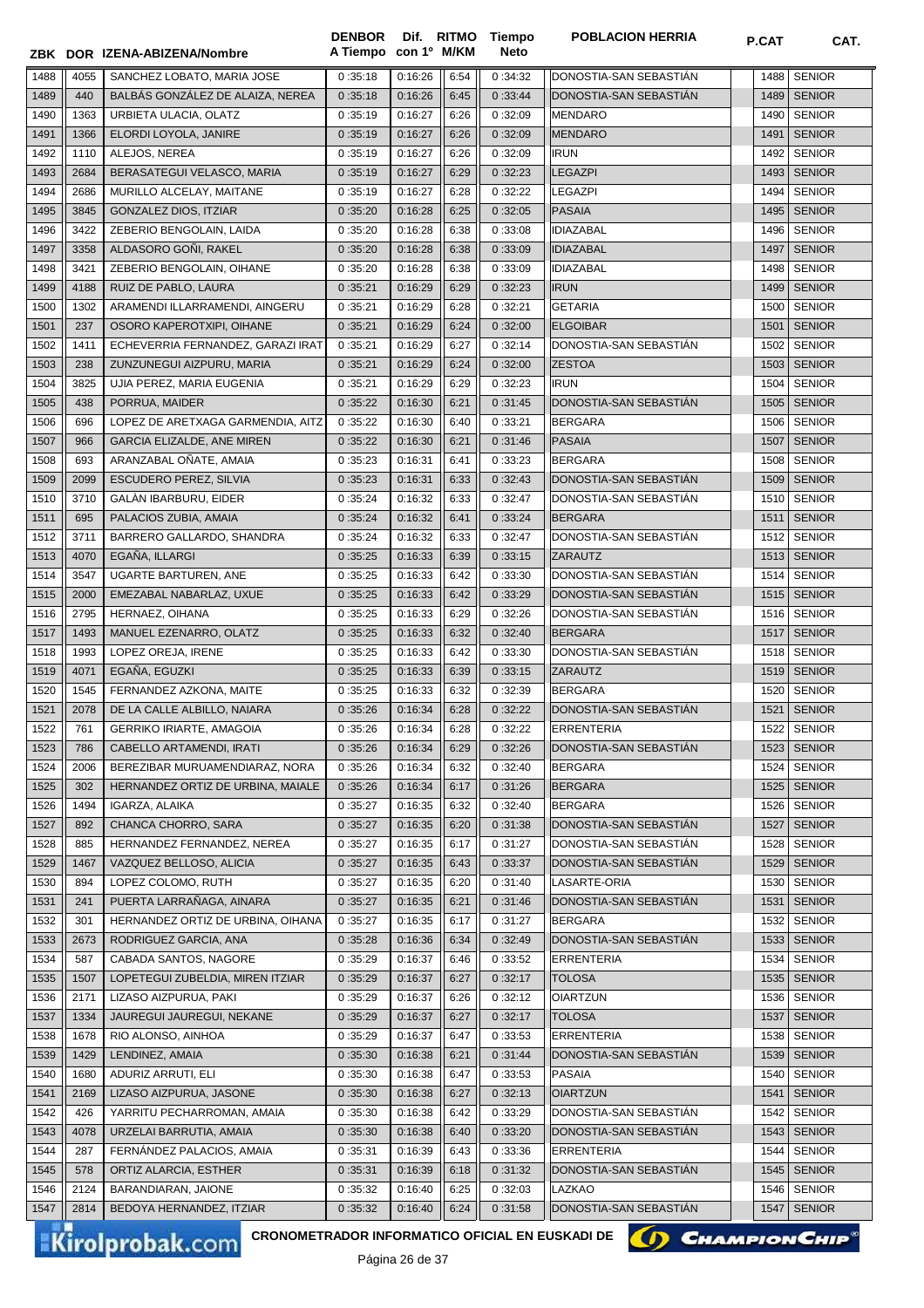|              |            | ZBK DOR IZENA-ABIZENA/Nombre                   | <b>DENBOR</b><br>A Tiempo con 1º M/KM |                    |              | Dif. RITMO Tiempo<br><b>Neto</b> | <b>POBLACION HERRIA</b>                | P.CAT        | CAT.                           |
|--------------|------------|------------------------------------------------|---------------------------------------|--------------------|--------------|----------------------------------|----------------------------------------|--------------|--------------------------------|
| 1488         | 4055       | SANCHEZ LOBATO, MARIA JOSE                     | 0:35:18                               | 0:16:26            | 6:54         | 0:34:32                          | DONOSTIA-SAN SEBASTIÁN                 | 1488         | <b>SENIOR</b>                  |
| 1489         | 440        | BALBÁS GONZÁLEZ DE ALAIZA, NEREA               | 0:35:18                               | 0:16:26            | 6:45         | 0:33:44                          | DONOSTIA-SAN SEBASTIAN                 | 1489         | <b>SENIOR</b>                  |
| 1490         | 1363       | URBIETA ULACIA, OLATZ                          | 0:35:19                               | 0:16:27            | 6:26         | 0:32:09                          | MENDARO                                | 1490         | <b>SENIOR</b>                  |
| 1491         | 1366       | ELORDI LOYOLA, JANIRE                          | 0:35:19                               | 0:16:27            | 6:26         | 0:32:09                          | <b>MENDARO</b>                         | 1491         | <b>SENIOR</b>                  |
| 1492         | 1110       | ALEJOS, NEREA                                  | 0:35:19                               | 0:16:27            | 6:26         | 0:32:09                          | <b>IRUN</b>                            | 1492         | <b>SENIOR</b>                  |
| 1493         | 2684       | BERASATEGUI VELASCO, MARIA                     | 0:35:19                               | 0:16:27            | 6:29         | 0:32:23                          | <b>LEGAZPI</b>                         | 1493         | <b>SENIOR</b>                  |
| 1494         | 2686       | MURILLO ALCELAY, MAITANE                       | 0:35:19                               | 0:16:27            | 6:28         | 0:32:22                          | <b>LEGAZPI</b>                         | 1494         | <b>SENIOR</b>                  |
| 1495         | 3845       | GONZALEZ DIOS, ITZIAR                          | 0:35:20                               | 0:16:28            | 6:25         | 0:32:05                          | <b>PASAIA</b>                          | 1495         | <b>SENIOR</b>                  |
| 1496         | 3422       | ZEBERIO BENGOLAIN. LAIDA                       | 0:35:20                               | 0:16:28            | 6:38         | 0:33:08                          | <b>IDIAZABAL</b>                       | 1496         | <b>SENIOR</b>                  |
| 1497         | 3358       | ALDASORO GOÑI, RAKEL                           | 0:35:20                               | 0:16:28            | 6:38         | 0:33:09                          | <b>IDIAZABAL</b>                       | 1497         | <b>SENIOR</b>                  |
| 1498         | 3421       | ZEBERIO BENGOLAIN, OIHANE                      | 0:35:20                               | 0:16:28            | 6:38         | 0:33:09                          | <b>IDIAZABAL</b>                       | 1498         | <b>SENIOR</b>                  |
| 1499         | 4188       | RUIZ DE PABLO, LAURA                           | 0:35:21                               | 0:16:29            | 6:29         | 0:32:23                          | <b>IRUN</b>                            | 1499         | <b>SENIOR</b>                  |
| 1500         | 1302       | ARAMENDI ILLARRAMENDI, AINGERU                 | 0:35:21                               | 0:16:29            | 6:28         | 0:32:21                          | <b>GETARIA</b>                         | 1500         | <b>SENIOR</b>                  |
| 1501         | 237        | OSORO KAPEROTXIPI, OIHANE                      | 0:35:21                               | 0:16:29            | 6:24         | 0:32:00                          | <b>ELGOIBAR</b>                        | 1501         | <b>SENIOR</b>                  |
| 1502         | 1411       | ECHEVERRIA FERNANDEZ, GARAZI IRAT              | 0:35:21                               | 0:16:29            | 6:27         | 0:32:14                          | DONOSTIA-SAN SEBASTIÁN                 | 1502         | <b>SENIOR</b>                  |
| 1503         | 238        | ZUNZUNEGUI AIZPURU, MARIA                      | 0:35:21                               | 0:16:29            | 6:24         | 0:32:00                          | <b>ZESTOA</b>                          | 1503         | <b>SENIOR</b>                  |
| 1504         | 3825       | UJIA PEREZ, MARIA EUGENIA                      | 0:35:21                               | 0:16:29            | 6:29         | 0:32:23                          | <b>IRUN</b>                            | 1504         | <b>SENIOR</b>                  |
| 1505         | 438        | PORRUA, MAIDER                                 | 0:35:22                               | 0:16:30            | 6:21         | 0:31:45                          | DONOSTIA-SAN SEBASTIAN                 | 1505         | <b>SENIOR</b>                  |
| 1506         | 696        | LOPEZ DE ARETXAGA GARMENDIA, AITZ              | 0:35:22                               | 0:16:30            | 6:40         | 0:33:21                          | <b>BERGARA</b>                         | 1506         | <b>SENIOR</b>                  |
| 1507         | 966        | <b>GARCIA ELIZALDE, ANE MIREN</b>              | 0:35:22                               | 0:16:30            | 6:21         | 0:31:46                          | <b>PASAIA</b>                          | 1507         | <b>SENIOR</b>                  |
| 1508         | 693        | ARANZABAL OÑATE, AMAIA                         | 0:35:23                               | 0:16:31            | 6:41         | 0:33:23                          | <b>BERGARA</b>                         | 1508         | <b>SENIOR</b>                  |
| 1509         | 2099       | ESCUDERO PEREZ, SILVIA                         | 0:35:23                               | 0:16:31            | 6:33         | 0:32:43                          | DONOSTIA-SAN SEBASTIAN                 | 1509         | <b>SENIOR</b>                  |
| 1510         | 3710       | GALAN IBARBURU, EIDER                          | 0:35:24                               | 0:16:32            | 6:33         | 0:32:47                          | DONOSTIA-SAN SEBASTIAN                 | 1510         | <b>SENIOR</b>                  |
| 1511         | 695        | PALACIOS ZUBIA, AMAIA                          | 0:35:24                               | 0:16:32            | 6:41         | 0:33:24                          | <b>BERGARA</b>                         | 1511         | <b>SENIOR</b>                  |
| 1512         | 3711       | BARRERO GALLARDO, SHANDRA                      | 0:35:24                               | 0:16:32            | 6:33         | 0:32:47                          | DONOSTIA-SAN SEBASTIAN                 | 1512         | <b>SENIOR</b>                  |
| 1513         | 4070       | EGAÑA, ILLARGI                                 | 0:35:25                               | 0:16:33            | 6:39         | 0:33:15                          | <b>ZARAUTZ</b>                         | 1513         | <b>SENIOR</b>                  |
| 1514         | 3547       | <b>UGARTE BARTUREN, ANE</b>                    | 0:35:25                               | 0:16:33            | 6:42         | 0:33:30                          | DONOSTIA-SAN SEBASTIÁN                 | 1514         | <b>SENIOR</b>                  |
| 1515         | 2000       | EMEZABAL NABARLAZ, UXUE                        | 0:35:25                               | 0:16:33            | 6:42         | 0:33:29                          | DONOSTIA-SAN SEBASTIAN                 | 1515         | <b>SENIOR</b>                  |
| 1516         | 2795       | HERNAEZ, OIHANA                                | 0:35:25                               | 0:16:33            | 6:29         | 0:32:26                          | DONOSTIA-SAN SEBASTIAN                 | 1516         | <b>SENIOR</b>                  |
| 1517         | 1493       | MANUEL EZENARRO, OLATZ                         | 0:35:25                               | 0:16:33            | 6:32         | 0:32:40                          | <b>BERGARA</b>                         | 1517         | <b>SENIOR</b>                  |
| 1518         | 1993       | LOPEZ OREJA. IRENE                             | 0:35:25                               | 0:16:33            | 6:42         | 0:33:30                          | DONOSTIA-SAN SEBASTIÁN                 | 1518         | <b>SENIOR</b>                  |
| 1519         | 4071       | EGAÑA, EGUZKI                                  | 0:35:25                               | 0:16:33            | 6:39         | 0:33:15                          | ZARAUTZ                                | 1519         | <b>SENIOR</b>                  |
| 1520         | 1545       | FERNANDEZ AZKONA, MAITE                        | 0:35:25                               | 0:16:33            | 6:32         | 0:32:39                          | <b>BERGARA</b>                         | 1520         | <b>SENIOR</b>                  |
| 1521         | 2078       | DE LA CALLE ALBILLO, NAIARA                    | 0:35:26                               | 0:16:34            | 6:28         | 0:32:22                          | DONOSTIA-SAN SEBASTIÁN                 | 1521         | <b>SENIOR</b>                  |
| 1522         | 761        | GERRIKO IRIARTE, AMAGOIA                       | 0:35:26                               | 0:16:34            | 6:28         | 0:32:22                          | ERRENTERIA                             |              | 1522 SENIOR                    |
| 1523         | 786        | CABELLO ARTAMENDI, IRATI                       | 0:35:26                               | 0:16:34            | 6:29         | 0:32:26                          | DONOSTIA-SAN SEBASTIÁN                 | 1523         | <b>SENIOR</b>                  |
| 1524         | 2006       | BEREZIBAR MURUAMENDIARAZ, NORA                 | 0:35:26                               | 0:16:34            | 6:32         | 0:32:40                          | <b>BERGARA</b>                         | 1524         | <b>SENIOR</b>                  |
| 1525         | 302        | HERNANDEZ ORTIZ DE URBINA, MAIALE              | 0:35:26                               | 0:16:34            | 6:17         | 0:31:26                          | <b>BERGARA</b>                         | 1525         | <b>SENIOR</b>                  |
| 1526         | 1494       | IGARZA, ALAIKA                                 | 0:35:27                               | 0:16:35            | 6:32         | 0:32:40                          | <b>BERGARA</b>                         | 1526         | <b>SENIOR</b>                  |
| 1527         | 892        | CHANCA CHORRO, SARA                            | 0:35:27                               | 0:16:35            | 6:20         | 0:31:38                          | DONOSTIA-SAN SEBASTIAN                 | 1527         | <b>SENIOR</b>                  |
| 1528         | 885        | HERNANDEZ FERNANDEZ, NEREA                     | 0:35:27                               | 0:16:35            | 6:17         | 0:31:27                          | DONOSTIA-SAN SEBASTIAN                 | 1528         | <b>SENIOR</b>                  |
| 1529         | 1467       | VAZQUEZ BELLOSO, ALICIA                        | 0:35:27                               | 0:16:35            | 6:43         | 0:33:37                          | DONOSTIA-SAN SEBASTIAN                 | 1529         | <b>SENIOR</b>                  |
| 1530         | 894        | LOPEZ COLOMO. RUTH<br>PUERTA LARRAÑAGA, AINARA | 0:35:27                               | 0:16:35            | 6:20         | 0:31:40                          | LASARTE-ORIA<br>DONOSTIA-SAN SEBASTIÁN | 1530         | <b>SENIOR</b>                  |
| 1531<br>1532 | 241<br>301 | HERNANDEZ ORTIZ DE URBINA, OIHANA              | 0:35:27<br>0:35:27                    | 0:16:35<br>0:16:35 | 6:21<br>6:17 | 0:31:46<br>0:31:27               | <b>BERGARA</b>                         | 1531<br>1532 | <b>SENIOR</b><br><b>SENIOR</b> |
| 1533         | 2673       | RODRIGUEZ GARCIA, ANA                          | 0:35:28                               | 0:16:36            | 6:34         | 0:32:49                          | DONOSTIA-SAN SEBASTIAN                 | 1533         | <b>SENIOR</b>                  |
| 1534         | 587        | CABADA SANTOS, NAGORE                          | 0:35:29                               | 0:16:37            | 6:46         | 0:33:52                          | <b>ERRENTERIA</b>                      | 1534         | <b>SENIOR</b>                  |
| 1535         | 1507       | LOPETEGUI ZUBELDIA, MIREN ITZIAR               | 0:35:29                               | 0:16:37            | 6:27         | 0:32:17                          | <b>TOLOSA</b>                          | 1535         | <b>SENIOR</b>                  |
| 1536         | 2171       | LIZASO AIZPURUA, PAKI                          | 0:35:29                               | 0:16:37            | 6:26         | 0:32:12                          | <b>OIARTZUN</b>                        | 1536         | <b>SENIOR</b>                  |
| 1537         | 1334       | JAUREGUI JAUREGUI, NEKANE                      | 0:35:29                               | 0:16:37            | 6:27         | 0:32:17                          | <b>TOLOSA</b>                          | 1537         | <b>SENIOR</b>                  |
| 1538         | 1678       | RIO ALONSO, AINHOA                             | 0:35:29                               | 0:16:37            | 6:47         | 0:33:53                          | <b>ERRENTERIA</b>                      | 1538         | <b>SENIOR</b>                  |
| 1539         | 1429       | LENDINEZ, AMAIA                                | 0:35:30                               | 0:16:38            | 6:21         | 0:31:44                          | DONOSTIA-SAN SEBASTIAN                 | 1539         | <b>SENIOR</b>                  |
| 1540         | 1680       | ADURIZ ARRUTI, ELI                             | 0:35:30                               | 0:16:38            | 6:47         | 0:33:53                          | <b>PASAIA</b>                          | 1540         | <b>SENIOR</b>                  |
| 1541         | 2169       | LIZASO AIZPURUA, JASONE                        | 0:35:30                               | 0:16:38            | 6:27         | 0:32:13                          | <b>OIARTZUN</b>                        | 1541         | <b>SENIOR</b>                  |
| 1542         | 426        | YARRITU PECHARROMAN, AMAIA                     | 0:35:30                               | 0:16:38            | 6:42         | 0:33:29                          | DONOSTIA-SAN SEBASTIAN                 | 1542         | <b>SENIOR</b>                  |
| 1543         | 4078       | URZELAI BARRUTIA, AMAIA                        | 0:35:30                               | 0:16:38            | 6:40         | 0:33:20                          | DONOSTIA-SAN SEBASTIAN                 | 1543         | <b>SENIOR</b>                  |
| 1544         | 287        | FERNANDEZ PALACIOS, AMAIA                      | 0:35:31                               | 0:16:39            | 6:43         | 0:33:36                          | <b>ERRENTERIA</b>                      | 1544         | <b>SENIOR</b>                  |
| 1545         | 578        | ORTIZ ALARCIA, ESTHER                          | 0:35:31                               | 0:16:39            | 6:18         | 0:31:32                          | DONOSTIA-SAN SEBASTIAN                 | 1545         | <b>SENIOR</b>                  |
| 1546         | 2124       | BARANDIARAN, JAIONE                            | 0:35:32                               | 0:16:40            | 6:25         | 0:32:03                          | LAZKAO                                 | 1546         | <b>SENIOR</b>                  |
| 1547         | 2814       | BEDOYA HERNANDEZ, ITZIAR                       | 0:35:32                               | 0:16:40            | 6:24         | 0:31:58                          | DONOSTIA-SAN SEBASTIAN                 | 1547         | <b>SENIOR</b>                  |
|              |            |                                                |                                       |                    |              |                                  |                                        |              |                                |

Kirolprobak.com

CRONOMETRADOR INFORMATICO OFICIAL EN EUSKADI DE **(A) CHAMPION CHIP<sup>®</sup>** 

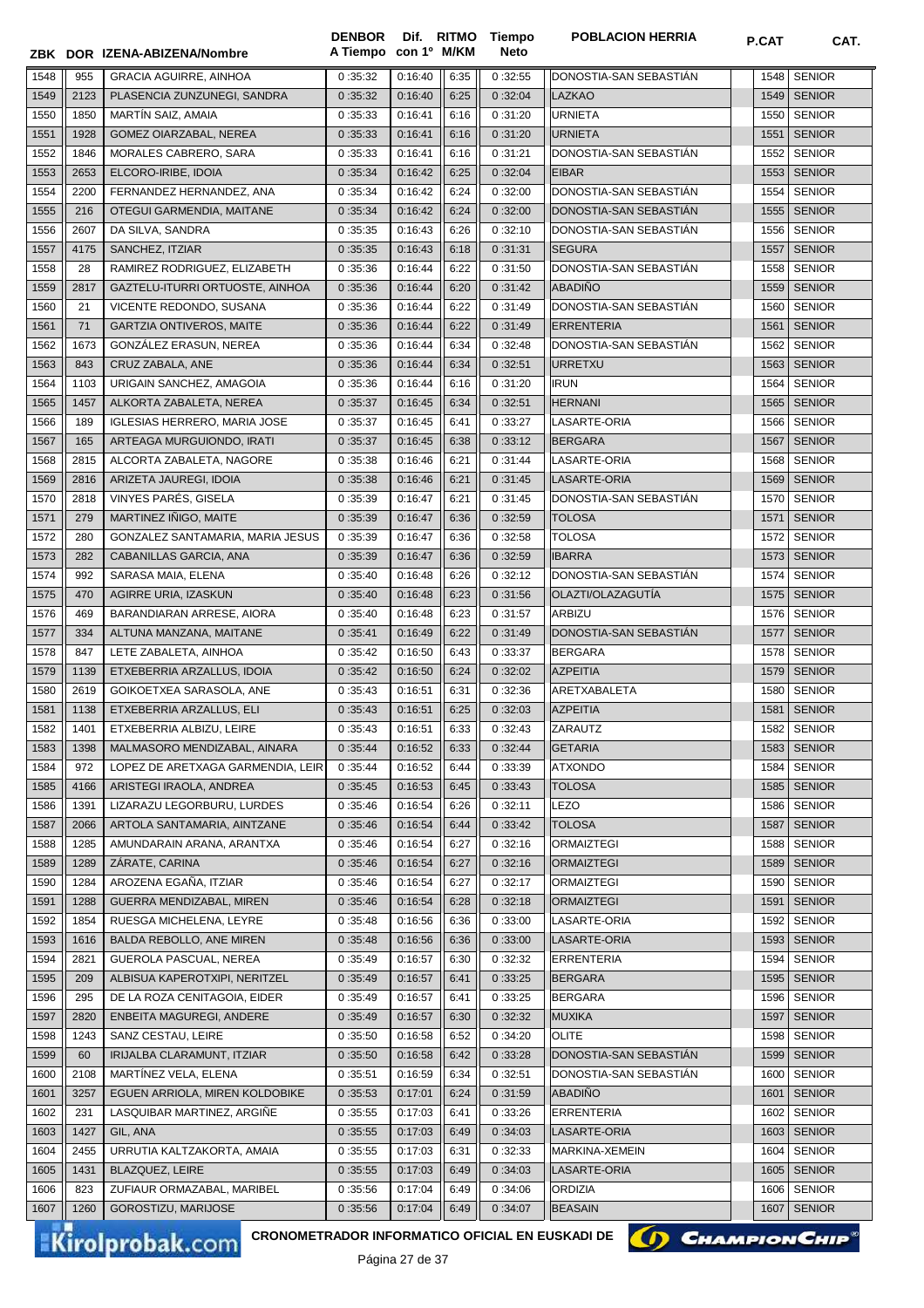|      |      | ZBK DOR IZENA-ABIZENA/Nombre        | A Tiempo con 1º M/KM |         |      | Neto    |                        |      |               |
|------|------|-------------------------------------|----------------------|---------|------|---------|------------------------|------|---------------|
| 1548 | 955  | <b>GRACIA AGUIRRE, AINHOA</b>       | 0:35:32              | 0:16:40 | 6:35 | 0:32:55 | DONOSTIA-SAN SEBASTIAN | 1548 | <b>SENIOR</b> |
| 1549 | 2123 | PLASENCIA ZUNZUNEGI, SANDRA         | 0:35:32              | 0:16:40 | 6:25 | 0:32:04 | <b>LAZKAO</b>          |      | 1549 SENIOR   |
| 1550 | 1850 | MARTIN SAIZ, AMAIA                  | 0:35:33              | 0:16:41 | 6:16 | 0:31:20 | <b>URNIETA</b>         | 1550 | <b>SENIOR</b> |
| 1551 | 1928 | GOMEZ OIARZABAL, NEREA              | 0:35:33              | 0:16:41 | 6:16 | 0:31:20 | <b>URNIETA</b>         | 1551 | <b>SENIOR</b> |
| 1552 | 1846 | MORALES CABRERO, SARA               | 0:35:33              | 0:16:41 | 6:16 | 0:31:21 | DONOSTIA-SAN SEBASTIÁN | 1552 | <b>SENIOR</b> |
| 1553 | 2653 | ELCORO-IRIBE, IDOIA                 | 0:35:34              | 0:16:42 | 6:25 | 0:32:04 | <b>EIBAR</b>           | 1553 | <b>SENIOR</b> |
| 1554 | 2200 | FERNANDEZ HERNANDEZ, ANA            | 0:35:34              | 0:16:42 | 6:24 | 0:32:00 | DONOSTIA-SAN SEBASTIAN | 1554 | <b>SENIOR</b> |
| 1555 | 216  | OTEGUI GARMENDIA, MAITANE           | 0:35:34              | 0:16:42 | 6:24 | 0:32:00 | DONOSTIA-SAN SEBASTIÁN | 1555 | <b>SENIOR</b> |
| 1556 | 2607 | DA SILVA, SANDRA                    | 0:35:35              | 0:16:43 | 6:26 | 0:32:10 | DONOSTIA-SAN SEBASTIÁN | 1556 | <b>SENIOR</b> |
| 1557 | 4175 | SANCHEZ, ITZIAR                     | 0:35:35              | 0:16:43 | 6:18 | 0:31:31 | <b>SEGURA</b>          | 1557 | <b>SENIOR</b> |
| 1558 | 28   | RAMIREZ RODRIGUEZ, ELIZABETH        | 0:35:36              | 0:16:44 | 6:22 | 0:31:50 | DONOSTIA-SAN SEBASTIAN | 1558 | <b>SENIOR</b> |
| 1559 | 2817 | GAZTELU-ITURRI ORTUOSTE, AINHOA     | 0:35:36              | 0:16:44 | 6:20 | 0:31:42 | <b>ABADIÑO</b>         |      | 1559 SENIOR   |
| 1560 | 21   | VICENTE REDONDO, SUSANA             | 0:35:36              | 0:16:44 | 6:22 | 0:31:49 | DONOSTIA-SAN SEBASTIAN | 1560 | <b>SENIOR</b> |
| 1561 | 71   | <b>GARTZIA ONTIVEROS, MAITE</b>     | 0:35:36              | 0:16:44 | 6:22 | 0:31:49 | <b>ERRENTERIA</b>      | 1561 | <b>SENIOR</b> |
| 1562 | 1673 | GONZÁLEZ ERASUN, NEREA              | 0:35:36              | 0:16:44 | 6:34 | 0:32:48 | DONOSTIA-SAN SEBASTIAN | 1562 | <b>SENIOR</b> |
| 1563 | 843  | CRUZ ZABALA, ANE                    | 0:35:36              | 0:16:44 | 6:34 | 0:32:51 | <b>URRETXU</b>         | 1563 | <b>SENIOR</b> |
| 1564 | 1103 | URIGAIN SANCHEZ, AMAGOIA            | 0:35:36              | 0:16:44 | 6:16 | 0:31:20 | <b>IRUN</b>            | 1564 | <b>SENIOR</b> |
| 1565 | 1457 | ALKORTA ZABALETA, NEREA             | 0:35:37              | 0:16:45 | 6:34 | 0:32:51 | <b>HERNANI</b>         | 1565 | <b>SENIOR</b> |
| 1566 | 189  | <b>IGLESIAS HERRERO, MARIA JOSE</b> | 0:35:37              | 0:16:45 | 6:41 | 0:33:27 | LASARTE-ORIA           | 1566 | <b>SENIOR</b> |
| 1567 | 165  | ARTEAGA MURGUIONDO, IRATI           | 0:35:37              | 0:16:45 | 6:38 | 0:33:12 | <b>BERGARA</b>         | 1567 | <b>SENIOR</b> |
| 1568 | 2815 | ALCORTA ZABALETA, NAGORE            | 0:35:38              | 0:16:46 | 6:21 | 0:31:44 | LASARTE-ORIA           | 1568 | <b>SENIOR</b> |
| 1569 | 2816 | ARIZETA JAUREGI, IDOIA              | 0:35:38              | 0:16:46 | 6:21 | 0:31:45 | LASARTE-ORIA           | 1569 | <b>SENIOR</b> |
| 1570 | 2818 | VINYES PARÉS, GISELA                | 0:35:39              | 0:16:47 | 6:21 | 0:31:45 | DONOSTIA-SAN SEBASTIAN | 1570 | <b>SENIOR</b> |
| 1571 | 279  | MARTINEZ IÑIGO, MAITE               | 0:35:39              | 0:16:47 | 6:36 | 0:32:59 | <b>TOLOSA</b>          | 1571 | <b>SENIOR</b> |
| 1572 | 280  | GONZALEZ SANTAMARIA, MARIA JESUS    | 0:35:39              | 0:16:47 | 6:36 | 0:32:58 | <b>TOLOSA</b>          | 1572 | <b>SENIOR</b> |
| 1573 | 282  | CABANILLAS GARCIA, ANA              | 0:35:39              | 0:16:47 | 6:36 | 0:32:59 | <b>IBARRA</b>          | 1573 | <b>SENIOR</b> |
| 1574 | 992  | SARASA MAIA, ELENA                  | 0:35:40              | 0:16:48 | 6:26 | 0:32:12 | DONOSTIA-SAN SEBASTIAN | 1574 | <b>SENIOR</b> |
| 1575 | 470  | AGIRRE URIA, IZASKUN                | 0:35:40              | 0:16:48 | 6:23 | 0:31:56 | OLAZTI/OLAZAGUTÍA      |      | 1575 SENIOR   |
| 1576 | 469  | BARANDIARAN ARRESE, AIORA           | 0:35:40              | 0:16:48 | 6:23 | 0:31:57 | <b>ARBIZU</b>          |      | 1576 SENIOR   |
| 1577 | 334  | ALTUNA MANZANA, MAITANE             | 0:35:41              | 0:16:49 | 6:22 | 0:31:49 | DONOSTIA-SAN SEBASTIÁN |      | 1577 SENIOR   |
| 1578 | 847  | LETE ZABALETA, AINHOA               | 0:35:42              | 0:16:50 | 6:43 | 0:33:37 | BERGARA                |      | 1578 SENIOR   |
| 1579 | 1139 | ETXEBERRIA ARZALLUS, IDOIA          | 0:35:42              | 0:16:50 | 6:24 | 0:32:02 | <b>AZPEITIA</b>        |      | 1579 SENIOR   |
| 1580 | 2619 | GOIKOETXEA SARASOLA, ANE            | 0:35:43              | 0:16:51 | 6:31 | 0:32:36 | ARETXABALETA           | 1580 | <b>SENIOR</b> |
| 1581 | 1138 | ETXEBERRIA ARZALLUS, ELI            | 0:35:43              | 0:16:51 | 6:25 | 0:32:03 | <b>AZPEITIA</b>        | 1581 | <b>SENIOR</b> |
| 1582 | 1401 | ETXEBERRIA ALBIZU, LEIRE            |                      | 0:16:51 | 6:33 | 0:32:43 | ZARAUTZ                | 1582 | <b>SENIOR</b> |
|      |      | MALMASORO MENDIZABAL, AINARA        | 0:35:43              |         |      |         |                        |      |               |
| 1583 | 1398 |                                     | 0:35:44              | 0:16:52 | 6:33 | 0:32:44 | <b>GETARIA</b>         |      | 1583   SENIOR |
| 1584 | 972  | LOPEZ DE ARETXAGA GARMENDIA, LEIR   | 0:35:44              | 0:16:52 | 6:44 | 0:33:39 | <b>ATXONDO</b>         | 1584 | <b>SENIOR</b> |
| 1585 | 4166 | ARISTEGI IRAOLA, ANDREA             | 0:35:45              | 0:16:53 | 6:45 | 0:33:43 | <b>TOLOSA</b>          | 1585 | <b>SENIOR</b> |
| 1586 | 1391 | LIZARAZU LEGORBURU, LURDES          | 0:35:46              | 0:16:54 | 6:26 | 0:32:11 | <b>LEZO</b>            | 1586 | <b>SENIOR</b> |
| 1587 | 2066 | ARTOLA SANTAMARIA, AINTZANE         | 0:35:46              | 0:16:54 | 6:44 | 0:33:42 | <b>TOLOSA</b>          | 1587 | <b>SENIOR</b> |
| 1588 | 1285 | AMUNDARAIN ARANA, ARANTXA           | 0:35:46              | 0:16:54 | 6:27 | 0:32:16 | <b>ORMAIZTEGI</b>      | 1588 | <b>SENIOR</b> |
| 1589 | 1289 | ZÁRATE, CARINA                      | 0:35:46              | 0:16:54 | 6:27 | 0:32:16 | <b>ORMAIZTEGI</b>      | 1589 | <b>SENIOR</b> |
| 1590 | 1284 | AROZENA EGAÑA. ITZIAR               | 0:35:46              | 0:16:54 | 6:27 | 0:32:17 | <b>ORMAIZTEGI</b>      | 1590 | <b>SENIOR</b> |
| 1591 | 1288 | GUERRA MENDIZABAL, MIREN            | 0:35:46              | 0:16:54 | 6:28 | 0:32:18 | <b>ORMAIZTEGI</b>      | 1591 | <b>SENIOR</b> |
| 1592 | 1854 | RUESGA MICHELENA, LEYRE             | 0:35:48              | 0:16:56 | 6:36 | 0:33:00 | LASARTE-ORIA           | 1592 | <b>SENIOR</b> |
| 1593 | 1616 | BALDA REBOLLO, ANE MIREN            | 0:35:48              | 0:16:56 | 6:36 | 0:33:00 | LASARTE-ORIA           |      | 1593 SENIOR   |
| 1594 | 2821 | GUEROLA PASCUAL, NEREA              | 0:35:49              | 0:16:57 | 6:30 | 0:32:32 | ERRENTERIA             | 1594 | <b>SENIOR</b> |
| 1595 | 209  | ALBISUA KAPEROTXIPI, NERITZEL       | 0:35:49              | 0:16:57 | 6:41 | 0:33:25 | <b>BERGARA</b>         |      | 1595 SENIOR   |
| 1596 | 295  | DE LA ROZA CENITAGOIA, EIDER        | 0:35:49              | 0:16:57 | 6:41 | 0:33:25 | <b>BERGARA</b>         | 1596 | <b>SENIOR</b> |
| 1597 | 2820 | ENBEITA MAGUREGI, ANDERE            | 0:35:49              | 0:16:57 | 6:30 | 0:32:32 | <b>MUXIKA</b>          | 1597 | <b>SENIOR</b> |
| 1598 | 1243 | SANZ CESTAU, LEIRE                  | 0:35:50              | 0:16:58 | 6:52 | 0:34:20 | <b>OLITE</b>           | 1598 | <b>SENIOR</b> |
| 1599 | 60   | IRIJALBA CLARAMUNT, ITZIAR          | 0:35:50              | 0:16:58 | 6:42 | 0:33:28 | DONOSTIA-SAN SEBASTIAN | 1599 | <b>SENIOR</b> |
| 1600 | 2108 | MARTINEZ VELA, ELENA                | 0:35:51              | 0:16:59 | 6:34 | 0:32:51 | DONOSTIA-SAN SEBASTIAN | 1600 | <b>SENIOR</b> |
| 1601 | 3257 | EGUEN ARRIOLA, MIREN KOLDOBIKE      | 0:35:53              | 0:17:01 | 6:24 | 0:31:59 | <b>ABADIÑO</b>         | 1601 | <b>SENIOR</b> |
| 1602 | 231  | LASQUIBAR MARTINEZ, ARGIÑE          | 0:35:55              | 0:17:03 | 6:41 | 0:33:26 | <b>ERRENTERIA</b>      | 1602 | <b>SENIOR</b> |
| 1603 | 1427 | GIL, ANA                            | 0:35:55              | 0:17:03 | 6:49 | 0:34:03 | LASARTE-ORIA           | 1603 | <b>SENIOR</b> |
| 1604 | 2455 | URRUTIA KALTZAKORTA, AMAIA          | 0:35:55              | 0:17:03 | 6:31 | 0:32:33 | MARKINA-XEMEIN         | 1604 | <b>SENIOR</b> |
| 1605 | 1431 | BLAZQUEZ, LEIRE                     | 0:35:55              | 0:17:03 | 6:49 | 0:34:03 | LASARTE-ORIA           | 1605 | <b>SENIOR</b> |
| 1606 | 823  | ZUFIAUR ORMAZABAL, MARIBEL          | 0:35:56              | 0:17:04 | 6:49 | 0:34:06 | <b>ORDIZIA</b>         | 1606 | <b>SENIOR</b> |
| 1607 | 1260 | GOROSTIZU, MARIJOSE                 | 0:35:56              | 0:17:04 | 6:49 | 0:34:07 | <b>BEASAIN</b>         | 1607 | <b>SENIOR</b> |

**Tiempo** 

**DENBOR**

Kirolprobak.com

CRONOMETRADOR INFORMATICO OFICIAL EN EUSKADI DE **(A) CHAMPION CHIP**<sup>®</sup>

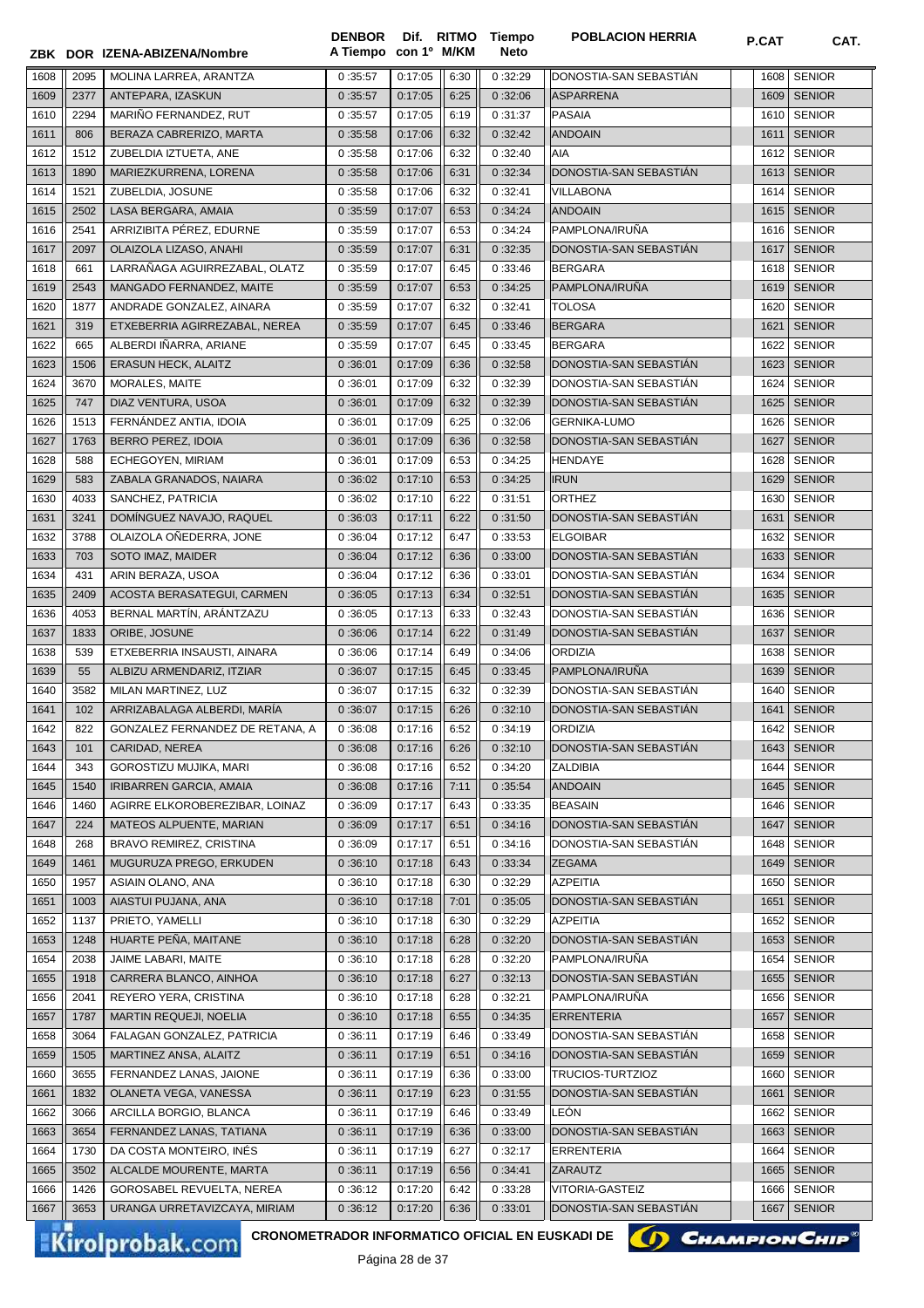|              |              | ZBK DOR IZENA-ABIZENA/Nombre             | <b>DENBOR</b><br>A Tiempo con 1º M/KM |                    |              | Dif. RITMO Tiempo<br><b>Neto</b> | <b>POBLACION HERRIA</b>                   | P.CAT        | CAT.                           |
|--------------|--------------|------------------------------------------|---------------------------------------|--------------------|--------------|----------------------------------|-------------------------------------------|--------------|--------------------------------|
| 1608         | 2095         | MOLINA LARREA, ARANTZA                   | 0:35:57                               | 0:17:05            | 6:30         | 0:32:29                          | DONOSTIA-SAN SEBASTIAN                    | 1608         | <b>SENIOR</b>                  |
| 1609         | 2377         | ANTEPARA, IZASKUN                        | 0:35:57                               | 0:17:05            | 6:25         | 0:32:06                          | <b>ASPARRENA</b>                          | 1609         | <b>SENIOR</b>                  |
| 1610         | 2294         | MARIÑO FERNANDEZ, RUT                    | 0:35:57                               | 0:17:05            | 6:19         | 0:31:37                          | <b>PASAIA</b>                             | 1610         | <b>SENIOR</b>                  |
| 1611         | 806          | BERAZA CABRERIZO, MARTA                  | 0:35:58                               | 0:17:06            | 6:32         | 0:32:42                          | <b>ANDOAIN</b>                            | 1611         | <b>SENIOR</b>                  |
| 1612         | 1512         | ZUBELDIA IZTUETA, ANE                    | 0:35:58                               | 0:17:06            | 6:32         | 0:32:40                          | AIA                                       | 1612         | <b>SENIOR</b>                  |
| 1613         | 1890         | MARIEZKURRENA, LORENA                    | 0:35:58                               | 0:17:06            | 6:31         | 0:32:34                          | DONOSTIA-SAN SEBASTIAN                    | 1613         | <b>SENIOR</b>                  |
| 1614         | 1521         | ZUBELDIA, JOSUNE                         | 0:35:58                               | 0:17:06            | 6:32         | 0:32:41                          | <b>VILLABONA</b>                          | 1614         | <b>SENIOR</b>                  |
| 1615         | 2502         | LASA BERGARA, AMAIA                      | 0:35:59                               | 0:17:07            | 6:53         | 0:34:24                          | <b>ANDOAIN</b>                            | 1615         | <b>SENIOR</b>                  |
| 1616         | 2541         | ARRIZIBITA PÉREZ, EDURNE                 | 0:35:59                               | 0:17:07            | 6:53         | 0:34:24                          | PAMPLONA/IRUÑA                            | 1616         | <b>SENIOR</b>                  |
| 1617         | 2097         | OLAIZOLA LIZASO, ANAHI                   | 0:35:59                               | 0:17:07            | 6:31         | 0:32:35                          | DONOSTIA-SAN SEBASTIÁN                    | 1617         | <b>SENIOR</b>                  |
| 1618         | 661          | LARRAÑAGA AGUIRREZABAL, OLATZ            | 0:35:59                               | 0:17:07            | 6:45         | 0:33:46                          | <b>BERGARA</b>                            | 1618         | <b>SENIOR</b>                  |
| 1619         | 2543         | MANGADO FERNANDEZ, MAITE                 | 0:35:59                               | 0:17:07            | 6:53         | 0:34:25                          | PAMPLONA/IRUÑA                            | 1619         | <b>SENIOR</b>                  |
| 1620         | 1877         | ANDRADE GONZALEZ, AINARA                 | 0:35:59                               | 0:17:07            | 6:32         | 0:32:41                          | <b>TOLOSA</b>                             | 1620         | <b>SENIOR</b>                  |
| 1621         | 319          | ETXEBERRIA AGIRREZABAL, NEREA            | 0:35:59                               | 0:17:07            | 6:45         | 0:33:46                          | <b>BERGARA</b>                            | 1621         | <b>SENIOR</b>                  |
| 1622         | 665          | ALBERDI IÑARRA, ARIANE                   | 0:35:59                               | 0:17:07            | 6:45         | 0:33:45                          | <b>BERGARA</b>                            | 1622         | <b>SENIOR</b>                  |
| 1623         | 1506         | ERASUN HECK, ALAITZ                      | 0:36:01                               | 0:17:09            | 6:36         | 0:32:58                          | DONOSTIA-SAN SEBASTIAN                    | 1623         | <b>SENIOR</b>                  |
| 1624         | 3670         | MORALES, MAITE                           | 0:36:01                               | 0:17:09            | 6:32         | 0:32:39                          | DONOSTIA-SAN SEBASTIAN                    | 1624         | <b>SENIOR</b>                  |
| 1625         | 747          | DIAZ VENTURA, USOA                       | 0:36:01                               | 0:17:09            | 6:32         | 0:32:39                          | DONOSTIA-SAN SEBASTIÁN                    | 1625         | <b>SENIOR</b>                  |
| 1626         | 1513         | FERNÁNDEZ ANTIA, IDOIA                   | 0:36:01                               | 0:17:09            | 6:25         | 0:32:06                          | <b>GERNIKA-LUMO</b>                       | 1626         | <b>SENIOR</b>                  |
| 1627         | 1763         | <b>BERRO PEREZ, IDOIA</b>                | 0:36:01                               | 0:17:09            | 6:36         | 0:32:58                          | DONOSTIA-SAN SEBASTIAN                    | 1627         | <b>SENIOR</b>                  |
| 1628         | 588          | ECHEGOYEN, MIRIAM                        | 0:36:01                               | 0:17:09            | 6:53         | 0:34:25                          | <b>HENDAYE</b>                            | 1628         | <b>SENIOR</b>                  |
| 1629         | 583          | ZABALA GRANADOS, NAIARA                  | 0:36:02                               | 0:17:10            | 6:53         | 0:34:25                          | <b>IRUN</b>                               | 1629         | <b>SENIOR</b>                  |
| 1630         | 4033         | SANCHEZ, PATRICIA                        | 0:36:02                               | 0:17:10            | 6:22         | 0:31:51                          | <b>ORTHEZ</b>                             | 1630         | <b>SENIOR</b>                  |
| 1631         | 3241         | DOMÍNGUEZ NAVAJO, RAQUEL                 | 0:36:03                               | 0:17:11            | 6:22         | 0:31:50                          | DONOSTIA-SAN SEBASTIAN                    | 1631         | <b>SENIOR</b>                  |
| 1632         | 3788         | OLAIZOLA OÑEDERRA, JONE                  | 0:36:04                               | 0:17:12            | 6:47         | 0:33:53                          | <b>ELGOIBAR</b>                           | 1632         | <b>SENIOR</b>                  |
| 1633         | 703          | SOTO IMAZ, MAIDER                        | 0:36:04                               | 0:17:12            | 6:36         | 0:33:00                          | DONOSTIA-SAN SEBASTIÁN                    | 1633         | <b>SENIOR</b>                  |
| 1634         | 431          | ARIN BERAZA, USOA                        | 0:36:04                               | 0:17:12            | 6:36         | 0:33:01                          | DONOSTIA-SAN SEBASTIÁN                    | 1634         | <b>SENIOR</b>                  |
| 1635         | 2409         | ACOSTA BERASATEGUI, CARMEN               | 0:36:05                               | 0:17:13            | 6:34         | 0:32:51                          | DONOSTIA-SAN SEBASTIAN                    | 1635         | <b>SENIOR</b>                  |
| 1636         | 4053         | BERNAL MARTIN, ARANTZAZU                 | 0:36:05                               | 0:17:13            | 6:33         | 0:32:43                          | DONOSTIA-SAN SEBASTIAN                    | 1636         | <b>SENIOR</b>                  |
| 1637         | 1833         | ORIBE, JOSUNE                            | 0:36:06                               | 0:17:14            | 6:22         | 0:31:49                          | DONOSTIA-SAN SEBASTIAN                    | 1637         | <b>SENIOR</b>                  |
| 1638         | 539          | ETXEBERRIA INSAUSTI, AINARA              | 0:36:06                               | 0:17:14            | 6:49         | 0:34:06                          | <b>ORDIZIA</b>                            | 1638         | <b>SENIOR</b>                  |
| 1639         | 55           | ALBIZU ARMENDARIZ, ITZIAR                | 0:36:07                               | 0:17:15            | 6:45         | 0:33:45                          | PAMPLONA/IRUÑA                            | 1639         | <b>SENIOR</b>                  |
| 1640         | 3582         | MILAN MARTINEZ, LUZ                      | 0:36:07                               | 0:17:15            | 6:32         | 0:32:39                          | DONOSTIA-SAN SEBASTIAN                    | 1640         | <b>SENIOR</b>                  |
| 1641         | 102          | ARRIZABALAGA ALBERDI, MARÍA              | 0:36:07                               | 0:17:15            | 6:26         | 0:32:10                          | DONOSTIA-SAN SEBASTIAN                    | 1641         | <b>SENIOR</b>                  |
| 1642         | 822          | GONZALEZ FERNANDEZ DE RETANA, A          | 0:36:08                               | 0:17:16            | 6:52         | 0:34:19                          | ORDIZIA                                   |              | 1642 SENIOR                    |
| 1643         | 101          | CARIDAD, NEREA                           | 0:36:08                               | 0:17:16            | 6:26         | 0:32:10                          | DONOSTIA-SAN SEBASTIAN                    | 1643         | <b>SENIOR</b>                  |
| 1644         | 343          | GOROSTIZU MUJIKA, MARI                   | 0:36:08                               | 0:17:16            | 6:52         | 0:34:20                          | ZALDIBIA                                  | 1644         | <b>SENIOR</b>                  |
| 1645         | 1540         | <b>IRIBARREN GARCIA, AMAIA</b>           | 0:36:08                               | 0:17:16            | 7:11         | 0:35:54                          | <b>ANDOAIN</b>                            | 1645         | <b>SENIOR</b>                  |
| 1646         | 1460         | AGIRRE ELKOROBEREZIBAR, LOINAZ           | 0:36:09                               | 0:17:17            | 6:43         | 0:33:35                          | <b>BEASAIN</b>                            | 1646         | <b>SENIOR</b>                  |
| 1647         | 224          | MATEOS ALPUENTE, MARIAN                  | 0:36:09                               | 0:17:17            | 6:51         | 0:34:16                          | DONOSTIA-SAN SEBASTIAN                    | 1647         | <b>SENIOR</b>                  |
| 1648         | 268          | BRAVO REMIREZ, CRISTINA                  | 0:36:09                               | 0:17:17            | 6:51         | 0:34:16                          | DONOSTIA-SAN SEBASTIAN                    | 1648         | <b>SENIOR</b>                  |
| 1649         | 1461         | MUGURUZA PREGO, ERKUDEN                  | 0:36:10                               | 0:17:18            | 6:43         | 0:33:34                          | <b>ZEGAMA</b>                             | 1649         | <b>SENIOR</b>                  |
| 1650         | 1957<br>1003 | ASIAIN OLANO, ANA<br>AIASTUI PUJANA, ANA | 0:36:10                               | 0:17:18<br>0:17:18 | 6:30         | 0:32:29                          | <b>AZPEITIA</b><br>DONOSTIA-SAN SEBASTIÁN | 1650         | <b>SENIOR</b><br><b>SENIOR</b> |
| 1651<br>1652 | 1137         | PRIETO, YAMELLI                          | 0:36:10<br>0:36:10                    | 0:17:18            | 7:01<br>6:30 | 0:35:05<br>0:32:29               | <b>AZPEITIA</b>                           | 1651<br>1652 | <b>SENIOR</b>                  |
| 1653         | 1248         | HUARTE PEÑA, MAITANE                     | 0:36:10                               | 0:17:18            | 6:28         | 0:32:20                          | DONOSTIA-SAN SEBASTIAN                    | 1653         | <b>SENIOR</b>                  |
| 1654         | 2038         | JAIME LABARI, MAITE                      | 0:36:10                               | 0:17:18            | 6:28         | 0:32:20                          | PAMPLONA/IRUÑA                            | 1654         | <b>SENIOR</b>                  |
| 1655         | 1918         | CARRERA BLANCO, AINHOA                   | 0:36:10                               | 0:17:18            | 6:27         | 0:32:13                          | DONOSTIA-SAN SEBASTIAN                    | 1655         | <b>SENIOR</b>                  |
| 1656         | 2041         | REYERO YERA, CRISTINA                    | 0:36:10                               | 0:17:18            | 6:28         | 0:32:21                          | PAMPLONA/IRUÑA                            | 1656         | <b>SENIOR</b>                  |
| 1657         | 1787         | MARTIN REQUEJI, NOELIA                   | 0:36:10                               | 0:17:18            | 6:55         | 0:34:35                          | <b>ERRENTERIA</b>                         | 1657         | <b>SENIOR</b>                  |
| 1658         | 3064         | FALAGAN GONZALEZ, PATRICIA               | 0:36:11                               | 0:17:19            | 6:46         | 0:33:49                          | DONOSTIA-SAN SEBASTIAN                    | 1658         | <b>SENIOR</b>                  |
| 1659         | 1505         | MARTINEZ ANSA, ALAITZ                    | 0:36:11                               | 0:17:19            | 6:51         | 0:34:16                          | DONOSTIA-SAN SEBASTIÁN                    | 1659         | <b>SENIOR</b>                  |
| 1660         | 3655         | FERNANDEZ LANAS, JAIONE                  | 0:36:11                               | 0:17:19            | 6:36         | 0:33:00                          | TRUCIOS-TURTZIOZ                          | 1660         | <b>SENIOR</b>                  |
| 1661         | 1832         | OLANETA VEGA, VANESSA                    | 0:36:11                               | 0:17:19            | 6:23         | 0:31:55                          | DONOSTIA-SAN SEBASTIÁN                    | 1661         | <b>SENIOR</b>                  |
| 1662         | 3066         | ARCILLA BORGIO, BLANCA                   | 0:36:11                               | 0:17:19            | 6:46         | 0:33:49                          | LEÓN                                      | 1662         | <b>SENIOR</b>                  |
| 1663         | 3654         | FERNANDEZ LANAS, TATIANA                 | 0:36:11                               | 0:17:19            | 6:36         | 0:33:00                          | DONOSTIA-SAN SEBASTIAN                    | 1663         | <b>SENIOR</b>                  |
| 1664         | 1730         | DA COSTA MONTEIRO, INÉS                  | 0:36:11                               | 0:17:19            | 6:27         | 0:32:17                          | <b>ERRENTERIA</b>                         | 1664         | <b>SENIOR</b>                  |
| 1665         | 3502         | ALCALDE MOURENTE, MARTA                  | 0:36:11                               | 0:17:19            | 6:56         | 0:34:41                          | ZARAUTZ                                   | 1665         | <b>SENIOR</b>                  |
| 1666         | 1426         | GOROSABEL REVUELTA, NEREA                | 0:36:12                               | 0:17:20            | 6:42         | 0:33:28                          | VITORIA-GASTEIZ                           | 1666         | <b>SENIOR</b>                  |
| 1667         | 3653         | URANGA URRETAVIZCAYA, MIRIAM             | 0:36:12                               | 0:17:20            | 6:36         | 0:33:01                          | DONOSTIA-SAN SEBASTIÁN                    | 1667         | <b>SENIOR</b>                  |
|              |              |                                          |                                       |                    |              |                                  |                                           |              |                                |

Kirolprobak.com

CRONOMETRADOR INFORMATICO OFICIAL EN EUSKADI DE **(A) CHAMPION CHIP**<sup>®</sup>

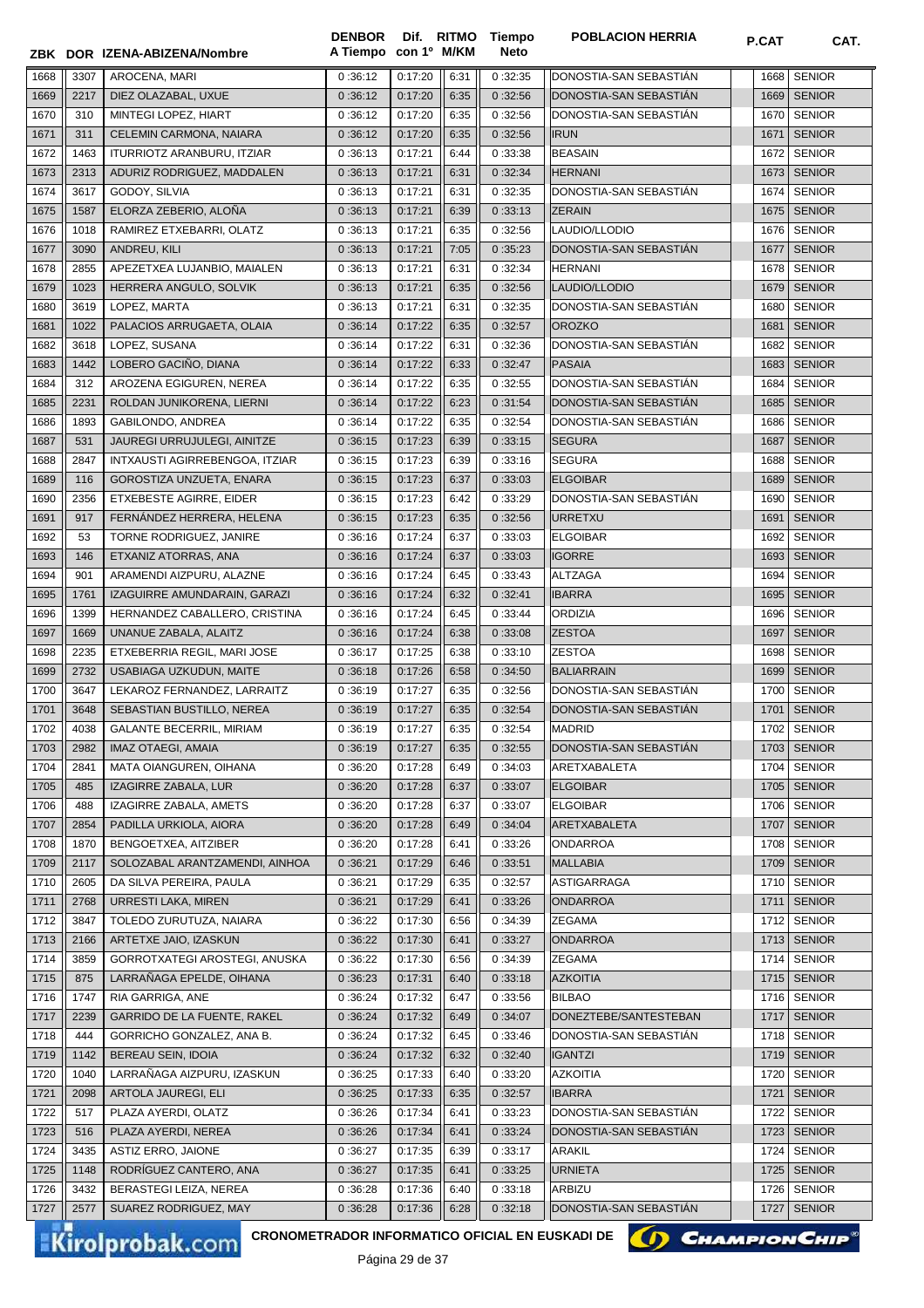|              |              | ZBK DOR IZENA-ABIZENA/Nombre                                              | <b>DENBOR</b><br>A Tiempo con 1º M/KM | Dif. RITMO         |              | Tiempo<br><b>Neto</b> | <b>POBLACION HERRIA</b>                 | P.CAT        | CAT.                           |
|--------------|--------------|---------------------------------------------------------------------------|---------------------------------------|--------------------|--------------|-----------------------|-----------------------------------------|--------------|--------------------------------|
|              |              |                                                                           |                                       |                    |              |                       |                                         |              |                                |
| 1668         | 3307         | AROCENA, MARI                                                             | 0:36:12                               | 0:17:20            | 6:31         | 0:32:35               | DONOSTIA-SAN SEBASTIÁN                  | 1668         | <b>SENIOR</b>                  |
| 1669         | 2217         | DIEZ OLAZABAL, UXUE                                                       | 0:36:12                               | 0:17:20            | 6:35         | 0:32:56               | DONOSTIA-SAN SEBASTIAN                  | 1669         | <b>SENIOR</b>                  |
| 1670         | 310          | MINTEGI LOPEZ. HIART                                                      | 0:36:12                               | 0:17:20            | 6:35         | 0:32:56               | DONOSTIA-SAN SEBASTIAN                  | 1670         | <b>SENIOR</b>                  |
| 1671         | 311          | CELEMIN CARMONA, NAIARA                                                   | 0:36:12                               | 0:17:20            | 6:35         | 0:32:56               | <b>IRUN</b>                             | 1671         | <b>SENIOR</b>                  |
| 1672         | 1463         | <b>ITURRIOTZ ARANBURU, ITZIAR</b>                                         | 0:36:13                               | 0:17:21            | 6:44         | 0:33:38               | <b>BEASAIN</b>                          | 1672         | <b>SENIOR</b>                  |
| 1673         | 2313         | ADURIZ RODRIGUEZ, MADDALEN                                                | 0:36:13                               | 0:17:21            | 6:31         | 0:32:34               | <b>HERNANI</b>                          | 1673         | <b>SENIOR</b>                  |
| 1674         | 3617<br>1587 | GODOY, SILVIA                                                             | 0:36:13                               | 0:17:21<br>0:17:21 | 6:31         | 0:32:35               | DONOSTIA-SAN SEBASTIAN<br><b>ZERAIN</b> | 1674<br>1675 | <b>SENIOR</b><br><b>SENIOR</b> |
| 1675<br>1676 | 1018         | ELORZA ZEBERIO, ALOÑA<br>RAMIREZ ETXEBARRI, OLATZ                         | 0:36:13<br>0:36:13                    | 0:17:21            | 6:39<br>6:35 | 0:33:13<br>0:32:56    | LAUDIO/LLODIO                           | 1676         | <b>SENIOR</b>                  |
| 1677         | 3090         | ANDREU, KILI                                                              | 0:36:13                               | 0:17:21            | 7:05         | 0:35:23               | DONOSTIA-SAN SEBASTIAN                  | 1677         | <b>SENIOR</b>                  |
| 1678         | 2855         | APEZETXEA LUJANBIO, MAIALEN                                               | 0:36:13                               | 0:17:21            | 6:31         | 0:32:34               | <b>HERNANI</b>                          | 1678         | <b>SENIOR</b>                  |
| 1679         | 1023         | HERRERA ANGULO, SOLVIK                                                    | 0:36:13                               | 0:17:21            | 6:35         | 0:32:56               | LAUDIO/LLODIO                           | 1679         | <b>SENIOR</b>                  |
| 1680         | 3619         | LOPEZ, MARTA                                                              | 0:36:13                               | 0:17:21            | 6:31         | 0:32:35               | DONOSTIA-SAN SEBASTIAN                  | 1680         | <b>SENIOR</b>                  |
| 1681         | 1022         | PALACIOS ARRUGAETA, OLAIA                                                 | 0:36:14                               | 0:17:22            | 6:35         | 0:32:57               | <b>OROZKO</b>                           | 1681         | <b>SENIOR</b>                  |
| 1682         | 3618         | LOPEZ, SUSANA                                                             | 0:36:14                               | 0:17:22            | 6:31         | 0:32:36               | DONOSTIA-SAN SEBASTIÁN                  | 1682         | <b>SENIOR</b>                  |
| 1683         | 1442         | LOBERO GACIÑO, DIANA                                                      | 0:36:14                               | 0:17:22            | 6:33         | 0:32:47               | <b>PASAIA</b>                           | 1683         | <b>SENIOR</b>                  |
| 1684         | 312          | AROZENA EGIGUREN, NEREA                                                   | 0:36:14                               | 0:17:22            | 6:35         | 0:32:55               | DONOSTIA-SAN SEBASTIÁN                  | 1684         | <b>SENIOR</b>                  |
| 1685         | 2231         | ROLDAN JUNIKORENA, LIERNI                                                 | 0:36:14                               | 0:17:22            | 6:23         | 0:31:54               | DONOSTIA-SAN SEBASTIAN                  | 1685         | <b>SENIOR</b>                  |
| 1686         | 1893         | GABILONDO, ANDREA                                                         | 0:36:14                               | 0:17:22            | 6:35         | 0:32:54               | DONOSTIA-SAN SEBASTIÁN                  | 1686         | <b>SENIOR</b>                  |
| 1687         | 531          | JAUREGI URRUJULEGI, AINITZE                                               | 0:36:15                               | 0:17:23            | 6:39         | 0:33:15               | <b>SEGURA</b>                           | 1687         | <b>SENIOR</b>                  |
| 1688         | 2847         | INTXAUSTI AGIRREBENGOA, ITZIAR                                            | 0:36:15                               | 0:17:23            | 6:39         | 0:33:16               | <b>SEGURA</b>                           | 1688         | <b>SENIOR</b>                  |
| 1689         | 116          | GOROSTIZA UNZUETA, ENARA                                                  | 0:36:15                               | 0:17:23            | 6:37         | 0:33:03               | <b>ELGOIBAR</b>                         | 1689         | <b>SENIOR</b>                  |
| 1690         | 2356         | ETXEBESTE AGIRRE, EIDER                                                   | 0:36:15                               | 0:17:23            | 6:42         | 0:33:29               | DONOSTIA-SAN SEBASTIAN                  | 1690         | <b>SENIOR</b>                  |
| 1691         | 917          | FERNÁNDEZ HERRERA, HELENA                                                 | 0:36:15                               | 0:17:23            | 6:35         | 0:32:56               | <b>URRETXU</b>                          | 1691         | <b>SENIOR</b>                  |
| 1692         | 53           | TORNE RODRIGUEZ, JANIRE                                                   | 0:36:16                               | 0:17:24            | 6:37         | 0:33:03               | <b>ELGOIBAR</b>                         | 1692         | <b>SENIOR</b>                  |
| 1693         | 146          | ETXANIZ ATORRAS, ANA                                                      | 0:36:16                               | 0:17:24            | 6:37         | 0:33:03               | <b>IGORRE</b>                           | 1693         | <b>SENIOR</b>                  |
| 1694         | 901          | ARAMENDI AIZPURU, ALAZNE                                                  | 0:36:16                               | 0:17:24            | 6:45         | 0:33:43               | <b>ALTZAGA</b>                          | 1694         | <b>SENIOR</b>                  |
| 1695         | 1761         | IZAGUIRRE AMUNDARAIN, GARAZI                                              | 0:36:16                               | 0:17:24            | 6:32         | 0:32:41               | <b>IBARRA</b>                           | 1695         | <b>SENIOR</b>                  |
| 1696         | 1399         | HERNANDEZ CABALLERO, CRISTINA                                             | 0:36:16                               | 0:17:24            | 6:45         | 0:33:44               | <b>ORDIZIA</b>                          | 1696         | <b>SENIOR</b>                  |
| 1697         | 1669         | UNANUE ZABALA, ALAITZ                                                     | 0:36:16                               | 0:17:24            | 6:38         | 0:33:08               | <b>ZESTOA</b>                           | 1697         | <b>SENIOR</b>                  |
| 1698         | 2235         | ETXEBERRIA REGIL, MARI JOSE                                               | 0:36:17                               | 0:17:25            | 6:38         | 0:33:10               | <b>ZESTOA</b>                           | 1698         | <b>SENIOR</b>                  |
| 1699         | 2732         | USABIAGA UZKUDUN, MAITE                                                   | 0:36:18                               | 0:17:26            | 6:58         | 0:34:50               | <b>BALIARRAIN</b>                       | 1699         | <b>SENIOR</b>                  |
| 1700         | 3647         | LEKAROZ FERNANDEZ, LARRAITZ                                               | 0:36:19                               | 0:17:27            | 6:35         | 0:32:56               | DONOSTIA-SAN SEBASTIÁN                  | 1700         | <b>SENIOR</b>                  |
| 1701         | 3648         | SEBASTIAN BUSTILLO, NEREA                                                 | 0:36:19                               | 0:17:27            | 6:35         | 0:32:54               | DONOSTIA-SAN SEBASTIÁN                  | 1701         | <b>SENIOR</b>                  |
| 1702         | 4038         | <b>GALANTE BECERRIL, MIRIAM</b>                                           | 0:36:19                               | 0:17:27            | 6:35         | 0:32:54               | <b>MADRID</b>                           |              | 1702 SENIOR                    |
| 1703         | 2982         | <b>IMAZ OTAEGI, AMAIA</b>                                                 | 0:36:19                               | 0:17:27            | 6:35         | 0:32:55               | DONOSTIA-SAN SEBASTIAN                  |              | 1703 SENIOR                    |
| 1704         | 2841         | MATA OIANGUREN, OIHANA                                                    | 0:36:20                               | 0:17:28            | 6:49         | 0:34:03               | ARETXABALETA                            | 1704         | <b>SENIOR</b>                  |
| 1705         | 485          | IZAGIRRE ZABALA, LUR                                                      | 0:36:20                               | 0:17:28            | 6:37         | 0:33:07               | <b>ELGOIBAR</b>                         | 1705         | <b>SENIOR</b>                  |
| 1706         | 488          | IZAGIRRE ZABALA, AMETS                                                    | 0:36:20                               | 0:17:28            | 6:37         | 0:33:07               | <b>ELGOIBAR</b>                         | 1706         | <b>SENIOR</b>                  |
| 1707         | 2854         | PADILLA URKIOLA, AIORA                                                    | 0:36:20                               | 0:17:28            | 6:49         | 0:34:04               | ARETXABALETA                            | 1707         | <b>SENIOR</b>                  |
| 1708         | 1870         | BENGOETXEA, AITZIBER                                                      | 0:36:20                               | 0:17:28            | 6:41         | 0:33:26               | <b>ONDARROA</b>                         | 1708         | <b>SENIOR</b>                  |
| 1709         | 2117         | SOLOZABAL ARANTZAMENDI, AINHOA                                            | 0:36:21                               | 0:17:29            | 6:46         | 0:33:51               | <b>MALLABIA</b>                         | 1709         | <b>SENIOR</b>                  |
| 1710         | 2605         | DA SILVA PEREIRA, PAULA                                                   | 0:36:21                               | 0:17:29            | 6:35         | 0:32:57               | ASTIGARRAGA                             | 1710         | <b>SENIOR</b>                  |
| 1711         | 2768         | URRESTI LAKA, MIREN                                                       | 0:36:21                               | 0:17:29            | 6:41         | 0:33:26               | ONDARROA                                | 1711         | <b>SENIOR</b>                  |
| 1712         | 3847         | TOLEDO ZURUTUZA, NAIARA                                                   | 0:36:22                               | 0:17:30            | 6:56         | 0:34:39               | <b>ZEGAMA</b>                           | 1712         | <b>SENIOR</b>                  |
| 1713         | 2166         | ARTETXE JAIO, IZASKUN                                                     | 0:36:22                               | 0:17:30            | 6:41         | 0:33:27               | <b>ONDARROA</b>                         | 1713         | <b>SENIOR</b>                  |
| 1714         | 3859         | GORROTXATEGI AROSTEGI, ANUSKA                                             | 0:36:22                               | 0:17:30            | 6:56         | 0:34:39               | <b>ZEGAMA</b>                           | 1714         | <b>SENIOR</b>                  |
| 1715         | 875          | LARRAÑAGA EPELDE, OIHANA                                                  | 0:36:23                               | 0:17:31            | 6:40         | 0:33:18               | <b>AZKOITIA</b>                         | 1715         | <b>SENIOR</b>                  |
| 1716         | 1747         | RIA GARRIGA, ANE                                                          | 0:36:24                               | 0:17:32            | 6:47         | 0:33:56               | <b>BILBAO</b>                           | 1716         | <b>SENIOR</b>                  |
| 1717         | 2239         | GARRIDO DE LA FUENTE, RAKEL                                               | 0:36:24                               | 0:17:32            | 6:49         | 0:34:07               | DONEZTEBE/SANTESTEBAN                   | 1717         | <b>SENIOR</b>                  |
| 1718         | 444          | GORRICHO GONZALEZ, ANA B.                                                 | 0:36:24                               | 0:17:32            | 6:45         | 0:33:46               | DONOSTIA-SAN SEBASTIAN                  | 1718         | <b>SENIOR</b>                  |
| 1719         | 1142         | BEREAU SEIN, IDOIA                                                        | 0:36:24                               | 0:17:32            | 6:32         | 0:32:40               | <b>IGANTZI</b>                          | 1719         | <b>SENIOR</b>                  |
| 1720         | 1040         | LARRAÑAGA AIZPURU, IZASKUN                                                | 0:36:25                               | 0:17:33            | 6:40         | 0:33:20               | <b>AZKOITIA</b>                         | 1720         | <b>SENIOR</b>                  |
| 1721         | 2098         | ARTOLA JAUREGI, ELI                                                       | 0:36:25                               | 0:17:33            | 6:35         | 0:32:57               | <b>IBARRA</b>                           | 1721         | <b>SENIOR</b>                  |
| 1722         | 517          | PLAZA AYERDI, OLATZ                                                       | 0:36:26                               | 0:17:34            | 6:41         | 0:33:23               | DONOSTIA-SAN SEBASTIAN                  | 1722         | <b>SENIOR</b>                  |
| 1723         | 516          | PLAZA AYERDI, NEREA                                                       | 0:36:26                               | 0:17:34            | 6:41         | 0:33:24               | DONOSTIA-SAN SEBASTIAN                  | 1723         | <b>SENIOR</b>                  |
| 1724         | 3435         | <b>ASTIZ ERRO, JAIONE</b>                                                 | 0:36:27                               | 0:17:35            | 6:39         | 0:33:17               | ARAKIL                                  | 1724         | <b>SENIOR</b>                  |
| 1725         | 1148         | RODRÍGUEZ CANTERO, ANA                                                    | 0:36:27                               | 0:17:35            | 6:41         | 0:33:25               | URNIETA                                 | 1725         | <b>SENIOR</b>                  |
| 1726         | 3432         | BERASTEGI LEIZA, NEREA                                                    | 0:36:28                               | 0:17:36            | 6:40         | 0:33:18               | ARBIZU                                  | 1726         | <b>SENIOR</b>                  |
| 1727         | 2577         | SUAREZ RODRIGUEZ, MAY                                                     | 0:36:28                               | 0:17:36            | 6:28         | 0:32:18               | DONOSTIA-SAN SEBASTIAN                  | 1727         | <b>SENIOR</b>                  |
|              |              | CRONOMETRADOR INFORMATICO OFICIAL EN EUSKADI DE<br><b>Kirolprobak.com</b> |                                       |                    |              |                       | D CHAMPION CHIP                         |              |                                |
|              |              |                                                                           |                                       | Décise 00 de 07    |              |                       |                                         |              |                                |

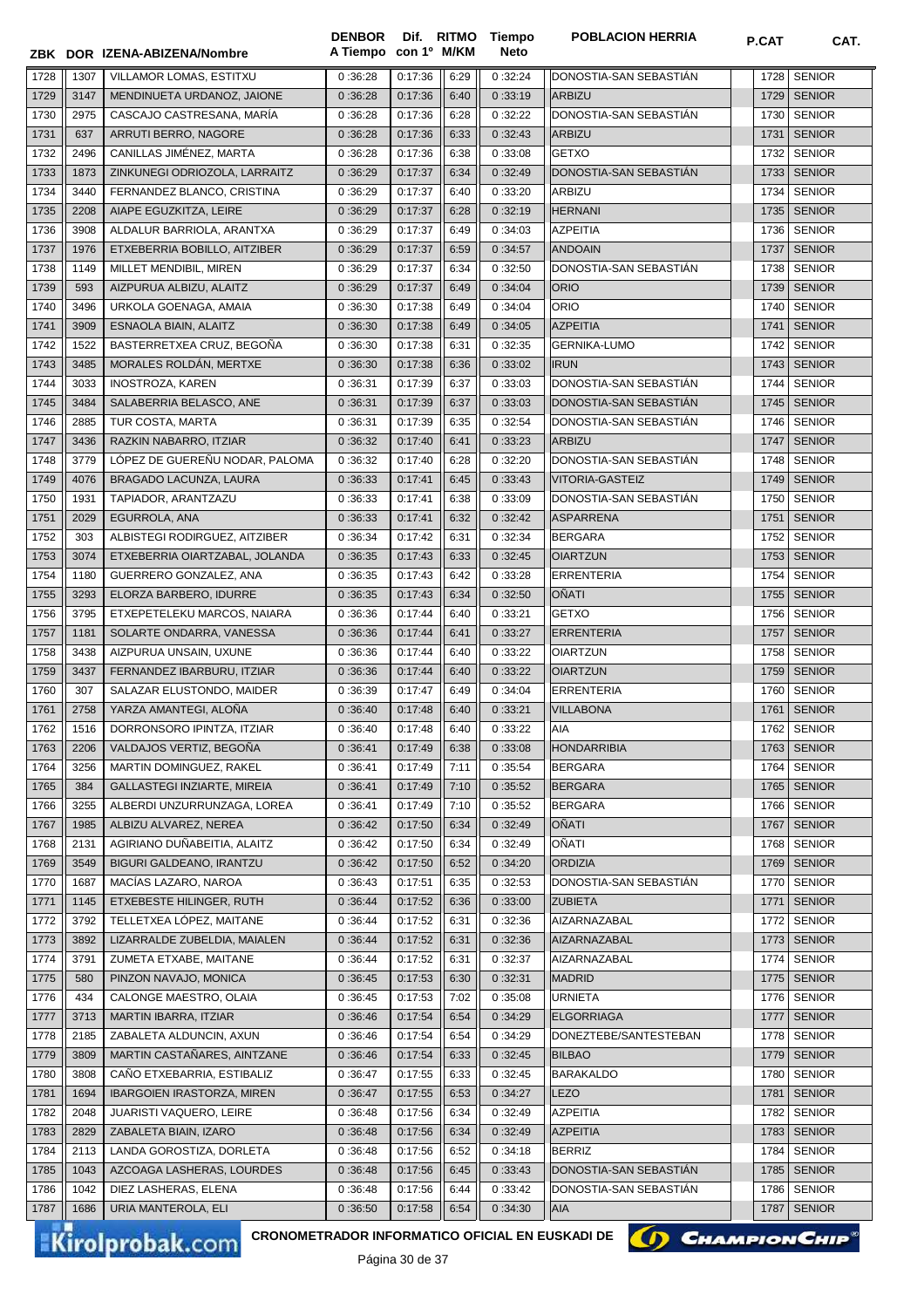|              |              | ZBK DOR IZENA-ABIZENA/Nombre                          | <b>DENBOR</b><br>A Tiempo | con 1º M/KM        |              | Dif. RITMO Tiempo<br>Neto | <b>POBLACION HERRIA</b>               | P.CAT        | CAT.                         |
|--------------|--------------|-------------------------------------------------------|---------------------------|--------------------|--------------|---------------------------|---------------------------------------|--------------|------------------------------|
|              |              |                                                       |                           |                    |              |                           |                                       |              |                              |
| 1728         | 1307         | VILLAMOR LOMAS. ESTITXU                               | 0:36:28                   | 0:17:36            | 6:29         | 0:32:24                   | DONOSTIA-SAN SEBASTIAN                | 1728         | <b>SENIOR</b>                |
| 1729         | 3147         | MENDINUETA URDANOZ, JAIONE                            | 0:36:28                   | 0:17:36            | 6:40         | 0:33:19                   | <b>ARBIZU</b>                         | 1729         | <b>SENIOR</b>                |
| 1730         | 2975         | CASCAJO CASTRESANA, MARÍA                             | 0:36:28                   | 0:17:36            | 6:28         | 0:32:22                   | DONOSTIA-SAN SEBASTIÁN                | 1730         | <b>SENIOR</b>                |
| 1731         | 637          | ARRUTI BERRO, NAGORE                                  | 0:36:28                   | 0:17:36            | 6:33         | 0:32:43                   | <b>ARBIZU</b>                         | 1731         | <b>SENIOR</b>                |
| 1732         | 2496         | CANILLAS JIMÉNEZ, MARTA                               | 0:36:28                   | 0:17:36            | 6:38         | 0:33:08                   | <b>GETXO</b>                          | 1732         | <b>SENIOR</b>                |
| 1733         | 1873         | ZINKUNEGI ODRIOZOLA, LARRAITZ                         | 0:36:29                   | 0:17:37            | 6:34         | 0:32:49                   | DONOSTIA-SAN SEBASTIAN                | 1733         | <b>SENIOR</b>                |
| 1734         | 3440         | FERNANDEZ BLANCO, CRISTINA                            | 0:36:29                   | 0:17:37            | 6:40         | 0:33:20                   | <b>ARBIZU</b>                         | 1734         | <b>SENIOR</b>                |
| 1735         | 2208         | AIAPE EGUZKITZA, LEIRE                                | 0:36:29                   | 0:17:37            | 6:28         | 0:32:19                   | <b>HERNANI</b>                        | 1735         | <b>SENIOR</b>                |
| 1736         | 3908         | ALDALUR BARRIOLA, ARANTXA                             | 0:36:29                   | 0:17:37            | 6:49         | 0:34:03                   | <b>AZPEITIA</b>                       | 1736         | <b>SENIOR</b>                |
| 1737         | 1976         | ETXEBERRIA BOBILLO, AITZIBER                          | 0:36:29                   | 0:17:37            | 6:59         | 0:34:57                   | <b>ANDOAIN</b>                        | 1737         | <b>SENIOR</b>                |
| 1738         | 1149         | MILLET MENDIBIL, MIREN                                | 0:36:29                   | 0:17:37            | 6:34         | 0:32:50                   | DONOSTIA-SAN SEBASTIAN                | 1738         | <b>SENIOR</b>                |
| 1739         | 593          | AIZPURUA ALBIZU, ALAITZ                               | 0:36:29                   | 0:17:37            | 6:49         | 0:34:04                   | <b>ORIO</b>                           | 1739         | <b>SENIOR</b>                |
| 1740         | 3496         | URKOLA GOENAGA, AMAIA                                 | 0:36:30                   | 0:17:38            | 6:49         | 0:34:04                   | <b>ORIO</b>                           | 1740         | <b>SENIOR</b>                |
| 1741         | 3909         | ESNAOLA BIAIN, ALAITZ                                 | 0:36:30                   | 0:17:38            | 6:49         | 0:34:05                   | <b>AZPEITIA</b>                       | 1741         | <b>SENIOR</b>                |
| 1742         | 1522         | BASTERRETXEA CRUZ, BEGOÑA                             | 0:36:30                   | 0:17:38            | 6:31         | 0:32:35                   | <b>GERNIKA-LUMO</b>                   | 1742         | <b>SENIOR</b>                |
| 1743         | 3485         | MORALES ROLDÁN, MERTXE                                | 0:36:30                   | 0:17:38            | 6:36         | 0:33:02                   | <b>IRUN</b>                           | 1743         | <b>SENIOR</b>                |
| 1744         | 3033         | <b>INOSTROZA, KAREN</b>                               | 0:36:31                   | 0:17:39            | 6:37         | 0:33:03                   | DONOSTIA-SAN SEBASTIÁN                | 1744         | <b>SENIOR</b>                |
| 1745         | 3484         | SALABERRIA BELASCO, ANE                               | 0:36:31                   | 0:17:39            | 6:37         | 0:33:03                   | DONOSTIA-SAN SEBASTIAN                | 1745         | <b>SENIOR</b>                |
| 1746         | 2885         | TUR COSTA, MARTA                                      | 0:36:31                   | 0:17:39            | 6:35         | 0:32:54                   | DONOSTIA-SAN SEBASTIAN                | 1746         | <b>SENIOR</b>                |
| 1747         | 3436         | RAZKIN NABARRO, ITZIAR                                | 0:36:32                   | 0:17:40            | 6:41         | 0:33:23                   | <b>ARBIZU</b>                         | 1747         | <b>SENIOR</b>                |
| 1748         | 3779         | LÓPEZ DE GUEREÑU NODAR, PALOMA                        | 0:36:32                   | 0:17:40            | 6:28         | 0:32:20                   | DONOSTIA-SAN SEBASTIAN                | 1748         | <b>SENIOR</b>                |
| 1749         | 4076         | BRAGADO LACUNZA, LAURA                                | 0:36:33                   | 0:17:41            | 6:45         | 0:33:43                   | <b>VITORIA-GASTEIZ</b>                | 1749         | <b>SENIOR</b>                |
| 1750         | 1931         | TAPIADOR, ARANTZAZU                                   | 0:36:33                   | 0:17:41            | 6:38         | 0:33:09                   | DONOSTIA-SAN SEBASTIÁN                | 1750         | <b>SENIOR</b>                |
| 1751         | 2029         | EGURROLA, ANA                                         | 0:36:33                   | 0:17:41            | 6:32         | 0:32:42                   | <b>ASPARRENA</b>                      | 1751         | <b>SENIOR</b>                |
| 1752         | 303          | ALBISTEGI RODIRGUEZ, AITZIBER                         | 0:36:34                   | 0:17:42            | 6:31         | 0:32:34                   | <b>BERGARA</b>                        | 1752         | <b>SENIOR</b>                |
| 1753         | 3074         | ETXEBERRIA OIARTZABAL, JOLANDA                        | 0:36:35                   | 0:17:43            | 6:33         | 0:32:45                   | <b>OIARTZUN</b>                       | 1753         | <b>SENIOR</b>                |
| 1754         | 1180         | GUERRERO GONZALEZ, ANA                                | 0:36:35                   | 0:17:43            | 6:42         | 0:33:28                   | <b>ERRENTERIA</b>                     | 1754         | <b>SENIOR</b>                |
| 1755         | 3293         | ELORZA BARBERO, IDURRE                                | 0:36:35                   | 0:17:43            | 6:34         | 0:32:50                   | <b>OÑATI</b>                          | 1755         | <b>SENIOR</b>                |
| 1756         | 3795         | ETXEPETELEKU MARCOS, NAIARA                           | 0:36:36                   | 0:17:44            | 6:40         | 0:33:21                   | <b>GETXO</b>                          | 1756         | <b>SENIOR</b>                |
| 1757         | 1181         | SOLARTE ONDARRA, VANESSA                              | 0:36:36                   | 0:17:44            | 6:41         | 0:33:27                   | <b>ERRENTERIA</b>                     | 1757         | <b>SENIOR</b>                |
| 1758         | 3438         | AIZPURUA UNSAIN, UXUNE                                | 0:36:36                   | 0:17:44            | 6:40         | 0:33:22                   | <b>OIARTZUN</b>                       | 1758         | <b>SENIOR</b>                |
| 1759         | 3437         | FERNANDEZ IBARBURU, ITZIAR                            | 0:36:36                   | 0:17:44            | 6:40         | 0:33:22                   | <b>OIARTZUN</b>                       | 1759         | <b>SENIOR</b>                |
| 1760         | 307          | SALAZAR ELUSTONDO, MAIDER                             | 0:36:39                   | 0:17:47<br>0:17:48 | 6:49         | 0:34:04                   | <b>ERRENTERIA</b><br><b>VILLABONA</b> | 1760<br>1761 | <b>SENIOR</b>                |
| 1761         | 2758         | YARZA AMANTEGI, ALOÑA                                 | 0:36:40                   |                    | 6:40         | 0:33:21                   |                                       |              | <b>SENIOR</b>                |
| 1762         | 1516<br>2206 | DORRONSORO IPINTZA, ITZIAR<br>VALDAJOS VERTIZ, BEGOÑA | 0:36:40                   | 0:17:48            | 6:40         | 0:33:22                   | AIA<br><b>HONDARRIBIA</b>             | 1763         | 1762 SENIOR<br><b>SENIOR</b> |
| 1763<br>1764 | 3256         | MARTIN DOMINGUEZ, RAKEL                               | 0:36:41<br>0:36:41        | 0:17:49<br>0:17:49 | 6:38<br>7:11 | 0:33:08<br>0:35:54        | <b>BERGARA</b>                        | 1764         | <b>SENIOR</b>                |
| 1765         | 384          | GALLASTEGI INZIARTE, MIREIA                           | 0:36:41                   | 0:17:49            | 7:10         | 0:35:52                   | <b>BERGARA</b>                        | 1765         | <b>SENIOR</b>                |
| 1766         | 3255         | ALBERDI UNZURRUNZAGA, LOREA                           | 0:36:41                   | 0:17:49            | 7:10         | 0:35:52                   | <b>BERGARA</b>                        | 1766         | <b>SENIOR</b>                |
| 1767         | 1985         | ALBIZU ALVAREZ, NEREA                                 | 0:36:42                   | 0:17:50            | 6:34         | 0:32:49                   | OÑATI                                 | 1767         | <b>SENIOR</b>                |
| 1768         | 2131         | AGIRIANO DUÑABEITIA, ALAITZ                           | 0:36:42                   | 0:17:50            | 6:34         | 0:32:49                   | OÑATI                                 | 1768         | <b>SENIOR</b>                |
| 1769         | 3549         | BIGURI GALDEANO, IRANTZU                              | 0:36:42                   | 0:17:50            | 6:52         | 0:34:20                   | <b>ORDIZIA</b>                        | 1769         | <b>SENIOR</b>                |
| 1770         | 1687         | MACÍAS LAZARO, NAROA                                  | 0:36:43                   | 0:17:51            | 6:35         | 0:32:53                   | DONOSTIA-SAN SEBASTIAN                | 1770         | <b>SENIOR</b>                |
| 1771         | 1145         | ETXEBESTE HILINGER, RUTH                              | 0:36:44                   | 0:17:52            | 6:36         | 0:33:00                   | <b>ZUBIETA</b>                        | 1771         | <b>SENIOR</b>                |
| 1772         | 3792         | TELLETXEA LÓPEZ. MAITANE                              | 0:36:44                   | 0:17:52            | 6:31         | 0:32:36                   | AIZARNAZABAL                          | 1772         | <b>SENIOR</b>                |
| 1773         | 3892         | LIZARRALDE ZUBELDIA, MAIALEN                          | 0:36:44                   | 0:17:52            | 6:31         | 0:32:36                   | AIZARNAZABAL                          | 1773         | <b>SENIOR</b>                |
| 1774         | 3791         | ZUMETA ETXABE, MAITANE                                | 0:36:44                   | 0:17:52            | 6:31         | 0:32:37                   | AIZARNAZABAL                          | 1774         | <b>SENIOR</b>                |
| 1775         | 580          | PINZON NAVAJO, MONICA                                 | 0:36:45                   | 0:17:53            | 6:30         | 0:32:31                   | <b>MADRID</b>                         | 1775         | <b>SENIOR</b>                |
| 1776         | 434          | CALONGE MAESTRO, OLAIA                                | 0:36:45                   | 0:17:53            | 7:02         | 0:35:08                   | <b>URNIETA</b>                        | 1776         | <b>SENIOR</b>                |
| 1777         | 3713         | MARTIN IBARRA, ITZIAR                                 | 0:36:46                   | 0:17:54            | 6:54         | 0:34:29                   | <b>ELGORRIAGA</b>                     | 1777         | SENIOR                       |
| 1778         | 2185         | ZABALETA ALDUNCIN, AXUN                               | 0:36:46                   | 0:17:54            | 6:54         | 0:34:29                   | DONEZTEBE/SANTESTEBAN                 | 1778         | <b>SENIOR</b>                |
| 1779         | 3809         | MARTIN CASTAÑARES, AINTZANE                           | 0:36:46                   | 0:17:54            | 6:33         | 0:32:45                   | <b>BILBAO</b>                         | 1779         | <b>SENIOR</b>                |
| 1780         | 3808         | CAÑO ETXEBARRIA, ESTIBALIZ                            | 0:36:47                   | 0:17:55            | 6:33         | 0:32:45                   | <b>BARAKALDO</b>                      | 1780         | <b>SENIOR</b>                |
| 1781         | 1694         | <b>IBARGOIEN IRASTORZA, MIREN</b>                     | 0:36:47                   | 0:17:55            | 6:53         | 0:34:27                   | <b>LEZO</b>                           | 1781         | <b>SENIOR</b>                |
| 1782         | 2048         | JUARISTI VAQUERO, LEIRE                               | 0:36:48                   | 0:17:56            | 6:34         | 0:32:49                   | <b>AZPEITIA</b>                       | 1782         | <b>SENIOR</b>                |
| 1783         | 2829         | ZABALETA BIAIN, IZARO                                 | 0:36:48                   | 0:17:56            | 6:34         | 0:32:49                   | <b>AZPEITIA</b>                       | 1783         | <b>SENIOR</b>                |
| 1784         | 2113         | LANDA GOROSTIZA, DORLETA                              | 0:36:48                   | 0:17:56            | 6:52         | 0:34:18                   | <b>BERRIZ</b>                         | 1784         | <b>SENIOR</b>                |
| 1785         | 1043         | AZCOAGA LASHERAS, LOURDES                             | 0:36:48                   | 0:17:56            | 6:45         | 0:33:43                   | DONOSTIA-SAN SEBASTIAN                | 1785         | <b>SENIOR</b>                |
| 1786         | 1042         | DIEZ LASHERAS, ELENA                                  | 0:36:48                   | 0:17:56            | 6:44         | 0:33:42                   | DONOSTIA-SAN SEBASTIAN                | 1786         | <b>SENIOR</b>                |
| 1787         | 1686         | URIA MANTEROLA, ELI                                   | 0:36:50                   | 0:17:58            | 6:54         | 0:34:30                   | <b>AIA</b>                            | 1787         | <b>SENIOR</b>                |
|              |              |                                                       |                           |                    |              |                           |                                       |              |                              |

CRONOMETRADOR INFORMATICO OFICIAL EN EUSKADI DE **(A) CHAMPION CHIP**<sup>®</sup>

Página 30 de 37

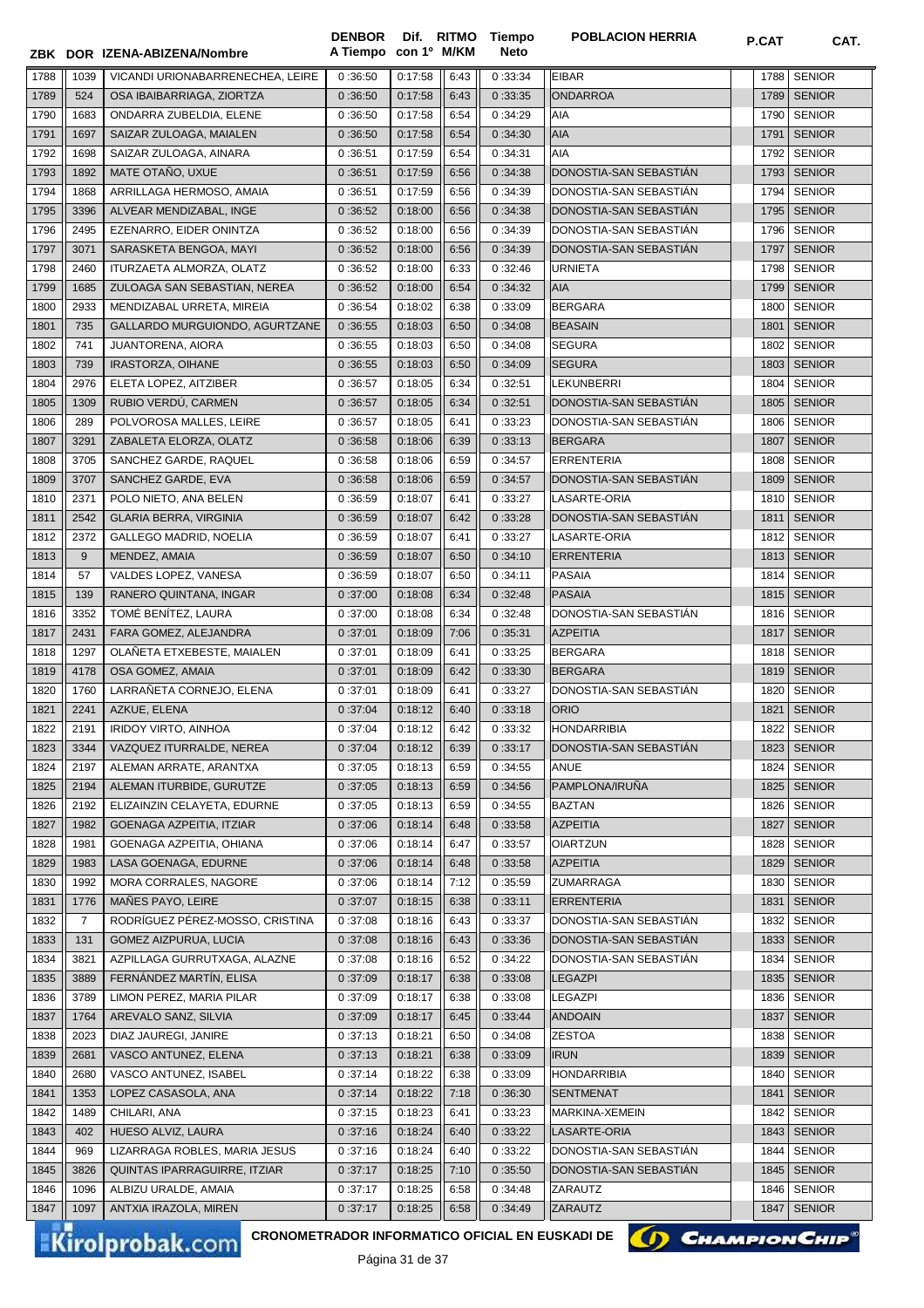**ZBK DOR IZENA-ABIZENA/Nombre A Tiempo**

**Dif. con 1º DENBOR M/KM** **Tiempo Neto**

**POBLACION HERRIA P.CAT CAT.** 

| 1788         | 1039           | VICANDI URIONABARRENECHEA, LEIRE         | 0:36:50 | 0:17:58            | 6:43 | 0:33:34            | <b>EIBAR</b>                          | 1788         | <b>SENIOR</b> |
|--------------|----------------|------------------------------------------|---------|--------------------|------|--------------------|---------------------------------------|--------------|---------------|
| 1789         | 524            | OSA IBAIBARRIAGA, ZIORTZA                | 0:36:50 | 0:17:58            | 6:43 | 0:33:35            | <b>ONDARROA</b>                       | 1789         | <b>SENIOR</b> |
| 1790         | 1683           | ONDARRA ZUBELDIA, ELENE                  | 0:36:50 | 0:17:58            | 6:54 | 0:34:29            | AIA                                   | 1790         | <b>SENIOR</b> |
| 1791         | 1697           | SAIZAR ZULOAGA, MAIALEN                  | 0:36:50 | 0:17:58            | 6:54 | 0:34:30            | AIA                                   | 1791         | <b>SENIOR</b> |
| 1792         | 1698           | SAIZAR ZULOAGA, AINARA                   | 0:36:51 | 0:17:59            | 6:54 | 0:34:31            | AIA                                   | 1792         | <b>SENIOR</b> |
| 1793         | 1892           | MATE OTAÑO, UXUE                         | 0:36:51 | 0:17:59            | 6:56 | 0:34:38            | DONOSTIA-SAN SEBASTIAN                | 1793         | <b>SENIOR</b> |
| 1794         | 1868           | ARRILLAGA HERMOSO, AMAIA                 | 0:36:51 | 0:17:59            | 6:56 | 0:34:39            | DONOSTIA-SAN SEBASTIAN                | 1794         | <b>SENIOR</b> |
| 1795         | 3396           | ALVEAR MENDIZABAL, INGE                  | 0:36:52 | 0:18:00            | 6:56 | 0:34:38            | DONOSTIA-SAN SEBASTIAN                | 1795         | <b>SENIOR</b> |
| 1796         | 2495           | EZENARRO, EIDER ONINTZA                  | 0:36:52 | 0:18:00            | 6:56 | 0:34:39            | DONOSTIA-SAN SEBASTIAN                | 1796         | <b>SENIOR</b> |
| 1797         | 3071           | SARASKETA BENGOA, MAYI                   | 0:36:52 | 0:18:00            | 6:56 | 0:34:39            | DONOSTIA-SAN SEBASTIAN                | 1797         | <b>SENIOR</b> |
| 1798         | 2460           | ITURZAETA ALMORZA, OLATZ                 | 0:36:52 | 0:18:00            | 6:33 | 0:32:46            | <b>URNIETA</b>                        | 1798         | <b>SENIOR</b> |
| 1799         | 1685           | ZULOAGA SAN SEBASTIAN, NEREA             | 0:36:52 | 0:18:00            | 6:54 | 0:34:32            | AIA                                   | 1799         | <b>SENIOR</b> |
| 1800         | 2933           | MENDIZABAL URRETA, MIREIA                | 0:36:54 | 0:18:02            | 6:38 | 0:33:09            | <b>BERGARA</b>                        | 1800         | <b>SENIOR</b> |
| 1801         | 735            | GALLARDO MURGUIONDO, AGURTZANE           | 0:36:55 | 0:18:03            | 6:50 | 0:34:08            | <b>BEASAIN</b>                        | 1801         | <b>SENIOR</b> |
| 1802         | 741            | JUANTORENA, AIORA                        | 0:36:55 | 0:18:03            | 6:50 | 0:34:08            | <b>SEGURA</b>                         | 1802         | <b>SENIOR</b> |
| 1803         | 739            | IRASTORZA, OIHANE                        | 0:36:55 | 0:18:03            | 6:50 | 0:34:09            | <b>SEGURA</b>                         | 1803         | <b>SENIOR</b> |
| 1804         | 2976           | ELETA LOPEZ, AITZIBER                    | 0:36:57 | 0:18:05            | 6:34 | 0:32:51            | <b>LEKUNBERRI</b>                     | 1804         | <b>SENIOR</b> |
| 1805         | 1309           | RUBIO VERDÚ, CARMEN                      | 0:36:57 | 0:18:05            | 6:34 | 0:32:51            | DONOSTIA-SAN SEBASTIÁN                | 1805         | <b>SENIOR</b> |
| 1806         | 289            | POLVOROSA MALLES, LEIRE                  | 0:36:57 | 0:18:05            | 6:41 | 0:33:23            | DONOSTIA-SAN SEBASTIÁN                | 1806         | <b>SENIOR</b> |
| 1807         | 3291           | ZABALETA ELORZA, OLATZ                   | 0:36:58 | 0:18:06            | 6:39 | 0:33:13            | <b>BERGARA</b>                        | 1807         | <b>SENIOR</b> |
| 1808         | 3705           | SANCHEZ GARDE, RAQUEL                    | 0:36:58 | 0:18:06            | 6:59 | 0:34:57            | <b>ERRENTERIA</b>                     | 1808         | <b>SENIOR</b> |
| 1809         | 3707           | SANCHEZ GARDE, EVA                       | 0:36:58 | 0:18:06            | 6:59 | 0:34:57            | DONOSTIA-SAN SEBASTIÁN                | 1809         | <b>SENIOR</b> |
| 1810         | 2371           | POLO NIETO, ANA BELEN                    | 0:36:59 | 0:18:07            | 6:41 | 0:33:27            | LASARTE-ORIA                          | 1810         | <b>SENIOR</b> |
| 1811         | 2542           | <b>GLARIA BERRA, VIRGINIA</b>            | 0:36:59 | 0:18:07            | 6:42 | 0:33:28            | DONOSTIA-SAN SEBASTIAN                | 1811         | <b>SENIOR</b> |
| 1812         | 2372           | <b>GALLEGO MADRID, NOELIA</b>            | 0:36:59 | 0:18:07            | 6:41 | 0:33:27            | LASARTE-ORIA                          | 1812         | <b>SENIOR</b> |
| 1813         | 9              | MENDEZ, AMAIA                            | 0:36:59 | 0:18:07            | 6:50 | 0:34:10            | <b>ERRENTERIA</b>                     | 1813         | <b>SENIOR</b> |
| 1814         | 57             | VALDES LOPEZ, VANESA                     | 0:36:59 | 0:18:07            | 6:50 | 0:34:11            | <b>PASAIA</b>                         | 1814         | <b>SENIOR</b> |
| 1815         | 139            | RANERO QUINTANA, INGAR                   | 0:37:00 | 0:18:08            | 6:34 | 0:32:48            | <b>PASAIA</b>                         | 1815         | <b>SENIOR</b> |
| 1816         | 3352           | TOMÉ BENÍTEZ, LAURA                      | 0:37:00 | 0:18:08            | 6:34 | 0:32:48            | DONOSTIA-SAN SEBASTIÁN                | 1816         | <b>SENIOR</b> |
| 1817         | 2431           | FARA GOMEZ, ALEJANDRA                    | 0:37:01 | 0:18:09            | 7:06 | 0:35:31            | <b>AZPEITIA</b>                       | 1817         | <b>SENIOR</b> |
| 1818         | 1297           | OLAÑETA ETXEBESTE, MAIALEN               | 0:37:01 | 0:18:09            | 6:41 | 0:33:25            | <b>BERGARA</b>                        | 1818         | <b>SENIOR</b> |
|              | 4178           |                                          |         |                    |      |                    | <b>BERGARA</b>                        |              | <b>SENIOR</b> |
| 1819         |                | OSA GOMEZ, AMAIA                         | 0:37:01 | 0:18:09            | 6:42 | 0:33:30            |                                       | 1819         | <b>SENIOR</b> |
| 1820<br>1821 | 1760<br>2241   | LARRAÑETA CORNEJO, ELENA<br>AZKUE, ELENA | 0:37:01 | 0:18:09<br>0:18:12 | 6:41 | 0:33:27<br>0:33:18 | DONOSTIA-SAN SEBASTIAN<br><b>ORIO</b> | 1820<br>1821 | <b>SENIOR</b> |
|              |                |                                          | 0:37:04 |                    | 6:40 |                    |                                       |              |               |
| 1822         | 2191           | IRIDOY VIRTO, AINHOA                     | 0:37:04 | 0:18:12            | 6:42 | 0:33:32            | <b>HONDARRIBIA</b>                    | 1822         | <b>SENIOR</b> |
| 1823         | 3344           | VAZQUEZ ITURRALDE, NEREA                 | 0:37:04 | 0:18:12            | 6:39 | 0:33:17            | DONOSTIA-SAN SEBASTIÁN                |              | 1823 SENIOR   |
| 1824         | 2197           | ALEMAN ARRATE, ARANTXA                   | 0:37:05 | 0:18:13            | 6:59 | 0:34:55            | <b>ANUE</b>                           | 1824         | <b>SENIOR</b> |
| 1825         | 2194           | ALEMAN ITURBIDE, GURUTZE                 | 0:37:05 | 0:18:13            | 6:59 | 0:34:56            | PAMPLONA/IRUÑA                        | 1825         | <b>SENIOR</b> |
| 1826         | 2192           | ELIZAINZIN CELAYETA, EDURNE              | 0:37:05 | 0:18:13            | 6:59 | 0:34:55            | <b>BAZTAN</b>                         | 1826         | <b>SENIOR</b> |
| 1827         | 1982           | GOENAGA AZPEITIA, ITZIAR                 | 0:37:06 | 0:18:14            | 6:48 | 0:33:58            | <b>AZPEITIA</b>                       | 1827         | <b>SENIOR</b> |
| 1828         | 1981           | GOENAGA AZPEITIA, OHIANA                 | 0:37:06 | 0:18:14            | 6:47 | 0:33:57            | <b>OIARTZUN</b>                       | 1828         | <b>SENIOR</b> |
| 1829         | 1983           | LASA GOENAGA, EDURNE                     | 0:37:06 | 0:18:14            | 6:48 | 0:33:58            | <b>AZPEITIA</b>                       | 1829         | <b>SENIOR</b> |
| 1830         | 1992           | MORA CORRALES, NAGORE                    | 0:37:06 | 0:18:14            | 7:12 | 0:35:59            | ZUMARRAGA                             | 1830         | <b>SENIOR</b> |
| 1831         | 1776           | MAÑES PAYO, LEIRE                        | 0:37:07 | 0:18:15            | 6:38 | 0:33:11            | <b>ERRENTERIA</b>                     | 1831         | <b>SENIOR</b> |
| 1832         | $\overline{7}$ | RODRÍGUEZ PÉREZ-MOSSO, CRISTINA          | 0:37:08 | 0:18:16            | 6:43 | 0:33:37            | DONOSTIA-SAN SEBASTIÁN                | 1832         | <b>SENIOR</b> |
| 1833         | 131            | <b>GOMEZ AIZPURUA, LUCIA</b>             | 0:37:08 | 0:18:16            | 6:43 | 0:33:36            | DONOSTIA-SAN SEBASTIAN                | 1833         | <b>SENIOR</b> |
| 1834         | 3821           | AZPILLAGA GURRUTXAGA, ALAZNE             | 0:37:08 | 0:18:16            | 6:52 | 0:34:22            | DONOSTIA-SAN SEBASTIÁN                | 1834         | <b>SENIOR</b> |
| 1835         | 3889           | FERNÁNDEZ MARTÍN, ELISA                  | 0:37:09 | 0:18:17            | 6:38 | 0:33:08            | <b>LEGAZPI</b>                        | 1835         | <b>SENIOR</b> |
| 1836         | 3789           | LIMON PEREZ, MARIA PILAR                 | 0:37:09 | 0:18:17            | 6:38 | 0:33:08            | LEGAZPI                               | 1836         | <b>SENIOR</b> |
| 1837         | 1764           | AREVALO SANZ, SILVIA                     | 0:37:09 | 0:18:17            | 6:45 | 0:33:44            | <b>ANDOAIN</b>                        | 1837         | <b>SENIOR</b> |
| 1838         | 2023           | DIAZ JAUREGI, JANIRE                     | 0:37:13 | 0:18:21            | 6:50 | 0:34:08            | <b>ZESTOA</b>                         | 1838         | <b>SENIOR</b> |
| 1839         | 2681           | VASCO ANTUNEZ, ELENA                     | 0:37:13 | 0:18:21            | 6:38 | 0:33:09            | <b>IRUN</b>                           | 1839         | <b>SENIOR</b> |
| 1840         | 2680           | VASCO ANTUNEZ, ISABEL                    | 0:37:14 | 0:18:22            | 6:38 | 0:33:09            | <b>HONDARRIBIA</b>                    | 1840         | <b>SENIOR</b> |
| 1841         | 1353           | LOPEZ CASASOLA, ANA                      | 0:37:14 | 0:18:22            | 7:18 | 0:36:30            | <b>SENTMENAT</b>                      | 1841         | <b>SENIOR</b> |
| 1842         | 1489           | CHILARI, ANA                             | 0:37:15 | 0:18:23            | 6:41 | 0:33:23            | MARKINA-XEMEIN                        | 1842         | <b>SENIOR</b> |
| 1843         | 402            | HUESO ALVIZ, LAURA                       | 0:37:16 | 0:18:24            | 6:40 | 0:33:22            | LASARTE-ORIA                          | 1843         | <b>SENIOR</b> |
| 1844         | 969            | LIZARRAGA ROBLES, MARIA JESUS            | 0:37:16 | 0:18:24            | 6:40 | 0:33:22            | DONOSTIA-SAN SEBASTIAN                | 1844         | <b>SENIOR</b> |
| 1845         | 3826           | QUINTAS IPARRAGUIRRE, ITZIAR             | 0:37:17 | 0:18:25            | 7:10 | 0:35:50            | DONOSTIA-SAN SEBASTIAN                | 1845         | <b>SENIOR</b> |
| 1846         | 1096           | ALBIZU URALDE, AMAIA                     | 0:37:17 | 0:18:25            | 6:58 | 0:34:48            | ZARAUTZ                               | 1846         | <b>SENIOR</b> |
| 1847         | 1097           | ANTXIA IRAZOLA, MIREN                    | 0:37:17 | 0:18:25            | 6:58 | 0:34:49            | ZARAUTZ                               | 1847         | <b>SENIOR</b> |

**Kirolprobak.com** 

CRONOMETRADOR INFORMATICO OFICIAL EN EUSKADI DE **(A) CHAMPION CHIP<sup>®</sup>** 

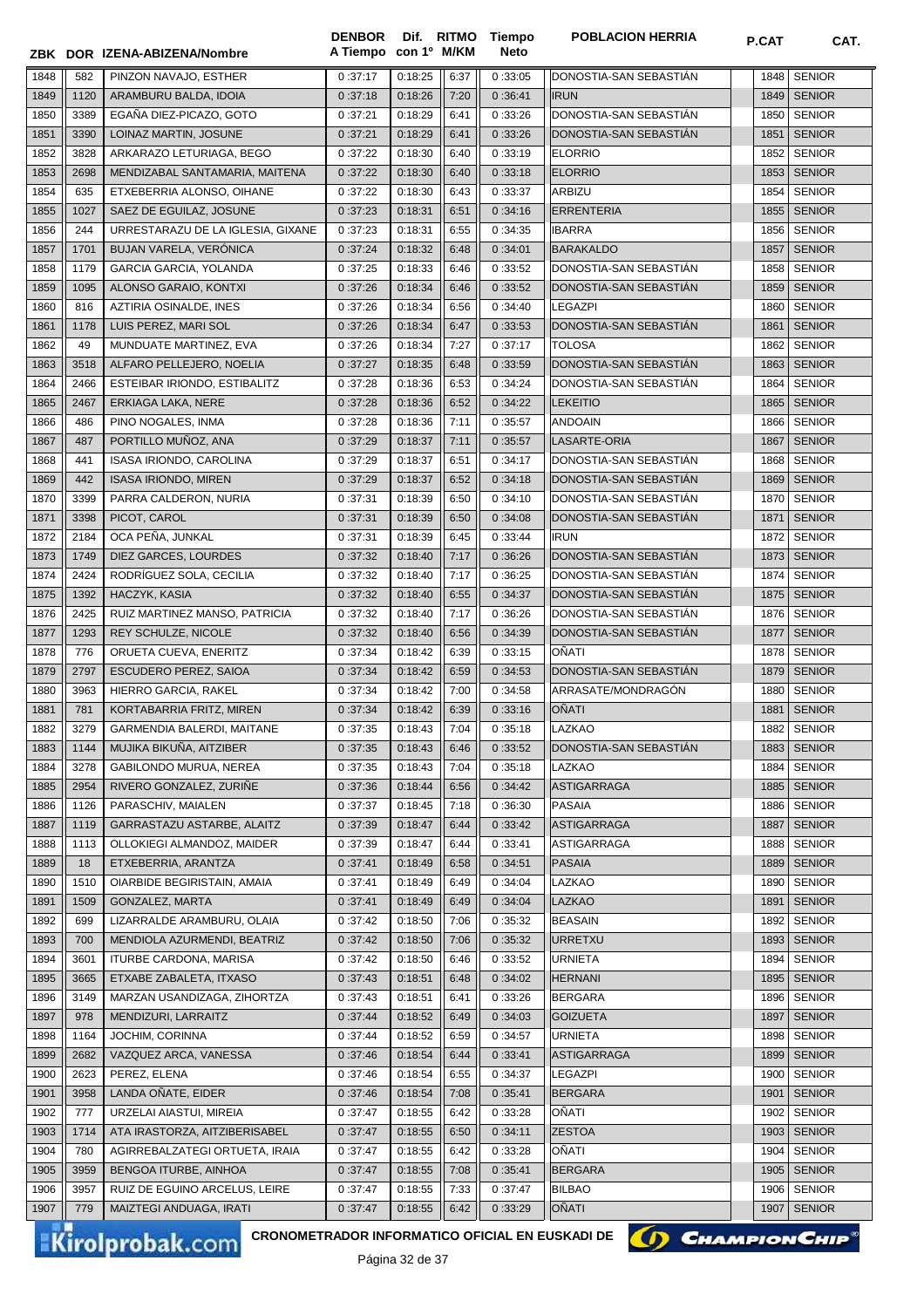|              |              | ZBK DOR IZENA-ABIZENA/Nombre                                              | <b>DENBOR</b><br>A Tiempo con 1º M/KM |                    |              | Dif. RITMO Tiempo<br><b>Neto</b> | <b>POBLACION HERRIA</b>           | P.CAT        | CAT.                           |
|--------------|--------------|---------------------------------------------------------------------------|---------------------------------------|--------------------|--------------|----------------------------------|-----------------------------------|--------------|--------------------------------|
|              |              |                                                                           |                                       |                    |              |                                  |                                   |              |                                |
| 1848         | 582          | PINZON NAVAJO, ESTHER                                                     | 0:37:17                               | 0:18:25            | 6:37         | 0:33:05                          | DONOSTIA-SAN SEBASTIAN            | 1848         | <b>SENIOR</b>                  |
| 1849         | 1120         | ARAMBURU BALDA, IDOIA                                                     | 0:37:18                               | 0:18:26            | 7:20         | 0:36:41                          | <b>IRUN</b>                       | 1849         | <b>SENIOR</b>                  |
| 1850         | 3389         | EGAÑA DIEZ-PICAZO, GOTO                                                   | 0:37:21                               | 0:18:29            | 6:41         | 0:33:26                          | DONOSTIA-SAN SEBASTIAN            | 1850         | <b>SENIOR</b>                  |
| 1851         | 3390         | LOINAZ MARTIN, JOSUNE                                                     | 0:37:21                               | 0:18:29            | 6:41         | 0:33:26                          | DONOSTIA-SAN SEBASTIAN            | 1851         | <b>SENIOR</b>                  |
| 1852         | 3828         | ARKARAZO LETURIAGA, BEGO                                                  | 0:37:22                               | 0:18:30            | 6:40         | 0:33:19                          | <b>ELORRIO</b>                    | 1852         | <b>SENIOR</b>                  |
| 1853         | 2698<br>635  | MENDIZABAL SANTAMARIA, MAITENA                                            | 0:37:22<br>0:37:22                    | 0:18:30<br>0:18:30 | 6:40         | 0:33:18<br>0:33:37               | <b>ELORRIO</b><br><b>ARBIZU</b>   | 1853         | <b>SENIOR</b><br><b>SENIOR</b> |
| 1854         | 1027         | ETXEBERRIA ALONSO, OIHANE                                                 |                                       |                    | 6:43         |                                  | ERRENTERIA                        | 1854         | <b>SENIOR</b>                  |
| 1855         | 244          | SAEZ DE EGUILAZ, JOSUNE<br>URRESTARAZU DE LA IGLESIA, GIXANE              | 0:37:23                               | 0:18:31            | 6:51         | 0:34:16                          |                                   | 1855         | <b>SENIOR</b>                  |
| 1856         |              |                                                                           | 0:37:23                               | 0:18:31<br>0:18:32 | 6:55         | 0:34:35                          | <b>IBARRA</b>                     | 1856         |                                |
| 1857         | 1701         | BUJAN VARELA, VERÓNICA                                                    | 0:37:24                               |                    | 6:48         | 0:34:01                          | BARAKALDO                         | 1857         | <b>SENIOR</b>                  |
| 1858         | 1179<br>1095 | GARCIA GARCIA, YOLANDA                                                    | 0:37:25                               | 0:18:33            | 6:46         | 0:33:52                          | DONOSTIA-SAN SEBASTIAN            | 1858         | <b>SENIOR</b><br><b>SENIOR</b> |
| 1859         |              | ALONSO GARAIO, KONTXI                                                     | 0:37:26                               | 0:18:34            | 6:46         | 0:33:52                          | DONOSTIA-SAN SEBASTIAN            | 1859         | <b>SENIOR</b>                  |
| 1860         | 816          | AZTIRIA OSINALDE, INES                                                    | 0:37:26                               | 0:18:34            | 6:56         | 0:34:40                          | LEGAZPI<br>DONOSTIA-SAN SEBASTIAN | 1860         |                                |
| 1861<br>1862 | 1178<br>49   | LUIS PEREZ, MARI SOL                                                      | 0:37:26                               | 0:18:34<br>0:18:34 | 6:47<br>7:27 | 0:33:53                          | <b>TOLOSA</b>                     | 1861<br>1862 | <b>SENIOR</b>                  |
|              |              | MUNDUATE MARTINEZ, EVA                                                    | 0:37:26                               |                    |              | 0:37:17                          | DONOSTIA-SAN SEBASTIÁN            |              | <b>SENIOR</b><br><b>SENIOR</b> |
| 1863         | 3518<br>2466 | ALFARO PELLEJERO, NOELIA                                                  | 0:37:27<br>0:37:28                    | 0:18:35            | 6:48<br>6:53 | 0:33:59                          |                                   | 1863<br>1864 | <b>SENIOR</b>                  |
| 1864         |              | ESTEIBAR IRIONDO, ESTIBALITZ                                              |                                       | 0:18:36            |              | 0:34:24                          | DONOSTIA-SAN SEBASTIAN            |              |                                |
| 1865         | 2467         | ERKIAGA LAKA, NERE                                                        | 0:37:28                               | 0:18:36            | 6:52         | 0:34:22                          | <b>LEKEITIO</b>                   | 1865         | <b>SENIOR</b><br><b>SENIOR</b> |
| 1866         | 486          | PINO NOGALES, INMA                                                        | 0:37:28                               | 0:18:36            | 7:11         | 0:35:57                          | <b>ANDOAIN</b>                    | 1866         |                                |
| 1867         | 487          | PORTILLO MUÑOZ, ANA                                                       | 0:37:29                               | 0:18:37            | 7:11         | 0:35:57                          | LASARTE-ORIA                      | 1867         | <b>SENIOR</b>                  |
| 1868         | 441          | ISASA IRIONDO, CAROLINA                                                   | 0:37:29                               | 0:18:37            | 6:51         | 0:34:17                          | DONOSTIA-SAN SEBASTIAN            | 1868         | <b>SENIOR</b>                  |
| 1869         | 442          | <b>ISASA IRIONDO, MIREN</b>                                               | 0:37:29                               | 0:18:37            | 6:52         | 0:34:18                          | DONOSTIA-SAN SEBASTIAN            | 1869         | <b>SENIOR</b>                  |
| 1870         | 3399         | PARRA CALDERON, NURIA                                                     | 0:37:31                               | 0:18:39            | 6:50         | 0:34:10                          | DONOSTIA-SAN SEBASTIAN            | 1870         | <b>SENIOR</b>                  |
| 1871         | 3398         | PICOT, CAROL                                                              | 0:37:31                               | 0:18:39            | 6:50         | 0:34:08                          | DONOSTIA-SAN SEBASTIÁN            | 1871         | <b>SENIOR</b>                  |
| 1872         | 2184         | OCA PEÑA, JUNKAL                                                          | 0:37:31                               | 0:18:39            | 6:45         | 0:33:44                          | <b>IRUN</b>                       | 1872         | <b>SENIOR</b>                  |
| 1873         | 1749         | DIEZ GARCES, LOURDES                                                      | 0:37:32                               | 0:18:40            | 7:17         | 0:36:26                          | DONOSTIA-SAN SEBASTIAN            | 1873         | <b>SENIOR</b>                  |
| 1874         | 2424         | RODRÍGUEZ SOLA, CECILIA                                                   | 0:37:32                               | 0:18:40            | 7:17         | 0:36:25                          | DONOSTIA-SAN SEBASTIAN            | 1874         | <b>SENIOR</b>                  |
| 1875         | 1392         | HACZYK, KASIA                                                             | 0:37:32                               | 0:18:40            | 6:55         | 0:34:37                          | DONOSTIA-SAN SEBASTIAN            |              | 1875   SENIOR                  |
| 1876         | 2425         | RUIZ MARTINEZ MANSO, PATRICIA                                             | 0:37:32                               | 0:18:40            | 7:17         | 0:36:26                          | DONOSTIA-SAN SEBASTIAN            | 1876         | <b>SENIOR</b>                  |
| 1877         | 1293         | REY SCHULZE, NICOLE                                                       | 0:37:32                               | 0:18:40            | 6:56         | 0:34:39                          | DONOSTIA-SAN SEBASTIAN            | 1877         | <b>SENIOR</b>                  |
| 1878         | 776          | ORUETA CUEVA, ENERITZ                                                     | 0:37:34                               | 0:18:42            | 6:39         | 0:33:15                          | OÑATI                             | 1878         | <b>SENIOR</b>                  |
| 1879         | 2797         | ESCUDERO PEREZ, SAIOA                                                     | 0:37:34                               | 0:18:42            | 6:59         | 0:34:53                          | DONOSTIA-SAN SEBASTIÁN            | 1879         | <b>SENIOR</b>                  |
| 1880         | 3963         | HIERRO GARCIA, RAKEL                                                      | 0:37:34                               | 0:18:42            | 7:00         | 0:34:58                          | ARRASATE/MONDRAGÓN                | 1880         | <b>SENIOR</b>                  |
| 1881         | 781          | KORTABARRIA FRITZ, MIREN                                                  | 0:37:34                               | 0:18:42            | 6:39         | 0:33:16                          | OÑATI                             | 1881         | <b>SENIOR</b>                  |
| 1882         | 3279         | GARMENDIA BALERDI, MAITANE                                                | 0:37:35                               | 0:18:43            | 7:04         | 0:35:18                          | LAZKAO                            |              | 1882 SENIOR                    |
| 1883         | 1144         | MUJIKA BIKUÑA, AITZIBER                                                   | 0:37:35                               | 0:18:43            | 6:46         | 0:33:52                          | DONOSTIA-SAN SEBASTIAN            | 1883         | <b>SENIOR</b>                  |
| 1884         | 3278         | GABILONDO MURUA, NEREA                                                    | 0:37:35                               | 0:18:43            | 7:04         | 0:35:18                          | LAZKAO                            | 1884         | <b>SENIOR</b>                  |
| 1885         | 2954         | RIVERO GONZALEZ, ZURIÑE                                                   | 0:37:36                               | 0:18:44            | 6:56         | 0:34:42                          | <b>ASTIGARRAGA</b>                | 1885         | <b>SENIOR</b>                  |
| 1886         | 1126         | PARASCHIV, MAIALEN                                                        | 0:37:37                               | 0:18:45            | 7:18         | 0:36:30                          | <b>PASAIA</b>                     | 1886         | <b>SENIOR</b>                  |
| 1887         | 1119         | GARRASTAZU ASTARBE, ALAITZ                                                | 0:37:39                               | 0:18:47            | 6:44         | 0:33:42                          | <b>ASTIGARRAGA</b>                | 1887         | <b>SENIOR</b>                  |
| 1888         | 1113         | OLLOKIEGI ALMANDOZ, MAIDER                                                | 0:37:39                               | 0:18:47            | 6:44         | 0:33:41                          | <b>ASTIGARRAGA</b>                | 1888         | <b>SENIOR</b>                  |
| 1889         | 18           | ETXEBERRIA, ARANTZA                                                       | 0:37:41                               | 0:18:49            | 6:58         | 0:34:51                          | PASAIA                            | 1889         | <b>SENIOR</b>                  |
| 1890         | 1510         | OIARBIDE BEGIRISTAIN, AMAIA                                               | 0:37:41                               | 0:18:49            | 6:49         | 0:34:04                          | LAZKAO                            | 1890         | <b>SENIOR</b>                  |
| 1891         | 1509         | GONZALEZ, MARTA                                                           | 0:37:41                               | 0:18:49            | 6:49         | 0:34:04                          | <b>LAZKAO</b>                     | 1891         | <b>SENIOR</b>                  |
| 1892         | 699          | LIZARRALDE ARAMBURU, OLAIA                                                | 0:37:42                               | 0:18:50            | 7:06         | 0:35:32                          | <b>BEASAIN</b>                    | 1892         | <b>SENIOR</b>                  |
| 1893         | 700          | MENDIOLA AZURMENDI, BEATRIZ                                               | 0:37:42                               | 0:18:50            | 7:06         | 0:35:32                          | URRETXU                           | 1893         | <b>SENIOR</b>                  |
| 1894         | 3601         | <b>ITURBE CARDONA, MARISA</b>                                             | 0:37:42                               | 0:18:50            | 6:46         | 0:33:52                          | <b>URNIETA</b>                    | 1894         | <b>SENIOR</b>                  |
| 1895         | 3665         | ETXABE ZABALETA, ITXASO                                                   | 0:37:43                               | 0:18:51            | 6:48         | 0:34:02                          | <b>HERNANI</b>                    | 1895         | <b>SENIOR</b>                  |
| 1896         | 3149         | MARZAN USANDIZAGA, ZIHORTZA                                               | 0:37:43                               | 0:18:51            | 6:41         | 0:33:26                          | <b>BERGARA</b>                    | 1896         | <b>SENIOR</b>                  |
| 1897         | 978          | MENDIZURI, LARRAITZ                                                       | 0:37:44                               | 0:18:52            | 6:49         | 0:34:03                          | <b>GOIZUETA</b>                   | 1897         | <b>SENIOR</b>                  |
| 1898         | 1164         | JOCHIM, CORINNA                                                           | 0:37:44                               | 0:18:52            | 6:59         | 0:34:57                          | <b>URNIETA</b>                    | 1898         | <b>SENIOR</b>                  |
| 1899         | 2682         | VAZQUEZ ARCA, VANESSA                                                     | 0:37:46                               | 0:18:54            | 6:44         | 0:33:41                          | <b>ASTIGARRAGA</b>                | 1899         | <b>SENIOR</b>                  |
| 1900         | 2623         | PEREZ, ELENA                                                              | 0:37:46                               | 0:18:54            | 6:55         | 0:34:37                          | <b>LEGAZPI</b>                    | 1900         | <b>SENIOR</b>                  |
| 1901         | 3958         | LANDA OÑATE, EIDER                                                        | 0:37:46                               | 0:18:54            | 7:08         | 0:35:41                          | <b>BERGARA</b>                    | 1901         | <b>SENIOR</b>                  |
| 1902         | 777          | URZELAI AIASTUI, MIREIA                                                   | 0:37:47                               | 0:18:55            | 6:42         | 0:33:28                          | OÑATI                             | 1902         | <b>SENIOR</b>                  |
| 1903         | 1714         | ATA IRASTORZA, AITZIBERISABEL                                             | 0:37:47                               | 0:18:55            | 6:50         | 0:34:11                          | <b>ZESTOA</b>                     | 1903         | <b>SENIOR</b>                  |
| 1904         | 780          | AGIRREBALZATEGI ORTUETA, IRAIA                                            | 0:37:47                               | 0:18:55            | 6:42         | 0:33:28                          | OÑATI                             | 1904         | <b>SENIOR</b>                  |
| 1905         | 3959         | BENGOA ITURBE, AINHOA                                                     | 0:37:47                               | 0:18:55            | 7:08         | 0:35:41                          | <b>BERGARA</b>                    | 1905         | <b>SENIOR</b>                  |
| 1906         | 3957         | RUIZ DE EGUINO ARCELUS, LEIRE                                             | 0:37:47                               | 0:18:55            | 7:33         | 0:37:47                          | <b>BILBAO</b>                     | 1906         | <b>SENIOR</b>                  |
| 1907         | 779          | MAIZTEGI ANDUAGA, IRATI                                                   | 0:37:47                               | 0:18:55            | 6:42         | 0:33:29                          | OÑATI                             | 1907         | <b>SENIOR</b>                  |
|              |              | CRONOMETRADOR INFORMATICO OFICIAL EN EUSKADI DE<br><b>Kirolprobak.com</b> |                                       | D <sub>2</sub>     |              |                                  | () CHAMPION CHIP                  |              |                                |

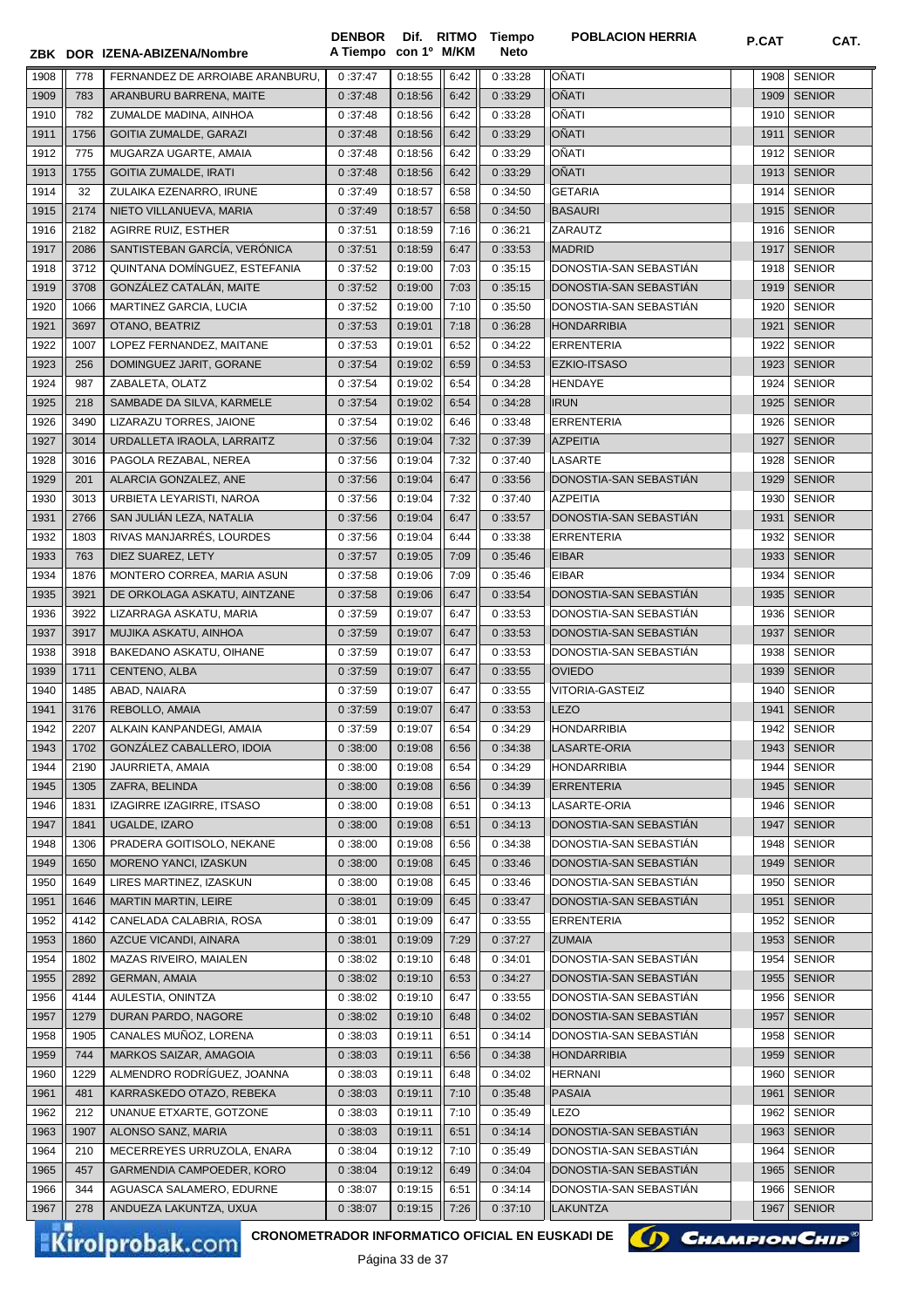|      |      | ZBK DOR IZENA-ABIZENA/Nombre    | A Tiempo con 1º M/KM |         |      | Neto    |                        |      |               |
|------|------|---------------------------------|----------------------|---------|------|---------|------------------------|------|---------------|
| 1908 | 778  | FERNANDEZ DE ARROIABE ARANBURU. | 0:37:47              | 0:18:55 | 6:42 | 0:33:28 | OÑATI                  | 1908 | <b>SENIOR</b> |
| 1909 | 783  | ARANBURU BARRENA, MAITE         | 0:37:48              | 0:18:56 | 6:42 | 0:33:29 | OÑATI                  | 1909 | <b>SENIOR</b> |
| 1910 | 782  | ZUMALDE MADINA, AINHOA          | 0:37:48              | 0:18:56 | 6:42 | 0:33:28 | OÑATI                  | 1910 | <b>SENIOR</b> |
| 1911 | 1756 | <b>GOITIA ZUMALDE, GARAZI</b>   | 0:37:48              | 0:18:56 | 6:42 | 0:33:29 | <b>OÑATI</b>           | 1911 | <b>SENIOR</b> |
| 1912 | 775  | MUGARZA UGARTE, AMAIA           | 0:37:48              | 0:18:56 | 6:42 | 0:33:29 | OÑATI                  | 1912 | <b>SENIOR</b> |
| 1913 | 1755 | <b>GOITIA ZUMALDE, IRATI</b>    | 0:37:48              | 0:18:56 | 6:42 | 0:33:29 | <b>OÑATI</b>           | 1913 | <b>SENIOR</b> |
| 1914 | 32   | ZULAIKA EZENARRO, IRUNE         | 0:37:49              | 0:18:57 | 6:58 | 0:34:50 | <b>GETARIA</b>         | 1914 | <b>SENIOR</b> |
| 1915 | 2174 | NIETO VILLANUEVA, MARIA         | 0:37:49              | 0:18:57 | 6:58 | 0:34:50 | <b>BASAURI</b>         | 1915 | <b>SENIOR</b> |
| 1916 | 2182 | <b>AGIRRE RUIZ, ESTHER</b>      | 0:37:51              | 0:18:59 | 7:16 | 0:36:21 | ZARAUTZ                | 1916 | <b>SENIOR</b> |
| 1917 | 2086 | SANTISTEBAN GARCÍA, VERÓNICA    | 0:37:51              | 0:18:59 | 6:47 | 0:33:53 | <b>MADRID</b>          | 1917 | <b>SENIOR</b> |
| 1918 | 3712 | QUINTANA DOMÍNGUEZ, ESTEFANIA   | 0:37:52              | 0:19:00 | 7:03 | 0:35:15 | DONOSTIA-SAN SEBASTIAN | 1918 | <b>SENIOR</b> |
| 1919 | 3708 | GONZÁLEZ CATALÁN, MAITE         | 0:37:52              | 0:19:00 | 7:03 | 0:35:15 | DONOSTIA-SAN SEBASTIAN | 1919 | <b>SENIOR</b> |
| 1920 | 1066 | MARTINEZ GARCIA, LUCIA          | 0:37:52              | 0:19:00 | 7:10 | 0:35:50 | DONOSTIA-SAN SEBASTIAN | 1920 | <b>SENIOR</b> |
| 1921 | 3697 | OTANO, BEATRIZ                  | 0:37:53              | 0:19:01 | 7:18 | 0:36:28 | <b>HONDARRIBIA</b>     | 1921 | <b>SENIOR</b> |
| 1922 | 1007 | LOPEZ FERNANDEZ, MAITANE        | 0:37:53              | 0:19:01 | 6:52 | 0:34:22 | <b>ERRENTERIA</b>      | 1922 | <b>SENIOR</b> |
| 1923 | 256  | DOMINGUEZ JARIT, GORANE         | 0:37:54              | 0:19:02 | 6:59 | 0:34:53 | <b>EZKIO-ITSASO</b>    | 1923 | <b>SENIOR</b> |
| 1924 | 987  | ZABALETA, OLATZ                 | 0:37:54              | 0:19:02 | 6:54 | 0:34:28 | HENDAYE                | 1924 | <b>SENIOR</b> |
| 1925 | 218  | SAMBADE DA SILVA, KARMELE       | 0:37:54              | 0:19:02 | 6:54 | 0:34:28 | <b>IRUN</b>            | 1925 | <b>SENIOR</b> |
| 1926 | 3490 | LIZARAZU TORRES, JAIONE         | 0:37:54              | 0:19:02 | 6:46 | 0:33:48 | ERRENTERIA             | 1926 | <b>SENIOR</b> |
| 1927 | 3014 | URDALLETA IRAOLA, LARRAITZ      | 0:37:56              | 0:19:04 | 7:32 | 0:37:39 | <b>AZPEITIA</b>        | 1927 | <b>SENIOR</b> |
| 1928 | 3016 | PAGOLA REZABAL, NEREA           | 0:37:56              | 0:19:04 | 7:32 | 0:37:40 | LASARTE                | 1928 | <b>SENIOR</b> |
| 1929 | 201  | ALARCIA GONZALEZ, ANE           | 0:37:56              | 0:19:04 | 6:47 | 0:33:56 | DONOSTIA-SAN SEBASTIÁN | 1929 | <b>SENIOR</b> |
| 1930 | 3013 | URBIETA LEYARISTI, NAROA        | 0:37:56              | 0:19:04 | 7:32 | 0:37:40 | <b>AZPEITIA</b>        | 1930 | <b>SENIOR</b> |
| 1931 | 2766 | SAN JULIÁN LEZA, NATALIA        | 0:37:56              | 0:19:04 | 6:47 | 0:33:57 | DONOSTIA-SAN SEBASTIÁN | 1931 | <b>SENIOR</b> |
| 1932 | 1803 | RIVAS MANJARRÉS, LOURDES        | 0:37:56              | 0:19:04 | 6:44 | 0:33:38 | <b>ERRENTERIA</b>      | 1932 | <b>SENIOR</b> |
| 1933 | 763  | DIEZ SUAREZ, LETY               | 0:37:57              | 0:19:05 | 7:09 | 0:35:46 | <b>EIBAR</b>           | 1933 | <b>SENIOR</b> |
| 1934 | 1876 | MONTERO CORREA, MARIA ASUN      | 0:37:58              | 0:19:06 | 7:09 | 0:35:46 | <b>EIBAR</b>           | 1934 | <b>SENIOR</b> |
| 1935 | 3921 | DE ORKOLAGA ASKATU, AINTZANE    | 0:37:58              | 0:19:06 | 6:47 | 0:33:54 | DONOSTIA-SAN SEBASTIAN | 1935 | <b>SENIOR</b> |
| 1936 | 3922 | LIZARRAGA ASKATU, MARIA         | 0:37:59              | 0:19:07 | 6:47 | 0:33:53 | DONOSTIA-SAN SEBASTIAN | 1936 | <b>SENIOR</b> |
| 1937 | 3917 | MUJIKA ASKATU, AINHOA           | 0:37:59              | 0:19:07 | 6:47 | 0:33:53 | DONOSTIA-SAN SEBASTIÁN | 1937 | <b>SENIOR</b> |
| 1938 | 3918 | BAKEDANO ASKATU, OIHANE         | 0:37:59              | 0:19:07 | 6:47 | 0:33:53 | DONOSTIA-SAN SEBASTIAN | 1938 | SENIOR        |
| 1939 | 1711 | CENTENO, ALBA                   | 0:37:59              | 0:19:07 | 6:47 | 0:33:55 | <b>OVIEDO</b>          | 1939 | <b>SENIOR</b> |
| 1940 | 1485 | ABAD, NAIARA                    | 0:37:59              | 0:19:07 | 6:47 | 0:33:55 | <b>VITORIA-GASTEIZ</b> | 1940 | <b>SENIOR</b> |
| 1941 | 3176 | REBOLLO, AMAIA                  | 0:37:59              | 0:19:07 | 6:47 | 0:33:53 | LEZO                   | 1941 | <b>SENIOR</b> |
| 1942 | 2207 | ALKAIN KANPANDEGI, AMAIA        | 0:37:59              | 0:19:07 | 6:54 | 0:34:29 | <b>HONDARRIBIA</b>     | 1942 | <b>SENIOR</b> |
| 1943 | 1702 | GONZÁLEZ CABALLERO, IDOIA       | 0:38:00              | 0:19:08 | 6:56 | 0:34:38 | LASARTE-ORIA           |      | 1943   SENIOR |
| 1944 | 2190 | JAURRIETA, AMAIA                | 0:38:00              | 0:19:08 | 6:54 | 0:34:29 | <b>HONDARRIBIA</b>     | 1944 | <b>SENIOR</b> |
| 1945 | 1305 | ZAFRA, BELINDA                  | 0:38:00              | 0:19:08 | 6:56 | 0:34:39 | <b>ERRENTERIA</b>      | 1945 | <b>SENIOR</b> |
| 1946 | 1831 | IZAGIRRE IZAGIRRE, ITSASO       | 0:38:00              | 0:19:08 | 6:51 | 0:34:13 | LASARTE-ORIA           | 1946 | <b>SENIOR</b> |
| 1947 | 1841 | UGALDE, IZARO                   | 0:38:00              | 0:19:08 | 6:51 | 0:34:13 | DONOSTIA-SAN SEBASTIAN | 1947 | <b>SENIOR</b> |
| 1948 | 1306 | PRADERA GOITISOLO, NEKANE       | 0:38:00              | 0:19:08 | 6:56 | 0:34:38 | DONOSTIA-SAN SEBASTIAN | 1948 | <b>SENIOR</b> |
| 1949 | 1650 | MORENO YANCI, IZASKUN           | 0:38:00              | 0:19:08 | 6:45 | 0:33:46 | DONOSTIA-SAN SEBASTIAN | 1949 | <b>SENIOR</b> |
| 1950 | 1649 | LIRES MARTINEZ, IZASKUN         | 0:38:00              | 0:19:08 | 6:45 | 0:33:46 | DONOSTIA-SAN SEBASTIÁN | 1950 | <b>SENIOR</b> |
| 1951 | 1646 | <b>MARTIN MARTIN, LEIRE</b>     | 0:38:01              | 0:19:09 | 6:45 | 0:33:47 | DONOSTIA-SAN SEBASTIÁN | 1951 | <b>SENIOR</b> |
| 1952 | 4142 | CANELADA CALABRIA, ROSA         | 0:38:01              | 0:19:09 | 6:47 | 0:33:55 | <b>ERRENTERIA</b>      | 1952 | <b>SENIOR</b> |
| 1953 | 1860 | AZCUE VICANDI, AINARA           | 0:38:01              | 0:19:09 | 7:29 | 0:37:27 | <b>ZUMAIA</b>          | 1953 | <b>SENIOR</b> |
| 1954 | 1802 | MAZAS RIVEIRO, MAIALEN          | 0:38:02              | 0:19:10 | 6:48 | 0:34:01 | DONOSTIA-SAN SEBASTIAN | 1954 | <b>SENIOR</b> |
| 1955 | 2892 | <b>GERMAN, AMAIA</b>            | 0:38:02              | 0:19:10 | 6:53 | 0:34:27 | DONOSTIA-SAN SEBASTIAN | 1955 | <b>SENIOR</b> |
| 1956 | 4144 | AULESTIA, ONINTZA               | 0:38:02              | 0:19:10 | 6:47 | 0:33:55 | DONOSTIA-SAN SEBASTIAN | 1956 | <b>SENIOR</b> |
| 1957 | 1279 | DURAN PARDO, NAGORE             | 0:38:02              | 0:19:10 | 6:48 | 0:34:02 | DONOSTIA-SAN SEBASTIAN | 1957 | <b>SENIOR</b> |
| 1958 | 1905 | CANALES MUÑOZ, LORENA           | 0:38:03              | 0:19:11 | 6:51 | 0:34:14 | DONOSTIA-SAN SEBASTIAN | 1958 | <b>SENIOR</b> |
| 1959 | 744  | MARKOS SAIZAR, AMAGOIA          | 0:38:03              | 0:19:11 | 6:56 | 0:34:38 | <b>HONDARRIBIA</b>     | 1959 | <b>SENIOR</b> |
| 1960 | 1229 | ALMENDRO RODRÍGUEZ, JOANNA      | 0:38:03              | 0:19:11 | 6:48 | 0:34:02 | <b>HERNANI</b>         | 1960 | <b>SENIOR</b> |
| 1961 | 481  | KARRASKEDO OTAZO, REBEKA        | 0:38:03              | 0:19:11 | 7:10 | 0:35:48 | PASAIA                 | 1961 | <b>SENIOR</b> |
| 1962 | 212  | UNANUE ETXARTE, GOTZONE         | 0:38:03              | 0:19:11 | 7:10 | 0:35:49 | <b>LEZO</b>            | 1962 | <b>SENIOR</b> |
| 1963 | 1907 | ALONSO SANZ, MARIA              | 0:38:03              | 0:19:11 | 6:51 | 0:34:14 | DONOSTIA-SAN SEBASTIAN | 1963 | <b>SENIOR</b> |
| 1964 | 210  | MECERREYES URRUZOLA, ENARA      | 0:38:04              | 0:19:12 | 7:10 | 0:35:49 | DONOSTIA-SAN SEBASTIAN | 1964 | <b>SENIOR</b> |
| 1965 | 457  | GARMENDIA CAMPOEDER, KORO       | 0:38:04              | 0:19:12 | 6:49 | 0:34:04 | DONOSTIA-SAN SEBASTIAN | 1965 | <b>SENIOR</b> |
| 1966 | 344  | AGUASCA SALAMERO, EDURNE        | 0:38:07              | 0:19:15 | 6:51 | 0:34:14 | DONOSTIA-SAN SEBASTIAN | 1966 | <b>SENIOR</b> |
| 1967 | 278  | ANDUEZA LAKUNTZA, UXUA          | 0:38:07              | 0:19:15 | 7:26 | 0:37:10 | <b>LAKUNTZA</b>        | 1967 | <b>SENIOR</b> |
|      |      |                                 |                      |         |      |         |                        |      |               |

**Tiempo** 

**DENBOR**

**CRONOMETRADOR INFORMATICO OFICIAL EN EUSKADI DE**

Página 33 de 37

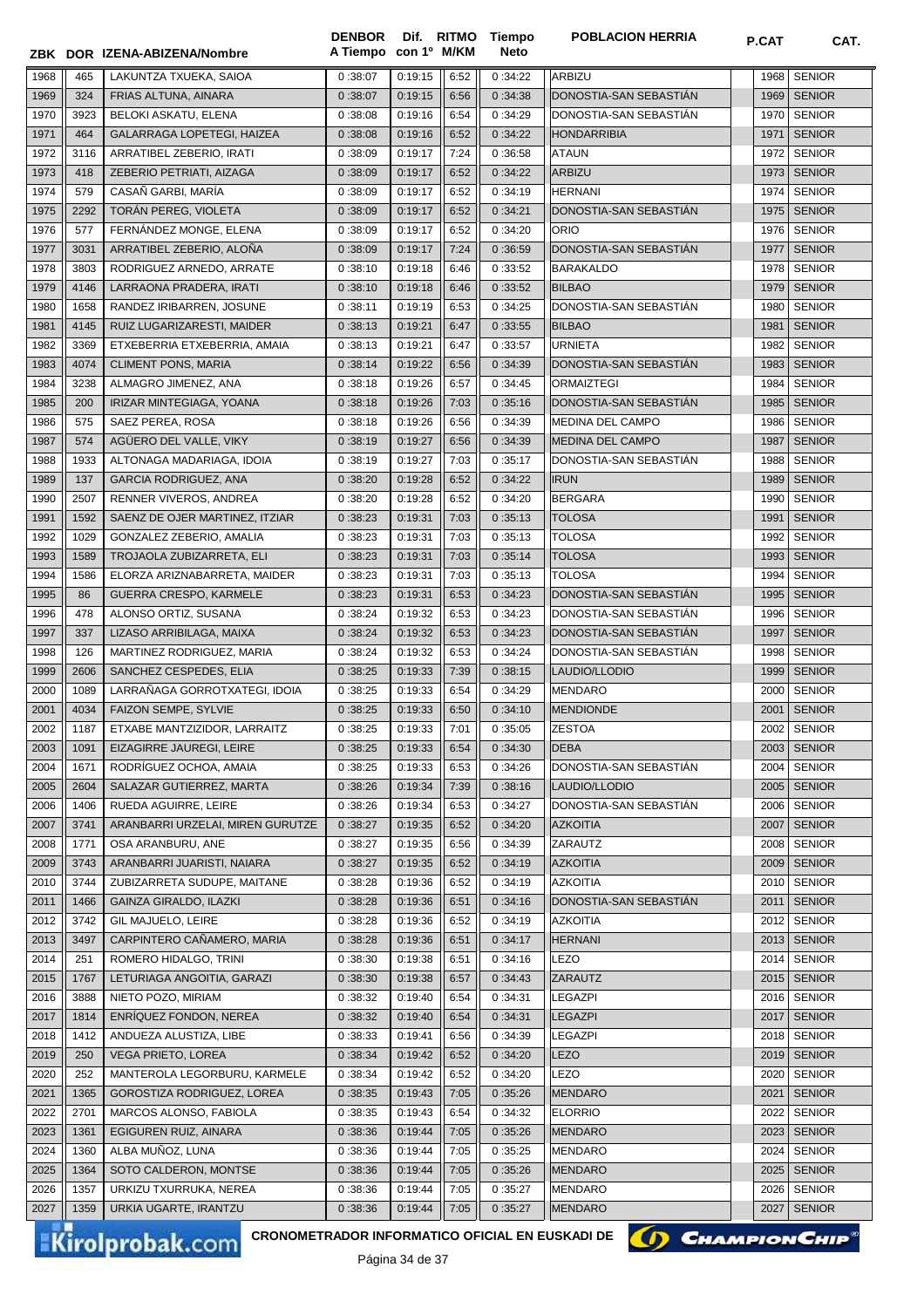|              |      | ZBK DOR IZENA-ABIZENA/Nombre                          | A Tiempo con 1º M/KM |         |      | Neto    |                                         |      |                                |
|--------------|------|-------------------------------------------------------|----------------------|---------|------|---------|-----------------------------------------|------|--------------------------------|
| 1968         | 465  | LAKUNTZA TXUEKA, SAIOA                                | 0:38:07              | 0:19:15 | 6:52 | 0:34:22 | ARBIZU                                  | 1968 | <b>SENIOR</b>                  |
| 1969         | 324  | FRIAS ALTUNA, AINARA                                  | 0:38:07              | 0:19:15 | 6:56 | 0:34:38 | DONOSTIA-SAN SEBASTIAN                  | 1969 | <b>SENIOR</b>                  |
| 1970         | 3923 | BELOKI ASKATU, ELENA                                  | 0:38:08              | 0:19:16 | 6:54 | 0:34:29 | DONOSTIA-SAN SEBASTIAN                  | 1970 | <b>SENIOR</b>                  |
| 1971         | 464  | GALARRAGA LOPETEGI, HAIZEA                            | 0:38:08              | 0:19:16 | 6:52 | 0:34:22 | <b>HONDARRIBIA</b>                      | 1971 | <b>SENIOR</b>                  |
| 1972         | 3116 | ARRATIBEL ZEBERIO, IRATI                              | 0:38:09              | 0:19:17 | 7:24 | 0:36:58 | <b>ATAUN</b>                            | 1972 | <b>SENIOR</b>                  |
| 1973         | 418  | ZEBERIO PETRIATI, AIZAGA                              | 0:38:09              | 0:19:17 | 6:52 | 0:34:22 | <b>ARBIZU</b>                           | 1973 | <b>SENIOR</b>                  |
| 1974         | 579  | CASAÑ GARBI, MARÍA                                    | 0:38:09              | 0:19:17 | 6:52 | 0:34:19 | <b>HERNANI</b>                          | 1974 | <b>SENIOR</b>                  |
| 1975         | 2292 | TORÁN PEREG, VIOLETA                                  | 0:38:09              | 0:19:17 | 6:52 | 0:34:21 | DONOSTIA-SAN SEBASTIAN                  | 1975 | <b>SENIOR</b>                  |
| 1976         | 577  | FERNÁNDEZ MONGE, ELENA                                | 0:38:09              | 0:19:17 | 6:52 | 0:34:20 | <b>ORIO</b>                             | 1976 | <b>SENIOR</b>                  |
| 1977         | 3031 | ARRATIBEL ZEBERIO, ALOÑA                              | 0:38:09              | 0:19:17 | 7:24 | 0:36:59 | DONOSTIA-SAN SEBASTIAN                  | 1977 | <b>SENIOR</b>                  |
| 1978         | 3803 | RODRIGUEZ ARNEDO, ARRATE                              | 0:38:10              | 0:19:18 | 6:46 | 0:33:52 | <b>BARAKALDO</b>                        | 1978 | <b>SENIOR</b>                  |
| 1979         | 4146 | LARRAONA PRADERA, IRATI                               | 0:38:10              | 0:19:18 | 6:46 | 0:33:52 | <b>BILBAO</b>                           | 1979 | <b>SENIOR</b>                  |
| 1980         | 1658 | RANDEZ IRIBARREN, JOSUNE                              | 0:38:11              | 0:19:19 | 6:53 | 0:34:25 | DONOSTIA-SAN SEBASTIAN                  | 1980 | <b>SENIOR</b>                  |
| 1981         | 4145 | RUIZ LUGARIZARESTI, MAIDER                            | 0:38:13              | 0:19:21 | 6:47 | 0:33:55 | <b>BILBAO</b>                           | 1981 | <b>SENIOR</b>                  |
| 1982         | 3369 | ETXEBERRIA ETXEBERRIA, AMAIA                          | 0:38:13              | 0:19:21 | 6:47 | 0:33:57 | <b>URNIETA</b>                          | 1982 | <b>SENIOR</b>                  |
| 1983         | 4074 | <b>CLIMENT PONS, MARIA</b>                            | 0:38:14              | 0:19:22 | 6:56 | 0:34:39 | DONOSTIA-SAN SEBASTIÁN                  | 1983 | <b>SENIOR</b>                  |
| 1984         | 3238 | ALMAGRO JIMENEZ, ANA                                  | 0:38:18              | 0:19:26 | 6:57 | 0:34:45 | <b>ORMAIZTEGI</b>                       | 1984 | <b>SENIOR</b>                  |
| 1985         | 200  | IRIZAR MINTEGIAGA, YOANA                              | 0:38:18              | 0:19:26 | 7:03 | 0:35:16 | DONOSTIA-SAN SEBASTIAN                  | 1985 | <b>SENIOR</b>                  |
| 1986         | 575  | SAEZ PEREA, ROSA                                      | 0:38:18              | 0:19:26 | 6:56 | 0:34:39 | MEDINA DEL CAMPO                        | 1986 | <b>SENIOR</b>                  |
| 1987         | 574  | AGÜERO DEL VALLE, VIKY                                | 0:38:19              | 0:19:27 | 6:56 | 0:34:39 | <b>MEDINA DEL CAMPO</b>                 | 1987 | <b>SENIOR</b>                  |
| 1988         | 1933 | ALTONAGA MADARIAGA, IDOIA                             | 0:38:19              | 0:19:27 | 7:03 | 0:35:17 | DONOSTIA-SAN SEBASTIAN                  | 1988 | <b>SENIOR</b>                  |
| 1989         | 137  | <b>GARCIA RODRIGUEZ, ANA</b>                          | 0:38:20              | 0:19:28 | 6:52 | 0:34:22 | <b>IRUN</b>                             | 1989 | <b>SENIOR</b>                  |
| 1990         | 2507 | RENNER VIVEROS, ANDREA                                | 0:38:20              | 0:19:28 | 6:52 | 0:34:20 | <b>BERGARA</b>                          | 1990 | <b>SENIOR</b>                  |
| 1991         | 1592 | SAENZ DE OJER MARTINEZ, ITZIAR                        | 0:38:23              | 0:19:31 | 7:03 | 0:35:13 | <b>TOLOSA</b>                           | 1991 | <b>SENIOR</b>                  |
| 1992         | 1029 | GONZALEZ ZEBERIO, AMALIA                              | 0:38:23              | 0:19:31 | 7:03 | 0:35:13 | <b>TOLOSA</b>                           | 1992 | <b>SENIOR</b>                  |
| 1993         | 1589 | TROJAOLA ZUBIZARRETA, ELI                             | 0:38:23              | 0:19:31 | 7:03 | 0:35:14 | <b>TOLOSA</b>                           | 1993 | <b>SENIOR</b>                  |
| 1994         | 1586 | ELORZA ARIZNABARRETA, MAIDER                          | 0:38:23              | 0:19:31 | 7:03 | 0:35:13 | <b>TOLOSA</b>                           | 1994 | <b>SENIOR</b>                  |
| 1995         | 86   | GUERRA CRESPO, KARMELE                                | 0:38:23              | 0:19:31 | 6:53 | 0:34:23 | DONOSTIA-SAN SEBASTIAN                  | 1995 | <b>SENIOR</b>                  |
| 1996         | 478  | ALONSO ORTIZ, SUSANA                                  | 0:38:24              | 0:19:32 | 6:53 | 0:34:23 | DONOSTIA-SAN SEBASTIAN                  | 1996 | <b>SENIOR</b>                  |
| 1997         | 337  | LIZASO ARRIBILAGA, MAIXA                              | 0:38:24              | 0:19:32 | 6:53 | 0:34:23 | DONOSTIA-SAN SEBASTIAN                  | 1997 | <b>SENIOR</b>                  |
| 1998         | 126  | MARTINEZ RODRIGUEZ, MARIA                             | 0:38:24              | 0:19:32 | 6:53 | 0:34:24 | DONOSTIA-SAN SEBASTIAN                  | 1998 | <b>SENIOR</b>                  |
| 1999         | 2606 | SANCHEZ CESPEDES, ELIA                                | 0:38:25              | 0:19:33 | 7:39 | 0:38:15 | LAUDIO/LLODIO                           | 1999 | <b>SENIOR</b>                  |
|              | 1089 | LARRAÑAGA GORROTXATEGI, IDOIA                         | 0:38:25              | 0:19:33 | 6:54 | 0:34:29 |                                         | 2000 | <b>SENIOR</b>                  |
| 2000<br>2001 | 4034 | FAIZON SEMPE, SYLVIE                                  | 0:38:25              | 0:19:33 | 6:50 | 0:34:10 | <b>MENDARO</b><br><b>MENDIONDE</b>      | 2001 | <b>SENIOR</b>                  |
|              |      |                                                       |                      |         |      |         |                                         |      |                                |
| 2002         | 1187 | ETXABE MANTZIZIDOR, LARRAITZ                          | 0:38:25              | 0:19:33 | 7:01 | 0:35:05 | <b>ZESTOA</b>                           | 2002 | <b>SENIOR</b>                  |
| 2003         | 1091 | EIZAGIRRE JAUREGI, LEIRE                              | 0:38:25              | 0:19:33 | 6:54 | 0:34:30 | <b>DEBA</b>                             |      | 2003   SENIOR                  |
| 2004         | 1671 | RODRÍGUEZ OCHOA, AMAIA<br>SALAZAR GUTIERREZ, MARTA    | 0:38:25              | 0:19:33 | 6:53 | 0:34:26 | DONOSTIA-SAN SEBASTIAN                  | 2004 | <b>SENIOR</b><br><b>SENIOR</b> |
| 2005         | 2604 |                                                       | 0:38:26              | 0:19:34 | 7:39 | 0:38:16 | LAUDIO/LLODIO<br>DONOSTIA-SAN SEBASTIÁN | 2005 |                                |
| 2006         | 1406 | RUEDA AGUIRRE, LEIRE                                  | 0:38:26              | 0:19:34 | 6:53 | 0:34:27 |                                         | 2006 | <b>SENIOR</b>                  |
| 2007         | 3741 | ARANBARRI URZELAI, MIREN GURUTZE<br>OSA ARANBURU. ANE | 0:38:27              | 0:19:35 | 6:52 | 0:34:20 | <b>AZKOITIA</b>                         | 2007 | <b>SENIOR</b>                  |
| 2008         | 1771 |                                                       | 0:38:27              | 0:19:35 | 6:56 | 0:34:39 | ZARAUTZ                                 | 2008 | <b>SENIOR</b>                  |
| 2009         | 3743 | ARANBARRI JUARISTI, NAIARA                            | 0:38:27              | 0:19:35 | 6:52 | 0:34:19 | <b>AZKOITIA</b>                         | 2009 | <b>SENIOR</b>                  |
| 2010         | 3744 | ZUBIZARRETA SUDUPE, MAITANE                           | 0:38:28              | 0:19:36 | 6:52 | 0:34:19 | <b>AZKOITIA</b>                         | 2010 | <b>SENIOR</b>                  |
| 2011         | 1466 | <b>GAINZA GIRALDO, ILAZKI</b>                         | 0:38:28              | 0:19:36 | 6:51 | 0:34:16 | DONOSTIA-SAN SEBASTIAN                  | 2011 | <b>SENIOR</b>                  |
| 2012         | 3742 | GIL MAJUELO, LEIRE                                    | 0:38:28              | 0:19:36 | 6:52 | 0:34:19 | <b>AZKOITIA</b>                         | 2012 | <b>SENIOR</b>                  |
| 2013         | 3497 | CARPINTERO CAÑAMERO, MARIA                            | 0:38:28              | 0:19:36 | 6:51 | 0:34:17 | <b>HERNANI</b>                          | 2013 | <b>SENIOR</b>                  |
| 2014         | 251  | ROMERO HIDALGO, TRINI                                 | 0:38:30              | 0:19:38 | 6:51 | 0:34:16 | LEZO                                    | 2014 | <b>SENIOR</b>                  |
| 2015         | 1767 | LETURIAGA ANGOITIA, GARAZI                            | 0:38:30              | 0:19:38 | 6:57 | 0:34:43 | ZARAUTZ                                 | 2015 | <b>SENIOR</b>                  |
| 2016         | 3888 | NIETO POZO, MIRIAM                                    | 0:38:32              | 0:19:40 | 6:54 | 0:34:31 | <b>LEGAZPI</b>                          | 2016 | <b>SENIOR</b>                  |
| 2017         | 1814 | ENRIQUEZ FONDON, NEREA                                | 0:38:32              | 0:19:40 | 6:54 | 0:34:31 | <b>LEGAZPI</b>                          | 2017 | <b>SENIOR</b>                  |
| 2018         | 1412 | ANDUEZA ALUSTIZA, LIBE                                | 0:38:33              | 0:19:41 | 6:56 | 0:34:39 | <b>LEGAZPI</b>                          | 2018 | <b>SENIOR</b>                  |
| 2019         | 250  | VEGA PRIETO, LOREA                                    | 0:38:34              | 0:19:42 | 6:52 | 0:34:20 | LEZO                                    | 2019 | <b>SENIOR</b>                  |
| 2020         | 252  | MANTEROLA LEGORBURU, KARMELE                          | 0:38:34              | 0:19:42 | 6:52 | 0:34:20 | LEZO                                    | 2020 | <b>SENIOR</b>                  |
| 2021         | 1365 | GOROSTIZA RODRIGUEZ, LOREA                            | 0:38:35              | 0:19:43 | 7:05 | 0:35:26 | <b>MENDARO</b>                          | 2021 | <b>SENIOR</b>                  |
| 2022         | 2701 | MARCOS ALONSO, FABIOLA                                | 0:38:35              | 0:19:43 | 6:54 | 0:34:32 | <b>ELORRIO</b>                          | 2022 | <b>SENIOR</b>                  |
| 2023         | 1361 | EGIGUREN RUIZ, AINARA                                 | 0:38:36              | 0:19:44 | 7:05 | 0:35:26 | <b>MENDARO</b>                          | 2023 | <b>SENIOR</b>                  |
| 2024         | 1360 | ALBA MUÑOZ, LUNA                                      | 0:38:36              | 0:19:44 | 7:05 | 0:35:25 | <b>MENDARO</b>                          | 2024 | <b>SENIOR</b>                  |
| 2025         | 1364 | SOTO CALDERON, MONTSE                                 | 0:38:36              | 0:19:44 | 7:05 | 0:35:26 | <b>MENDARO</b>                          | 2025 | <b>SENIOR</b>                  |
| 2026         | 1357 | URKIZU TXURRUKA, NEREA                                | 0:38:36              | 0:19:44 | 7:05 | 0:35:27 | <b>MENDARO</b>                          | 2026 | <b>SENIOR</b>                  |
| 2027         | 1359 | URKIA UGARTE, IRANTZU                                 | 0:38:36              | 0:19:44 | 7:05 | 0:35:27 | MENDARO                                 | 2027 | <b>SENIOR</b>                  |

**Tiempo** 

**DENBOR**

Kirolprobak.com

**CRONOMETRADOR INFORMATICO OFICIAL EN EUSKADI DE**

Página 34 de 37

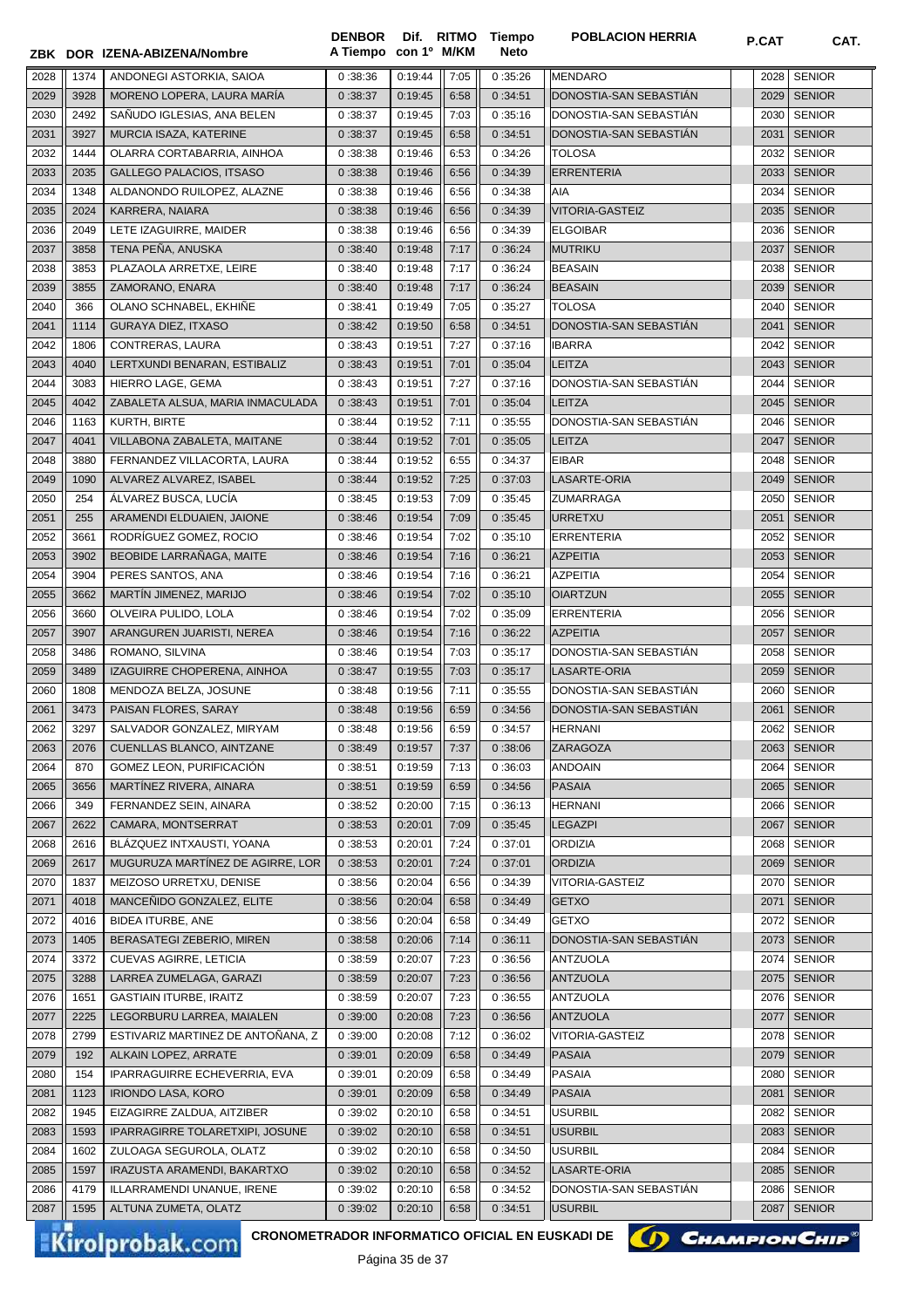|      |      | ZBK DOR IZENA-ABIZENA/Nombre      | <b>DENBOR</b><br>A Tiempo | con 1º M/KM |      | Dif. RITMO Tiempo<br>Neto | <b>POBLACION HERRIA</b> | <b>P.CAT</b> | CAT.          |
|------|------|-----------------------------------|---------------------------|-------------|------|---------------------------|-------------------------|--------------|---------------|
|      |      |                                   |                           |             |      |                           |                         |              |               |
| 2028 | 1374 | ANDONEGI ASTORKIA, SAIOA          | 0:38:36                   | 0:19:44     | 7:05 | 0:35:26                   | MENDARO                 | 2028         | <b>SENIOR</b> |
| 2029 | 3928 | MORENO LOPERA, LAURA MARÍA        | 0:38:37                   | 0:19:45     | 6:58 | 0:34:51                   | DONOSTIA-SAN SEBASTIAN  | 2029         | <b>SENIOR</b> |
| 2030 | 2492 | SAÑUDO IGLESIAS, ANA BELEN        | 0:38:37                   | 0:19:45     | 7:03 | 0:35:16                   | DONOSTIA-SAN SEBASTIÁN  | 2030         | <b>SENIOR</b> |
| 2031 | 3927 | MURCIA ISAZA, KATERINE            | 0:38:37                   | 0:19:45     | 6:58 | 0:34:51                   | DONOSTIA-SAN SEBASTIÁN  | 2031         | <b>SENIOR</b> |
| 2032 | 1444 | OLARRA CORTABARRIA, AINHOA        | 0:38:38                   | 0:19:46     | 6:53 | 0:34:26                   | <b>TOLOSA</b>           | 2032         | <b>SENIOR</b> |
| 2033 | 2035 | GALLEGO PALACIOS, ITSASO          | 0:38:38                   | 0:19:46     | 6:56 | 0:34:39                   | <b>ERRENTERIA</b>       | 2033         | <b>SENIOR</b> |
| 2034 | 1348 | ALDANONDO RUILOPEZ, ALAZNE        | 0:38:38                   | 0:19:46     | 6:56 | 0:34:38                   | AIA                     | 2034         | <b>SENIOR</b> |
| 2035 | 2024 | KARRERA, NAIARA                   | 0:38:38                   | 0:19:46     | 6:56 | 0:34:39                   | <b>VITORIA-GASTEIZ</b>  | 2035         | <b>SENIOR</b> |
| 2036 | 2049 | LETE IZAGUIRRE, MAIDER            | 0:38:38                   | 0:19:46     | 6:56 | 0:34:39                   | <b>ELGOIBAR</b>         | 2036         | <b>SENIOR</b> |
| 2037 | 3858 | TENA PEÑA, ANUSKA                 | 0:38:40                   | 0:19:48     | 7:17 | 0:36:24                   | <b>MUTRIKU</b>          | 2037         | <b>SENIOR</b> |
| 2038 | 3853 | PLAZAOLA ARRETXE, LEIRE           | 0:38:40                   | 0:19:48     | 7:17 | 0:36:24                   | <b>BEASAIN</b>          | 2038         | <b>SENIOR</b> |
| 2039 | 3855 | ZAMORANO, ENARA                   | 0:38:40                   | 0:19:48     | 7:17 | 0:36:24                   | <b>BEASAIN</b>          | 2039         | <b>SENIOR</b> |
| 2040 | 366  | OLANO SCHNABEL, EKHINE            | 0:38:41                   | 0:19:49     | 7:05 | 0:35:27                   | <b>TOLOSA</b>           | 2040         | <b>SENIOR</b> |
| 2041 | 1114 | <b>GURAYA DIEZ, ITXASO</b>        | 0:38:42                   | 0:19:50     | 6:58 | 0:34:51                   | DONOSTIA-SAN SEBASTIAN  | 2041         | <b>SENIOR</b> |
| 2042 | 1806 | CONTRERAS, LAURA                  | 0:38:43                   | 0:19:51     | 7:27 | 0:37:16                   | <b>IBARRA</b>           | 2042         | <b>SENIOR</b> |
| 2043 | 4040 | LERTXUNDI BENARAN, ESTIBALIZ      | 0:38:43                   | 0:19:51     | 7:01 | 0:35:04                   | <b>LEITZA</b>           | 2043         | <b>SENIOR</b> |
| 2044 | 3083 | HIERRO LAGE, GEMA                 | 0:38:43                   | 0:19:51     | 7:27 | 0:37:16                   | DONOSTIA-SAN SEBASTIAN  | 2044         | <b>SENIOR</b> |
| 2045 | 4042 | ZABALETA ALSUA, MARIA INMACULADA  | 0:38:43                   | 0:19:51     | 7:01 | 0:35:04                   | <b>LEITZA</b>           | 2045         | <b>SENIOR</b> |
| 2046 | 1163 | KURTH, BIRTE                      | 0:38:44                   | 0:19:52     | 7:11 | 0:35:55                   | DONOSTIA-SAN SEBASTIÁN  | 2046         | <b>SENIOR</b> |
| 2047 | 4041 | VILLABONA ZABALETA, MAITANE       | 0:38:44                   | 0:19:52     | 7:01 | 0:35:05                   | <b>LEITZA</b>           | 2047         | <b>SENIOR</b> |
| 2048 | 3880 | FERNANDEZ VILLACORTA, LAURA       | 0:38:44                   | 0:19:52     | 6:55 | 0:34:37                   | <b>EIBAR</b>            | 2048         | <b>SENIOR</b> |
| 2049 | 1090 | ALVAREZ ALVAREZ, ISABEL           | 0:38:44                   | 0:19:52     | 7:25 | 0:37:03                   | LASARTE-ORIA            | 2049         | <b>SENIOR</b> |
| 2050 | 254  | ÁLVAREZ BUSCA, LUCÍA              | 0:38:45                   | 0:19:53     | 7:09 | 0:35:45                   | <b>ZUMARRAGA</b>        | 2050         | <b>SENIOR</b> |
| 2051 | 255  | ARAMENDI ELDUAIEN, JAIONE         | 0:38:46                   | 0:19:54     | 7:09 | 0:35:45                   | <b>URRETXU</b>          | 2051         | <b>SENIOR</b> |
| 2052 | 3661 | RODRÍGUEZ GOMEZ, ROCIO            | 0:38:46                   | 0:19:54     | 7:02 | 0:35:10                   | <b>ERRENTERIA</b>       | 2052         | <b>SENIOR</b> |
| 2053 | 3902 | BEOBIDE LARRAÑAGA, MAITE          | 0:38:46                   | 0:19:54     | 7:16 | 0:36:21                   | <b>AZPEITIA</b>         | 2053         | <b>SENIOR</b> |
| 2054 | 3904 | PERES SANTOS, ANA                 | 0:38:46                   | 0:19:54     | 7:16 | 0:36:21                   | <b>AZPEITIA</b>         | 2054         | <b>SENIOR</b> |
| 2055 | 3662 | MARTIN JIMENEZ, MARIJO            | 0:38:46                   | 0:19:54     | 7:02 | 0:35:10                   | <b>OIARTZUN</b>         | 2055         | <b>SENIOR</b> |
| 2056 | 3660 | OLVEIRA PULIDO, LOLA              | 0:38:46                   | 0:19:54     | 7:02 | 0:35:09                   | <b>ERRENTERIA</b>       | 2056         | <b>SENIOR</b> |
| 2057 | 3907 | ARANGUREN JUARISTI, NEREA         | 0:38:46                   | 0:19:54     | 7:16 | 0:36:22                   | <b>AZPEITIA</b>         | 2057         | <b>SENIOR</b> |
| 2058 | 3486 | ROMANO, SILVINA                   | 0:38:46                   | 0:19:54     | 7:03 | 0:35:17                   | DONOSTIA-SAN SEBASTIAN  | 2058         | <b>SENIOR</b> |
| 2059 | 3489 | IZAGUIRRE CHOPERENA, AINHOA       | 0:38:47                   | 0:19:55     | 7:03 | 0:35:17                   | LASARTE-ORIA            | 2059         | <b>SENIOR</b> |
| 2060 | 1808 | MENDOZA BELZA, JOSUNE             | 0:38:48                   | 0:19:56     | 7:11 | 0:35:55                   | DONOSTIA-SAN SEBASTIÁN  | 2060         | <b>SENIOR</b> |
| 2061 | 3473 | PAISAN FLORES, SARAY              | 0:38:48                   | 0:19:56     | 6:59 | 0:34:56                   | DONOSTIA-SAN SEBASTIAN  | 2061         | <b>SENIOR</b> |
| 2062 | 3297 | SALVADOR GONZALEZ, MIRYAM         | 0:38:48                   | 0:19:56     | 6:59 | 0:34:57                   | HERNANI                 |              | 2062 SENIOR   |
| 2063 | 2076 | CUENLLAS BLANCO, AINTZANE         | 0:38:49                   | 0:19:57     | 7:37 | 0:38:06                   | ZARAGOZA                | 2063         | <b>SENIOR</b> |
| 2064 | 870  | GOMEZ LEON, PURIFICACIÓN          | 0:38:51                   | 0:19:59     | 7:13 | 0:36:03                   | <b>ANDOAIN</b>          | 2064         | <b>SENIOR</b> |
| 2065 | 3656 | MARTÍNEZ RIVERA, AINARA           | 0:38:51                   | 0:19:59     | 6:59 | 0:34:56                   | <b>PASAIA</b>           | 2065         | <b>SENIOR</b> |
| 2066 | 349  | FERNANDEZ SEIN, AINARA            | 0:38:52                   | 0:20:00     | 7:15 | 0:36:13                   | <b>HERNANI</b>          | 2066         | <b>SENIOR</b> |
| 2067 | 2622 | CAMARA, MONTSERRAT                | 0:38:53                   | 0:20:01     | 7:09 | 0:35:45                   | <b>LEGAZPI</b>          | 2067         | <b>SENIOR</b> |
| 2068 | 2616 | BLÁZQUEZ INTXAUSTI, YOANA         | 0:38:53                   | 0:20:01     | 7:24 | 0:37:01                   | <b>ORDIZIA</b>          | 2068         | <b>SENIOR</b> |
| 2069 | 2617 | MUGURUZA MARTÍNEZ DE AGIRRE, LOR  | 0:38:53                   | 0:20:01     | 7:24 | 0:37:01                   | <b>ORDIZIA</b>          | 2069         | <b>SENIOR</b> |
| 2070 | 1837 | MEIZOSO URRETXU, DENISE           | 0:38:56                   | 0:20:04     | 6:56 | 0:34:39                   | VITORIA-GASTEIZ         | 2070         | <b>SENIOR</b> |
| 2071 | 4018 | MANCENIDO GONZALEZ, ELITE         | 0:38:56                   | 0:20:04     | 6:58 | 0:34:49                   | <b>GETXO</b>            | 2071         | <b>SENIOR</b> |
| 2072 | 4016 | BIDEA ITURBE, ANE                 | 0:38:56                   | 0:20:04     | 6:58 | 0:34:49                   | <b>GETXO</b>            | 2072         | <b>SENIOR</b> |
| 2073 | 1405 | BERASATEGI ZEBERIO, MIREN         | 0:38:58                   | 0:20:06     | 7:14 | 0:36:11                   | DONOSTIA-SAN SEBASTIAN  | 2073         | <b>SENIOR</b> |
| 2074 | 3372 | CUEVAS AGIRRE, LETICIA            | 0:38:59                   | 0:20:07     | 7:23 | 0:36:56                   | <b>ANTZUOLA</b>         | 2074         | <b>SENIOR</b> |
| 2075 | 3288 | LARREA ZUMELAGA, GARAZI           | 0:38:59                   | 0:20:07     | 7:23 | 0:36:56                   | <b>ANTZUOLA</b>         | 2075         | <b>SENIOR</b> |
| 2076 | 1651 | <b>GASTIAIN ITURBE, IRAITZ</b>    | 0:38:59                   | 0:20:07     | 7:23 | 0:36:55                   | ANTZUOLA                | 2076         | <b>SENIOR</b> |
| 2077 | 2225 | LEGORBURU LARREA, MAIALEN         | 0:39:00                   | 0:20:08     | 7:23 | 0:36:56                   | <b>ANTZUOLA</b>         | 2077         | <b>SENIOR</b> |
| 2078 | 2799 | ESTIVARIZ MARTINEZ DE ANTOÑANA, Z | 0:39:00                   | 0:20:08     | 7:12 | 0:36:02                   | VITORIA-GASTEIZ         | 2078         | <b>SENIOR</b> |
| 2079 | 192  | ALKAIN LOPEZ, ARRATE              | 0:39:01                   | 0:20:09     | 6:58 | 0:34:49                   | <b>PASAIA</b>           | 2079         | <b>SENIOR</b> |
| 2080 | 154  | IPARRAGUIRRE ECHEVERRIA, EVA      | 0:39:01                   | 0:20:09     | 6:58 | 0:34:49                   | <b>PASAIA</b>           | 2080         | <b>SENIOR</b> |
| 2081 | 1123 | <b>IRIONDO LASA, KORO</b>         | 0:39:01                   | 0:20:09     | 6:58 | 0:34:49                   | <b>PASAIA</b>           | 2081         | <b>SENIOR</b> |
| 2082 | 1945 | EIZAGIRRE ZALDUA, AITZIBER        | 0:39:02                   | 0:20:10     | 6:58 | 0:34:51                   | <b>USURBIL</b>          | 2082         | <b>SENIOR</b> |
| 2083 | 1593 | IPARRAGIRRE TOLARETXIPI, JOSUNE   | 0:39:02                   | 0:20:10     | 6:58 | 0:34:51                   | <b>USURBIL</b>          | 2083         | <b>SENIOR</b> |
| 2084 | 1602 | ZULOAGA SEGUROLA, OLATZ           | 0:39:02                   | 0:20:10     | 6:58 | 0:34:50                   | <b>USURBIL</b>          | 2084         | <b>SENIOR</b> |
| 2085 | 1597 | IRAZUSTA ARAMENDI, BAKARTXO       | 0:39:02                   | 0:20:10     | 6:58 | 0:34:52                   | LASARTE-ORIA            | 2085         | <b>SENIOR</b> |
| 2086 | 4179 | ILLARRAMENDI UNANUE, IRENE        | 0:39:02                   | 0:20:10     | 6:58 | 0:34:52                   | DONOSTIA-SAN SEBASTIAN  | 2086         | <b>SENIOR</b> |
| 2087 | 1595 | ALTUNA ZUMETA, OLATZ              | 0:39:02                   | 0:20:10     | 6:58 | 0:34:51                   | <b>USURBIL</b>          | 2087         | <b>SENIOR</b> |

CRONOMETRADOR INFORMATICO OFICIAL EN EUSKADI DE **(A) CHAMPION CHIP**<sup>®</sup>

Página 35 de 37

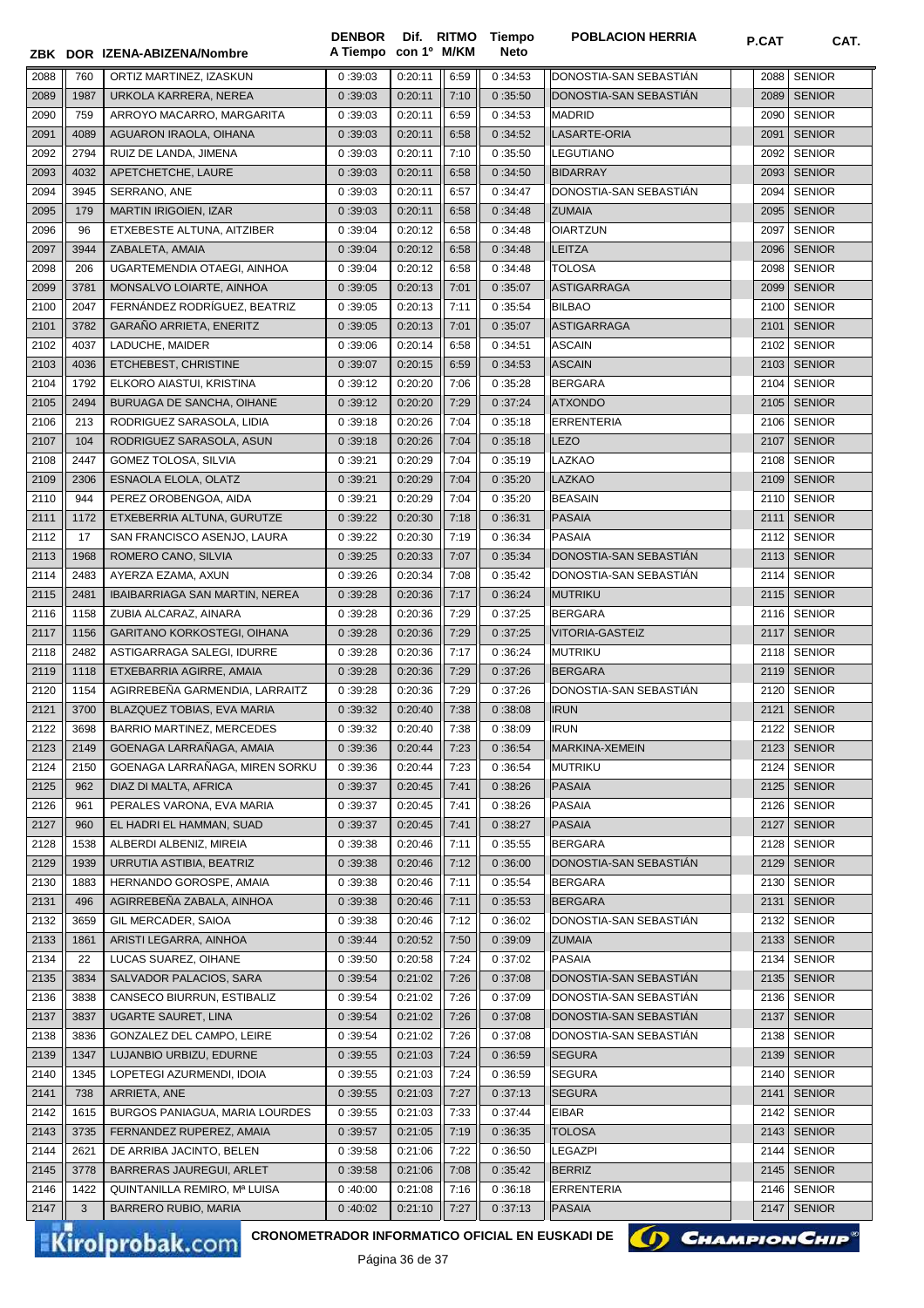|              |      | ZBK DOR IZENA-ABIZENA/Nombre   | <b>DENBOR</b><br>A Tiempo con 1º M/KM |         |      | Dif. RITMO Tiempo<br><b>Neto</b> | <b>POBLACION HERRIA</b> | P.CAT | CAT.          |
|--------------|------|--------------------------------|---------------------------------------|---------|------|----------------------------------|-------------------------|-------|---------------|
| 2088         | 760  | ORTIZ MARTINEZ, IZASKUN        | 0:39:03                               | 0:20:11 | 6:59 | 0:34:53                          | DONOSTIA-SAN SEBASTIAN  | 2088  | <b>SENIOR</b> |
| 2089         | 1987 | URKOLA KARRERA, NEREA          | 0:39:03                               | 0:20:11 | 7:10 | 0:35:50                          | DONOSTIA-SAN SEBASTIAN  | 2089  | <b>SENIOR</b> |
| 2090         | 759  | ARROYO MACARRO, MARGARITA      | 0:39:03                               | 0:20:11 | 6:59 | 0:34:53                          | <b>MADRID</b>           | 2090  | <b>SENIOR</b> |
| 2091         | 4089 | AGUARON IRAOLA, OIHANA         | 0:39:03                               | 0:20:11 | 6:58 | 0:34:52                          | LASARTE-ORIA            | 2091  | <b>SENIOR</b> |
| 2092         | 2794 | RUIZ DE LANDA, JIMENA          | 0:39:03                               | 0:20:11 | 7:10 | 0:35:50                          | <b>LEGUTIANO</b>        | 2092  | <b>SENIOR</b> |
| 2093         | 4032 | APETCHETCHE, LAURE             | 0:39:03                               | 0:20:11 | 6:58 | 0:34:50                          | <b>BIDARRAY</b>         | 2093  | <b>SENIOR</b> |
| 2094         | 3945 | SERRANO, ANE                   | 0:39:03                               | 0:20:11 | 6:57 | 0:34:47                          | DONOSTIA-SAN SEBASTIAN  | 2094  | <b>SENIOR</b> |
|              |      | <b>MARTIN IRIGOIEN, IZAR</b>   | 0:39:03                               | 0:20:11 |      |                                  | <b>ZUMAIA</b>           |       | 2095 SENIOR   |
| 2095         | 179  |                                |                                       |         | 6:58 | 0:34:48                          |                         |       |               |
| 2096         | 96   | ETXEBESTE ALTUNA, AITZIBER     | 0:39:04                               | 0:20:12 | 6:58 | 0:34:48                          | <b>OIARTZUN</b>         | 2097  | <b>SENIOR</b> |
| 2097         | 3944 | ZABALETA, AMAIA                | 0:39:04                               | 0:20:12 | 6:58 | 0:34:48                          | <b>LEITZA</b>           | 2096  | <b>SENIOR</b> |
| 2098         | 206  | UGARTEMENDIA OTAEGI, AINHOA    | 0:39:04                               | 0:20:12 | 6:58 | 0:34:48                          | <b>TOLOSA</b>           | 2098  | <b>SENIOR</b> |
| 2099         | 3781 | MONSALVO LOIARTE, AINHOA       | 0:39:05                               | 0:20:13 | 7:01 | 0:35:07                          | <b>ASTIGARRAGA</b>      | 2099  | <b>SENIOR</b> |
| 2100         | 2047 | FERNÁNDEZ RODRÍGUEZ, BEATRIZ   | 0:39:05                               | 0:20:13 | 7:11 | 0:35:54                          | <b>BILBAO</b>           | 2100  | <b>SENIOR</b> |
| 2101         | 3782 | GARAÑO ARRIETA, ENERITZ        | 0:39:05                               | 0:20:13 | 7:01 | 0:35:07                          | <b>ASTIGARRAGA</b>      | 2101  | <b>SENIOR</b> |
| 2102         | 4037 | LADUCHE, MAIDER                | 0:39:06                               | 0:20:14 | 6:58 | 0:34:51                          | <b>ASCAIN</b>           | 2102  | <b>SENIOR</b> |
| 2103         | 4036 | ETCHEBEST, CHRISTINE           | 0:39:07                               | 0:20:15 | 6:59 | 0:34:53                          | <b>ASCAIN</b>           |       | 2103 SENIOR   |
| 2104         | 1792 | ELKORO AIASTUI, KRISTINA       | 0:39:12                               | 0:20:20 | 7:06 | 0:35:28                          | <b>BERGARA</b>          | 2104  | <b>SENIOR</b> |
| 2105         | 2494 | BURUAGA DE SANCHA, OIHANE      | 0:39:12                               | 0:20:20 | 7:29 | 0:37:24                          | <b>ATXONDO</b>          |       | 2105   SENIOR |
| 2106         | 213  | RODRIGUEZ SARASOLA, LIDIA      | 0:39:18                               | 0:20:26 | 7:04 | 0:35:18                          | <b>ERRENTERIA</b>       | 2106  | <b>SENIOR</b> |
| 2107         | 104  | RODRIGUEZ SARASOLA, ASUN       | 0:39:18                               | 0:20:26 | 7:04 | 0:35:18                          | <b>LEZO</b>             | 2107  | <b>SENIOR</b> |
| 2108         | 2447 | GOMEZ TOLOSA, SILVIA           | 0:39:21                               | 0:20:29 | 7:04 | 0:35:19                          | LAZKAO                  |       | 2108 SENIOR   |
| 2109         | 2306 | ESNAOLA ELOLA, OLATZ           | 0:39:21                               | 0:20:29 | 7:04 | 0:35:20                          | LAZKAO                  | 2109  | <b>SENIOR</b> |
| 2110         | 944  | PEREZ OROBENGOA, AIDA          | 0:39:21                               | 0:20:29 | 7:04 | 0:35:20                          | <b>BEASAIN</b>          |       | 2110 SENIOR   |
| 2111         | 1172 | ETXEBERRIA ALTUNA, GURUTZE     | 0:39:22                               | 0:20:30 | 7:18 | 0:36:31                          | <b>PASAIA</b>           | 2111  | <b>SENIOR</b> |
| 2112         | 17   | SAN FRANCISCO ASENJO, LAURA    | 0:39:22                               | 0:20:30 | 7:19 | 0:36:34                          | <b>PASAIA</b>           |       | 2112 SENIOR   |
| 2113         | 1968 | ROMERO CANO, SILVIA            | 0:39:25                               | 0:20:33 | 7:07 | 0:35:34                          | DONOSTIA-SAN SEBASTIAN  | 2113  | <b>SENIOR</b> |
| 2114         | 2483 | AYERZA EZAMA, AXUN             | 0:39:26                               | 0:20:34 | 7:08 | 0:35:42                          | DONOSTIA-SAN SEBASTIAN  | 2114  | <b>SENIOR</b> |
| 2115         | 2481 | IBAIBARRIAGA SAN MARTIN, NEREA | 0:39:28                               | 0:20:36 | 7:17 | 0:36:24                          | MUTRIKU                 | 2115  | <b>SENIOR</b> |
| 2116         | 1158 | ZUBIA ALCARAZ, AINARA          | 0:39:28                               | 0:20:36 | 7:29 | 0:37:25                          | <b>BERGARA</b>          | 2116  | <b>SENIOR</b> |
| 2117         | 1156 | GARITANO KORKOSTEGI, OIHANA    | 0:39:28                               | 0:20:36 | 7:29 | 0:37:25                          | VITORIA-GASTEIZ         | 2117  | <b>SENIOR</b> |
| 2118         | 2482 | ASTIGARRAGA SALEGI, IDURRE     | 0:39:28                               | 0:20:36 | 7:17 | 0:36:24                          | <b>MUTRIKU</b>          | 2118  | <b>SENIOR</b> |
| 2119         | 1118 | ETXEBARRIA AGIRRE, AMAIA       | 0:39:28                               | 0:20:36 | 7:29 | 0:37:26                          | <b>BERGARA</b>          |       | 2119 SENIOR   |
| 2120         | 1154 | AGIRREBEÑA GARMENDIA. LARRAITZ | 0:39:28                               | 0:20:36 | 7:29 | 0:37:26                          | DONOSTIA-SAN SEBASTIAN  | 2120  | <b>SENIOR</b> |
| 2121         | 3700 | BLAZQUEZ TOBIAS, EVA MARIA     | 0:39:32                               | 0:20:40 | 7:38 | 0:38:08                          | <b>IRUN</b>             |       | 2121   SENIOR |
|              | 3698 | BARRIO MARTINEZ, MERCEDES      |                                       |         | 7:38 |                                  | <b>IRUN</b>             |       |               |
| 2122         |      |                                | 0:39:32                               | 0:20:40 |      | 0:38:09                          |                         |       | 2122 SENIOR   |
| 2123         | 2149 | GOENAGA LARRAÑAGA, AMAIA       | 0:39:36                               | 0:20:44 | 7:23 | 0:36:54                          | MARKINA-XEMEIN          |       | 2123   SENIOR |
| 2124         | 2150 | GOENAGA LARRAÑAGA, MIREN SORKU | 0:39:36                               | 0:20:44 | 7:23 | 0:36:54                          | <b>MUTRIKU</b>          |       | 2124 SENIOR   |
| 2125         | 962  | DIAZ DI MALTA, AFRICA          | 0:39:37                               | 0:20:45 | 7:41 | 0:38:26                          | <b>PASAIA</b>           |       | 2125 SENIOR   |
| 2126         | 961  | PERALES VARONA, EVA MARIA      | 0:39:37                               | 0:20:45 | 7:41 | 0:38:26                          | PASAIA                  |       | 2126 SENIOR   |
| 2127         | 960  | EL HADRI EL HAMMAN, SUAD       | 0:39:37                               | 0:20:45 | 7:41 | 0:38:27                          | <b>PASAIA</b>           | 2127  | <b>SENIOR</b> |
| 2128         | 1538 | ALBERDI ALBENIZ, MIREIA        | 0:39:38                               | 0:20:46 | 7:11 | 0:35:55                          | <b>BERGARA</b>          |       | 2128 SENIOR   |
| 2129         | 1939 | URRUTIA ASTIBIA, BEATRIZ       | 0:39:38                               | 0:20:46 | 7:12 | 0:36:00                          | DONOSTIA-SAN SEBASTIAN  |       | 2129   SENIOR |
| 2130         | 1883 | HERNANDO GOROSPE, AMAIA        | 0:39:38                               | 0:20:46 | 7:11 | 0:35:54                          | <b>BERGARA</b>          | 2130  | <b>SENIOR</b> |
| 2131         | 496  | AGIRREBEÑA ZABALA, AINHOA      | 0:39:38                               | 0:20:46 | 7:11 | 0:35:53                          | <b>BERGARA</b>          | 2131  | <b>SENIOR</b> |
| 2132         | 3659 | GIL MERCADER, SAIOA            | 0:39:38                               | 0:20:46 | 7:12 | 0:36:02                          | DONOSTIA-SAN SEBASTIAN  | 2132  | <b>SENIOR</b> |
| 2133         | 1861 | ARISTI LEGARRA, AINHOA         | 0:39:44                               | 0:20:52 | 7:50 | 0:39:09                          | <b>ZUMAIA</b>           | 2133  | <b>SENIOR</b> |
| 2134         | 22   | LUCAS SUAREZ, OIHANE           | 0:39:50                               | 0:20:58 | 7:24 | 0:37:02                          | <b>PASAIA</b>           | 2134  | <b>SENIOR</b> |
| 2135         | 3834 | SALVADOR PALACIOS, SARA        | 0:39:54                               | 0:21:02 | 7:26 | 0:37:08                          | DONOSTIA-SAN SEBASTIAN  | 2135  | <b>SENIOR</b> |
| 2136         | 3838 | CANSECO BIURRUN, ESTIBALIZ     | 0:39:54                               | 0:21:02 | 7:26 | 0:37:09                          | DONOSTIA-SAN SEBASTIÁN  | 2136  | <b>SENIOR</b> |
| 2137         | 3837 | UGARTE SAURET, LINA            | 0:39:54                               | 0:21:02 | 7:26 | 0:37:08                          | DONOSTIA-SAN SEBASTIÁN  | 2137  | <b>SENIOR</b> |
| 2138         | 3836 | GONZALEZ DEL CAMPO, LEIRE      | 0:39:54                               | 0:21:02 | 7:26 | 0:37:08                          | DONOSTIA-SAN SEBASTIAN  | 2138  | <b>SENIOR</b> |
| 2139         | 1347 | LUJANBIO URBIZU, EDURNE        | 0:39:55                               | 0:21:03 | 7:24 | 0:36:59                          | <b>SEGURA</b>           |       | 2139   SENIOR |
| 2140         | 1345 | LOPETEGI AZURMENDI, IDOIA      | 0:39:55                               | 0:21:03 | 7:24 | 0:36:59                          | <b>SEGURA</b>           | 2140  | <b>SENIOR</b> |
| 2141         | 738  | ARRIETA, ANE                   | 0:39:55                               | 0:21:03 | 7:27 | 0:37:13                          | <b>SEGURA</b>           | 2141  | <b>SENIOR</b> |
| 2142         | 1615 | BURGOS PANIAGUA, MARIA LOURDES | 0:39:55                               | 0:21:03 | 7:33 | 0:37:44                          | <b>EIBAR</b>            | 2142  | <b>SENIOR</b> |
| 2143         | 3735 | FERNANDEZ RUPEREZ, AMAIA       | 0:39:57                               | 0:21:05 | 7:19 | 0:36:35                          | <b>TOLOSA</b>           | 2143  | <b>SENIOR</b> |
| 2144         | 2621 | DE ARRIBA JACINTO, BELEN       | 0:39:58                               | 0:21:06 | 7:22 | 0:36:50                          | LEGAZPI                 | 2144  | <b>SENIOR</b> |
| 2145         | 3778 | BARRERAS JAUREGUI, ARLET       | 0:39:58                               | 0:21:06 | 7:08 | 0:35:42                          | <b>BERRIZ</b>           |       | 2145   SENIOR |
|              | 1422 |                                |                                       | 0:21:08 |      |                                  | <b>ERRENTERIA</b>       |       | 2146 SENIOR   |
|              |      | QUINTANILLA REMIRO, Mª LUISA   | 0:40:00                               |         | 7:16 | 0:36:18                          |                         |       |               |
| 2146<br>2147 | 3    | <b>BARRERO RUBIO, MARIA</b>    | 0:40:02                               | 0:21:10 | 7:27 | 0:37:13                          | <b>PASAIA</b>           | 2147  | <b>SENIOR</b> |